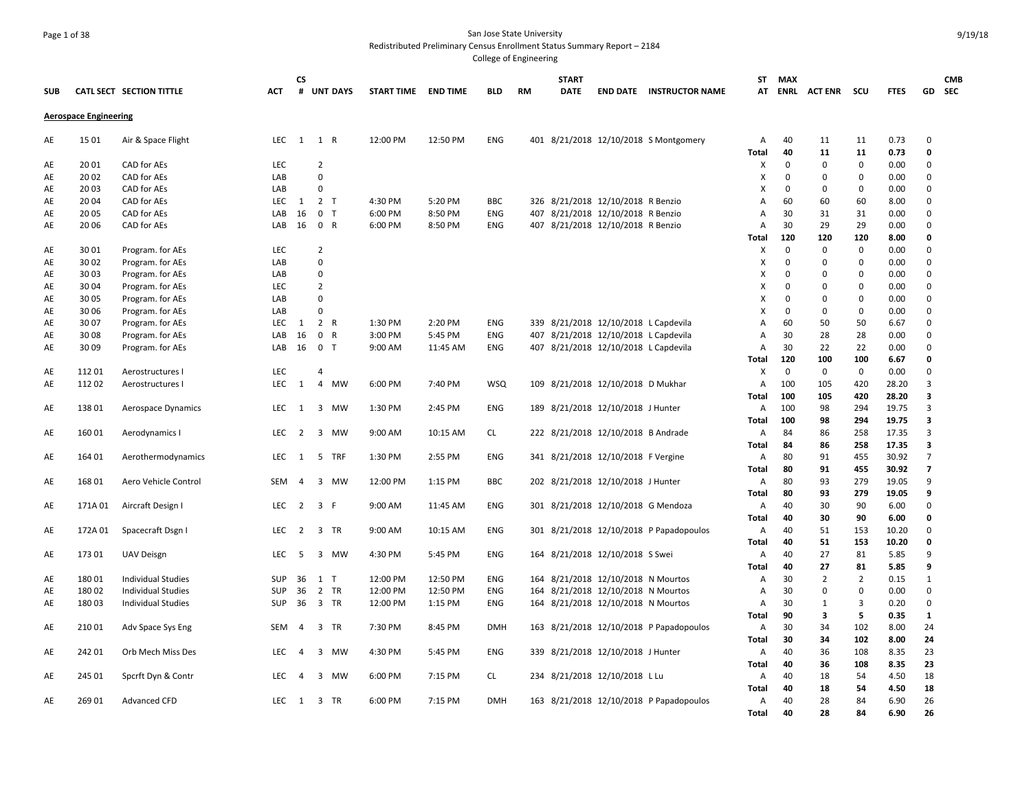### Page 1 of 38 San Jose State University Redistributed Preliminary Census Enrollment Status Summary Report – 2184

| <b>SUB</b> |                              | CATL SECT SECTION TITTLE  | <b>ACT</b> | СS<br>#        |                | <b>UNT DAYS</b> | <b>START TIME</b> | <b>END TIME</b> | <b>BLD</b> | <b>RM</b> | <b>START</b><br><b>DATE</b> |                                      | <b>END DATE INSTRUCTOR NAME</b>         | ST           | MAX         | AT ENRL ACTENR | scu                     | <b>FTES</b>  |                            | <b>CMB</b><br>GD SEC |
|------------|------------------------------|---------------------------|------------|----------------|----------------|-----------------|-------------------|-----------------|------------|-----------|-----------------------------|--------------------------------------|-----------------------------------------|--------------|-------------|----------------|-------------------------|--------------|----------------------------|----------------------|
|            | <b>Aerospace Engineering</b> |                           |            |                |                |                 |                   |                 |            |           |                             |                                      |                                         |              |             |                |                         |              |                            |                      |
| AE         | 15 01                        | Air & Space Flight        | LEC        | 1              | 1 R            |                 | 12:00 PM          | 12:50 PM        | <b>ENG</b> |           |                             |                                      | 401 8/21/2018 12/10/2018 S Montgomery   | Α            | 40<br>40    | 11<br>11       | 11<br>11                | 0.73<br>0.73 | $\mathbf 0$<br>$\mathbf 0$ |                      |
| AE         | 20 01                        | CAD for AEs               | LEC        |                | $\overline{2}$ |                 |                   |                 |            |           |                             |                                      |                                         | Total<br>x   | 0           | $\Omega$       | $\mathbf 0$             | 0.00         | $\mathbf 0$                |                      |
| AE         | 20 02                        | CAD for AEs               | LAB        |                | $\mathbf 0$    |                 |                   |                 |            |           |                             |                                      |                                         | X            | 0           | $\Omega$       | $\mathbf 0$             | 0.00         | $\Omega$                   |                      |
| AE         | 20 03                        | CAD for AEs               | LAB        |                | $\mathbf 0$    |                 |                   |                 |            |           |                             |                                      |                                         | x            | $\Omega$    | $\Omega$       | 0                       | 0.00         | $\mathbf 0$                |                      |
| AE         | 20 04                        | CAD for AEs               | LEC        | 1              | 2 <sub>T</sub> |                 | 4:30 PM           | 5:20 PM         | <b>BBC</b> |           |                             | 326 8/21/2018 12/10/2018 R Benzio    |                                         | А            | 60          | 60             | 60                      | 8.00         | $\mathbf 0$                |                      |
| AE         | 20 05                        | CAD for AEs               | LAB        | 16             |                | 0 <sub>T</sub>  | 6:00 PM           | 8:50 PM         | <b>ENG</b> |           |                             | 407 8/21/2018 12/10/2018 R Benzio    |                                         | Α            | 30          | 31             | 31                      | 0.00         | $\Omega$                   |                      |
| AE         | 20 06                        | CAD for AEs               | LAB        | 16             |                | 0 R             | 6:00 PM           | 8:50 PM         | ENG        |           |                             | 407 8/21/2018 12/10/2018 R Benzio    |                                         | А            | 30          | 29             | 29                      | 0.00         | $\mathbf 0$                |                      |
|            |                              |                           |            |                |                |                 |                   |                 |            |           |                             |                                      |                                         | Total        | 120         | 120            | 120                     | 8.00         | 0                          |                      |
| AE         | 30 01                        | Program. for AEs          | <b>LEC</b> |                | $\overline{2}$ |                 |                   |                 |            |           |                             |                                      |                                         | Χ            | $\mathbf 0$ | $\mathbf 0$    | $\mathbf 0$             | 0.00         | $\mathbf 0$                |                      |
| AE         | 30 02                        | Program. for AEs          | LAB        |                | $\mathbf 0$    |                 |                   |                 |            |           |                             |                                      |                                         | x            | 0           | $\Omega$       | $\mathbf 0$             | 0.00         | $\Omega$                   |                      |
| AE         | 30 03                        | Program. for AEs          | LAB        |                | $\mathbf 0$    |                 |                   |                 |            |           |                             |                                      |                                         | X            | 0           | $\Omega$       | $\mathbf 0$             | 0.00         | $\Omega$                   |                      |
| AE         | 30 04                        | Program. for AEs          | <b>LEC</b> |                | $\overline{2}$ |                 |                   |                 |            |           |                             |                                      |                                         | x            | $\Omega$    | $\Omega$       | $\mathbf 0$             | 0.00         | $\Omega$                   |                      |
| AE         | 30 05                        | Program. for AEs          | LAB        |                | $\mathbf 0$    |                 |                   |                 |            |           |                             |                                      |                                         | x            | 0           | 0              | $\mathbf 0$             | 0.00         | $\mathbf 0$                |                      |
| AE         | 30 06                        | Program. for AEs          | LAB        |                | $\Omega$       |                 |                   |                 |            |           |                             |                                      |                                         | X            | $\Omega$    | $\Omega$       | 0                       | 0.00         | $\Omega$                   |                      |
| AE         | 30 07                        | Program. for AEs          | LEC        | 1              |                | 2 R             | 1:30 PM           | 2:20 PM         | ENG        |           |                             | 339 8/21/2018 12/10/2018 L Capdevila |                                         | А            | 60          | 50             | 50                      | 6.67         | $\Omega$                   |                      |
| AE         | 30 08                        | Program. for AEs          | LAB        | 16             |                | 0 R             | 3:00 PM           | 5:45 PM         | ENG        |           |                             | 407 8/21/2018 12/10/2018 L Capdevila |                                         | Α            | 30          | 28             | 28                      | 0.00         | $\Omega$                   |                      |
| AE         | 30 09                        | Program. for AEs          | LAB        | 16             |                | 0 <sub>T</sub>  | 9:00 AM           | 11:45 AM        | ENG        |           |                             | 407 8/21/2018 12/10/2018 L Capdevila |                                         | А            | 30          | 22             | 22                      | 0.00         | $\Omega$                   |                      |
|            |                              |                           |            |                |                |                 |                   |                 |            |           |                             |                                      |                                         | <b>Total</b> | 120         | 100            | 100                     | 6.67         | $\mathbf 0$                |                      |
| AE         | 11201                        | Aerostructures I          | <b>LEC</b> |                | $\overline{4}$ |                 |                   |                 |            |           |                             |                                      |                                         | х            | $\mathbf 0$ | $\mathbf 0$    | $\mathbf 0$             | 0.00         | $\Omega$                   |                      |
| AE         | 11202                        | Aerostructures I          | LEC        | 1              | 4              | MW              | 6:00 PM           | 7:40 PM         | <b>WSQ</b> |           |                             | 109 8/21/2018 12/10/2018 D Mukhar    |                                         | Α            | 100         | 105            | 420                     | 28.20        | $\overline{3}$             |                      |
|            |                              |                           |            |                |                |                 |                   |                 |            |           |                             |                                      |                                         | Total        | 100         | 105            | 420                     | 28.20        | 3                          |                      |
| AE         | 13801                        | Aerospace Dynamics        | LEC        | 1              |                | 3 MW            | 1:30 PM           | 2:45 PM         | <b>ENG</b> |           |                             | 189 8/21/2018 12/10/2018 J Hunter    |                                         | Α            | 100         | 98             | 294                     | 19.75        | $\overline{3}$             |                      |
|            |                              |                           |            |                |                |                 |                   |                 |            |           |                             |                                      |                                         | Total        | 100         | 98             | 294                     | 19.75        | 3                          |                      |
| AE         | 16001                        | Aerodynamics I            | LEC        | $\overline{2}$ |                | 3 MW            | 9:00 AM           | 10:15 AM        | <b>CL</b>  |           |                             | 222 8/21/2018 12/10/2018 B Andrade   |                                         | Α            | 84          | 86             | 258                     | 17.35        | 3                          |                      |
|            |                              |                           |            |                |                |                 |                   |                 |            |           |                             |                                      |                                         | <b>Total</b> | 84          | 86             | 258                     | 17.35        | 3                          |                      |
| AE         | 164 01                       | Aerothermodynamics        | LEC        | 1              |                | 5 TRF           | 1:30 PM           | 2:55 PM         | ENG        |           |                             | 341 8/21/2018 12/10/2018 F Vergine   |                                         | Α            | 80          | 91             | 455                     | 30.92        | $\overline{7}$             |                      |
|            |                              |                           |            |                |                |                 |                   |                 |            |           |                             |                                      |                                         | <b>Total</b> | 80          | 91             | 455                     | 30.92        | $\overline{\phantom{a}}$   |                      |
| AE         | 16801                        | Aero Vehicle Control      | SEM        | 4              |                | 3 MW            | 12:00 PM          | 1:15 PM         | <b>BBC</b> |           |                             | 202 8/21/2018 12/10/2018 J Hunter    |                                         | А            | 80          | 93             | 279                     | 19.05        | 9                          |                      |
|            |                              |                           |            |                |                |                 |                   |                 |            |           |                             |                                      |                                         | Total        | 80          | 93             | 279                     | 19.05        | 9                          |                      |
| AE         | 171A 01                      | Aircraft Design I         | LEC        | $\overline{2}$ |                | 3 F             | 9:00 AM           | 11:45 AM        | ENG        |           |                             | 301 8/21/2018 12/10/2018 G Mendoza   |                                         | Α            | 40          | 30             | 90                      | 6.00         | 0                          |                      |
|            |                              |                           |            |                |                |                 |                   |                 |            |           |                             |                                      |                                         | <b>Total</b> | 40          | 30             | 90                      | 6.00         | $\Omega$                   |                      |
| AE         | 172A 01                      | Spacecraft Dsgn I         | <b>LEC</b> | $\overline{2}$ |                | 3 TR            | 9:00 AM           | 10:15 AM        | ENG        |           |                             |                                      | 301 8/21/2018 12/10/2018 P Papadopoulos | Α            | 40          | 51             | 153                     | 10.20        | $\Omega$                   |                      |
|            |                              |                           |            |                |                |                 |                   |                 |            |           |                             |                                      |                                         | <b>Total</b> | 40          | 51             | 153                     | 10.20        | 0                          |                      |
| AE         | 17301                        | <b>UAV Deisgn</b>         | LEC        | -5             |                | 3 MW            | 4:30 PM           | 5:45 PM         | ENG        |           |                             | 164 8/21/2018 12/10/2018 S Swei      |                                         | А            | 40          | 27             | 81                      | 5.85         | 9                          |                      |
|            |                              |                           |            |                |                |                 |                   |                 |            |           |                             |                                      |                                         | Total        | 40          | 27             | 81                      | 5.85         | 9                          |                      |
| AE         | 18001                        | <b>Individual Studies</b> | <b>SUP</b> | 36             | $1$ T          |                 | 12:00 PM          | 12:50 PM        | ENG        |           |                             | 164 8/21/2018 12/10/2018 N Mourtos   |                                         | Α            | 30          | $\overline{2}$ | $\overline{2}$          | 0.15         | $\mathbf{1}$               |                      |
| AE         | 18002                        | <b>Individual Studies</b> | <b>SUP</b> | 36             |                | 2 TR            | 12:00 PM          | 12:50 PM        | ENG        |           |                             | 164 8/21/2018 12/10/2018 N Mourtos   |                                         | Α            | 30          | 0              | $\pmb{0}$               | 0.00         | $\mathbf 0$                |                      |
| AE         | 18003                        | <b>Individual Studies</b> | <b>SUP</b> | 36             |                | 3 TR            | 12:00 PM          | 1:15 PM         | ENG        |           |                             | 164 8/21/2018 12/10/2018 N Mourtos   |                                         | А            | 30          | 1              | $\overline{\mathbf{3}}$ | 0.20         | $\mathbf 0$                |                      |
|            |                              |                           |            |                |                |                 |                   |                 |            |           |                             |                                      |                                         | Total        | 90          | 3              | 5                       | 0.35         | 1                          |                      |
| AE         | 21001                        | Adv Space Sys Eng         | <b>SEM</b> | $\overline{4}$ |                | 3 TR            | 7:30 PM           | 8:45 PM         | <b>DMH</b> |           |                             |                                      | 163 8/21/2018 12/10/2018 P Papadopoulos | А            | 30          | 34             | 102                     | 8.00         | 24                         |                      |
|            |                              |                           |            |                |                |                 |                   |                 |            |           |                             |                                      |                                         | <b>Total</b> | 30          | 34             | 102                     | 8.00         | 24                         |                      |
| AE         | 242 01                       | Orb Mech Miss Des         | LEC        | $\overline{4}$ |                | 3 MW            | 4:30 PM           | 5:45 PM         | <b>ENG</b> |           |                             | 339 8/21/2018 12/10/2018 J Hunter    |                                         | Α            | 40          | 36             | 108                     | 8.35         | 23                         |                      |
|            |                              |                           |            |                |                |                 |                   |                 |            |           |                             |                                      |                                         | Total        | 40          | 36             | 108                     | 8.35         | 23                         |                      |
| AE         | 245 01                       | Spcrft Dyn & Contr        | LEC        | $\overline{4}$ |                | 3 MW            | 6:00 PM           | 7:15 PM         | CL.        |           |                             | 234 8/21/2018 12/10/2018 L Lu        |                                         | Α            | 40          | 18             | 54                      | 4.50         | 18                         |                      |
|            |                              |                           |            |                |                |                 |                   |                 |            |           |                             |                                      |                                         | Total        | 40          | 18             | 54                      | 4.50         | 18                         |                      |
| AE         | 26901                        | <b>Advanced CFD</b>       | LEC        | 1              |                | 3 TR            | 6:00 PM           | 7:15 PM         | <b>DMH</b> |           |                             |                                      | 163 8/21/2018 12/10/2018 P Papadopoulos | Α            | 40          | 28             | 84                      | 6.90         | 26                         |                      |
|            |                              |                           |            |                |                |                 |                   |                 |            |           |                             |                                      |                                         | Total        | 40          | 28             | 84                      | 6.90         | 26                         |                      |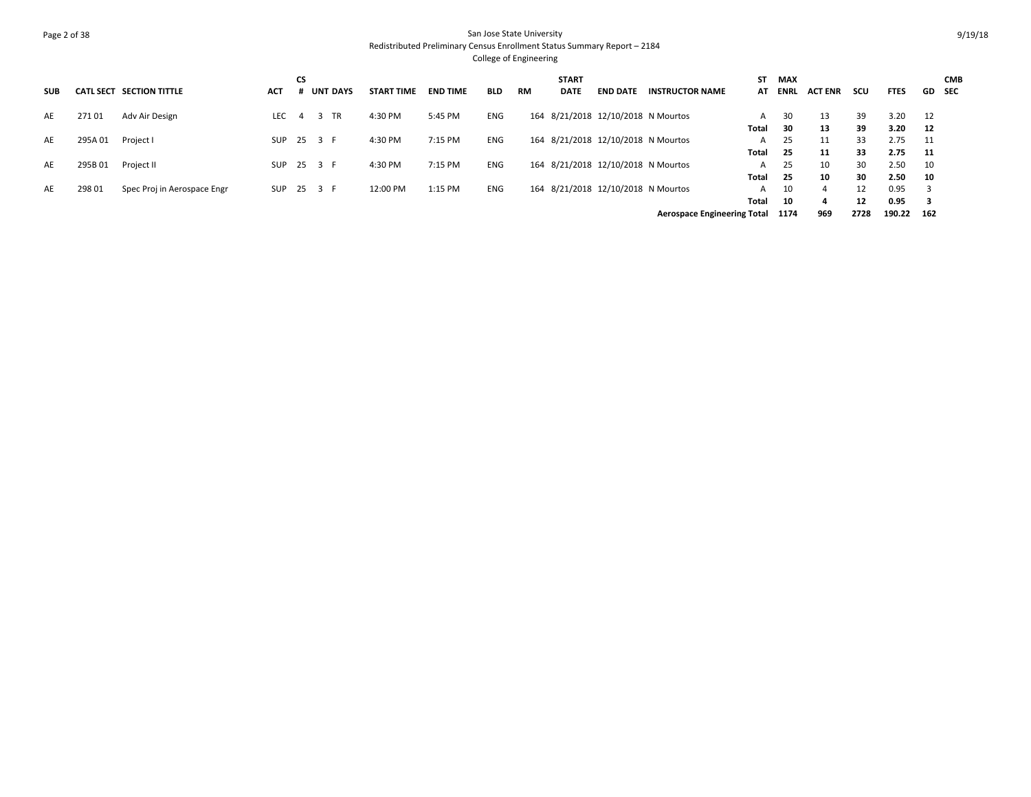# Page 2 of 38 San Jose State University Redistributed Preliminary Census Enrollment Status Summary Report – 2184

| <b>SUB</b> | <b>CATL SECT</b> | <b>SECTION TITTLE</b>       | <b>ACT</b> | CS | <b>UNT DAYS</b> | <b>START TIME</b> | <b>END TIME</b> | <b>BLD</b> | <b>RM</b> | <b>START</b><br><b>DATE</b> | <b>END DATE</b>                    | INSTRUCTOR NAME                    | SΤ<br>AT | <b>MAX</b><br>ENRL | <b>ACT ENR</b> | scu  | <b>FTES</b> | GD SEC | <b>CMB</b> |
|------------|------------------|-----------------------------|------------|----|-----------------|-------------------|-----------------|------------|-----------|-----------------------------|------------------------------------|------------------------------------|----------|--------------------|----------------|------|-------------|--------|------------|
| AE         | 27101            | Adv Air Design              | LEC.       | Δ  | TR              | 4:30 PM           | 5:45 PM         | ENG        |           |                             | 164 8/21/2018 12/10/2018 N Mourtos |                                    | A        | 30                 | 13             | 39   | 3.20        | 12     |            |
|            |                  |                             |            |    |                 |                   |                 |            |           |                             |                                    |                                    | Total    | 30                 | 13             | 39   | 3.20        | 12     |            |
| AE         | 295A 01          | Project I                   | SUP        |    | 25 3 F          | 4:30 PM           | 7:15 PM         | <b>ENG</b> |           |                             | 164 8/21/2018 12/10/2018 N Mourtos |                                    | A        | 25                 | 11             | 33   | 2.75        | - 11   |            |
|            |                  |                             |            |    |                 |                   |                 |            |           |                             |                                    |                                    | Total    | 25                 | 11             | 33   | 2.75        | - 11   |            |
| AE         | 295B01           | Project II                  | SUP        |    | 25 3 F          | 4:30 PM           | 7:15 PM         | ENG        |           |                             | 164 8/21/2018 12/10/2018 N Mourtos |                                    | A        | 25                 | 10             | 30   | 2.50        | 10     |            |
|            |                  |                             |            |    |                 |                   |                 |            |           |                             |                                    |                                    | Total    | 25                 | 10             | 30   | 2.50        | 10     |            |
| AE         | 298 01           | Spec Proj in Aerospace Engr | SUP        |    | 25 3 F          | 12:00 PM          | 1:15 PM         | ENG        |           |                             | 164 8/21/2018 12/10/2018 N Mourtos |                                    | A        | 10                 |                | 12   | 0.95        |        |            |
|            |                  |                             |            |    |                 |                   |                 |            |           |                             |                                    |                                    | Total    | 10                 | д              | 12   | 0.95        |        |            |
|            |                  |                             |            |    |                 |                   |                 |            |           |                             |                                    | <b>Aerospace Engineering Total</b> |          | 1174               | 969            | 2728 | 190.22      | 162    |            |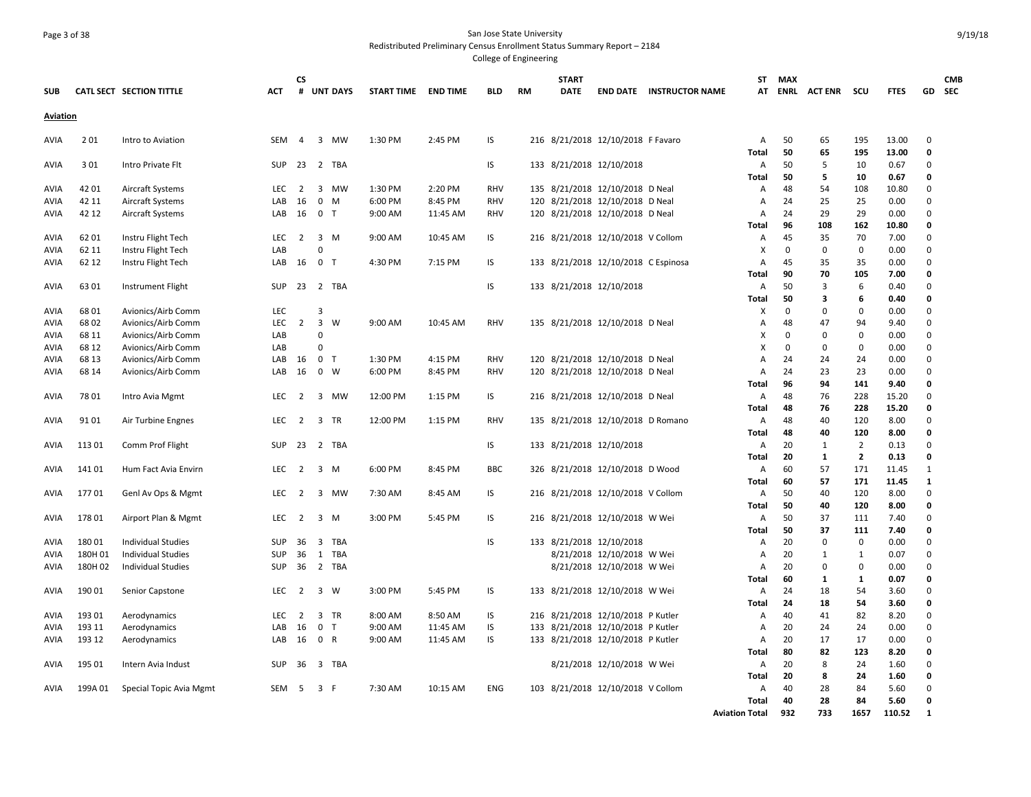### Page 3 of 38 San Jose State University Redistributed Preliminary Census Enrollment Status Summary Report – 2184

|             |         |                           |            | <b>CS</b>      |                |                 |            |                 |            |           | <b>START</b> |                                     |                                 | ST                    | <b>MAX</b>  |                     |                |              |                         | <b>CMB</b> |
|-------------|---------|---------------------------|------------|----------------|----------------|-----------------|------------|-----------------|------------|-----------|--------------|-------------------------------------|---------------------------------|-----------------------|-------------|---------------------|----------------|--------------|-------------------------|------------|
| <b>SUB</b>  |         | CATL SECT SECTION TITTLE  | ACT        | #              |                | <b>UNT DAYS</b> | START TIME | <b>END TIME</b> | BLD        | <b>RM</b> | DATE         |                                     | <b>END DATE INSTRUCTOR NAME</b> | AT                    |             | <b>ENRL ACT ENR</b> | scu            | <b>FTES</b>  |                         | GD SEC     |
| Aviation    |         |                           |            |                |                |                 |            |                 |            |           |              |                                     |                                 |                       |             |                     |                |              |                         |            |
| AVIA        | 201     | Intro to Aviation         | <b>SEM</b> | 4              |                | 3 MW            | 1:30 PM    | 2:45 PM         | IS         |           |              | 216 8/21/2018 12/10/2018 F Favaro   |                                 | Α                     | 50          | 65                  | 195            | 13.00        | 0                       |            |
|             |         |                           |            |                |                |                 |            |                 |            |           |              |                                     |                                 | Total                 | 50          | 65                  | 195            | 13.00        | $\mathbf 0$             |            |
| AVIA        | 301     | Intro Private Flt         | <b>SUP</b> | 23             |                | 2 TBA           |            |                 | IS         |           |              | 133 8/21/2018 12/10/2018            |                                 | Α                     | 50          | 5                   | 10             | 0.67         | $\Omega$                |            |
|             |         |                           |            |                |                |                 |            |                 |            |           |              |                                     |                                 | Total                 | 50          | -5                  | 10             | 0.67         | 0                       |            |
| AVIA        | 42 01   | Aircraft Systems          | <b>LEC</b> | $\overline{2}$ | 3              | MW              | 1:30 PM    | 2:20 PM         | <b>RHV</b> |           |              | 135 8/21/2018 12/10/2018 D Neal     |                                 | Α                     | 48          | 54                  | 108            | 10.80        | $\mathbf 0$             |            |
| AVIA        | 42 11   | Aircraft Systems          | LAB        | 16             | 0              | M               | 6:00 PM    | 8:45 PM         | <b>RHV</b> |           |              | 120 8/21/2018 12/10/2018 D Neal     |                                 | Α                     | 24          | 25                  | 25             | 0.00         | 0                       |            |
| <b>AVIA</b> | 42 12   | Aircraft Systems          | LAB        | 16             | 0 <sub>T</sub> |                 | 9:00 AM    | 11:45 AM        | <b>RHV</b> |           |              | 120 8/21/2018 12/10/2018 D Neal     |                                 | A                     | 24          | 29                  | 29             | 0.00         | $\Omega$                |            |
|             |         |                           |            |                |                |                 |            |                 |            |           |              |                                     |                                 | Total                 | 96          | 108                 | 162            | 10.80        | 0                       |            |
| <b>AVIA</b> | 62 01   | Instru Flight Tech        | <b>LEC</b> | $\overline{2}$ |                | 3 M             | 9:00 AM    | 10:45 AM        | IS         |           |              | 216 8/21/2018 12/10/2018 V Collom   |                                 | А                     | 45          | 35                  | 70             | 7.00         | $\Omega$                |            |
| AVIA        | 62 11   | Instru Flight Tech        | LAB        |                | $\Omega$       |                 |            |                 |            |           |              |                                     |                                 | Х                     | 0           | 0                   | $\mathbf 0$    | 0.00         | $\mathbf 0$             |            |
| AVIA        | 62 12   | Instru Flight Tech        | LAB        | 16             | 0 <sub>T</sub> |                 | 4:30 PM    | 7:15 PM         | IS         |           |              | 133 8/21/2018 12/10/2018 C Espinosa |                                 | А                     | 45          | 35                  | 35             | 0.00         | $\mathbf 0$             |            |
|             |         |                           |            |                |                |                 |            |                 |            |           |              |                                     |                                 | Total                 | 90          | 70                  | 105            | 7.00         | 0                       |            |
| AVIA        | 63 01   | Instrument Flight         | <b>SUP</b> | 23             |                | 2 TBA           |            |                 | IS         |           |              | 133 8/21/2018 12/10/2018            |                                 | А                     | 50          | 3                   | 6              | 0.40         | $\mathbf 0$             |            |
|             |         |                           |            |                |                |                 |            |                 |            |           |              |                                     |                                 | Total                 | 50          | 3                   | 6              | 0.40         | $\Omega$                |            |
| AVIA        | 68 01   | Avionics/Airb Comm        | <b>LEC</b> |                | 3              |                 |            |                 |            |           |              |                                     |                                 | X                     | $\mathbf 0$ | 0                   | $\mathbf 0$    | 0.00         | $\Omega$                |            |
| <b>AVIA</b> | 68 02   | Avionics/Airb Comm        | LEC        | $\overline{2}$ | 3              | W               | 9:00 AM    | 10:45 AM        | <b>RHV</b> |           |              | 135 8/21/2018 12/10/2018 D Neal     |                                 | A                     | 48          | 47                  | 94             | 9.40         | $\mathbf 0$             |            |
| <b>AVIA</b> | 68 11   | Avionics/Airb Comm        | LAB        |                | $\Omega$       |                 |            |                 |            |           |              |                                     |                                 | x                     | $\mathbf 0$ | 0                   | 0              | 0.00         | $\mathbf 0$             |            |
| AVIA        | 68 12   | Avionics/Airb Comm        | LAB        |                | $\Omega$       |                 |            |                 |            |           |              |                                     |                                 | x                     | $\mathbf 0$ | 0                   | $\mathbf 0$    | 0.00         | $\mathbf 0$             |            |
| AVIA        | 68 13   | Avionics/Airb Comm        | LAB        | 16             | 0 <sub>T</sub> |                 | 1:30 PM    | 4:15 PM         | <b>RHV</b> |           |              | 120 8/21/2018 12/10/2018 D Neal     |                                 | А                     | 24          | 24                  | 24             | 0.00         | $\mathbf 0$             |            |
| AVIA        | 68 14   | Avionics/Airb Comm        | LAB        | 16             | 0              | W               | 6:00 PM    | 8:45 PM         | RHV        |           |              | 120 8/21/2018 12/10/2018 D Neal     |                                 | Α                     | 24          | 23                  | 23             | 0.00         | $\Omega$                |            |
|             |         |                           |            |                |                |                 |            |                 |            |           |              |                                     |                                 | Total                 | 96          | 94                  | 141            | 9.40         | $\mathbf 0$             |            |
| AVIA        | 78 01   | Intro Avia Mgmt           | LEC.       | $\overline{2}$ |                | 3 MW            | 12:00 PM   | 1:15 PM         | IS         |           |              | 216 8/21/2018 12/10/2018 D Neal     |                                 | Α                     | 48          | 76                  | 228            | 15.20        | 0                       |            |
|             |         |                           |            |                |                |                 |            |                 |            |           |              |                                     |                                 | Total                 | 48          | 76                  | 228            | 15.20        | $\mathbf 0$             |            |
| AVIA        | 91 01   | Air Turbine Engnes        | <b>LEC</b> | 2              |                | 3 TR            | 12:00 PM   | 1:15 PM         | <b>RHV</b> |           |              | 135 8/21/2018 12/10/2018 D Romano   |                                 | Α                     | 48          | 40                  | 120            | 8.00         | $\mathbf 0$             |            |
|             |         |                           |            |                |                |                 |            |                 |            |           |              |                                     |                                 | Total                 | 48          | 40                  | 120            | 8.00         | $\Omega$                |            |
| AVIA        | 11301   | Comm Prof Flight          | <b>SUP</b> | 23             |                | 2 TBA           |            |                 | IS         |           |              | 133 8/21/2018 12/10/2018            |                                 | Α                     | 20          | 1                   | $\overline{2}$ | 0.13         | $\mathbf 0$             |            |
|             |         |                           |            |                |                |                 |            |                 |            |           |              |                                     |                                 | Total                 | 20          | 1                   | $\mathbf{2}$   | 0.13         | $\mathbf 0$             |            |
| AVIA        | 14101   | Hum Fact Avia Envirn      | LEC.       | 2              |                | 3 M             | 6:00 PM    | 8:45 PM         | <b>BBC</b> |           |              | 326 8/21/2018 12/10/2018 D Wood     |                                 | Α                     | 60          | 57                  | 171            | 11.45        | 1                       |            |
|             |         |                           |            |                |                |                 |            |                 |            |           |              |                                     |                                 | Total                 | 60          | 57                  | 171            | 11.45        | 1                       |            |
| AVIA        | 17701   | Genl Av Ops & Mgmt        | LEC        | $\overline{2}$ |                | 3 MW            | 7:30 AM    | 8:45 AM         | IS         |           |              | 216 8/21/2018 12/10/2018 V Collom   |                                 | Α                     | 50          | 40                  | 120            | 8.00         | 0                       |            |
|             |         |                           |            |                |                |                 |            |                 |            |           |              |                                     |                                 | Total                 | 50          | 40                  | 120            | 8.00         | 0                       |            |
| AVIA        | 17801   | Airport Plan & Mgmt       | LEC        | $\overline{2}$ | 3              | M               | 3:00 PM    | 5:45 PM         | IS         |           |              | 216 8/21/2018 12/10/2018 W Wei      |                                 | Α                     | 50          | 37                  | 111            | 7.40         | $\mathbf 0$             |            |
|             |         |                           |            |                |                |                 |            |                 |            |           |              |                                     |                                 | Total                 | 50          | 37                  | 111            | 7.40         | 0                       |            |
| AVIA        | 18001   | <b>Individual Studies</b> | <b>SUP</b> | 36             | $\mathbf{3}$   | TBA             |            |                 | IS         |           |              | 133 8/21/2018 12/10/2018            |                                 | Α                     | 20          | 0                   | $\mathsf 0$    | 0.00         | $\mathbf 0$             |            |
| AVIA        | 180H 01 | <b>Individual Studies</b> | <b>SUP</b> | 36             | 1              | TBA             |            |                 |            |           |              | 8/21/2018 12/10/2018 W Wei          |                                 | Α                     | 20          | 1                   | 1              | 0.07         | $\mathbf 0$             |            |
| <b>AVIA</b> | 180H 02 | <b>Individual Studies</b> | <b>SUP</b> | 36             |                | 2 TBA           |            |                 |            |           |              | 8/21/2018 12/10/2018 W Wei          |                                 | А                     | 20          | $\Omega$            | 0              | 0.00         | $\mathbf 0$             |            |
|             |         |                           |            |                |                |                 |            |                 |            |           |              |                                     |                                 | Total                 | 60          | 1                   | 1              | 0.07         | 0                       |            |
| AVIA        | 190 01  | Senior Capstone           | LEC        | $\overline{2}$ |                | 3 W             | 3:00 PM    | 5:45 PM         | IS         |           |              | 133 8/21/2018 12/10/2018 W Wei      |                                 | Α                     | 24          | 18                  | 54             | 3.60         | $\mathbf 0$             |            |
|             |         |                           |            |                |                |                 |            |                 |            |           |              |                                     |                                 | Total                 | 24          | 18                  | 54             | 3.60         | 0                       |            |
| AVIA        | 193 01  | Aerodynamics              | <b>LEC</b> | 2              |                | 3 TR            | 8:00 AM    | 8:50 AM         | IS         |           |              | 216 8/21/2018 12/10/2018 P Kutler   |                                 | Α                     | 40          | 41                  | 82             | 8.20         | $\mathbf 0$             |            |
| AVIA        | 193 11  | Aerodynamics              | LAB        | 16             | 0 <sub>T</sub> |                 | 9:00 AM    | 11:45 AM        | IS         |           |              | 133 8/21/2018 12/10/2018 P Kutler   |                                 | A                     | 20          | 24                  | 24             | 0.00         | $\Omega$                |            |
| AVIA        | 193 12  | Aerodynamics              | LAB        | 16             |                | 0 R             | 9:00 AM    | 11:45 AM        | IS         |           |              | 133 8/21/2018 12/10/2018 P Kutler   |                                 | А                     | 20          | 17                  | 17             | 0.00         | $\mathbf 0$             |            |
|             |         |                           |            |                |                |                 |            |                 |            |           |              |                                     |                                 | Total                 | 80          | 82                  | 123            | 8.20         | $\mathbf 0$             |            |
| AVIA        | 195 01  | Intern Avia Indust        | <b>SUP</b> | 36             |                | 3 TBA           |            |                 |            |           |              | 8/21/2018 12/10/2018 W Wei          |                                 | А                     | 20          | 8                   | 24             | 1.60         | $\mathbf 0$             |            |
|             |         |                           |            |                |                |                 | 7:30 AM    |                 |            |           |              |                                     |                                 | Total                 | 20          | 8                   | 24             | 1.60         | $\mathbf 0$<br>$\Omega$ |            |
| AVIA        | 199A 01 | Special Topic Avia Mgmt   | SEM        | - 5            | 3 F            |                 |            | 10:15 AM        | <b>ENG</b> |           |              | 103 8/21/2018 12/10/2018 V Collom   |                                 | А                     | 40          | 28<br>28            | 84<br>84       | 5.60<br>5.60 | $\mathbf 0$             |            |
|             |         |                           |            |                |                |                 |            |                 |            |           |              |                                     |                                 | Total                 | 40<br>932   | 733                 | 1657           | 110.52       | 1                       |            |
|             |         |                           |            |                |                |                 |            |                 |            |           |              |                                     |                                 | <b>Aviation Total</b> |             |                     |                |              |                         |            |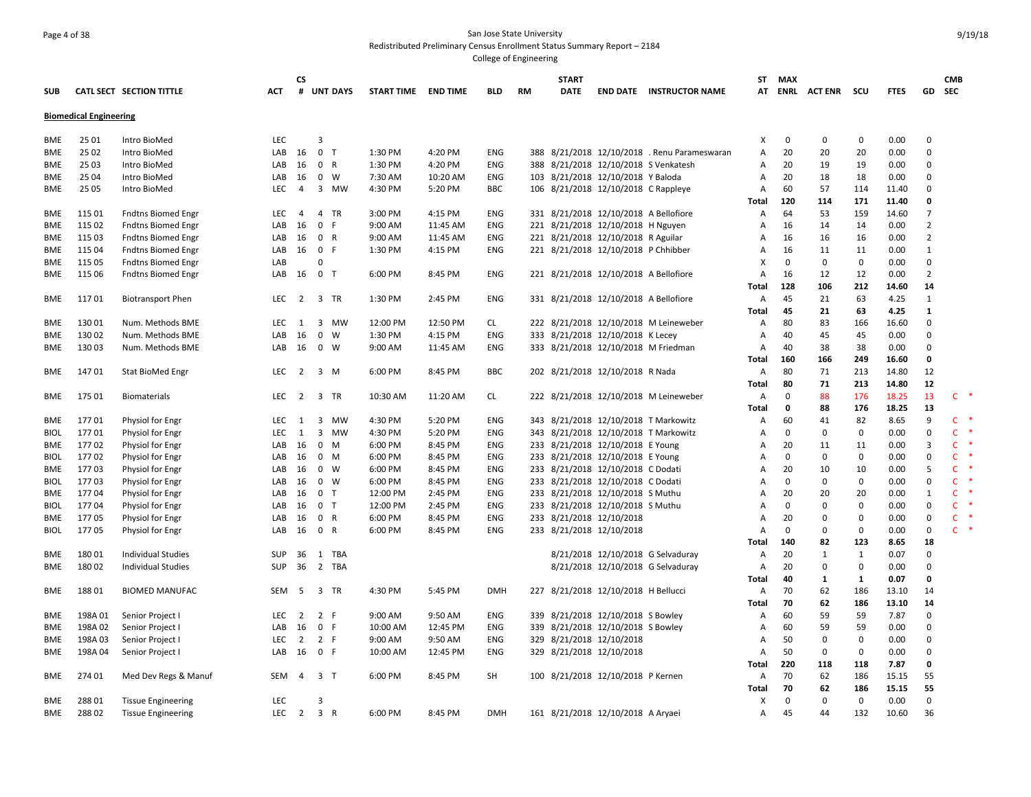## Page 4 of 38 San Jose State University Redistributed Preliminary Census Enrollment Status Summary Report – 2184

|             |                               |                           |            | <b>CS</b>        |                |                 |                     |          |            |    | <b>START</b> |                                                               |                                              | ST           | <b>MAX</b>  |                    |              |             |                | <b>CMB</b>             |
|-------------|-------------------------------|---------------------------|------------|------------------|----------------|-----------------|---------------------|----------|------------|----|--------------|---------------------------------------------------------------|----------------------------------------------|--------------|-------------|--------------------|--------------|-------------|----------------|------------------------|
| SUB         |                               | CATL SECT SECTION TITTLE  | ACT        | #                |                | <b>UNT DAYS</b> | START TIME END TIME |          | <b>BLD</b> | RM | <b>DATE</b>  |                                                               | <b>END DATE INSTRUCTOR NAME</b>              |              |             | AT ENRL ACTENR SCU |              | <b>FTES</b> | GD             | SEC                    |
|             | <b>Biomedical Engineering</b> |                           |            |                  |                |                 |                     |          |            |    |              |                                                               |                                              |              |             |                    |              |             |                |                        |
|             |                               |                           |            |                  |                |                 |                     |          |            |    |              |                                                               |                                              |              |             |                    |              |             |                |                        |
| BME         | 25 01                         | Intro BioMed              | <b>LEC</b> |                  | 3              |                 |                     |          |            |    |              |                                                               |                                              | x            | 0           | 0                  | 0            | 0.00        | $\Omega$       |                        |
| <b>BME</b>  | 25 02                         | Intro BioMed              | LAB        | 16               | 0 <sub>T</sub> |                 | 1:30 PM             | 4:20 PM  | ENG        |    |              |                                                               | 388 8/21/2018 12/10/2018 . Renu Parameswaran | А            | 20          | 20                 | 20           | 0.00        | $\mathbf 0$    |                        |
| <b>BME</b>  | 25 03                         | Intro BioMed              | LAB        | 16               | 0 R            |                 | 1:30 PM             | 4:20 PM  | <b>ENG</b> |    |              | 388 8/21/2018 12/10/2018 S Venkatesh                          |                                              | A            | 20          | 19                 | 19           | 0.00        | 0              |                        |
| <b>BME</b>  | 25 04                         | Intro BioMed              | LAB        | 16               |                | $0 \quad W$     | 7:30 AM             | 10:20 AM | ENG        |    |              | 103 8/21/2018 12/10/2018 Y Baloda                             |                                              | А            | 20          | 18                 | 18           | 0.00        | 0              |                        |
| BME         | 25 05                         | Intro BioMed              | <b>LEC</b> | $\overline{4}$   |                | 3 MW            | 4:30 PM             | 5:20 PM  | <b>BBC</b> |    |              | 106 8/21/2018 12/10/2018 C Rappleye                           |                                              | А            | 60          | 57                 | 114          | 11.40       | 0              |                        |
|             |                               |                           |            |                  |                |                 |                     |          |            |    |              |                                                               |                                              | Total        | 120         | 114                | 171          | 11.40       | 0              |                        |
| <b>BME</b>  | 115 01                        | <b>Fndtns Biomed Engr</b> | <b>LEC</b> | 4                |                | 4 TR            | 3:00 PM             | 4:15 PM  | <b>ENG</b> |    |              | 331 8/21/2018 12/10/2018 A Bellofiore                         |                                              | А            | 64          | 53                 | 159          | 14.60       | 7              |                        |
| <b>BME</b>  | 115 02                        | <b>Fndtns Biomed Engr</b> | LAB        | 16               | 0 F            |                 | 9:00 AM             | 11:45 AM | ENG        |    |              | 221 8/21/2018 12/10/2018 H Nguyen                             |                                              | А            | 16          | 14                 | 14           | 0.00        | 2              |                        |
| BME         | 115 03                        | <b>Fndtns Biomed Engr</b> | LAB        | 16               | 0 R            |                 | 9:00 AM             | 11:45 AM | ENG        |    |              | 221 8/21/2018 12/10/2018 R Aguilar                            |                                              | А            | 16          | 16                 | 16           | 0.00        | $\overline{2}$ |                        |
| BME         | 115 04                        | <b>Fndtns Biomed Engr</b> | LAB        | 16               | 0 F            |                 | 1:30 PM             | 4:15 PM  | ENG        |    |              | 221 8/21/2018 12/10/2018 P Chhibber                           |                                              | Α            | 16          | 11                 | 11           | 0.00        | $\mathbf{1}$   |                        |
| BME         | 115 05                        | <b>Fndtns Biomed Engr</b> | LAB        |                  | $\Omega$       |                 |                     |          |            |    |              |                                                               |                                              | X            | $\mathbf 0$ | 0                  | $\mathbf 0$  | 0.00        | 0              |                        |
| BME         | 115 06                        | <b>Fndtns Biomed Engr</b> | LAB        | 16               | 0 T            |                 | 6:00 PM             | 8:45 PM  | ENG        |    |              | 221 8/21/2018 12/10/2018 A Bellofiore                         |                                              | А            | 16          | 12                 | 12           | 0.00        | $\overline{2}$ |                        |
|             |                               |                           |            |                  |                |                 |                     |          |            |    |              |                                                               |                                              | <b>Total</b> | 128         | 106                | 212          | 14.60       | 14             |                        |
| <b>BME</b>  | 11701                         | <b>Biotransport Phen</b>  | <b>LEC</b> | $\overline{2}$   |                | 3 TR            | 1:30 PM             | 2:45 PM  | ENG        |    |              | 331 8/21/2018 12/10/2018 A Bellofiore                         |                                              | A            | 45          | 21                 | 63           | 4.25        | 1              |                        |
|             |                               |                           |            |                  |                |                 |                     |          |            |    |              |                                                               |                                              | <b>Total</b> | 45          | 21                 | 63           | 4.25        | $\mathbf{1}$   |                        |
| BME         | 13001                         | Num. Methods BME          | LEC.       | 1                |                | 3 MW            | 12:00 PM            | 12:50 PM | CL         |    |              |                                                               | 222 8/21/2018 12/10/2018 M Leineweber        | Α            | 80          | 83                 | 166          | 16.60       | $\mathbf 0$    |                        |
| <b>BME</b>  | 130 02                        | Num. Methods BME          | LAB        | 16               | $\mathbf 0$    | <b>W</b>        | 1:30 PM             | 4:15 PM  | ENG        |    |              | 333 8/21/2018 12/10/2018 K Lecey                              |                                              | Α            | 40          | 45                 | 45           | 0.00        | 0              |                        |
| BME         | 13003                         | Num. Methods BME          |            | LAB 16           |                | $0 \quad W$     | 9:00 AM             | 11:45 AM | <b>ENG</b> |    |              | 333 8/21/2018 12/10/2018 M Friedman                           |                                              | A            | 40          | 38                 | 38           | 0.00        | $\mathbf 0$    |                        |
|             |                               |                           |            |                  |                |                 |                     |          |            |    |              |                                                               |                                              | Total        | 160         | 166                | 249          | 16.60       | 0              |                        |
| BME         | 14701                         | <b>Stat BioMed Engr</b>   | LEC        | $\overline{2}$   |                | $3 \, M$        | 6:00 PM             | 8:45 PM  | BBC        |    |              | 202 8/21/2018 12/10/2018 R Nada                               |                                              | Α            | 80          | 71                 | 213          | 14.80       | 12             |                        |
|             |                               |                           |            |                  |                |                 |                     |          |            |    |              |                                                               |                                              | Total        | 80          | 71                 | 213          | 14.80       | 12             |                        |
| BME         | 175 01                        | <b>Biomaterials</b>       | LEC        | $\overline{2}$   |                | 3 TR            | 10:30 AM            | 11:20 AM | CL.        |    |              |                                                               | 222 8/21/2018 12/10/2018 M Leineweber        | Α            | 0           | 88                 | 176          | 18.25       | 13             | $C$ *                  |
|             |                               |                           |            |                  |                |                 |                     |          |            |    |              |                                                               |                                              | Total        | 0           | 88                 | 176          | 18.25       | 13             |                        |
| BME         | 17701                         | Physiol for Engr          | LEC        | 1                |                | 3 MW            | 4:30 PM             | 5:20 PM  | ENG        |    |              |                                                               | 343 8/21/2018 12/10/2018 T Markowitz         | А            | 60          | 41                 | 82           | 8.65        | 9              | $\mathsf{C}$<br>$\ast$ |
| <b>BIOL</b> | 17701                         | Physiol for Engr          | LEC        | 1                |                | 3 MW            | 4:30 PM             | 5:20 PM  | ENG        |    |              |                                                               | 343 8/21/2018 12/10/2018 T Markowitz         | А            | 0           | 0                  | 0            | 0.00        | 0              | $\mathsf{C}$           |
| BME         | 17702                         | Physiol for Engr          | LAB        | 16               |                | $0 \quad M$     | 6:00 PM             | 8:45 PM  | ENG        |    |              | 233 8/21/2018 12/10/2018 E Young                              |                                              | А            | 20          | 11                 | 11           | 0.00        | 3              | $\mathsf{C}$           |
| <b>BIOL</b> | 17702                         | <b>Physiol for Engr</b>   | LAB        | 16               |                | 0 M             | 6:00 PM             | 8:45 PM  | ENG        |    |              | 233 8/21/2018 12/10/2018 E Young                              |                                              | A            | 0           | $\mathbf 0$        | $\mathbf 0$  | 0.00        | $\mathbf 0$    | $\mathsf{C}$           |
| <b>BME</b>  | 17703                         | Physiol for Engr          | LAB        | 16               |                | $0 \quad W$     | 6:00 PM             | 8:45 PM  | ENG        |    |              | 233 8/21/2018 12/10/2018 C Dodati                             |                                              | А            | 20          | 10                 | 10           | 0.00        | 5              | $\mathsf{C}$           |
| <b>BIOL</b> | 17703                         | Physiol for Engr          | LAB        | 16               |                | $0 \quad W$     | 6:00 PM             | 8:45 PM  | ENG        |    |              | 233 8/21/2018 12/10/2018 C Dodati                             |                                              | A            | 0           | $\mathbf 0$        | 0            | 0.00        | 0              | $\mathsf{C}$           |
| BME         | 17704                         | <b>Physiol for Engr</b>   | LAB        | 16               | 0 <sub>T</sub> |                 | 12:00 PM            | 2:45 PM  | ENG        |    |              | 233 8/21/2018 12/10/2018 S Muthu                              |                                              | А            | 20          | 20                 | 20           | 0.00        | $\mathbf{1}$   | $\mathsf{C}$           |
| <b>BIOL</b> | 17704                         | Physiol for Engr          | LAB        | 16               |                | 0 <sub>T</sub>  | 12:00 PM            | 2:45 PM  | ENG        |    |              | 233 8/21/2018 12/10/2018 S Muthu                              |                                              | A            | $\mathbf 0$ | $\Omega$           | $\Omega$     | 0.00        | $\mathbf 0$    | $\mathsf{C}$           |
| BME         | 17705                         | <b>Physiol for Engr</b>   | LAB        | 16               |                | 0 R             | 6:00 PM             | 8:45 PM  | ENG        |    |              | 233 8/21/2018 12/10/2018                                      |                                              | А            | 20          | $\mathbf 0$        | $\Omega$     | 0.00        | $\mathbf 0$    | $\mathsf{C}$           |
| <b>BIOL</b> | 17705                         | Physiol for Engr          | LAB        | 16               | 0 R            |                 | 6:00 PM             | 8:45 PM  | ENG        |    |              | 233 8/21/2018 12/10/2018                                      |                                              | А            | $\Omega$    | $\Omega$           | $\mathbf 0$  | 0.00        | 0              | $\mathsf{C}$           |
|             |                               |                           |            |                  |                |                 |                     |          |            |    |              |                                                               |                                              | Total        | 140         | 82                 | 123          | 8.65        | 18             |                        |
| BME         | 18001                         | <b>Individual Studies</b> | <b>SUP</b> | 36               |                | 1 TBA           |                     |          |            |    |              |                                                               | 8/21/2018 12/10/2018 G Selvaduray            | Α            | 20          | $\mathbf{1}$       | $\mathbf{1}$ | 0.07        | $\mathbf 0$    |                        |
| BME         | 18002                         | <b>Individual Studies</b> | <b>SUP</b> | 36               |                | 2 TBA           |                     |          |            |    |              |                                                               | 8/21/2018 12/10/2018 G Selvaduray            | Α            | 20          | 0                  | $\mathbf 0$  | 0.00        | 0              |                        |
|             |                               |                           |            |                  |                |                 |                     |          |            |    |              |                                                               |                                              | Total        | 40          | $\mathbf{1}$       | 1            | 0.07        | 0              |                        |
| BME         | 18801                         | <b>BIOMED MANUFAC</b>     | SEM        | 5                |                | 3 TR            | 4:30 PM             | 5:45 PM  | <b>DMH</b> |    |              | 227 8/21/2018 12/10/2018 H Bellucci                           |                                              | Α            | 70          | 62                 | 186          | 13.10       | 14             |                        |
|             |                               |                           |            |                  |                |                 |                     |          |            |    |              |                                                               |                                              | <b>Total</b> | 70          | 62                 | 186          | 13.10       | 14             |                        |
|             |                               |                           | <b>LEC</b> |                  | 2 F            |                 |                     |          | ENG        |    |              |                                                               |                                              |              | 60          | 59                 | 59           | 7.87        | $\mathbf 0$    |                        |
| BME         | 198A01                        | Senior Project I          | LAB        | 2<br>16          |                | 0 F             | 9:00 AM<br>10:00 AM | 9:50 AM  | ENG        |    |              | 339 8/21/2018 12/10/2018 S Bowley                             |                                              | Α            | 60          | 59                 | 59           | 0.00        | 0              |                        |
| BME         | 198A02                        | Senior Project I          | <b>LEC</b> | 2                | 2 F            |                 |                     | 12:45 PM |            |    |              | 339 8/21/2018 12/10/2018 S Bowley<br>329 8/21/2018 12/10/2018 |                                              | Α            | 50          | $\mathbf 0$        | $\Omega$     |             | $\mathbf 0$    |                        |
| BME         | 198A 03                       | Senior Project I          |            |                  |                |                 | 9:00 AM             | 9:50 AM  | ENG        |    |              |                                                               |                                              | Α            |             |                    |              | 0.00        |                |                        |
| BME         | 198A04                        | Senior Project I          |            | LAB 16           | 0 F            |                 | 10:00 AM            | 12:45 PM | ENG        |    |              | 329 8/21/2018 12/10/2018                                      |                                              | А            | 50          | $\mathbf 0$        | $\mathbf 0$  | 0.00        | $\mathbf 0$    |                        |
|             |                               |                           |            |                  |                |                 |                     |          |            |    |              |                                                               |                                              | Total        | 220         | 118                | 118          | 7.87        | 0              |                        |
| BME         | 274 01                        | Med Dev Regs & Manuf      | SEM        | 4                |                | 3 <sub>T</sub>  | 6:00 PM             | 8:45 PM  | SH         |    |              | 100 8/21/2018 12/10/2018 P Kernen                             |                                              | А            | 70          | 62                 | 186          | 15.15       | 55             |                        |
|             |                               |                           |            |                  |                |                 |                     |          |            |    |              |                                                               |                                              | <b>Total</b> | 70          | 62                 | 186          | 15.15       | 55             |                        |
| BME         | 28801                         | <b>Tissue Engineering</b> | LEC        |                  | 3              |                 |                     |          |            |    |              |                                                               |                                              | x            | 0           | $\mathbf 0$        | $\mathbf 0$  | 0.00        | $\mathbf 0$    |                        |
| BME         | 28802                         | <b>Tissue Engineering</b> |            | LEC <sub>2</sub> | 3 R            |                 | 6:00 PM             | 8:45 PM  | <b>DMH</b> |    |              | 161 8/21/2018 12/10/2018 A Aryaei                             |                                              | Α            | 45          | 44                 | 132          | 10.60       | 36             |                        |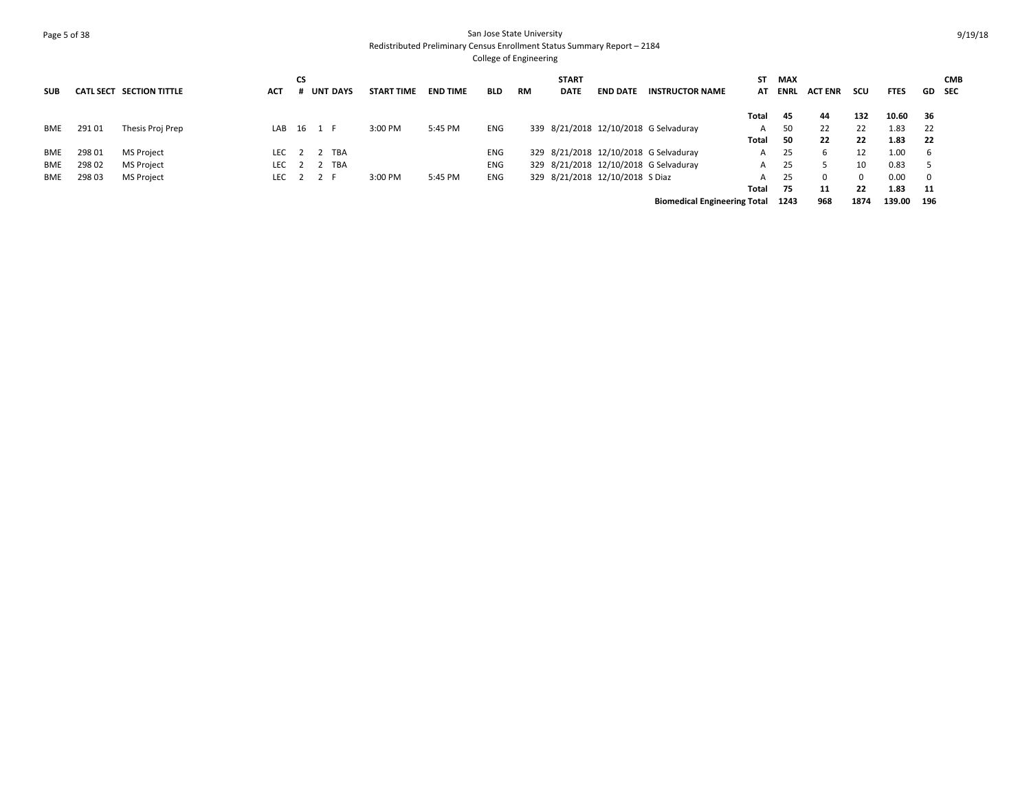# Page 5 of 38 San Jose State University Redistributed Preliminary Census Enrollment Status Summary Report – 2184

| <b>SUB</b> | <b>CATL SECT</b> | <b>SECTION TITTLE</b> | ACT        | СS | <b>UNT DAYS</b> |            | <b>START TIME</b> | <b>END TIME</b> | <b>BLD</b> | <b>RM</b> | <b>START</b><br><b>DATE</b> | <b>END DATE</b>                 | <b>INSTRUCTOR NAME</b>                | SΤ<br>AT | <b>MAX</b><br>ENRL | <b>ACT ENR</b> | scu  | <b>FTES</b> | <b>GD</b> SEC            | <b>CMB</b> |
|------------|------------------|-----------------------|------------|----|-----------------|------------|-------------------|-----------------|------------|-----------|-----------------------------|---------------------------------|---------------------------------------|----------|--------------------|----------------|------|-------------|--------------------------|------------|
|            |                  |                       |            |    |                 |            |                   |                 |            |           |                             |                                 |                                       | Total    | 45                 | 44             | 132  | 10.60       | - 36                     |            |
| BME        | 291 01           | Thesis Proj Prep      |            |    | LAB 16 1 F      |            | 3:00 PM           | 5:45 PM         | <b>ENG</b> |           |                             |                                 | 339 8/21/2018 12/10/2018 G Selvaduray | A        | 50                 | 22             | 22   | 1.83        | 22                       |            |
|            |                  |                       |            |    |                 |            |                   |                 |            |           |                             |                                 |                                       | Total    | 50                 | 22             | 22   | 1.83        | 22                       |            |
| BME        | 298 01           | <b>MS Project</b>     | <b>LEC</b> |    |                 | <b>TBA</b> |                   |                 | <b>ENG</b> |           |                             |                                 | 329 8/21/2018 12/10/2018 G Selvaduray | A        | 25                 | ь              | 12   | 1.00        | - 6                      |            |
| BME        | 298 02           | <b>MS Project</b>     | <b>LEC</b> |    |                 | <b>TBA</b> |                   |                 | <b>ENG</b> |           |                             |                                 | 329 8/21/2018 12/10/2018 G Selvaduray | A        | 25                 |                | 10   | 0.83        | -5                       |            |
| BME        | 298 03           | <b>MS Project</b>     | <b>LEC</b> |    |                 |            | 3:00 PM           | 5:45 PM         | ENG        |           |                             | 329 8/21/2018 12/10/2018 S Diaz |                                       | А        | 25                 | 0              | 0    | 0.00        | $\overline{\phantom{0}}$ |            |
|            |                  |                       |            |    |                 |            |                   |                 |            |           |                             |                                 |                                       | Total    | 75                 | 11             | 22   | 1.83        | - 11                     |            |
|            |                  |                       |            |    |                 |            |                   |                 |            |           |                             |                                 | <b>Biomedical Engineering Total</b>   |          | 1243               | 968            | 1874 | 139.00      | 196                      |            |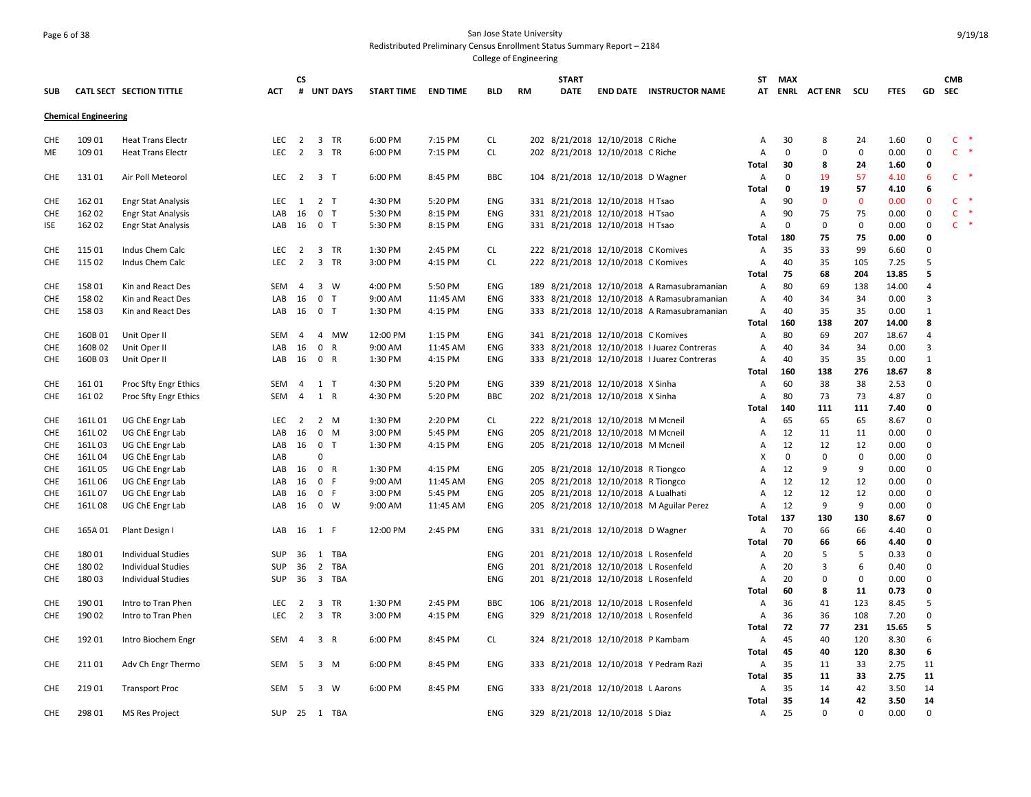### Page 6 of 38 San Jose State University Redistributed Preliminary Census Enrollment Status Summary Report – 2184

|            |                             |                           |                  | СS             |             |                 |                     |          |            |    | <b>START</b> |                                      |                                             | ST    | MAX         |                    |             |               |                         | <b>CMB</b>   |               |
|------------|-----------------------------|---------------------------|------------------|----------------|-------------|-----------------|---------------------|----------|------------|----|--------------|--------------------------------------|---------------------------------------------|-------|-------------|--------------------|-------------|---------------|-------------------------|--------------|---------------|
| <b>SUB</b> |                             | CATL SECT SECTION TITTLE  | <b>ACT</b>       | #              |             | <b>UNT DAYS</b> | START TIME END TIME |          | <b>BLD</b> | RM | DATE         |                                      | <b>END DATE INSTRUCTOR NAME</b>             |       |             | AT ENRL ACTENR SCU |             | <b>FTES</b>   | GD                      | <b>SEC</b>   |               |
|            | <b>Chemical Engineering</b> |                           |                  |                |             |                 |                     |          |            |    |              |                                      |                                             |       |             |                    |             |               |                         |              |               |
| CHE        | 109 01                      | <b>Heat Trans Electr</b>  | LEC <sub>2</sub> |                |             | 3 TR            | 6:00 PM             | 7:15 PM  | CL         |    |              | 202 8/21/2018 12/10/2018 C Riche     |                                             | Α     | 30          | 8                  | 24          | 1.60          | $\Omega$                | $\mathsf{C}$ | $\rightarrow$ |
| ME         | 109 01                      | <b>Heat Trans Electr</b>  | LEC <sub>2</sub> |                |             | 3 TR            | 6:00 PM             | 7:15 PM  | <b>CL</b>  |    |              | 202 8/21/2018 12/10/2018 C Riche     |                                             | Α     | $\mathbf 0$ | $\mathbf 0$        | $\mathbf 0$ | 0.00          | $\mathbf 0$             | $\mathsf{C}$ | $\ast$        |
|            |                             |                           |                  |                |             |                 |                     |          |            |    |              |                                      |                                             | Total | 30          | 8                  | 24          | 1.60          | 0                       |              |               |
| <b>CHE</b> | 13101                       | Air Poll Meteorol         | LEC 2 3 T        |                |             |                 | 6:00 PM             | 8:45 PM  | <b>BBC</b> |    |              | 104 8/21/2018 12/10/2018 D Wagner    |                                             | Α     | $\mathbf 0$ | 19                 | 57          | 4.10          | 6                       |              | $C$ *         |
|            |                             |                           |                  |                |             |                 |                     |          |            |    |              |                                      |                                             | Total | 0           | 19                 | 57          | 4.10          | 6                       |              |               |
| <b>CHE</b> | 162 01                      | <b>Engr Stat Analysis</b> | LEC              | 1              |             | 2 <sub>T</sub>  | 4:30 PM             | 5:20 PM  | ENG        |    |              | 331 8/21/2018 12/10/2018 H Tsao      |                                             | Α     | 90          | $\mathbf 0$        | $\mathbf 0$ | 0.00          | $\mathbf 0$             | $\mathsf{C}$ | $\ast$        |
| <b>CHE</b> | 162 02                      | <b>Engr Stat Analysis</b> | LAB 16           |                |             | 0 <sub>T</sub>  | 5:30 PM             | 8:15 PM  | ENG        |    |              | 331 8/21/2018 12/10/2018 H Tsao      |                                             | Α     | 90          | 75                 | 75          | 0.00          | $\mathbf 0$             | $\mathsf{C}$ | $\ast$        |
| ISE        | 162 02                      | <b>Engr Stat Analysis</b> | LAB              | 16             |             | 0 <sub>T</sub>  | 5:30 PM             | 8:15 PM  | ENG        |    |              | 331 8/21/2018 12/10/2018 H Tsao      |                                             | A     | $\mathbf 0$ | $\mathbf 0$        | 0           | 0.00          | 0                       |              | $C$ *         |
|            |                             |                           |                  |                |             |                 |                     |          |            |    |              |                                      |                                             | Total | 180         | 75                 | 75          | 0.00          | $\mathbf 0$             |              |               |
| <b>CHE</b> | 115 01                      | Indus Chem Calc           | <b>LEC</b>       | $\overline{2}$ |             | 3 TR            | 1:30 PM             | 2:45 PM  | CL         |    |              | 222 8/21/2018 12/10/2018 C Komives   |                                             | Α     | 35          | 33                 | 99          | 6.60          | 0                       |              |               |
| <b>CHE</b> | 115 02                      | Indus Chem Calc           | LEC              | $\overline{2}$ |             | 3 TR            | 3:00 PM             | 4:15 PM  | <b>CL</b>  |    |              | 222 8/21/2018 12/10/2018 C Komives   |                                             | Α     | 40          | 35                 | 105         | 7.25          | 5                       |              |               |
|            |                             |                           |                  |                |             |                 |                     |          |            |    |              |                                      |                                             | Total | 75          | 68                 | 204         | 13.85         | 5                       |              |               |
| CHE        | 158 01                      | Kin and React Des         | SEM              | -4             |             | $3 \quad W$     | 4:00 PM             | 5:50 PM  | <b>ENG</b> |    |              |                                      | 189 8/21/2018 12/10/2018 A Ramasubramanian  | A     | 80          | 69                 | 138         | 14.00         | $\overline{4}$          |              |               |
| <b>CHE</b> | 15802                       | Kin and React Des         | LAB              | 16             |             | 0 <sub>T</sub>  | 9:00 AM             | 11:45 AM | ENG        |    |              |                                      | 333 8/21/2018 12/10/2018 A Ramasubramanian  | A     | 40          | 34                 | 34          | 0.00          | $\overline{\mathbf{3}}$ |              |               |
| <b>CHE</b> | 15803                       | Kin and React Des         | LAB              | 16             |             | 0 <sub>T</sub>  | 1:30 PM             | 4:15 PM  | ENG        |    |              |                                      | 333 8/21/2018 12/10/2018 A Ramasubramanian  | Α     | 40          | 35                 | 35          | 0.00          | $\mathbf{1}$            |              |               |
|            |                             |                           |                  |                |             |                 |                     |          |            |    |              |                                      |                                             | Total | 160         | 138                | 207         | 14.00         | 8                       |              |               |
| CHE        | 160B01                      | Unit Oper II              | <b>SEM</b>       | $\overline{4}$ |             | 4 MW            | 12:00 PM            | 1:15 PM  | <b>ENG</b> |    |              | 341 8/21/2018 12/10/2018 C Komives   |                                             | A     | 80          | 69                 | 207         | 18.67         | $\overline{4}$          |              |               |
| CHE        | 160B02                      | Unit Oper II              | LAB              | 16             | $\mathbf 0$ | R               | 9:00 AM             | 11:45 AM | <b>ENG</b> |    |              |                                      | 333 8/21/2018 12/10/2018 I Juarez Contreras | Α     | 40          | 34                 | 34          | 0.00          | $\overline{3}$          |              |               |
| <b>CHE</b> | 160B03                      | Unit Oper II              | LAB              | 16             |             | 0 R             | 1:30 PM             | 4:15 PM  | ENG        |    |              |                                      | 333 8/21/2018 12/10/2018 I Juarez Contreras | Α     | 40          | 35                 | 35          | 0.00          | $\mathbf{1}$            |              |               |
|            |                             |                           |                  |                |             |                 |                     |          |            |    |              |                                      |                                             | Total | 160         | 138                | 276         | 18.67         | 8                       |              |               |
| <b>CHE</b> | 16101                       | Proc Sfty Engr Ethics     | SEM              | 4              |             | $1$ T           | 4:30 PM             | 5:20 PM  | ENG        |    |              | 339 8/21/2018 12/10/2018 X Sinha     |                                             | Α     | 60          | 38                 | 38          | 2.53          | $\mathbf 0$             |              |               |
| <b>CHE</b> | 16102                       | Proc Sfty Engr Ethics     | <b>SEM</b>       | $\overline{4}$ |             | 1 R             | 4:30 PM             | 5:20 PM  | <b>BBC</b> |    |              | 202 8/21/2018 12/10/2018 X Sinha     |                                             | A     | 80          | 73                 | 73          | 4.87          | $\Omega$                |              |               |
|            |                             |                           |                  |                |             |                 |                     |          |            |    |              |                                      |                                             | Total | 140         | 111                | 111         | 7.40          | 0                       |              |               |
| <b>CHE</b> | 161L01                      | UG ChE Engr Lab           | LEC              | $\overline{2}$ |             | $2 \mathsf{M}$  | 1:30 PM             | 2:20 PM  | CL         |    |              | 222 8/21/2018 12/10/2018 M Mcneil    |                                             | Α     | 65          | 65                 | 65          | 8.67          | $\Omega$                |              |               |
| <b>CHE</b> | 161L02                      | UG ChE Engr Lab           | LAB              | 16             |             | 0 M             | 3:00 PM             | 5:45 PM  | ENG        |    |              | 205 8/21/2018 12/10/2018 M Mcneil    |                                             | A     | 12          | 11                 | 11          | 0.00          | $\Omega$                |              |               |
| <b>CHE</b> | 161L03                      | UG ChE Engr Lab           | LAB              | 16             |             | 0 <sub>T</sub>  | 1:30 PM             | 4:15 PM  | <b>ENG</b> |    |              | 205 8/21/2018 12/10/2018 M Mcneil    |                                             | Α     | 12          | 12                 | 12          | 0.00          | $\mathbf 0$             |              |               |
| <b>CHE</b> | 161L04                      | UG ChE Engr Lab           | LAB              |                | $\Omega$    |                 |                     |          |            |    |              |                                      |                                             | x     | $\mathbf 0$ | $\mathbf 0$        | $\mathbf 0$ | 0.00          | $\Omega$                |              |               |
| CHE        | 161L05                      | UG ChE Engr Lab           | LAB              | 16             |             | 0 R             | 1:30 PM             | 4:15 PM  | ENG        |    |              | 205 8/21/2018 12/10/2018 R Tiongco   |                                             | A     | 12          | 9                  | 9           | 0.00          | $\mathbf 0$             |              |               |
| <b>CHE</b> | 161L06                      | UG ChE Engr Lab           | LAB              | 16             |             | 0 F             | 9:00 AM             | 11:45 AM | ENG        |    |              | 205 8/21/2018 12/10/2018 R Tiongco   |                                             | A     | 12          | 12                 | 12          | 0.00          | $\pmb{0}$               |              |               |
| <b>CHE</b> | 161L07                      | UG ChE Engr Lab           | LAB              | 16             |             | 0 F             | 3:00 PM             | 5:45 PM  | ENG        |    |              | 205 8/21/2018 12/10/2018 A Lualhati  |                                             | A     | 12          | 12                 | 12          | 0.00          | $\mathbf 0$             |              |               |
| <b>CHE</b> | 161L08                      | UG ChE Engr Lab           | LAB              | 16             |             | $0 \quad W$     | 9:00 AM             | 11:45 AM | ENG        |    |              |                                      | 205 8/21/2018 12/10/2018 M Aguilar Perez    | A     | 12          | 9                  | 9           | 0.00          | $\mathbf 0$             |              |               |
|            |                             |                           |                  |                |             |                 |                     |          |            |    |              |                                      |                                             | Total | 137         | 130                | 130         | 8.67          | 0                       |              |               |
| CHE        | 165A01                      | Plant Design I            | LAB              | 16             | 1 F         |                 | 12:00 PM            | 2:45 PM  | ENG        |    |              | 331 8/21/2018 12/10/2018 D Wagner    |                                             | Α     | 70          | 66                 | 66          | 4.40          | $\mathbf 0$             |              |               |
|            |                             |                           |                  |                |             |                 |                     |          |            |    |              |                                      |                                             | Total | 70          | 66                 | 66          | 4.40          | 0                       |              |               |
| <b>CHE</b> | 18001                       | <b>Individual Studies</b> | <b>SUP</b>       | 36             |             | 1 TBA           |                     |          | <b>ENG</b> |    |              | 201 8/21/2018 12/10/2018 L Rosenfeld |                                             | A     | 20          | .5                 | 5           | 0.33          | $\Omega$                |              |               |
| CHE        | 18002                       | Individual Studies        | SUP              | 36             |             | 2 TBA           |                     |          | ENG        |    |              | 201 8/21/2018 12/10/2018 L Rosenfeld |                                             | Α     | 20          | 3                  | 6           | 0.40          | $\mathbf 0$             |              |               |
| <b>CHE</b> | 18003                       | <b>Individual Studies</b> | SUP              | 36             |             | 3 TBA           |                     |          | ENG        |    |              | 201 8/21/2018 12/10/2018 L Rosenfeld |                                             | Α     | 20          | $\mathbf 0$        | 0           | 0.00          | $\Omega$                |              |               |
|            |                             |                           |                  |                |             |                 |                     |          |            |    |              |                                      |                                             | Total | 60          | 8                  | 11          | 0.73          | 0                       |              |               |
| CHE        | 190 01                      |                           | LEC              | $\overline{2}$ |             | 3 TR            | 1:30 PM             | 2:45 PM  | BBC        |    |              | 106 8/21/2018 12/10/2018 L Rosenfeld |                                             | Α     | 36          | 41                 | 123         | 8.45          | 5                       |              |               |
|            |                             | Intro to Tran Phen        |                  | $\overline{2}$ |             |                 |                     |          |            |    |              |                                      |                                             |       |             |                    |             |               | $\Omega$                |              |               |
| <b>CHE</b> | 19002                       | Intro to Tran Phen        | LEC.             |                |             | 3 TR            | 3:00 PM             | 4:15 PM  | ENG        |    |              | 329 8/21/2018 12/10/2018 L Rosenfeld |                                             | A     | 36<br>72    | 36<br>77           | 108<br>231  | 7.20<br>15.65 | 5                       |              |               |
|            |                             |                           |                  |                |             |                 |                     |          |            |    |              |                                      |                                             | Total | 45          |                    |             |               | 6                       |              |               |
| <b>CHE</b> | 19201                       | Intro Biochem Engr        | SEM              | $\overline{4}$ |             | 3 R             | 6:00 PM             | 8:45 PM  | <b>CL</b>  |    |              | 324 8/21/2018 12/10/2018 P Kambam    |                                             | A     |             | 40                 | 120         | 8.30          |                         |              |               |
|            |                             |                           |                  |                |             |                 |                     |          |            |    |              |                                      |                                             | Total | 45          | 40                 | 120         | 8.30          | 6                       |              |               |
| <b>CHE</b> | 21101                       | Adv Ch Engr Thermo        | SEM              | 5              |             | $3 \, M$        | 6:00 PM             | 8:45 PM  | ENG        |    |              |                                      | 333 8/21/2018 12/10/2018 Y Pedram Razi      | Α     | 35          | 11                 | 33          | 2.75          | 11                      |              |               |
|            |                             |                           |                  |                |             |                 |                     |          |            |    |              |                                      |                                             | Total | 35          | 11                 | 33          | 2.75          | 11                      |              |               |
| CHE        | 21901                       | <b>Transport Proc</b>     | SEM              | 5              |             | 3 W             | 6:00 PM             | 8:45 PM  | ENG        |    |              | 333 8/21/2018 12/10/2018 L Aarons    |                                             | A     | 35          | 14                 | 42          | 3.50          | 14                      |              |               |
|            |                             |                           |                  |                |             |                 |                     |          |            |    |              |                                      |                                             | Total | 35          | 14                 | 42          | 3.50          | 14                      |              |               |
| <b>CHE</b> | 298 01                      | <b>MS Res Project</b>     | SUP 25 1 TBA     |                |             |                 |                     |          | ENG        |    |              | 329 8/21/2018 12/10/2018 S Diaz      |                                             | A     | 25          | $\Omega$           | 0           | 0.00          | $\Omega$                |              |               |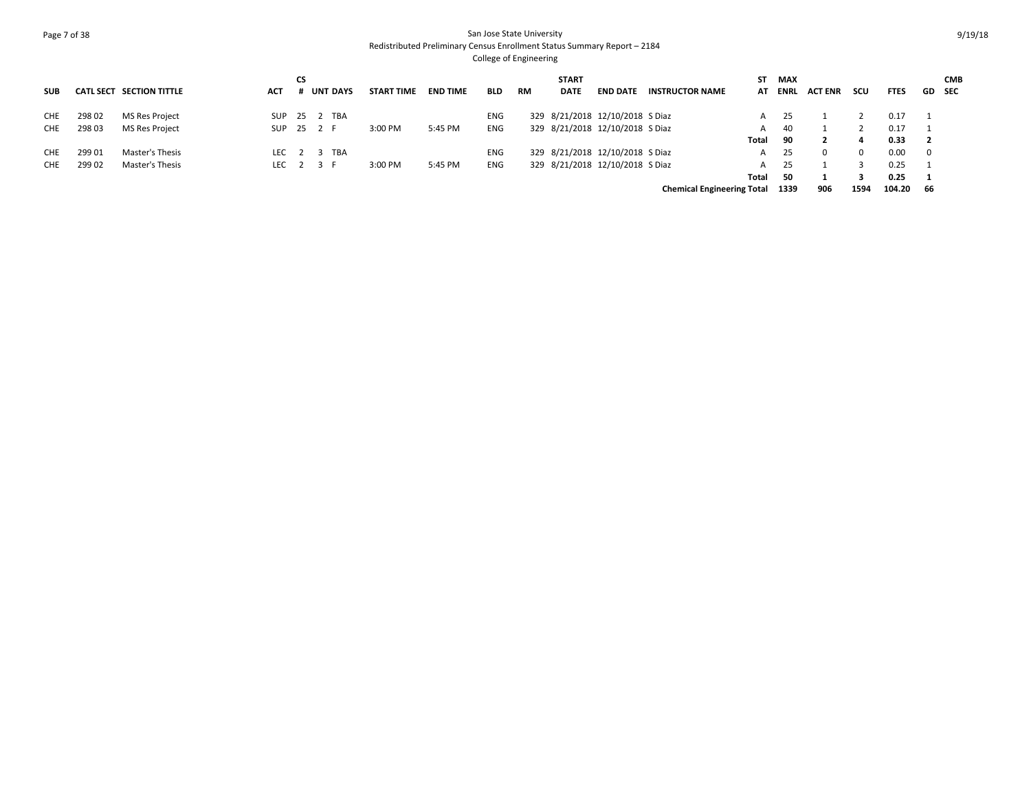# Page 7 of 38 San Jose State University Redistributed Preliminary Census Enrollment Status Summary Report – 2184

| <b>SUB</b> |        | CATL SECT SECTION TITTLE | ACT             | СS | <b>UNT DAYS</b> | <b>START TIME</b> | <b>END TIME</b> | <b>BLD</b> | <b>RM</b> | <b>START</b><br><b>DATE</b> | <b>END DATE</b>                 | <b>INSTRUCTOR NAME</b>            | ST<br>AT | <b>MAX</b><br><b>ENRL</b> | <b>ACT ENR</b> | scu      | <b>FTES</b> |                         | <b>CMB</b><br>GD SEC |
|------------|--------|--------------------------|-----------------|----|-----------------|-------------------|-----------------|------------|-----------|-----------------------------|---------------------------------|-----------------------------------|----------|---------------------------|----------------|----------|-------------|-------------------------|----------------------|
| <b>CHE</b> | 298 02 | MS Res Project           | SUP             |    | 25 2 TBA        |                   |                 | <b>ENG</b> |           |                             | 329 8/21/2018 12/10/2018 S Diaz |                                   | A        | 25                        |                |          | 0.17        |                         |                      |
| <b>CHE</b> | 298 03 | MS Res Project           | SUP 25 2 F      |    |                 | 3:00 PM           | 5:45 PM         | <b>ENG</b> |           |                             | 329 8/21/2018 12/10/2018 S Diaz |                                   | A        | 40                        |                |          | 0.17        |                         |                      |
|            |        |                          |                 |    |                 |                   |                 |            |           |                             |                                 |                                   | Total    | 90                        |                | 4        | 0.33        | $\overline{\mathbf{2}}$ |                      |
| <b>CHE</b> | 299 01 | Master's Thesis          |                 |    | LEC 2 3 TBA     |                   |                 | <b>ENG</b> |           |                             | 329 8/21/2018 12/10/2018 S Diaz |                                   | A        | 25                        |                | $\Omega$ | 0.00        | $\overline{\mathbf{0}}$ |                      |
| CHE.       | 299 02 | Master's Thesis          | LEC $2 \t3 \tF$ |    |                 | 3:00 PM           | 5:45 PM         | ENG        |           |                             | 329 8/21/2018 12/10/2018 S Diaz |                                   | A        | 25                        |                |          | 0.25        |                         |                      |
|            |        |                          |                 |    |                 |                   |                 |            |           |                             |                                 |                                   | Total    | 50                        |                |          | 0.25        |                         |                      |
|            |        |                          |                 |    |                 |                   |                 |            |           |                             |                                 | <b>Chemical Engineering Total</b> |          | 1339                      | 906            | 1594     | 104.20      | -66                     |                      |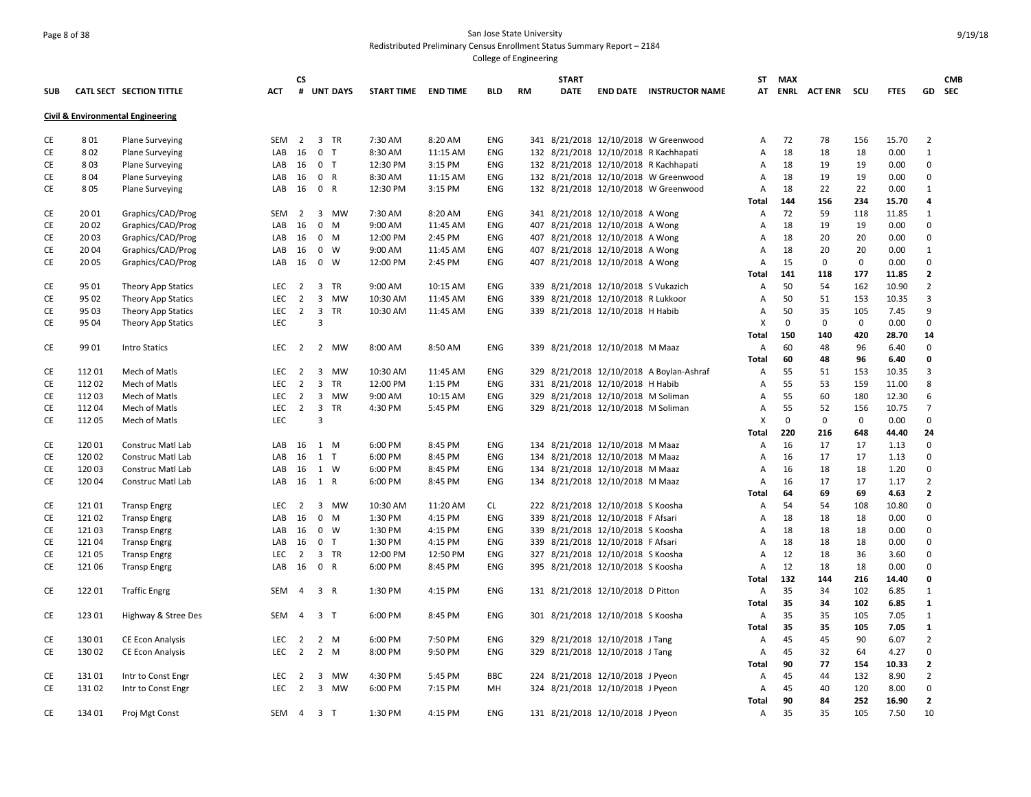# Page 8 of 38 San Jose State University Redistributed Preliminary Census Enrollment Status Summary Report – 2184

|            |        |                                              |                   | <b>CS</b>           |                |            |                     |          |            |    | <b>START</b> |                                     |                                          | ST           | <b>MAX</b> |                    |             |             |                      | <b>CMB</b> |
|------------|--------|----------------------------------------------|-------------------|---------------------|----------------|------------|---------------------|----------|------------|----|--------------|-------------------------------------|------------------------------------------|--------------|------------|--------------------|-------------|-------------|----------------------|------------|
| <b>SUB</b> |        | CATL SECT SECTION TITTLE                     | <b>ACT</b>        |                     |                | # UNT DAYS | START TIME END TIME |          | <b>BLD</b> | RM | <b>DATE</b>  |                                     | <b>END DATE INSTRUCTOR NAME</b>          |              |            | AT ENRL ACTENR SCU |             | <b>FTES</b> |                      | GD SEC     |
|            |        | <b>Civil &amp; Environmental Engineering</b> |                   |                     |                |            |                     |          |            |    |              |                                     |                                          |              |            |                    |             |             |                      |            |
| CE         | 801    | <b>Plane Surveying</b>                       | <b>SEM</b>        | $\overline{2}$      | 3 TR           |            | 7:30 AM             | 8:20 AM  | <b>ENG</b> |    |              |                                     | 341 8/21/2018 12/10/2018 W Greenwood     | Α            | 72         | 78                 | 156         | 15.70       | $\overline{2}$       |            |
| CE         | 802    | <b>Plane Surveying</b>                       | LAB               | 16                  | 0 <sub>T</sub> |            | 8:30 AM             | 11:15 AM | <b>ENG</b> |    |              |                                     | 132 8/21/2018 12/10/2018 R Kachhapati    | А            | 18         | 18                 | 18          | 0.00        | 1                    |            |
| CE         | 803    | <b>Plane Surveying</b>                       | LAB               | 16                  | 0 <sub>T</sub> |            | 12:30 PM            | 3:15 PM  | <b>ENG</b> |    |              |                                     | 132 8/21/2018 12/10/2018 R Kachhapati    | Α            | 18         | 19                 | 19          | 0.00        | $\mathbf 0$          |            |
| CE         | 804    | <b>Plane Surveying</b>                       | LAB               | 16                  | 0 R            |            | 8:30 AM             | 11:15 AM | <b>ENG</b> |    |              |                                     | 132 8/21/2018 12/10/2018 W Greenwood     | А            | 18         | 19                 | 19          | 0.00        | $\mathbf 0$          |            |
| CE         | 805    | <b>Plane Surveying</b>                       | LAB               | 16                  | 0 R            |            | 12:30 PM            | 3:15 PM  | ENG        |    |              |                                     | 132 8/21/2018 12/10/2018 W Greenwood     | Α            | 18         | 22                 | 22          | 0.00        | $\mathbf{1}$         |            |
|            |        |                                              |                   |                     |                |            |                     |          |            |    |              |                                     |                                          | Total        | 144        | 156                | 234         | 15.70       | 4                    |            |
| CE         | 20 01  | Graphics/CAD/Prog                            | <b>SEM</b>        | 2                   |                | 3 MW       | 7:30 AM             | 8:20 AM  | <b>ENG</b> |    |              | 341 8/21/2018 12/10/2018 A Wong     |                                          | Α            | 72         | 59                 | 118         | 11.85       | 1                    |            |
| CE         | 20 02  | Graphics/CAD/Prog                            | LAB               | 16                  | 0 M            |            | 9:00 AM             | 11:45 AM | <b>ENG</b> |    |              | 407 8/21/2018 12/10/2018 A Wong     |                                          | А            | 18         | 19                 | 19          | 0.00        | 0                    |            |
| CE         | 20 03  | Graphics/CAD/Prog                            | LAB               | 16                  | 0 M            |            | 12:00 PM            | 2:45 PM  | ENG        |    |              | 407 8/21/2018 12/10/2018 A Wong     |                                          | А            | 18         | 20                 | 20          | 0.00        | $\mathbf 0$          |            |
| CE         | 20 04  | Graphics/CAD/Prog                            | LAB               | 16                  | 0 W            |            | 9:00 AM             | 11:45 AM | <b>ENG</b> |    |              | 407 8/21/2018 12/10/2018 A Wong     |                                          | А            | 18         | 20                 | 20          | 0.00        | 1                    |            |
| CE         | 20 05  | Graphics/CAD/Prog                            | LAB               | 16                  | $0 \quad W$    |            | 12:00 PM            | 2:45 PM  | ENG        |    |              | 407 8/21/2018 12/10/2018 A Wong     |                                          | Α            | 15         | 0                  | $\mathbf 0$ | 0.00        | 0                    |            |
|            |        |                                              |                   |                     |                |            |                     |          |            |    |              |                                     |                                          | <b>Total</b> | 141        | 118                | 177         | 11.85       | $\overline{2}$       |            |
| CE         | 95 01  | Theory App Statics                           | <b>LEC</b>        | $\overline{2}$      | 3 TR           |            | 9:00 AM             | 10:15 AM | ENG        |    |              | 339 8/21/2018 12/10/2018 S Vukazich |                                          | А            | 50         | 54                 | 162         | 10.90       | $\overline{2}$       |            |
| CE         | 95 02  | <b>Theory App Statics</b>                    | LEC               | $\overline{2}$      |                | 3 MW       | 10:30 AM            | 11:45 AM | ENG        |    |              | 339 8/21/2018 12/10/2018 R Lukkoor  |                                          | Α            | 50         | 51                 | 153         | 10.35       | $\overline{3}$       |            |
| CE         | 95 03  | Theory App Statics                           | <b>LEC</b>        | 2                   | 3 TR           |            | 10:30 AM            | 11:45 AM | <b>ENG</b> |    |              | 339 8/21/2018 12/10/2018 H Habib    |                                          | А            | 50         | 35                 | 105         | 7.45        | 9                    |            |
| CE         | 95 04  | <b>Theory App Statics</b>                    | LEC               |                     | 3              |            |                     |          |            |    |              |                                     |                                          | x            | 0          | 0                  | $\mathbf 0$ | 0.00        | 0                    |            |
|            |        |                                              |                   |                     |                |            |                     |          |            |    |              |                                     |                                          | Total        | 150        | 140                | 420         | 28.70       | 14                   |            |
| CE         | 99 01  | <b>Intro Statics</b>                         | <b>LEC</b>        | $\overline{2}$      |                | 2 MW       | 8:00 AM             | 8:50 AM  | ENG        |    |              | 339 8/21/2018 12/10/2018 M Maaz     |                                          | Α            | 60         | 48                 | 96          | 6.40        | 0                    |            |
|            |        |                                              |                   |                     |                |            |                     |          |            |    |              |                                     |                                          | <b>Total</b> | 60         | 48                 | 96          | 6.40        | 0                    |            |
| CE         | 11201  | Mech of Matls                                | <b>LEC</b>        | 2                   |                | 3 MW       | 10:30 AM            | 11:45 AM | ENG        |    |              |                                     | 329 8/21/2018 12/10/2018 A Boylan-Ashraf | А            | 55         | 51                 | 153         | 10.35       | $\overline{3}$       |            |
| CE         | 112 02 | Mech of Matls                                | LEC               | $\overline{2}$      | 3 TR           |            | 12:00 PM            | 1:15 PM  | ENG        |    |              | 331 8/21/2018 12/10/2018 H Habib    |                                          | Α            | 55         | 53                 | 159         | 11.00       | 8                    |            |
| CE         | 11203  | Mech of Matls                                | LEC.              | $\overline{2}$      | 3 MW           |            | 9:00 AM             | 10:15 AM | ENG        |    |              | 329 8/21/2018 12/10/2018 M Soliman  |                                          | А            | 55         | 60                 | 180         | 12.30       | 6                    |            |
| CE         | 11204  | Mech of Matls                                | LEC               | $\overline{2}$      | 3 TR           |            | 4:30 PM             | 5:45 PM  | ENG        |    |              | 329 8/21/2018 12/10/2018 M Soliman  |                                          | Α            | 55         | 52                 | 156         | 10.75       | $\overline{7}$       |            |
| CE         | 112 05 | Mech of Matls                                | <b>LEC</b>        |                     | 3              |            |                     |          |            |    |              |                                     |                                          | x            | 0          | $\mathbf 0$        | 0           | 0.00        | 0                    |            |
|            |        |                                              |                   |                     |                |            |                     |          |            |    |              |                                     |                                          | Total        | 220        | 216                | 648         | 44.40       | 24                   |            |
| CE         | 12001  | Construc Matl Lab                            | LAB               |                     | 16 1 M         |            | 6:00 PM             | 8:45 PM  | ENG        |    |              | 134 8/21/2018 12/10/2018 M Maaz     |                                          | Α            | 16         | 17                 | 17          | 1.13        | $\Omega$             |            |
| CE         | 12002  | Construc Matl Lab                            | LAB               | 16                  | $1$ T          |            | 6:00 PM             | 8:45 PM  | <b>ENG</b> |    |              | 134 8/21/2018 12/10/2018 M Maaz     |                                          | А            | 16         | 17                 | 17          | 1.13        | $\Omega$             |            |
| CE         | 12003  | Construc Matl Lab                            | LAB               | 16                  | 1 W            |            | 6:00 PM             | 8:45 PM  | ENG        |    |              | 134 8/21/2018 12/10/2018 M Maaz     |                                          | Α            | 16         | 18                 | 18          | 1.20        | $\mathbf 0$          |            |
| CE         | 12004  | Construc Matl Lab                            | LAB               |                     | 16 1 R         |            | 6:00 PM             | 8:45 PM  | ENG        |    |              | 134 8/21/2018 12/10/2018 M Maaz     |                                          | Α            | 16         | 17                 | 17          | 1.17        | $\overline{2}$       |            |
|            |        |                                              |                   |                     |                |            |                     |          |            |    |              |                                     |                                          | Total        | 64         | 69                 | 69          | 4.63        | $\mathbf{2}$         |            |
| CE         | 12101  | <b>Transp Engrg</b>                          | LEC               | $\overline{2}$      |                | 3 MW       | 10:30 AM            | 11:20 AM | CL         |    |              | 222 8/21/2018 12/10/2018 S Koosha   |                                          | Α            | 54         | 54                 | 108         | 10.80       | $\Omega$             |            |
| CE         | 12102  | <b>Transp Engrg</b>                          | LAB               | 16                  | $0 \quad M$    |            | 1:30 PM             | 4:15 PM  | ENG        |    |              | 339 8/21/2018 12/10/2018 F Afsari   |                                          | А            | 18         | 18                 | 18          | 0.00        | $\Omega$             |            |
| CE         | 12103  | <b>Transp Engrg</b>                          | LAB               | 16                  | 0 W            |            | 1:30 PM             | 4:15 PM  | ENG        |    |              | 339 8/21/2018 12/10/2018 S Koosha   |                                          | Α            | 18         | 18                 | 18          | 0.00        | $\mathbf 0$          |            |
| CE         | 12104  | <b>Transp Engrg</b>                          | LAB               | 16                  | 0 <sub>T</sub> |            | 1:30 PM             | 4:15 PM  | ENG        |    |              | 339 8/21/2018 12/10/2018 F Afsari   |                                          | Α            | 18         | 18                 | 18          | 0.00        | $\Omega$             |            |
| CE         | 12105  | <b>Transp Engrg</b>                          | <b>LEC</b>        | $\overline{2}$      | 3 TR           |            | 12:00 PM            | 12:50 PM | ENG        |    |              | 327 8/21/2018 12/10/2018 S Koosha   |                                          | А            | 12         | 18                 | 36          | 3.60        | $\Omega$             |            |
| CE         | 12106  | <b>Transp Engrg</b>                          | LAB               | 16                  | 0 R            |            | 6:00 PM             | 8:45 PM  | ENG        |    |              | 395 8/21/2018 12/10/2018 S Koosha   |                                          | Α            | 12         | 18                 | 18          | 0.00        | $\Omega$             |            |
|            |        |                                              |                   |                     |                |            |                     |          |            |    |              |                                     |                                          | <b>Total</b> | 132        | 144                | 216         | 14.40       | 0                    |            |
| CE         | 12201  | <b>Traffic Engrg</b>                         | SEM               | $\overline{4}$      | 3 R            |            | 1:30 PM             | 4:15 PM  | ENG        |    |              | 131 8/21/2018 12/10/2018 D Pitton   |                                          | Α            | 35         | 34                 | 102         | 6.85        | 1                    |            |
|            |        |                                              |                   |                     |                |            |                     |          |            |    |              |                                     |                                          | <b>Total</b> | 35         | 34                 | 102         | 6.85        | $\mathbf{1}$         |            |
| CE         | 123 01 | Highway & Stree Des                          | <b>SEM</b>        | $\overline{4}$      | 3 <sub>1</sub> |            | 6:00 PM             | 8:45 PM  | ENG        |    |              | 301 8/21/2018 12/10/2018 S Koosha   |                                          | А            | 35         | 35                 | 105         | 7.05        | $\mathbf{1}$         |            |
|            |        |                                              |                   |                     |                |            |                     |          |            |    |              |                                     |                                          | Total        | 35         | 35                 | 105         | 7.05        | $\mathbf{1}$         |            |
| CE         | 13001  | <b>CE Econ Analysis</b>                      | <b>LEC</b>        | 2                   | 2 M            |            | 6:00 PM             | 7:50 PM  | ENG        |    |              | 329 8/21/2018 12/10/2018 J Tang     |                                          | А            | 45         | 45                 | 90          | 6.07        | $\overline{2}$       |            |
| CE         | 13002  | <b>CE Econ Analysis</b>                      | LEC.              | 2                   | 2 M            |            | 8:00 PM             | 9:50 PM  | ENG        |    |              | 329 8/21/2018 12/10/2018 J Tang     |                                          | Α            | 45         | 32                 | 64          | 4.27        | 0                    |            |
|            |        |                                              |                   |                     |                |            |                     |          |            |    |              |                                     |                                          | Total        | 90         | 77                 | 154         | 10.33       | $\mathbf{2}$         |            |
| CE<br>CE   | 13101  | Intr to Const Engr                           | <b>LEC</b><br>LEC | 2<br>$\overline{2}$ |                | 3 MW       | 4:30 PM             | 5:45 PM  | <b>BBC</b> |    |              | 224 8/21/2018 12/10/2018 J Pyeon    |                                          | Α            | 45         | 44                 | 132         | 8.90        | $\overline{2}$       |            |
|            | 13102  | Intr to Const Engr                           |                   |                     |                | 3 MW       | 6:00 PM             | 7:15 PM  | MH         |    |              | 324 8/21/2018 12/10/2018 J Pyeon    |                                          | Α            | 45         | 40<br>84           | 120         | 8.00        | 0                    |            |
|            |        |                                              |                   |                     |                |            |                     |          |            |    |              |                                     |                                          | Total        | 90<br>35   |                    | 252         | 16.90       | $\overline{2}$<br>10 |            |
| CE         | 134 01 | Proj Mgt Const                               | SEM 4             |                     | 3 <sub>T</sub> |            | 1:30 PM             | 4:15 PM  | <b>ENG</b> |    |              | 131 8/21/2018 12/10/2018 J Pyeon    |                                          | Α            |            | 35                 | 105         | 7.50        |                      |            |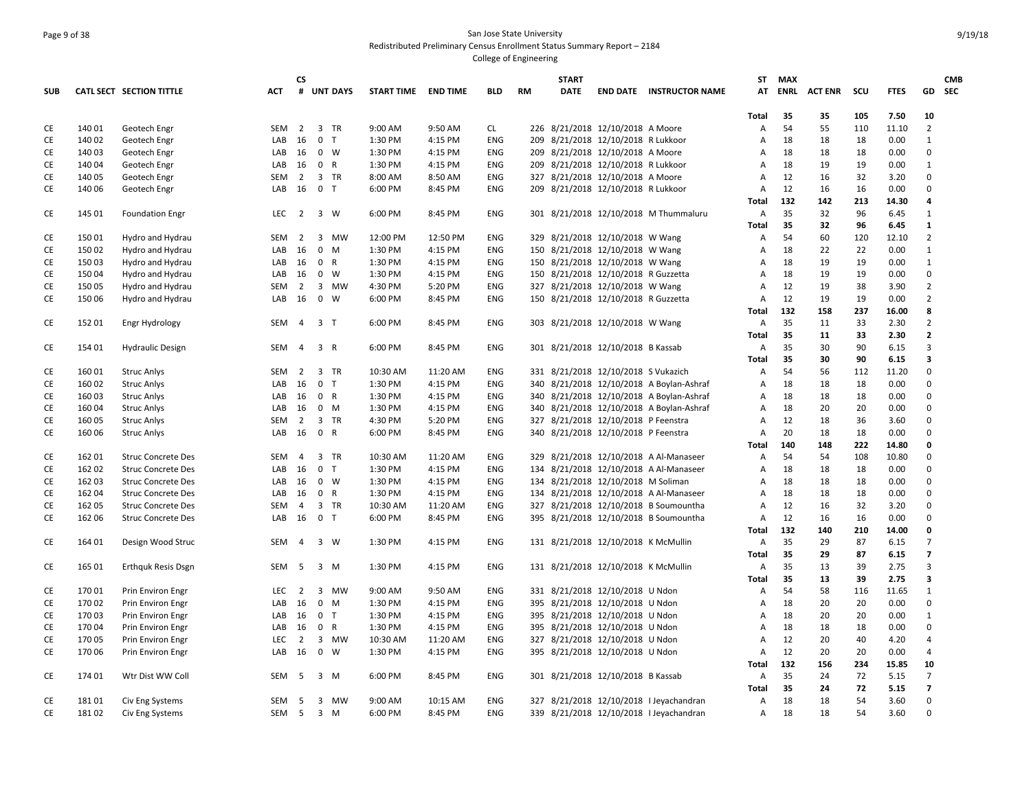### Page 9 of 38 San Jose State University Redistributed Preliminary Census Enrollment Status Summary Report – 2184 College of Engineering

|            |        |                           |                  | CS             |                 |                     |          |            |           | <b>START</b> |                                     |                                          |                | ST MAX |                |     |             |                | <b>CMB</b> |
|------------|--------|---------------------------|------------------|----------------|-----------------|---------------------|----------|------------|-----------|--------------|-------------------------------------|------------------------------------------|----------------|--------|----------------|-----|-------------|----------------|------------|
| <b>SUB</b> |        | CATL SECT SECTION TITTLE  | <b>ACT</b>       | #              | <b>UNT DAYS</b> | START TIME END TIME |          | <b>BLD</b> | <b>RM</b> | DATE         |                                     | <b>END DATE INSTRUCTOR NAME</b>          | AT             | ENRL   | <b>ACT ENR</b> | scu | <b>FTES</b> |                | GD SEC     |
|            |        |                           |                  |                |                 |                     |          |            |           |              |                                     |                                          | Total          | 35     | 35             | 105 | 7.50        | 10             |            |
| CE         | 140 01 | Geotech Engr              | SEM              | $\overline{2}$ | 3 TR            | 9:00 AM             | 9:50 AM  | CL.        |           |              | 226 8/21/2018 12/10/2018 A Moore    |                                          | А              | 54     | 55             | 110 | 11.10       | $\overline{2}$ |            |
| CE         | 140 02 | Geotech Engr              | LAB              | 16             | 0 <sub>T</sub>  | 1:30 PM             | 4:15 PM  | ENG        |           |              | 209 8/21/2018 12/10/2018 R Lukkoor  |                                          | Α              | 18     | 18             | 18  | 0.00        | 1              |            |
| CE         | 140 03 | Geotech Engr              | LAB              | 16             | $0 \quad W$     | 1:30 PM             | 4:15 PM  | ENG        |           |              | 209 8/21/2018 12/10/2018 A Moore    |                                          | Α              | 18     | 18             | 18  | 0.00        | $\mathbf 0$    |            |
| CE         | 140 04 | Geotech Engr              | LAB              | 16             | 0 R             | 1:30 PM             | 4:15 PM  | <b>ENG</b> |           |              | 209 8/21/2018 12/10/2018 R Lukkoor  |                                          | Α              | 18     | 19             | 19  | 0.00        | $\mathbf{1}$   |            |
| CE         | 140 05 | Geotech Engr              | SEM              | $\overline{2}$ | 3 TR            | 8:00 AM             | 8:50 AM  | ENG        |           |              | 327 8/21/2018 12/10/2018 A Moore    |                                          | А              | 12     | 16             | 32  | 3.20        | $\Omega$       |            |
| CE         | 140 06 | Geotech Engr              | LAB              | 16             | 0 <sub>T</sub>  | 6:00 PM             | 8:45 PM  | <b>ENG</b> |           |              | 209 8/21/2018 12/10/2018 R Lukkoor  |                                          | Α              | 12     | 16             | 16  | 0.00        | $\Omega$       |            |
|            |        |                           |                  |                |                 |                     |          |            |           |              |                                     |                                          | Total          | 132    | 142            | 213 | 14.30       | 4              |            |
| CE         | 145 01 | <b>Foundation Engr</b>    | LEC.             | $\overline{2}$ | 3 W             | 6:00 PM             | 8:45 PM  | <b>ENG</b> |           |              |                                     | 301 8/21/2018 12/10/2018 M Thummaluru    | Α              | 35     | 32             | 96  | 6.45        | 1              |            |
|            |        |                           |                  |                |                 |                     |          |            |           |              |                                     |                                          | Total          | 35     | 32             | 96  | 6.45        | 1              |            |
| CE         | 15001  | Hydro and Hydrau          | SEM              | $\overline{2}$ | 3 MW            | 12:00 PM            | 12:50 PM | ENG        |           |              | 329 8/21/2018 12/10/2018 W Wang     |                                          | Α              | 54     | 60             | 120 | 12.10       | $\overline{2}$ |            |
| СE         | 15002  | Hydro and Hydrau          | LAB              | 16             | 0 M             | 1:30 PM             | 4:15 PM  | <b>ENG</b> |           |              | 150 8/21/2018 12/10/2018 W Wang     |                                          | Α              | 18     | 22             | 22  | 0.00        | 1              |            |
| CE         | 15003  | Hydro and Hydrau          | LAB              | 16             | 0 R             | 1:30 PM             | 4:15 PM  | ENG        |           |              | 150 8/21/2018 12/10/2018 W Wang     |                                          | Α              | 18     | 19             | 19  | 0.00        | $\mathbf{1}$   |            |
| СE         | 15004  | Hydro and Hydrau          | LAB              | 16             | 0 W             | 1:30 PM             | 4:15 PM  | <b>ENG</b> |           |              | 150 8/21/2018 12/10/2018 R Guzzetta |                                          | Α              | 18     | 19             | 19  | 0.00        | $\mathbf 0$    |            |
| СE         | 15005  | Hydro and Hydrau          | SEM              | $\overline{2}$ | 3 MW            | 4:30 PM             | 5:20 PM  | <b>ENG</b> |           |              | 327 8/21/2018 12/10/2018 W Wang     |                                          | Α              | 12     | 19             | 38  | 3.90        | $\overline{2}$ |            |
| СE         | 15006  | Hydro and Hydrau          | LAB              | 16             | $0 \quad W$     | 6:00 PM             | 8:45 PM  | <b>ENG</b> |           |              | 150 8/21/2018 12/10/2018 R Guzzetta |                                          | Α              | 12     | 19             | 19  | 0.00        | $\overline{2}$ |            |
|            |        |                           |                  |                |                 |                     |          |            |           |              |                                     |                                          | <b>Total</b>   | 132    | 158            | 237 | 16.00       | 8              |            |
| CE         | 15201  | Engr Hydrology            | SEM              | $\overline{4}$ | 3 <sub>1</sub>  | 6:00 PM             | 8:45 PM  | ENG        |           |              | 303 8/21/2018 12/10/2018 W Wang     |                                          | Α              | 35     | 11             | 33  | 2.30        | $\overline{2}$ |            |
|            |        |                           |                  |                |                 |                     |          |            |           |              |                                     |                                          | <b>Total</b>   | 35     | 11             | 33  | 2.30        | $\mathbf{z}$   |            |
| CE         | 154 01 | <b>Hydraulic Design</b>   | SEM              | 4              | 3 R             | 6:00 PM             | 8:45 PM  | <b>ENG</b> |           |              | 301 8/21/2018 12/10/2018 B Kassab   |                                          | Α              | 35     | 30             | 90  | 6.15        | 3              |            |
|            |        |                           |                  |                |                 |                     |          |            |           |              |                                     |                                          | <b>Total</b>   | 35     | 30             | 90  | 6.15        | 3              |            |
| СE         | 16001  | <b>Struc Anlys</b>        | <b>SEM</b>       | 2              | 3 TR            | 10:30 AM            | 11:20 AM | <b>ENG</b> |           |              | 331 8/21/2018 12/10/2018 S Vukazich |                                          | A              | 54     | 56             | 112 | 11.20       | $\Omega$       |            |
| CE         | 16002  | <b>Struc Anlys</b>        | LAB              | 16             | 0 <sub>T</sub>  | 1:30 PM             | 4:15 PM  | ENG        |           |              |                                     | 340 8/21/2018 12/10/2018 A Boylan-Ashraf | Α              | 18     | 18             | 18  | 0.00        | $\mathbf 0$    |            |
| CE         | 16003  | <b>Struc Anlys</b>        | LAB              | 16             | 0 R             | 1:30 PM             | 4:15 PM  | <b>ENG</b> |           |              |                                     | 340 8/21/2018 12/10/2018 A Boylan-Ashraf | Α              | 18     | 18             | 18  | 0.00        | $\Omega$       |            |
| CE         | 160 04 | <b>Struc Anlys</b>        | LAB              | 16             | 0 M             | 1:30 PM             | 4:15 PM  | <b>ENG</b> |           |              |                                     | 340 8/21/2018 12/10/2018 A Boylan-Ashraf | A              | 18     | 20             | 20  | 0.00        | $\mathbf 0$    |            |
| СE         | 16005  | <b>Struc Anlys</b>        | SEM              | 2              | 3 TR            | 4:30 PM             | 5:20 PM  | <b>ENG</b> |           |              | 327 8/21/2018 12/10/2018 P Feenstra |                                          | Α              | 12     | 18             | 36  | 3.60        | $\Omega$       |            |
| CE         | 160 06 | <b>Struc Anlys</b>        | LAB              | 16             | 0 R             | 6:00 PM             | 8:45 PM  | ENG        |           |              | 340 8/21/2018 12/10/2018 P Feenstra |                                          | Α              | 20     | 18             | 18  | 0.00        | $\Omega$       |            |
|            |        |                           |                  |                |                 |                     |          |            |           |              |                                     |                                          | Total          | 140    | 148            | 222 | 14.80       | $\mathbf{0}$   |            |
| CE         | 162 01 | <b>Struc Concrete Des</b> | SEM              | $\overline{4}$ | 3 TR            | 10:30 AM            | 11:20 AM | ENG        |           |              |                                     | 329 8/21/2018 12/10/2018 A Al-Manaseer   | Α              | 54     | 54             | 108 | 10.80       | $\mathbf 0$    |            |
| <b>CE</b>  | 16202  | <b>Struc Concrete Des</b> | LAB              | 16             | 0 <sub>T</sub>  | 1:30 PM             | 4:15 PM  | <b>ENG</b> |           |              |                                     | 134 8/21/2018 12/10/2018 A Al-Manaseer   | $\overline{A}$ | 18     | 18             | 18  | 0.00        | $\Omega$       |            |
| CE         | 162 03 | <b>Struc Concrete Des</b> | LAB 16           |                | $0 \quad W$     | 1:30 PM             | 4:15 PM  | <b>ENG</b> |           |              | 134 8/21/2018 12/10/2018 M Soliman  |                                          | Α              | 18     | 18             | 18  | 0.00        | $\mathbf 0$    |            |
| CE         | 16204  | <b>Struc Concrete Des</b> | LAB              | 16             | 0 R             | 1:30 PM             | 4:15 PM  | <b>ENG</b> |           |              |                                     | 134 8/21/2018 12/10/2018 A Al-Manaseer   | A              | 18     | 18             | 18  | 0.00        | $\Omega$       |            |
| СE         | 162 05 | <b>Struc Concrete Des</b> | SEM              | 4              | 3 TR            | 10:30 AM            | 11:20 AM | <b>ENG</b> |           |              |                                     | 327 8/21/2018 12/10/2018 B Soumountha    | Α              | 12     | 16             | 32  | 3.20        | $\Omega$       |            |
| CE         | 162 06 | <b>Struc Concrete Des</b> | LAB              | 16             | 0 <sub>T</sub>  | 6:00 PM             | 8:45 PM  | ENG        |           |              |                                     | 395 8/21/2018 12/10/2018 B Soumountha    | Α              | 12     | 16             | 16  | 0.00        | $\Omega$       |            |
|            |        |                           |                  |                |                 |                     |          |            |           |              |                                     |                                          | Total          | 132    | 140            | 210 | 14.00       | 0              |            |
| CE         | 164 01 | Design Wood Struc         | SEM              | $\overline{4}$ | 3 W             | 1:30 PM             | 4:15 PM  | ENG        |           |              | 131 8/21/2018 12/10/2018 K McMullin |                                          | A              | 35     | 29             | 87  | 6.15        | $\overline{7}$ |            |
|            |        |                           |                  |                |                 |                     |          |            |           |              |                                     |                                          | Total          | 35     | 29             | 87  | 6.15        | $\overline{ }$ |            |
| CE         | 165 01 | Erthquk Resis Dsgn        | SEM              | 5              | 3 M             | 1:30 PM             | 4:15 PM  | <b>ENG</b> |           |              | 131 8/21/2018 12/10/2018 K McMullin |                                          | Α              | 35     | 13             | 39  | 2.75        | $\mathbf{a}$   |            |
|            |        |                           |                  |                |                 |                     |          |            |           |              |                                     |                                          | Total          | 35     | 13             | 39  | 2.75        | 3              |            |
| CE         | 17001  | Prin Environ Engr         | <b>LEC</b>       | $\overline{2}$ | 3 MW            | 9:00 AM             | 9:50 AM  | ENG        |           |              | 331 8/21/2018 12/10/2018 U Ndon     |                                          | Α              | 54     | 58             | 116 | 11.65       | $\mathbf{1}$   |            |
| CE         | 17002  | Prin Environ Engr         | LAB              | 16             | 0 M             | 1:30 PM             | 4:15 PM  | <b>ENG</b> |           |              | 395 8/21/2018 12/10/2018 U Ndon     |                                          | Α              | 18     | 20             | 20  | 0.00        | $\Omega$       |            |
| CE         | 17003  | Prin Environ Engr         | LAB              | 16             | 0 <sub>T</sub>  | 1:30 PM             | 4:15 PM  | ENG        |           |              | 395 8/21/2018 12/10/2018 U Ndon     |                                          | Α              | 18     | 20             | 20  | 0.00        | $\mathbf{1}$   |            |
| СE         | 17004  | Prin Environ Engr         | LAB              | 16             | 0 R             | 1:30 PM             | 4:15 PM  | <b>ENG</b> |           |              | 395 8/21/2018 12/10/2018 U Ndon     |                                          | A              | 18     | 18             | 18  | 0.00        | $\Omega$       |            |
| СE         | 17005  | Prin Environ Engr         | <b>LEC</b>       | $\overline{2}$ | 3 MW            | 10:30 AM            | 11:20 AM | ENG        |           |              | 327 8/21/2018 12/10/2018 U Ndon     |                                          | Α              | 12     | 20             | 40  | 4.20        | $\overline{4}$ |            |
| CE         | 17006  | Prin Environ Engr         | LAB              | 16             | $0 \quad W$     | 1:30 PM             | 4:15 PM  | <b>ENG</b> |           |              | 395 8/21/2018 12/10/2018 U Ndon     |                                          | Α              | 12     | 20             | 20  | 0.00        | 4              |            |
|            |        |                           |                  |                |                 |                     |          |            |           |              |                                     |                                          | Total          | 132    | 156            | 234 | 15.85       | 10             |            |
| CE         | 174 01 | Wtr Dist WW Coll          | <b>SEM</b>       | -5             | 3 M             | 6:00 PM             | 8:45 PM  | <b>ENG</b> |           |              | 301 8/21/2018 12/10/2018 B Kassab   |                                          | Α              | 35     | 24             | 72  | 5.15        | $\overline{7}$ |            |
|            |        |                           |                  |                |                 |                     |          |            |           |              |                                     |                                          | Total          | 35     | 24             | 72  | 5.15        | $\overline{7}$ |            |
| CE         | 18101  | Civ Eng Systems           | SEM              | - 5            | 3 MW            | 9:00 AM             | 10:15 AM | <b>ENG</b> |           |              |                                     | 327 8/21/2018 12/10/2018 I Jeyachandran  | Α              | 18     | 18             | 54  | 3.60        | $\Omega$       |            |
| <b>CE</b>  | 18102  | Civ Eng Systems           | SEM <sub>5</sub> |                | $3 \, M$        | 6:00 PM             | 8:45 PM  | <b>ENG</b> |           |              |                                     | 339 8/21/2018 12/10/2018 I Jeyachandran  | A              | 18     | 18             | 54  | 3.60        | $\Omega$       |            |
|            |        |                           |                  |                |                 |                     |          |            |           |              |                                     |                                          |                |        |                |     |             |                |            |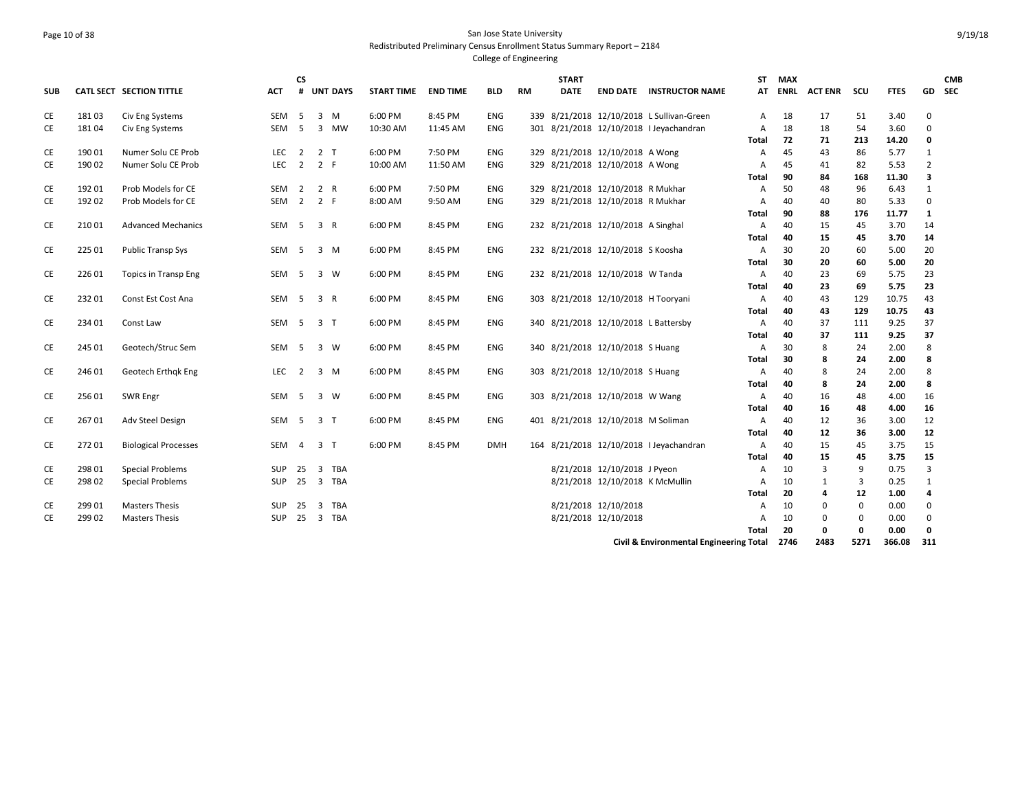#### Page 10 of 38 San Jose State University Redistributed Preliminary Census Enrollment Status Summary Report – 2184 College of Engineering

**SUB CATL SECT SECTION TITTLE ACT CS # UNT DAYS START TIME END TIME BLD RM START DATE END DATE INSTRUCTOR NAME STMAX ATENRL ACT ENR SCU FTES GD CMB SEC**CE 181 03 Civ Eng Systems SEM 5 3 M 6:00 PM 8:45 PM ENG 339 8/21/2018 12/10/2018 L Sullivan‐Green A 18 17 51 3.40 0 CE 181 04 Civ Eng Systems SEM 5 3 MW 10:30 AM 11:45 AM ENG 301 8/21/2018 12/10/2018 I Jeyachandran A 18 18 54 3.60 0 **Total 72 71 213 14.20 0** CE 190 01 Numer Solu CE Prob LEC 2 2 T 6:00 PM 7:50 PM ENG 329 8/21/2018 12/10/2018 A Wong A 45 43 86 5.77 1 CE 190 02 Numer Solu CE Prob LEC 2 2 F 10:00 AM 11:50 AM ENG 329 8/21/2018 12/10/2018 A Wong A 45 41 82 5.53 2 **Total 90 84 168 11.30 3** CE 192 01 Prob Models for CE SEM 2 2 R 6:00 PM 7:50 PM ENG 329 8/21/2018 12/10/2018 R Mukhar A 50 48 96 6.43 1 CE 192 02 Prob Models for CE SEM 2 2 F 8:00 AM 9:50 AM ENG 329 8/21/2018 12/10/2018 R Mukhar A 40 40 80 5.33 0 **Total 90 88 176 11.77 1** CE 210 01 Advanced Mechanics SEM 5 3 R 6:00 PM 8:45 PM ENG 232 8/21/2018 12/10/2018 A Singhal A 40 15 45 3.70 14 **Total 40 15 45 3.70 14** CE 225 01 Public Transp Sys SEM 5 3 M 6:00 PM 8:45 PM ENG 232 8/21/2018 12/10/2018 S Koosha A 30 20 60 5.00 20 **Total 30 20 60 5.00 20** CE 226 01 Topics in Transp Eng SEM 5 3 W 6:00 PM 8:45 PM ENG 232 8/21/2018 12/10/2018 W Tanda A 40 23 69 5.75 23 **Total 40 23 69 5.75 23** CE 232 01 Const Est Cost Ana SEM 5 3 R 6:00 PM 8:45 PM ENG 303 8/21/2018 12/10/2018 H Tooryani A 40 43 129 10.75 43 **Total 40 43 129 10.75 43** CE 234 01 Const Law SEM 5 3 T 6:00 PM 8:45 PM ENG 340 8/21/2018 12/10/2018 L Battersby A 40 37 111 9.25 37 **Total 40 37 111 9.25 37** CE 245 01 Geotech/Struc Sem SEM 5 3 W 6:00 PM 8:45 PM ENG 340 8/21/2018 12/10/2018 S Huang A 30 8 24 2.00 8 **Total 30 8 24 2.00 8** CE 246 01 Geotech Erthqk Eng LEC 2 3 M 6:00 PM 8:45 PM ENG 303 8/21/2018 12/10/2018 S Huang A 40 8 24 2.00 8 **Total 40 8 24 2.00 8** CE 256 01 SWR Engr SEM 5 3 W 6:00 PM 8:45 PM ENG 303 8/21/2018 12/10/2018 W Wang A 40 16 48 4.00 16 **Total 40 16 48 4.00 16** CE 267 01 Adv Steel Design SEM 5 3 T 6:00 PM 8:45 PM ENG 401 8/21/2018 12/10/2018 M Soliman A 40 12 36 3.00 12 **Total 40 12 36 3.00 12** CE 272 01 Biological Processes SEM 4 3 T 6:00 PM 8:45 PM DMH 164 8/21/2018 12/10/2018 I Jeyachandran A 40 15 45 3.75 15 **Total 40 15 45 3.75 15** CE 298 01 Special Problems SUP 25 3 TBA 8/21/2018 12/10/2018 J Pyeon A 10 3 9 0.75 3 CE 298 02 Special Problems SUP 25 3 TBA 8/21/2018 12/10/2018 K McMullin A 10 1 3 0.25 1 **Total 20 4 12 1.00 4** CE 299 01 Masters Thesis SUP 25 3 TBA 8/21/2018 12/10/2018 A 10 0 0 0.00 0 CE 299 02 Masters Thesis SUP 25 3 TBA 8/21/2018 12/10/2018 A 10 0 0 0.00 0 **Total 20 0 0 0.00 0**

**Civil & Environmental Engineering Total 2746 2483 5271 366.08 311**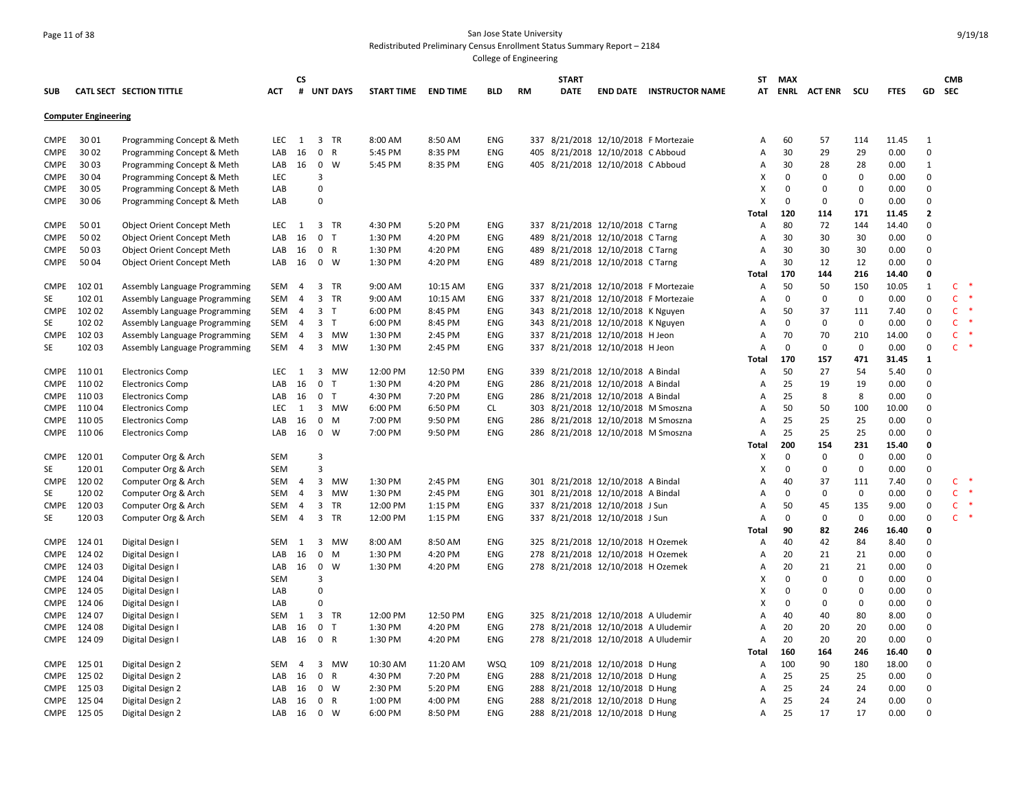## Page 11 of 38 San Jose State University Redistributed Preliminary Census Enrollment Status Summary Report – 2184

| SUB               |                             | CATL SECT SECTION TITTLE                                       | ACT        | СS<br>#                          | <b>UNT DAYS</b>                            | <b>START TIME</b>  | <b>END TIME</b>    | BLD                      | <b>RM</b> | <b>START</b><br><b>DATE</b> |                                                                        | <b>END DATE INSTRUCTOR NAME</b>                                              | ST<br>AT     | <b>MAX</b>        | <b>ENRL ACTENR</b> | scu                | FTES          | GD                | <b>CMB</b><br><b>SEC</b>     |        |
|-------------------|-----------------------------|----------------------------------------------------------------|------------|----------------------------------|--------------------------------------------|--------------------|--------------------|--------------------------|-----------|-----------------------------|------------------------------------------------------------------------|------------------------------------------------------------------------------|--------------|-------------------|--------------------|--------------------|---------------|-------------------|------------------------------|--------|
|                   | <b>Computer Engineering</b> |                                                                |            |                                  |                                            |                    |                    |                          |           |                             |                                                                        |                                                                              |              |                   |                    |                    |               |                   |                              |        |
| CMPE              | 30 01                       | Programming Concept & Meth                                     | LEC        | 1                                | 3 TR                                       | 8:00 AM            | 8:50 AM            | <b>ENG</b>               |           |                             |                                                                        | 337 8/21/2018 12/10/2018 F Mortezaie                                         | Α            | 60                | 57                 | 114                | 11.45         | 1                 |                              |        |
| <b>CMPE</b>       | 30 02                       | Programming Concept & Meth                                     | LAB        | 16                               | $\mathbf 0$<br>$\mathsf{R}$                | 5:45 PM            | 8:35 PM            | ENG                      | 405       |                             | 8/21/2018 12/10/2018 C Abboud                                          |                                                                              | Α            | 30                | 29                 | 29                 | 0.00          | $\Omega$          |                              |        |
| CMPE              | 30 03                       | Programming Concept & Meth                                     | LAB        | 16                               | 0 W                                        | 5:45 PM            | 8:35 PM            | <b>ENG</b>               |           |                             | 405 8/21/2018 12/10/2018 C Abboud                                      |                                                                              | A            | 30                | 28                 | 28                 | 0.00          | 1                 |                              |        |
| CMPE              | 30 04                       | Programming Concept & Meth                                     | LEC        |                                  | 3                                          |                    |                    |                          |           |                             |                                                                        |                                                                              | X            | $\Omega$          | $\mathbf 0$        | $\mathbf 0$        | 0.00          | $\Omega$          |                              |        |
| <b>CMPE</b>       | 30 05                       | Programming Concept & Meth                                     | LAB        |                                  | $\Omega$                                   |                    |                    |                          |           |                             |                                                                        |                                                                              | X            | $\mathbf 0$       | 0                  | $\Omega$           | 0.00          | $\Omega$          |                              |        |
| <b>CMPE</b>       | 30 06                       | Programming Concept & Meth                                     | LAB        |                                  | 0                                          |                    |                    |                          |           |                             |                                                                        |                                                                              | x            | $\mathbf{0}$      | 0                  | $\Omega$           | 0.00          | $\Omega$          |                              |        |
|                   |                             |                                                                |            |                                  |                                            |                    |                    |                          |           |                             |                                                                        |                                                                              | Total        | 120               | 114                | 171                | 11.45         | $\mathbf{2}$      |                              |        |
| <b>CMPE</b>       | 50 01                       | Object Orient Concept Meth                                     | LEC        | 1                                | 3 TR                                       | 4:30 PM            | 5:20 PM            | <b>ENG</b>               |           |                             | 337 8/21/2018 12/10/2018 C Tarng                                       |                                                                              | A            | 80                | 72                 | 144                | 14.40         | $\Omega$          |                              |        |
| <b>CMPE</b>       | 50 02                       | <b>Object Orient Concept Meth</b>                              | LAB        | 16                               | 0 <sub>T</sub>                             | 1:30 PM            | 4:20 PM            | <b>ENG</b>               |           |                             | 489 8/21/2018 12/10/2018 C Tarng                                       |                                                                              | A            | 30                | 30                 | 30                 | 0.00          | $\Omega$          |                              |        |
| <b>CMPE</b>       | 50 03                       | <b>Object Orient Concept Meth</b>                              | LAB        | 16                               | 0 R                                        | 1:30 PM            | 4:20 PM            | <b>ENG</b>               |           |                             | 489 8/21/2018 12/10/2018 C Tarng                                       |                                                                              | Α            | 30                | 30                 | 30                 | 0.00          | $\Omega$          |                              |        |
| CMPE              | 50 04                       | Object Orient Concept Meth                                     | LAB        | 16                               | $0 \quad W$                                | 1:30 PM            | 4:20 PM            | <b>ENG</b>               |           |                             | 489 8/21/2018 12/10/2018 C Tarng                                       |                                                                              | Α            | 30                | 12                 | 12                 | 0.00          | $\Omega$          |                              |        |
|                   |                             |                                                                |            |                                  |                                            |                    |                    |                          |           |                             |                                                                        |                                                                              | <b>Total</b> | 170               | 144                | 216                | 14.40         | 0<br>$\mathbf{1}$ |                              |        |
| CMPE              | 102 01<br>102 01            | Assembly Language Programming                                  | SEM        | 4                                | 3 TR                                       | 9:00 AM            | 10:15 AM           | <b>ENG</b><br><b>ENG</b> |           |                             |                                                                        | 337 8/21/2018 12/10/2018 F Mortezaie<br>337 8/21/2018 12/10/2018 F Mortezaie | A            | 50<br>$\mathsf 0$ | 50<br>$\mathbf 0$  | 150<br>$\mathbf 0$ | 10.05<br>0.00 | $\Omega$          | $\mathsf{C}$<br>$\mathsf{C}$ |        |
| SE                |                             | Assembly Language Programming                                  | SEM        | $\overline{4}$<br>$\overline{4}$ | 3 TR                                       | 9:00 AM            | 10:15 AM           |                          |           |                             |                                                                        |                                                                              | A            |                   |                    |                    |               | $\Omega$          | $\mathsf{C}$                 |        |
| <b>CMPE</b><br>SE | 10202<br>102 02             | Assembly Language Programming                                  | SEM<br>SEM | $\overline{4}$                   | $\overline{3}$<br>$\top$<br>3 <sub>1</sub> | 6:00 PM<br>6:00 PM | 8:45 PM<br>8:45 PM | <b>ENG</b><br>ENG        |           |                             | 343 8/21/2018 12/10/2018 K Nguyen<br>343 8/21/2018 12/10/2018 K Nguyen |                                                                              | A<br>Α       | 50<br>$\mathbf 0$ | 37<br>$\mathbf 0$  | 111<br>$\mathbf 0$ | 7.40<br>0.00  | $\Omega$          | $\mathsf{C}$                 |        |
| <b>CMPE</b>       | 102 03                      | Assembly Language Programming<br>Assembly Language Programming | SEM        | 4                                | 3 MW                                       | 1:30 PM            | 2:45 PM            | <b>ENG</b>               |           |                             | 337 8/21/2018 12/10/2018 H Jeon                                        |                                                                              | A            | 70                | 70                 | 210                | 14.00         | $\Omega$          | $\mathsf{C}$                 |        |
| <b>SE</b>         | 102 03                      | Assembly Language Programming                                  | SEM        | $\overline{4}$                   | 3<br>MW                                    | 1:30 PM            | 2:45 PM            | <b>ENG</b>               |           |                             | 337 8/21/2018 12/10/2018 H Jeon                                        |                                                                              | A            | 0                 | $\mathbf 0$        | $\mathbf 0$        | 0.00          | $\Omega$          | $\mathsf{C}$                 |        |
|                   |                             |                                                                |            |                                  |                                            |                    |                    |                          |           |                             |                                                                        |                                                                              | <b>Total</b> | 170               | 157                | 471                | 31.45         | 1                 |                              |        |
| CMPE              | 11001                       | <b>Electronics Comp</b>                                        | <b>LEC</b> | 1                                | $\overline{3}$<br>MW                       | 12:00 PM           | 12:50 PM           | <b>ENG</b>               |           |                             | 339 8/21/2018 12/10/2018 A Bindal                                      |                                                                              | Α            | 50                | 27                 | 54                 | 5.40          | $\Omega$          |                              |        |
| CMPE              | 11002                       | <b>Electronics Comp</b>                                        | LAB        | 16                               | $\mathbf 0$<br>T                           | 1:30 PM            | 4:20 PM            | <b>ENG</b>               |           |                             | 286 8/21/2018 12/10/2018 A Bindal                                      |                                                                              | A            | 25                | 19                 | 19                 | 0.00          | $\Omega$          |                              |        |
| CMPE              | 11003                       | <b>Electronics Comp</b>                                        | LAB        | 16                               | 0 <sub>T</sub>                             | 4:30 PM            | 7:20 PM            | <b>ENG</b>               |           |                             | 286 8/21/2018 12/10/2018 A Bindal                                      |                                                                              | Α            | 25                | 8                  | 8                  | 0.00          | $\mathbf 0$       |                              |        |
| CMPE              | 11004                       | <b>Electronics Comp</b>                                        | <b>LEC</b> | 1                                | 3 MW                                       | 6:00 PM            | 6:50 PM            | CL                       |           |                             | 303 8/21/2018 12/10/2018 M Smoszna                                     |                                                                              | Α            | 50                | 50                 | 100                | 10.00         | $\Omega$          |                              |        |
| CMPE              | 11005                       | <b>Electronics Comp</b>                                        | LAB        | 16                               | $\mathbf 0$<br>M                           | 7:00 PM            | 9:50 PM            | <b>ENG</b>               |           |                             | 286 8/21/2018 12/10/2018 M Smoszna                                     |                                                                              | A            | 25                | 25                 | 25                 | 0.00          | $\Omega$          |                              |        |
| CMPE              | 11006                       | <b>Electronics Comp</b>                                        | LAB        | 16                               | $\mathbf 0$<br>W                           | 7:00 PM            | 9:50 PM            | <b>ENG</b>               |           |                             | 286 8/21/2018 12/10/2018 M Smoszna                                     |                                                                              | A            | 25                | 25                 | 25                 | 0.00          | $\mathbf 0$       |                              |        |
|                   |                             |                                                                |            |                                  |                                            |                    |                    |                          |           |                             |                                                                        |                                                                              | <b>Total</b> | 200               | 154                | 231                | 15.40         | 0                 |                              |        |
| CMPE              | 120 01                      | Computer Org & Arch                                            | SEM        |                                  | $\overline{3}$                             |                    |                    |                          |           |                             |                                                                        |                                                                              | X            | $\mathbf 0$       | $\mathbf 0$        | $\mathbf 0$        | 0.00          | $\Omega$          |                              |        |
| SE                | 12001                       | Computer Org & Arch                                            | SEM        |                                  | 3                                          |                    |                    |                          |           |                             |                                                                        |                                                                              | X            | $\mathbf 0$       | $\mathbf 0$        | $\mathbf 0$        | 0.00          | $\Omega$          |                              |        |
| CMPE              | 12002                       | Computer Org & Arch                                            | SEM        | $\overline{4}$                   | 3<br>MW                                    | 1:30 PM            | 2:45 PM            | <b>ENG</b>               |           |                             | 301 8/21/2018 12/10/2018 A Bindal                                      |                                                                              | Α            | 40                | 37                 | 111                | 7.40          | $\mathbf 0$       | $\mathsf{C}$                 | $\ast$ |
| SE                | 120 02                      | Computer Org & Arch                                            | SEM        | $\overline{4}$                   | 3<br>MW                                    | 1:30 PM            | 2:45 PM            | <b>ENG</b>               |           |                             | 301 8/21/2018 12/10/2018 A Bindal                                      |                                                                              | Α            | 0                 | $\mathbf 0$        | $\mathbf 0$        | 0.00          | $\Omega$          | $\mathsf{C}$                 |        |
| CMPE              | 12003                       | Computer Org & Arch                                            | SEM        | $\overline{4}$                   | $\overline{3}$<br>TR                       | 12:00 PM           | 1:15 PM            | <b>ENG</b>               |           |                             | 337 8/21/2018 12/10/2018 J Sun                                         |                                                                              | A            | 50                | 45                 | 135                | 9.00          | $\Omega$          | $\mathsf{C}$                 |        |
| <b>SE</b>         | 120 03                      | Computer Org & Arch                                            | SEM        | $\overline{4}$                   | 3 TR                                       | 12:00 PM           | 1:15 PM            | <b>ENG</b>               |           |                             | 337 8/21/2018 12/10/2018 J Sun                                         |                                                                              | A            | 0                 | $\mathbf 0$        | $\mathbf 0$        | 0.00          | $\Omega$          | $\mathsf{C}$                 |        |
|                   |                             |                                                                |            |                                  |                                            |                    |                    |                          |           |                             |                                                                        |                                                                              | Total        | 90                | 82                 | 246                | 16.40         | $\Omega$          |                              |        |
| CMPE              | 124 01                      | Digital Design I                                               | SEM        | 1                                | 3<br>мw                                    | 8:00 AM            | 8:50 AM            | <b>ENG</b>               |           |                             | 325 8/21/2018 12/10/2018 H Ozemek                                      |                                                                              | A            | 40                | 42                 | 84                 | 8.40          | $\Omega$          |                              |        |
| CMPE              | 124 02                      | Digital Design I                                               | LAB        | 16                               | 0<br>M                                     | 1:30 PM            | 4:20 PM            | ENG                      |           |                             | 278 8/21/2018 12/10/2018 H Ozemek                                      |                                                                              | Α            | 20                | 21                 | 21                 | 0.00          | $\Omega$          |                              |        |
| CMPE              | 124 03                      | Digital Design I                                               | LAB        | 16                               | W<br>$\mathbf 0$                           | 1:30 PM            | 4:20 PM            | <b>ENG</b>               |           |                             | 278 8/21/2018 12/10/2018 H Ozemek                                      |                                                                              | Α            | 20                | 21                 | 21                 | 0.00          | $\mathbf 0$       |                              |        |
| <b>CMPE</b>       | 124 04                      | Digital Design I                                               | SEM        |                                  | 3                                          |                    |                    |                          |           |                             |                                                                        |                                                                              | X            | $\mathbf 0$       | $\mathbf 0$        | $\Omega$           | 0.00          | $\Omega$          |                              |        |
| <b>CMPE</b>       | 124 05                      | Digital Design I                                               | LAB        |                                  | 0                                          |                    |                    |                          |           |                             |                                                                        |                                                                              | X            | $\Omega$          | 0                  | $\Omega$           | 0.00          | $\Omega$          |                              |        |
| CMPE              | 124 06                      | Digital Design I                                               | LAB        |                                  | $\Omega$                                   |                    |                    |                          |           |                             |                                                                        |                                                                              | X            | 0                 | $\mathbf 0$        | $\mathbf 0$        | 0.00          | $\mathbf 0$       |                              |        |
| CMPE              | 124 07                      | Digital Design I                                               | SEM        | 1                                | 3 TR                                       | 12:00 PM           | 12:50 PM           | <b>ENG</b>               |           |                             | 325 8/21/2018 12/10/2018 A Uludemir                                    |                                                                              | Α            | 40                | 40                 | 80                 | 8.00          | $\Omega$          |                              |        |
| CMPE              | 124 08                      | Digital Design I                                               | LAB        | 16                               | $\mathbf 0$<br>$\top$                      | 1:30 PM            | 4:20 PM            | ENG                      |           |                             | 278 8/21/2018 12/10/2018 A Uludemir                                    |                                                                              | Α            | 20                | 20                 | 20                 | 0.00          | $\Omega$          |                              |        |
|                   | CMPE 124 09                 | Digital Design I                                               | LAB        | 16                               | 0 R                                        | 1:30 PM            | 4:20 PM            | <b>ENG</b>               |           |                             | 278 8/21/2018 12/10/2018 A Uludemir                                    |                                                                              | A            | 20                | 20                 | 20                 | 0.00          | $\Omega$          |                              |        |
|                   |                             |                                                                |            |                                  |                                            |                    |                    |                          |           |                             |                                                                        |                                                                              | Total        | 160               | 164                | 246                | 16.40         | 0                 |                              |        |
|                   | CMPE 125 01                 | Digital Design 2                                               | <b>SEM</b> | $\overline{4}$                   | 3<br>MW                                    | 10:30 AM           | 11:20 AM           | <b>WSQ</b>               |           |                             | 109 8/21/2018 12/10/2018 D Hung                                        |                                                                              | A            | 100               | 90                 | 180                | 18.00         | $\Omega$          |                              |        |
| CMPE              | 125 02                      | Digital Design 2                                               | LAB        | 16                               | 0<br>R                                     | 4:30 PM            | 7:20 PM            | <b>ENG</b>               |           |                             | 288 8/21/2018 12/10/2018 D Hung                                        |                                                                              | A            | 25                | 25                 | 25                 | 0.00          | $\mathbf 0$       |                              |        |
| CMPE              | 125 03                      | Digital Design 2                                               | LAB        | 16                               | $0 \quad W$                                | 2:30 PM            | 5:20 PM            | ENG                      |           |                             | 288 8/21/2018 12/10/2018 D Hung                                        |                                                                              | A            | 25                | 24                 | 24                 | 0.00          | $\Omega$          |                              |        |
|                   | CMPE 125 04                 | Digital Design 2                                               | LAB        | 16                               | $\mathbf 0$<br>$\mathsf{R}$                | 1:00 PM            | 4:00 PM            | <b>ENG</b>               |           |                             | 288 8/21/2018 12/10/2018 D Hung                                        |                                                                              | A            | 25                | 24                 | 24                 | 0.00          | $\Omega$          |                              |        |
|                   | CMPE 125 05                 | Digital Design 2                                               | LAB        | 16                               | $\mathbf 0$<br>W                           | 6:00 PM            | 8:50 PM            | ENG                      |           |                             | 288 8/21/2018 12/10/2018 D Hung                                        |                                                                              | Α            | 25                | 17                 | 17                 | 0.00          | $\Omega$          |                              |        |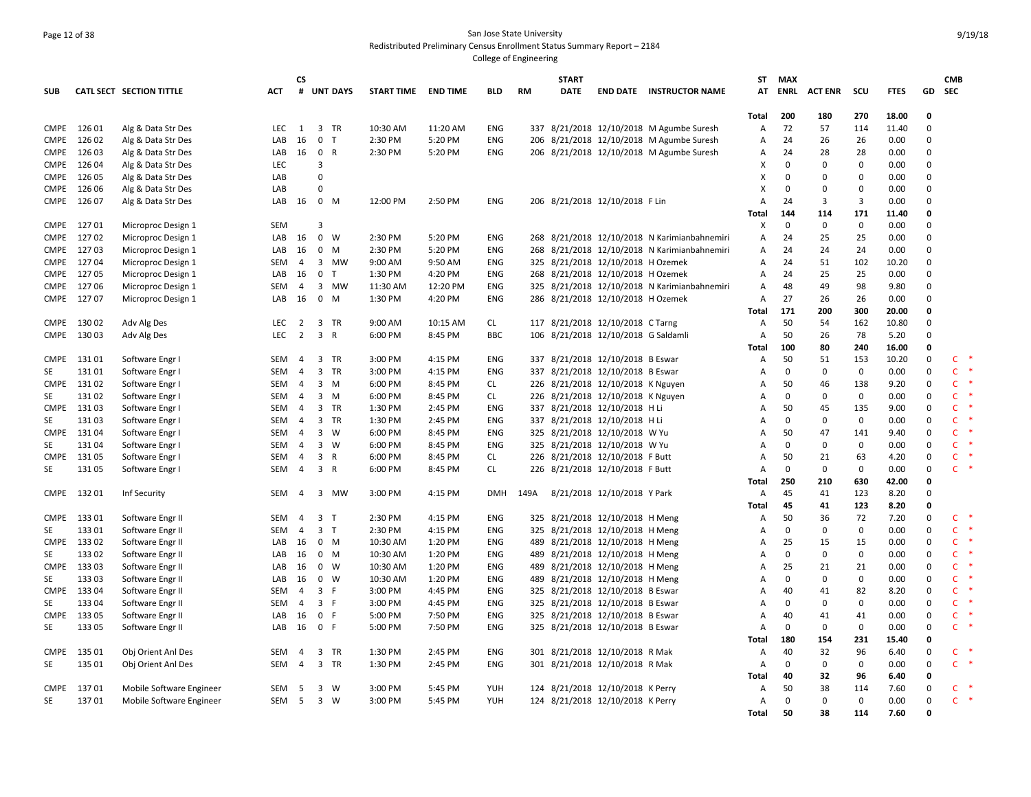# Page 12 of 38 San Jose State University Redistributed Preliminary Census Enrollment Status Summary Report – 2184

|             |             |                          |            | <b>CS</b>      |                |            |                     |          |            |           | <b>START</b> |                                   |                                              | ST                        | <b>MAX</b>   |                |             |             |             | <b>CMB</b>                    |
|-------------|-------------|--------------------------|------------|----------------|----------------|------------|---------------------|----------|------------|-----------|--------------|-----------------------------------|----------------------------------------------|---------------------------|--------------|----------------|-------------|-------------|-------------|-------------------------------|
| <b>SUB</b>  |             | CATL SECT SECTION TITTLE | ACT        |                |                | # UNT DAYS | START TIME END TIME |          | <b>BLD</b> | <b>RM</b> | <b>DATE</b>  |                                   | <b>END DATE INSTRUCTOR NAME</b>              | AT                        | ENRL         | <b>ACT ENR</b> | scu         | <b>FTES</b> | GD          | <b>SEC</b>                    |
|             |             |                          |            |                |                |            |                     |          |            |           |              |                                   |                                              |                           |              |                |             |             |             |                               |
|             |             |                          |            |                |                |            |                     |          |            |           |              |                                   |                                              | Total                     | 200          | 180            | 270         | 18.00       | 0           |                               |
| <b>CMPE</b> | 126 01      | Alg & Data Str Des       | LEC.       | <sup>1</sup>   |                | 3 TR       | 10:30 AM            | 11:20 AM | ENG        | 337       |              |                                   | 8/21/2018 12/10/2018 M Agumbe Suresh         | A                         | 72           | 57             | 114         | 11.40       | $\Omega$    |                               |
| <b>CMPE</b> | 126 02      | Alg & Data Str Des       | LAB        | 16             | $\mathbf 0$    | T          | 2:30 PM             | 5:20 PM  | ENG        |           |              |                                   | 206 8/21/2018 12/10/2018 M Agumbe Suresh     | $\overline{A}$            | 24           | 26             | 26          | 0.00        | $\Omega$    |                               |
| <b>CMPE</b> | 126 03      | Alg & Data Str Des       | LAB        | 16             | 0 R            |            | 2:30 PM             | 5:20 PM  | ENG        |           |              |                                   | 206 8/21/2018 12/10/2018 M Agumbe Suresh     | A                         | 24           | 28             | 28          | 0.00        | $\Omega$    |                               |
| <b>CMPE</b> | 12604       | Alg & Data Str Des       | LEC        |                | 3              |            |                     |          |            |           |              |                                   |                                              | X                         | $\mathbf 0$  | $\Omega$       | 0           | 0.00        | $\Omega$    |                               |
| <b>CMPE</b> | 126 05      | Alg & Data Str Des       | LAB        |                | $\Omega$       |            |                     |          |            |           |              |                                   |                                              | X                         | $\mathbf{0}$ | $\Omega$       | 0           | 0.00        | 0           |                               |
| <b>CMPE</b> | 126 06      | Alg & Data Str Des       | LAB        |                | <sup>0</sup>   |            |                     |          |            |           |              |                                   |                                              | $\boldsymbol{\mathsf{x}}$ | $\mathbf{0}$ | $\Omega$       | $\mathbf 0$ | 0.00        | $\Omega$    |                               |
| CMPE        | 126 07      | Alg & Data Str Des       | LAB        | 16             | 0 M            |            | 12:00 PM            | 2:50 PM  | <b>ENG</b> |           |              | 206 8/21/2018 12/10/2018 F Lin    |                                              | A                         | 24           | 3              | 3           | 0.00        | 0           |                               |
|             |             |                          |            |                |                |            |                     |          |            |           |              |                                   |                                              | <b>Total</b>              | 144          | 114            | 171         | 11.40       | 0           |                               |
| <b>CMPE</b> | 12701       | Microproc Design 1       | SEM        |                | 3              |            |                     |          |            |           |              |                                   |                                              | X                         | $\mathbf 0$  | 0              | 0           | 0.00        | $\Omega$    |                               |
| <b>CMPE</b> | 12702       | Microproc Design 1       | LAB        | 16             | 0 W            |            | 2:30 PM             | 5:20 PM  | <b>ENG</b> |           |              |                                   | 268 8/21/2018 12/10/2018 N Karimianbahnemiri | A                         | 24           | 25             | 25          | 0.00        | $\Omega$    |                               |
| CMPE        | 12703       | Microproc Design 1       | LAB        | 16             | 0 M            |            | 2:30 PM             | 5:20 PM  | ENG        | 268       |              |                                   | 8/21/2018 12/10/2018 N Karimianbahnemiri     | A                         | 24           | 24             | 24          | 0.00        | 0           |                               |
| CMPE        | 12704       | Microproc Design 1       | SEM        | 4              |                | 3 MW       | 9:00 AM             | 9:50 AM  | ENG        |           |              | 325 8/21/2018 12/10/2018 H Ozemek |                                              | A                         | 24           | 51             | 102         | 10.20       | $\Omega$    |                               |
| CMPE        | 12705       | Microproc Design 1       | LAB        | 16             | 0 <sub>T</sub> |            | 1:30 PM             | 4:20 PM  | ENG        |           |              | 268 8/21/2018 12/10/2018 H Ozemek |                                              | $\overline{A}$            | 24           | 25             | 25          | 0.00        | $\Omega$    |                               |
| CMPE        | 12706       | Microproc Design 1       | SEM        | 4              |                | 3 MW       | 11:30 AM            | 12:20 PM | ENG        |           |              |                                   | 325 8/21/2018 12/10/2018 N Karimianbahnemiri | A                         | 48           | 49             | 98          | 9.80        | $\Omega$    |                               |
|             | CMPE 127 07 | Microproc Design 1       | LAB        | 16             | $0$ M          |            | 1:30 PM             | 4:20 PM  | ENG        |           |              | 286 8/21/2018 12/10/2018 H Ozemek |                                              | A                         | 27           | 26             | 26          | 0.00        | $\Omega$    |                               |
|             |             |                          |            |                |                |            |                     |          |            |           |              |                                   |                                              | Total                     | 171          | 200            | 300         | 20.00       | 0           |                               |
|             | CMPE 130 02 | Adv Alg Des              | LEC        | $\overline{2}$ |                | 3 TR       | 9:00 AM             | 10:15 AM | CL         |           |              | 117 8/21/2018 12/10/2018 C Tarng  |                                              | $\overline{A}$            | 50           | 54             | 162         | 10.80       | $\Omega$    |                               |
| CMPE        | 13003       | Adv Alg Des              | <b>LEC</b> | $\overline{2}$ | 3 R            |            | 6:00 PM             | 8:45 PM  | <b>BBC</b> | 106       |              | 8/21/2018 12/10/2018 G Saldamli   |                                              | A                         | 50           | 26             | 78          | 5.20        | $\Omega$    |                               |
|             |             |                          |            |                |                |            |                     |          |            |           |              |                                   |                                              | Total                     | 100          | 80             | 240         | 16.00       | 0           |                               |
| <b>CMPE</b> | 13101       | Software Engr I          | SEM        | $\overline{4}$ |                | 3 TR       | 3:00 PM             | 4:15 PM  | ENG        |           |              | 337 8/21/2018 12/10/2018 B Eswar  |                                              | A                         | 50           | 51             | 153         | 10.20       | $\Omega$    | $\mathsf{C}$<br>$\ast$        |
| <b>SE</b>   | 13101       | Software Engr I          | <b>SEM</b> | $\overline{4}$ |                | 3 TR       | 3:00 PM             | 4:15 PM  | ENG        | 337       |              | 8/21/2018 12/10/2018 B Eswar      |                                              | $\overline{A}$            | $\mathbf{0}$ | $\mathbf 0$    | 0           | 0.00        | $\Omega$    | $\mathsf{C}$<br>$\rightarrow$ |
| <b>CMPE</b> | 13102       | Software Engr I          | SEM        | -4             | $3 \, M$       |            | 6:00 PM             | 8:45 PM  | <b>CL</b>  |           |              | 226 8/21/2018 12/10/2018 K Nguyen |                                              | A                         | 50           | 46             | 138         | 9.20        | $\mathbf 0$ | $\mathsf{C}$<br>一味            |
| SE          | 13102       | Software Engr            | <b>SEM</b> | 4              | $3 \, M$       |            | 6:00 PM             | 8:45 PM  | <b>CL</b>  |           |              | 226 8/21/2018 12/10/2018 K Nguyen |                                              | A                         | $\mathbf{0}$ | $\mathbf 0$    | 0           | 0.00        | $\Omega$    | $\mathsf{C}$                  |
| <b>CMPE</b> | 13103       | Software Engr            | SEM        | $\overline{4}$ |                | 3 TR       | 1:30 PM             | 2:45 PM  | ENG        |           |              | 337 8/21/2018 12/10/2018 H Li     |                                              | A                         | 50           | 45             | 135         | 9.00        | $\Omega$    | $\mathsf{C}$                  |
| SE          | 13103       | Software Engr I          | SEM        | 4              |                | 3 TR       | 1:30 PM             | 2:45 PM  | ENG        |           |              | 337 8/21/2018 12/10/2018 H Li     |                                              | A                         | $\mathbf{0}$ | $\mathbf 0$    | 0           | 0.00        | $\Omega$    | $\mathsf{C}$<br>慢             |
| <b>CMPE</b> | 13104       | Software Engr            | <b>SEM</b> | $\overline{4}$ | $3 \quad W$    |            | 6:00 PM             | 8:45 PM  | ENG        |           |              | 325 8/21/2018 12/10/2018 W Yu     |                                              | A                         | 50           | 47             | 141         | 9.40        | $\Omega$    | $\mathsf{C}$                  |
| SE          | 13104       | Software Engr            | SEM        | 4              | 3 W            |            | 6:00 PM             | 8:45 PM  | <b>ENG</b> |           |              | 325 8/21/2018 12/10/2018 W Yu     |                                              | A                         | $\mathbf 0$  | 0              | 0           | 0.00        | $\Omega$    | $\mathsf{C}$<br>- 4           |
| <b>CMPE</b> | 13105       | Software Engr I          | SEM        | $\overline{4}$ | 3 R            |            | 6:00 PM             | 8:45 PM  | <b>CL</b>  |           |              | 226 8/21/2018 12/10/2018 F Butt   |                                              | $\overline{A}$            | 50           | 21             | 63          | 4.20        | $\Omega$    | $\mathsf{C}$<br>一味            |
| SE          | 13105       | Software Engr            | SEM        | $\overline{4}$ | 3 R            |            | 6:00 PM             | 8:45 PM  | CL         |           |              | 226 8/21/2018 12/10/2018 F Butt   |                                              | A                         | $\mathbf{0}$ | $\mathbf 0$    | 0           | 0.00        | $\Omega$    | $\mathsf{C}$<br>$\rightarrow$ |
|             |             |                          |            |                |                |            |                     |          |            |           |              |                                   |                                              | Total                     | 250          | 210            | 630         | 42.00       | 0           |                               |
|             | CMPE 13201  | Inf Security             | SEM        | 4              |                | 3 MW       | 3:00 PM             | 4:15 PM  | DMH        | 149A      |              | 8/21/2018 12/10/2018 Y Park       |                                              | A                         | 45           | 41             | 123         | 8.20        | $\Omega$    |                               |
|             |             |                          |            |                |                |            |                     |          |            |           |              |                                   |                                              | Total                     | 45           | 41             | 123         | 8.20        | 0           |                               |
| <b>CMPE</b> | 13301       | Software Engr II         | SEM        | 4              | 3 <sub>T</sub> |            | 2:30 PM             | 4:15 PM  | ENG        |           |              | 325 8/21/2018 12/10/2018 H Meng   |                                              | A                         | 50           | 36             | 72          | 7.20        | $\mathbf 0$ | $\mathsf{C}$<br>×             |
| SE          | 13301       | Software Engr II         | <b>SEM</b> | $\overline{4}$ | 3 <sub>T</sub> |            | 2:30 PM             | 4:15 PM  | <b>ENG</b> |           |              | 325 8/21/2018 12/10/2018 H Meng   |                                              | A                         | $\mathbf{0}$ | $\mathbf 0$    | 0           | 0.00        | $\Omega$    | $\mathsf{C}$<br>一味            |
| <b>CMPE</b> | 13302       | Software Engr II         | LAB        | 16             | $0$ M          |            | 10:30 AM            | 1:20 PM  | ENG        |           |              | 489 8/21/2018 12/10/2018 H Meng   |                                              | A                         | 25           | 15             | 15          | 0.00        | $\mathbf 0$ | $\mathsf{C}$<br>一味            |
| SE          | 13302       | Software Engr II         | LAB        | 16             | $0 \quad M$    |            | 10:30 AM            | 1:20 PM  | ENG        |           |              | 489 8/21/2018 12/10/2018 H Meng   |                                              | A                         | $\mathbf{0}$ | $\mathbf 0$    | $\mathbf 0$ | 0.00        | $\Omega$    | $\mathsf{C}$<br>慢             |
| <b>CMPE</b> | 13303       |                          | LAB        | 16             | $0 \quad W$    |            | 10:30 AM            | 1:20 PM  | ENG        |           |              |                                   |                                              | A                         | 25           | 21             | 21          |             | $\mathbf 0$ | $\mathsf{C}$<br>-4            |
|             | 13303       | Software Engr II         |            |                |                |            |                     |          |            |           |              | 489 8/21/2018 12/10/2018 H Meng   |                                              |                           | $\mathbf{0}$ | $\mathbf 0$    | $\mathbf 0$ | 0.00        | $\Omega$    | $\mathsf{C}$                  |
| SE          |             | Software Engr II         | LAB        | 16             | $0 \quad W$    |            | 10:30 AM            | 1:20 PM  | <b>ENG</b> | 489       |              | 8/21/2018 12/10/2018 H Meng       |                                              | A                         |              |                |             | 0.00        | $\Omega$    | 一味                            |
| <b>CMPE</b> | 13304       | Software Engr II         | SEM        | $\overline{4}$ | 3 F            |            | 3:00 PM             | 4:45 PM  | ENG        |           |              | 325 8/21/2018 12/10/2018 B Eswar  |                                              | A                         | 40           | 41             | 82          | 8.20        |             | $\mathsf{C}$<br>- 4           |
| SE          | 13304       | Software Engr II         | <b>SEM</b> | 4              | 3 F            |            | 3:00 PM             | 4:45 PM  | <b>ENG</b> |           |              | 325 8/21/2018 12/10/2018 B Eswar  |                                              | A                         | $\Omega$     | $\mathbf 0$    | 0           | 0.00        | $\Omega$    | $\mathsf{C}$                  |
| <b>CMPE</b> | 13305       | Software Engr II         | LAB        | 16             | 0 F            |            | 5:00 PM             | 7:50 PM  | ENG        |           |              | 325 8/21/2018 12/10/2018 B Eswar  |                                              | A                         | 40           | 41             | 41          | 0.00        | 0           | $\mathsf{C}$<br>×             |
| SE          | 13305       | Software Engr II         | LAB        | 16 0 F         |                |            | 5:00 PM             | 7:50 PM  | ENG        |           |              | 325 8/21/2018 12/10/2018 B Eswar  |                                              | $\overline{A}$            | 0            | 0              | 0           | 0.00        | $\Omega$    | $\mathsf{C}$                  |
|             |             |                          |            |                |                |            |                     |          |            |           |              |                                   |                                              | Total                     | 180          | 154            | 231         | 15.40       | 0           |                               |
| <b>CMPE</b> | 135 01      | Obj Orient Anl Des       | SEM        | 4              |                | 3 TR       | 1:30 PM             | 2:45 PM  | ENG        |           |              | 301 8/21/2018 12/10/2018 R Mak    |                                              | A                         | 40           | 32             | 96          | 6.40        | 0           | $\mathsf{C}$<br>$\rightarrow$ |
| SE          | 135 01      | Obj Orient Anl Des       | SEM        | $\overline{4}$ |                | 3 TR       | 1:30 PM             | 2:45 PM  | <b>ENG</b> |           |              | 301 8/21/2018 12/10/2018 R Mak    |                                              | A                         | 0            | $\mathbf 0$    | $\mathbf 0$ | 0.00        | $\Omega$    | $\mathsf{C}$                  |
|             |             |                          |            |                |                |            |                     |          |            |           |              |                                   |                                              | Total                     | 40           | 32             | 96          | 6.40        | $\mathbf 0$ | 慢                             |
| <b>CMPE</b> | 13701       | Mobile Software Engineer | SEM        | -5             | 3 W            |            | 3:00 PM             | 5:45 PM  | <b>YUH</b> |           |              | 124 8/21/2018 12/10/2018 K Perry  |                                              | A                         | 50           | 38             | 114         | 7.60        | $\Omega$    | $\mathsf{C}$                  |
| SE          | 13701       | Mobile Software Engineer | SEM 5      |                | 3 W            |            | 3:00 PM             | 5:45 PM  | YUH        |           |              | 124 8/21/2018 12/10/2018 K Perry  |                                              | Α                         | $\mathbf 0$  | $\mathbf 0$    | $\mathbf 0$ | 0.00        | $\mathbf 0$ | $\mathsf{C}$<br>$\ast$        |
|             |             |                          |            |                |                |            |                     |          |            |           |              |                                   |                                              | Total                     | 50           | 38             | 114         | 7.60        | $\Omega$    |                               |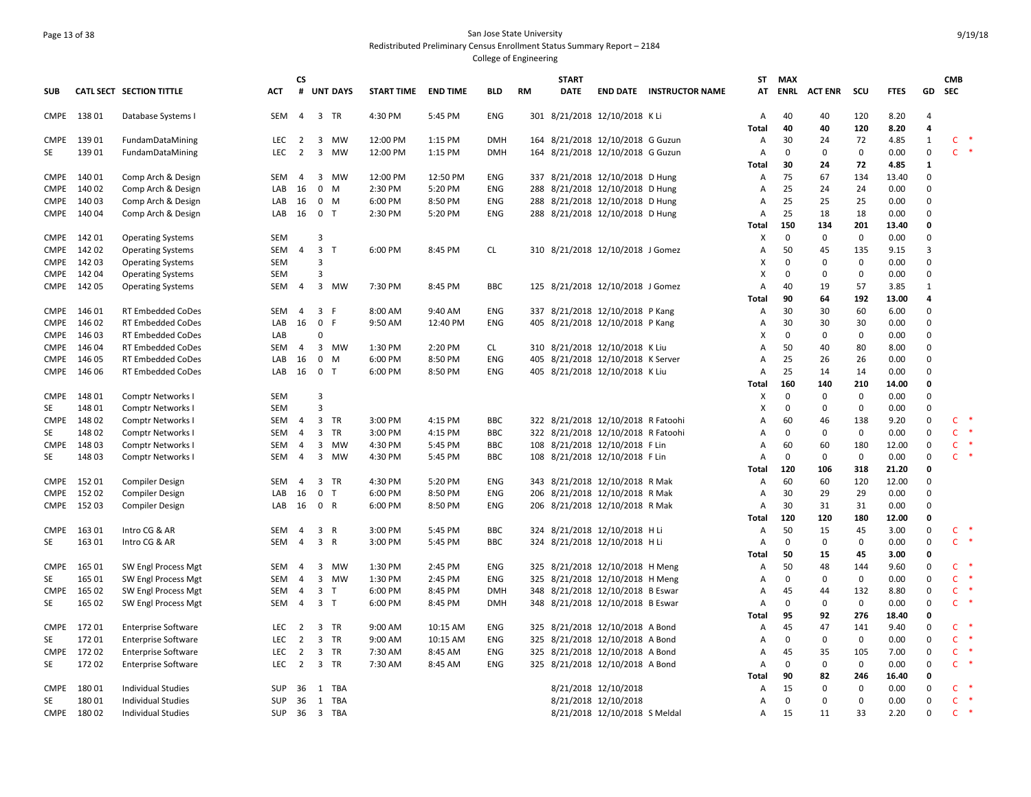# Page 13 of 38 San Jose State University Redistributed Preliminary Census Enrollment Status Summary Report – 2184

| <b>UNT DAYS</b><br>ENRL<br><b>ACT ENR</b><br>scu<br>GD<br><b>SEC</b><br>CATL SECT SECTION TITTLE<br>#<br><b>START TIME</b><br><b>END TIME</b><br><b>BLD</b><br>RM<br><b>DATE</b><br><b>END DATE INSTRUCTOR NAME</b><br><b>FTES</b><br><b>SUB</b><br>ACT<br>АΤ<br>CMPE 138 01<br>301 8/21/2018 12/10/2018 KLi<br>40<br>8.20<br>Database Systems I<br>SEM<br>4<br>3 TR<br>4:30 PM<br>5:45 PM<br><b>ENG</b><br>А<br>40<br>120<br>$\overline{4}$<br>40<br>120<br>8.20<br>4<br><b>Total</b><br>40<br>$\mathbf{1}$<br>$C$ *<br>139 01<br>FundamDataMining<br>3 MW<br>12:00 PM<br>1:15 PM<br><b>DMH</b><br>164 8/21/2018 12/10/2018 G Guzun<br>30<br>24<br>72<br>4.85<br><b>CMPE</b><br>LEC<br>2<br>Α<br>$\mathbf 0$<br>$C$ *<br>13901<br>LEC<br>2<br>3 MW<br>12:00 PM<br>1:15 PM<br><b>DMH</b><br>164 8/21/2018 12/10/2018 G Guzun<br>$\mathbf 0$<br>0<br>0<br>0.00<br>SE<br>FundamDataMining<br>А<br><b>Total</b><br>30<br>24<br>72<br>4.85<br>1<br>$\mathbf 0$<br>140 01<br>Comp Arch & Design<br>12:50 PM<br>ENG<br>337 8/21/2018 12/10/2018 D Hung<br>75<br>67<br>134<br>13.40<br><b>CMPE</b><br>SEM<br>4<br>3<br>MW<br>12:00 PM<br>А<br>140 02<br>Comp Arch & Design<br>$0 \quad M$<br>2:30 PM<br>5:20 PM<br>ENG<br>8/21/2018 12/10/2018 D Hung<br>25<br>24<br>24<br>0.00<br>$\mathbf 0$<br><b>CMPE</b><br>LAB<br>16<br>288<br>Α<br>25<br>25<br>25<br>$\Omega$<br>CMPE<br>14003<br>Comp Arch & Design<br>16<br>0<br>M<br>6:00 PM<br>8:50 PM<br><b>ENG</b><br>288 8/21/2018 12/10/2018 D Hung<br>A<br>0.00<br>LAB<br>18<br>CMPE<br>140 04<br>$\mathbf 0$<br>$\top$<br>2:30 PM<br>5:20 PM<br><b>ENG</b><br>288 8/21/2018 12/10/2018 D Hung<br>25<br>18<br>0.00<br>$\Omega$<br>Comp Arch & Design<br>LAB<br>16<br>А<br>150<br>134<br>201<br>13.40<br><b>Total</b><br>$\Omega$<br>X<br>$\mathbf 0$<br>0<br>$\mathbf 0$<br>0.00<br>$\mathbf 0$<br>CMPE 14201<br><b>Operating Systems</b><br><b>SEM</b><br>3<br>CMPE<br>14202<br><b>Operating Systems</b><br>SEM<br>3<br>$\top$<br>6:00 PM<br>8:45 PM<br><b>CL</b><br>310 8/21/2018 12/10/2018 J Gomez<br>50<br>45<br>135<br>9.15<br>3<br>4<br>Α<br>X<br>$\mathbf 0$<br>$\mathbf 0$<br>CMPE<br>14203<br><b>Operating Systems</b><br>SEM<br>3<br>0<br>0<br>0.00<br>14204<br>X<br>$\Omega$<br>$\mathbf 0$<br>$\mathbf 0$<br>0.00<br>$\mathbf 0$<br>CMPE<br><b>Operating Systems</b><br><b>SEM</b><br>3<br>CMPE 142 05<br>SEM<br>3<br>7:30 PM<br>8:45 PM<br><b>BBC</b><br>125 8/21/2018 12/10/2018 J Gomez<br>40<br>19<br>57<br>3.85<br>$\mathbf{1}$<br><b>Operating Systems</b><br>4<br>MW<br>А<br>192<br>90<br>64<br>13.00<br>4<br>Total<br>30<br><b>CMPE</b><br>146 01<br><b>RT Embedded CoDes</b><br><b>SEM</b><br>$\overline{4}$<br>3 F<br>8:00 AM<br>9:40 AM<br><b>ENG</b><br>337 8/21/2018 12/10/2018 P Kang<br>30<br>60<br>6.00<br>$\mathbf 0$<br>Α<br>146 02<br>16<br>$\mathbf 0$<br>-F<br>12:40 PM<br><b>ENG</b><br>405 8/21/2018 12/10/2018 P Kang<br>30<br>30<br>30<br>0.00<br>$\mathbf 0$<br><b>CMPE</b><br>RT Embedded CoDes<br>LAB<br>9:50 AM<br>А<br>146 03<br>$\Omega$<br>$\mathbf 0$<br>$\Omega$<br>CMPE<br>RT Embedded CoDes<br>LAB<br>$\Omega$<br>х<br>0.00<br>$\Omega$<br>50<br>$\mathbf 0$<br><b>CMPE</b><br>146 04<br><b>RT Embedded CoDes</b><br>3<br>1:30 PM<br>2:20 PM<br>CL<br>310 8/21/2018 12/10/2018 K Liu<br>А<br>40<br>80<br>8.00<br>SEM<br>4<br>MW<br>146 05<br>$\mathbf 0$<br>M<br>6:00 PM<br>8:50 PM<br>ENG<br>405 8/21/2018 12/10/2018 K Server<br>А<br>25<br>26<br>26<br>0.00<br>$\mathbf 0$<br><b>CMPE</b><br>RT Embedded CoDes<br>LAB<br>16<br>25<br>14<br>$\Omega$<br>CMPE<br>146 06<br>RT Embedded CoDes<br>LAB<br>16<br>0 <sub>T</sub><br>6:00 PM<br>8:50 PM<br><b>ENG</b><br>405 8/21/2018 12/10/2018 K Liu<br>A<br>14<br>0.00<br>160<br>140<br>210<br>14.00<br><b>Total</b><br>$\mathbf 0$<br>148 01<br>3<br>$\mathbf 0$<br>0<br>$\mathbf 0$<br>0.00<br>$\Omega$<br>CMPE<br>Comptr Networks I<br>SEM<br>х<br><b>SE</b><br>14801<br><b>SEM</b><br>x<br>$\mathbf 0$<br>$\mathbf 0$<br>0.00<br>$\mathbf 0$<br>Comptr Networks I<br>3<br>0<br>322 8/21/2018 12/10/2018 R Fatoohi<br>$\mathsf{C}$<br>∗<br><b>CMPE</b><br>14802<br><b>Comptr Networks I</b><br>SEM<br>3 TR<br>3:00 PM<br>4:15 PM<br><b>BBC</b><br>А<br>60<br>46<br>138<br>9.20<br>0<br>4<br>$\mathsf{C}$<br>$\ast$<br>$\mathbf 0$<br>14802<br>3 TR<br>3:00 PM<br><b>BBC</b><br>322 8/21/2018 12/10/2018 R Fatoohi<br>$\mathbf 0$<br>$\mathbf 0$<br>$\mathbf 0$<br>SE<br>Comptr Networks I<br>SEM<br>4<br>4:15 PM<br>А<br>0.00<br>14803<br>4:30 PM<br><b>BBC</b><br>108 8/21/2018 12/10/2018 F Lin<br>60<br>60<br>180<br>12.00<br>$\mathbf 0$<br>$\mathsf{C}$<br>$\ast$<br>Comptr Networks I<br>SEM<br>3 MW<br>5:45 PM<br>Α<br>CMPE<br>-4<br>$\ast$<br>$\mathbf 0$<br>$\mathbf 0$<br>$\mathsf{C}$<br>SE<br>14803<br><b>SEM</b><br>$\overline{4}$<br>3<br>MW<br>4:30 PM<br>5:45 PM<br><b>BBC</b><br>108 8/21/2018 12/10/2018 F Lin<br>A<br>0<br>0.00<br>$\Omega$<br>Comptr Networks I<br>120<br>106<br>318<br>21.20<br>$\mathbf 0$<br><b>Total</b><br>15201<br>3 TR<br>5:20 PM<br><b>ENG</b><br>343 8/21/2018 12/10/2018 R Mak<br>60<br>60<br>120<br>12.00<br>$\mathbf 0$<br><b>CMPE</b><br>Compiler Design<br><b>SEM</b><br>$\overline{4}$<br>4:30 PM<br>Α<br>29<br><b>CMPE</b><br>15202<br>16<br>0<br>6:00 PM<br>8:50 PM<br><b>ENG</b><br>206 8/21/2018 12/10/2018 R Mak<br>30<br>29<br>0.00<br>$\Omega$<br><b>Compiler Design</b><br>LAB<br>$\top$<br>А<br>CMPE<br>15203<br>16<br>0 R<br>6:00 PM<br>8:50 PM<br><b>ENG</b><br>8/21/2018 12/10/2018 R Mak<br>30<br>31<br>31<br>0.00<br>$\Omega$<br><b>Compiler Design</b><br>LAB<br>206<br>Α<br>120<br><b>Total</b><br>120<br>180<br>12.00<br>$\mathbf 0$<br>163 01<br><b>BBC</b><br>324 8/21/2018 12/10/2018 H Li<br>50<br>$\mathbf 0$<br>$\mathsf{C}$<br><b>CMPE</b><br>Intro CG & AR<br>3 R<br>3:00 PM<br>5:45 PM<br>А<br>15<br>45<br>3.00<br>SEM<br>4<br>$C$ *<br>SE<br>163 01<br>Intro CG & AR<br>3 R<br>3:00 PM<br>5:45 PM<br><b>BBC</b><br>324 8/21/2018 12/10/2018 H Li<br>$\mathbf 0$<br>$\mathbf 0$<br>$\mathbf 0$<br>SEM<br>$\overline{4}$<br>Α<br>0<br>0.00<br>50<br>15<br>$\mathbf 0$<br><b>Total</b><br>45<br>3.00<br>$\mathsf{C}$<br>$\rightarrow$<br><b>CMPE</b><br>165 01<br>SW Engl Process Mgt<br>SEM<br>3 MW<br>1:30 PM<br>2:45 PM<br><b>ENG</b><br>325 8/21/2018 12/10/2018 H Meng<br>50<br>48<br>144<br>9.60<br>0<br>-4<br>А<br>$\mathbf 0$<br>$\mathsf{C}$<br>$\ast$<br>SE<br>165 01<br>$\mathbf{3}$<br>1:30 PM<br>2:45 PM<br>325 8/21/2018 12/10/2018 H Meng<br>$\mathbf 0$<br>0<br>0.00<br>$\mathbf 0$<br>SW Engl Process Mgt<br>SEM<br>$\overline{4}$<br>MW<br><b>ENG</b><br>А<br>165 02<br><b>DMH</b><br>8/21/2018 12/10/2018 B Eswar<br>132<br>8.80<br>$\mathbf 0$<br>$\mathsf{C}$<br><b>CMPE</b><br>SW Engl Process Mgt<br>SEM<br>3<br>$\top$<br>6:00 PM<br>8:45 PM<br>348<br>А<br>45<br>44<br>4<br>$\rightarrow$<br>$\mathsf{C}$<br>SE<br>165 02<br>SW Engl Process Mgt<br>$\overline{4}$<br>3 <sub>T</sub><br>6:00 PM<br>8:45 PM<br><b>DMH</b><br>348 8/21/2018 12/10/2018 B Eswar<br>А<br>0<br>0<br>0<br>0.00<br>0<br>SEM<br>92<br>276<br>95<br>$\mathbf 0$<br>18.40<br>Total<br>$\mathsf{C}$<br><b>CMPE</b><br>17201<br><b>Enterprise Software</b><br>2<br>3<br>TR<br>9:00 AM<br>10:15 AM<br><b>ENG</b><br>8/21/2018 12/10/2018 A Bond<br>45<br>47<br>141<br>9.40<br>$\Omega$<br>LEC<br>325<br>A<br>17201<br>$\mathsf 0$<br>$\mathsf 0$<br>$C$ *<br>SE<br><b>Enterprise Software</b><br>LEC<br>$\overline{2}$<br>3 TR<br>9:00 AM<br>10:15 AM<br>ENG<br>325 8/21/2018 12/10/2018 A Bond<br>А<br>$\mathbf 0$<br>0.00<br>$\mathbf 0$<br>17202<br>$\overline{2}$<br>3 TR<br>8:45 AM<br>ENG<br>325 8/21/2018 12/10/2018 A Bond<br>35<br>$\mathbf 0$<br>$\mathsf{C}$<br>$\ast$<br><b>CMPE</b><br><b>Enterprise Software</b><br>LEC<br>7:30 AM<br>Α<br>45<br>105<br>7.00<br>$C$ *<br>SE<br>17202<br>3 TR<br><b>ENG</b><br>0<br>$\mathbf 0$<br>$\mathbf 0$<br>LEC<br>$\overline{2}$<br>7:30 AM<br>8:45 AM<br>325 8/21/2018 12/10/2018 A Bond<br>А<br>0<br>0.00<br><b>Enterprise Software</b><br>90<br>82<br>246<br>16.40<br>$\mathbf 0$<br>Total<br>$\mathsf{C}$<br>8/21/2018 12/10/2018<br>15<br>$\mathbf 0$<br>$\Omega$<br>$\Omega$<br>- *<br><b>CMPE</b><br>18001<br><b>Individual Studies</b><br><b>SUP</b><br>36<br>1 TBA<br>А<br>0.00<br>18001<br>1 TBA<br>0<br>$\mathbf 0$<br>0.00<br>$C$ *<br>SE<br><b>Individual Studies</b><br>SUP<br>36<br>8/21/2018 12/10/2018<br>А<br>0<br>$\Omega$<br>$\ast$<br>33<br>$\mathsf{C}$<br>CMPE 180 02<br><b>Individual Studies</b><br>SUP 36 3 TBA<br>8/21/2018 12/10/2018 S Meldal<br>15<br>11<br>2.20<br>$\Omega$<br>А |  |  | <b>CS</b> |  |  |  | <b>START</b> |  | ST | <b>MAX</b> |  |  | <b>CMB</b> |  |
|----------------------------------------------------------------------------------------------------------------------------------------------------------------------------------------------------------------------------------------------------------------------------------------------------------------------------------------------------------------------------------------------------------------------------------------------------------------------------------------------------------------------------------------------------------------------------------------------------------------------------------------------------------------------------------------------------------------------------------------------------------------------------------------------------------------------------------------------------------------------------------------------------------------------------------------------------------------------------------------------------------------------------------------------------------------------------------------------------------------------------------------------------------------------------------------------------------------------------------------------------------------------------------------------------------------------------------------------------------------------------------------------------------------------------------------------------------------------------------------------------------------------------------------------------------------------------------------------------------------------------------------------------------------------------------------------------------------------------------------------------------------------------------------------------------------------------------------------------------------------------------------------------------------------------------------------------------------------------------------------------------------------------------------------------------------------------------------------------------------------------------------------------------------------------------------------------------------------------------------------------------------------------------------------------------------------------------------------------------------------------------------------------------------------------------------------------------------------------------------------------------------------------------------------------------------------------------------------------------------------------------------------------------------------------------------------------------------------------------------------------------------------------------------------------------------------------------------------------------------------------------------------------------------------------------------------------------------------------------------------------------------------------------------------------------------------------------------------------------------------------------------------------------------------------------------------------------------------------------------------------------------------------------------------------------------------------------------------------------------------------------------------------------------------------------------------------------------------------------------------------------------------------------------------------------------------------------------------------------------------------------------------------------------------------------------------------------------------------------------------------------------------------------------------------------------------------------------------------------------------------------------------------------------------------------------------------------------------------------------------------------------------------------------------------------------------------------------------------------------------------------------------------------------------------------------------------------------------------------------------------------------------------------------------------------------------------------------------------------------------------------------------------------------------------------------------------------------------------------------------------------------------------------------------------------------------------------------------------------------------------------------------------------------------------------------------------------------------------------------------------------------------------------------------------------------------------------------------------------------------------------------------------------------------------------------------------------------------------------------------------------------------------------------------------------------------------------------------------------------------------------------------------------------------------------------------------------------------------------------------------------------------------------------------------------------------------------------------------------------------------------------------------------------------------------------------------------------------------------------------------------------------------------------------------------------------------------------------------------------------------------------------------------------------------------------------------------------------------------------------------------------------------------------------------------------------------------------------------------------------------------------------------------------------------------------------------------------------------------------------------------------------------------------------------------------------------------------------------------------------------------------------------------------------------------------------------------------------------------------------------------------------------------------------------------------------------------------------------------------------------------------------------------------------------------------------------------------------------------------------------------------------------------------------------------------------------------------------------------------------------------------------------------------------------------------------------------------------------------------------------------------------------------------------------------------------------------------------------------------------------------------------------------------------------------------------------------------------------------------------------------------------------------------------------------------------------------------------------------------------------------------------------------------------------------------------------------------------------------------------------------------------------------------------------------------------------------------------------------------------------------------------------------------------------------------------------------------------------------------------------------------------------------------------------------------------------------------------------------------------------------------------------------------------------------------------------------------------------------------------------------------------------------------------------------------------------------------------------------------------------------------------------------------------------------------------------------------------------------------------------------------------------------------------------------------------------------------------------------------------------------------------------------------------------------------------------------------------------------------------------------------------------------------------------------------------------------------------------------------------------------------------------------------------------------------------------------------------------------------------------------------------------------------------------------------------------------------|--|--|-----------|--|--|--|--------------|--|----|------------|--|--|------------|--|
|                                                                                                                                                                                                                                                                                                                                                                                                                                                                                                                                                                                                                                                                                                                                                                                                                                                                                                                                                                                                                                                                                                                                                                                                                                                                                                                                                                                                                                                                                                                                                                                                                                                                                                                                                                                                                                                                                                                                                                                                                                                                                                                                                                                                                                                                                                                                                                                                                                                                                                                                                                                                                                                                                                                                                                                                                                                                                                                                                                                                                                                                                                                                                                                                                                                                                                                                                                                                                                                                                                                                                                                                                                                                                                                                                                                                                                                                                                                                                                                                                                                                                                                                                                                                                                                                                                                                                                                                                                                                                                                                                                                                                                                                                                                                                                                                                                                                                                                                                                                                                                                                                                                                                                                                                                                                                                                                                                                                                                                                                                                                                                                                                                                                                                                                                                                                                                                                                                                                                                                                                                                                                                                                                                                                                                                                                                                                                                                                                                                                                                                                                                                                                                                                                                                                                                                                                                                                                                                                                                                                                                                                                                                                                                                                                                                                                                                                                                                                                                                                                                                                                                                                                                                                                                                                                                                                                                                                                                                                                                                                                                                                                                                                                                                                                                                                                                                                                                                                                                                                                                                                                                                        |  |  |           |  |  |  |              |  |    |            |  |  |            |  |
|                                                                                                                                                                                                                                                                                                                                                                                                                                                                                                                                                                                                                                                                                                                                                                                                                                                                                                                                                                                                                                                                                                                                                                                                                                                                                                                                                                                                                                                                                                                                                                                                                                                                                                                                                                                                                                                                                                                                                                                                                                                                                                                                                                                                                                                                                                                                                                                                                                                                                                                                                                                                                                                                                                                                                                                                                                                                                                                                                                                                                                                                                                                                                                                                                                                                                                                                                                                                                                                                                                                                                                                                                                                                                                                                                                                                                                                                                                                                                                                                                                                                                                                                                                                                                                                                                                                                                                                                                                                                                                                                                                                                                                                                                                                                                                                                                                                                                                                                                                                                                                                                                                                                                                                                                                                                                                                                                                                                                                                                                                                                                                                                                                                                                                                                                                                                                                                                                                                                                                                                                                                                                                                                                                                                                                                                                                                                                                                                                                                                                                                                                                                                                                                                                                                                                                                                                                                                                                                                                                                                                                                                                                                                                                                                                                                                                                                                                                                                                                                                                                                                                                                                                                                                                                                                                                                                                                                                                                                                                                                                                                                                                                                                                                                                                                                                                                                                                                                                                                                                                                                                                                                        |  |  |           |  |  |  |              |  |    |            |  |  |            |  |
|                                                                                                                                                                                                                                                                                                                                                                                                                                                                                                                                                                                                                                                                                                                                                                                                                                                                                                                                                                                                                                                                                                                                                                                                                                                                                                                                                                                                                                                                                                                                                                                                                                                                                                                                                                                                                                                                                                                                                                                                                                                                                                                                                                                                                                                                                                                                                                                                                                                                                                                                                                                                                                                                                                                                                                                                                                                                                                                                                                                                                                                                                                                                                                                                                                                                                                                                                                                                                                                                                                                                                                                                                                                                                                                                                                                                                                                                                                                                                                                                                                                                                                                                                                                                                                                                                                                                                                                                                                                                                                                                                                                                                                                                                                                                                                                                                                                                                                                                                                                                                                                                                                                                                                                                                                                                                                                                                                                                                                                                                                                                                                                                                                                                                                                                                                                                                                                                                                                                                                                                                                                                                                                                                                                                                                                                                                                                                                                                                                                                                                                                                                                                                                                                                                                                                                                                                                                                                                                                                                                                                                                                                                                                                                                                                                                                                                                                                                                                                                                                                                                                                                                                                                                                                                                                                                                                                                                                                                                                                                                                                                                                                                                                                                                                                                                                                                                                                                                                                                                                                                                                                                                        |  |  |           |  |  |  |              |  |    |            |  |  |            |  |
|                                                                                                                                                                                                                                                                                                                                                                                                                                                                                                                                                                                                                                                                                                                                                                                                                                                                                                                                                                                                                                                                                                                                                                                                                                                                                                                                                                                                                                                                                                                                                                                                                                                                                                                                                                                                                                                                                                                                                                                                                                                                                                                                                                                                                                                                                                                                                                                                                                                                                                                                                                                                                                                                                                                                                                                                                                                                                                                                                                                                                                                                                                                                                                                                                                                                                                                                                                                                                                                                                                                                                                                                                                                                                                                                                                                                                                                                                                                                                                                                                                                                                                                                                                                                                                                                                                                                                                                                                                                                                                                                                                                                                                                                                                                                                                                                                                                                                                                                                                                                                                                                                                                                                                                                                                                                                                                                                                                                                                                                                                                                                                                                                                                                                                                                                                                                                                                                                                                                                                                                                                                                                                                                                                                                                                                                                                                                                                                                                                                                                                                                                                                                                                                                                                                                                                                                                                                                                                                                                                                                                                                                                                                                                                                                                                                                                                                                                                                                                                                                                                                                                                                                                                                                                                                                                                                                                                                                                                                                                                                                                                                                                                                                                                                                                                                                                                                                                                                                                                                                                                                                                                                        |  |  |           |  |  |  |              |  |    |            |  |  |            |  |
|                                                                                                                                                                                                                                                                                                                                                                                                                                                                                                                                                                                                                                                                                                                                                                                                                                                                                                                                                                                                                                                                                                                                                                                                                                                                                                                                                                                                                                                                                                                                                                                                                                                                                                                                                                                                                                                                                                                                                                                                                                                                                                                                                                                                                                                                                                                                                                                                                                                                                                                                                                                                                                                                                                                                                                                                                                                                                                                                                                                                                                                                                                                                                                                                                                                                                                                                                                                                                                                                                                                                                                                                                                                                                                                                                                                                                                                                                                                                                                                                                                                                                                                                                                                                                                                                                                                                                                                                                                                                                                                                                                                                                                                                                                                                                                                                                                                                                                                                                                                                                                                                                                                                                                                                                                                                                                                                                                                                                                                                                                                                                                                                                                                                                                                                                                                                                                                                                                                                                                                                                                                                                                                                                                                                                                                                                                                                                                                                                                                                                                                                                                                                                                                                                                                                                                                                                                                                                                                                                                                                                                                                                                                                                                                                                                                                                                                                                                                                                                                                                                                                                                                                                                                                                                                                                                                                                                                                                                                                                                                                                                                                                                                                                                                                                                                                                                                                                                                                                                                                                                                                                                                        |  |  |           |  |  |  |              |  |    |            |  |  |            |  |
|                                                                                                                                                                                                                                                                                                                                                                                                                                                                                                                                                                                                                                                                                                                                                                                                                                                                                                                                                                                                                                                                                                                                                                                                                                                                                                                                                                                                                                                                                                                                                                                                                                                                                                                                                                                                                                                                                                                                                                                                                                                                                                                                                                                                                                                                                                                                                                                                                                                                                                                                                                                                                                                                                                                                                                                                                                                                                                                                                                                                                                                                                                                                                                                                                                                                                                                                                                                                                                                                                                                                                                                                                                                                                                                                                                                                                                                                                                                                                                                                                                                                                                                                                                                                                                                                                                                                                                                                                                                                                                                                                                                                                                                                                                                                                                                                                                                                                                                                                                                                                                                                                                                                                                                                                                                                                                                                                                                                                                                                                                                                                                                                                                                                                                                                                                                                                                                                                                                                                                                                                                                                                                                                                                                                                                                                                                                                                                                                                                                                                                                                                                                                                                                                                                                                                                                                                                                                                                                                                                                                                                                                                                                                                                                                                                                                                                                                                                                                                                                                                                                                                                                                                                                                                                                                                                                                                                                                                                                                                                                                                                                                                                                                                                                                                                                                                                                                                                                                                                                                                                                                                                                        |  |  |           |  |  |  |              |  |    |            |  |  |            |  |
|                                                                                                                                                                                                                                                                                                                                                                                                                                                                                                                                                                                                                                                                                                                                                                                                                                                                                                                                                                                                                                                                                                                                                                                                                                                                                                                                                                                                                                                                                                                                                                                                                                                                                                                                                                                                                                                                                                                                                                                                                                                                                                                                                                                                                                                                                                                                                                                                                                                                                                                                                                                                                                                                                                                                                                                                                                                                                                                                                                                                                                                                                                                                                                                                                                                                                                                                                                                                                                                                                                                                                                                                                                                                                                                                                                                                                                                                                                                                                                                                                                                                                                                                                                                                                                                                                                                                                                                                                                                                                                                                                                                                                                                                                                                                                                                                                                                                                                                                                                                                                                                                                                                                                                                                                                                                                                                                                                                                                                                                                                                                                                                                                                                                                                                                                                                                                                                                                                                                                                                                                                                                                                                                                                                                                                                                                                                                                                                                                                                                                                                                                                                                                                                                                                                                                                                                                                                                                                                                                                                                                                                                                                                                                                                                                                                                                                                                                                                                                                                                                                                                                                                                                                                                                                                                                                                                                                                                                                                                                                                                                                                                                                                                                                                                                                                                                                                                                                                                                                                                                                                                                                                        |  |  |           |  |  |  |              |  |    |            |  |  |            |  |
|                                                                                                                                                                                                                                                                                                                                                                                                                                                                                                                                                                                                                                                                                                                                                                                                                                                                                                                                                                                                                                                                                                                                                                                                                                                                                                                                                                                                                                                                                                                                                                                                                                                                                                                                                                                                                                                                                                                                                                                                                                                                                                                                                                                                                                                                                                                                                                                                                                                                                                                                                                                                                                                                                                                                                                                                                                                                                                                                                                                                                                                                                                                                                                                                                                                                                                                                                                                                                                                                                                                                                                                                                                                                                                                                                                                                                                                                                                                                                                                                                                                                                                                                                                                                                                                                                                                                                                                                                                                                                                                                                                                                                                                                                                                                                                                                                                                                                                                                                                                                                                                                                                                                                                                                                                                                                                                                                                                                                                                                                                                                                                                                                                                                                                                                                                                                                                                                                                                                                                                                                                                                                                                                                                                                                                                                                                                                                                                                                                                                                                                                                                                                                                                                                                                                                                                                                                                                                                                                                                                                                                                                                                                                                                                                                                                                                                                                                                                                                                                                                                                                                                                                                                                                                                                                                                                                                                                                                                                                                                                                                                                                                                                                                                                                                                                                                                                                                                                                                                                                                                                                                                                        |  |  |           |  |  |  |              |  |    |            |  |  |            |  |
|                                                                                                                                                                                                                                                                                                                                                                                                                                                                                                                                                                                                                                                                                                                                                                                                                                                                                                                                                                                                                                                                                                                                                                                                                                                                                                                                                                                                                                                                                                                                                                                                                                                                                                                                                                                                                                                                                                                                                                                                                                                                                                                                                                                                                                                                                                                                                                                                                                                                                                                                                                                                                                                                                                                                                                                                                                                                                                                                                                                                                                                                                                                                                                                                                                                                                                                                                                                                                                                                                                                                                                                                                                                                                                                                                                                                                                                                                                                                                                                                                                                                                                                                                                                                                                                                                                                                                                                                                                                                                                                                                                                                                                                                                                                                                                                                                                                                                                                                                                                                                                                                                                                                                                                                                                                                                                                                                                                                                                                                                                                                                                                                                                                                                                                                                                                                                                                                                                                                                                                                                                                                                                                                                                                                                                                                                                                                                                                                                                                                                                                                                                                                                                                                                                                                                                                                                                                                                                                                                                                                                                                                                                                                                                                                                                                                                                                                                                                                                                                                                                                                                                                                                                                                                                                                                                                                                                                                                                                                                                                                                                                                                                                                                                                                                                                                                                                                                                                                                                                                                                                                                                                        |  |  |           |  |  |  |              |  |    |            |  |  |            |  |
|                                                                                                                                                                                                                                                                                                                                                                                                                                                                                                                                                                                                                                                                                                                                                                                                                                                                                                                                                                                                                                                                                                                                                                                                                                                                                                                                                                                                                                                                                                                                                                                                                                                                                                                                                                                                                                                                                                                                                                                                                                                                                                                                                                                                                                                                                                                                                                                                                                                                                                                                                                                                                                                                                                                                                                                                                                                                                                                                                                                                                                                                                                                                                                                                                                                                                                                                                                                                                                                                                                                                                                                                                                                                                                                                                                                                                                                                                                                                                                                                                                                                                                                                                                                                                                                                                                                                                                                                                                                                                                                                                                                                                                                                                                                                                                                                                                                                                                                                                                                                                                                                                                                                                                                                                                                                                                                                                                                                                                                                                                                                                                                                                                                                                                                                                                                                                                                                                                                                                                                                                                                                                                                                                                                                                                                                                                                                                                                                                                                                                                                                                                                                                                                                                                                                                                                                                                                                                                                                                                                                                                                                                                                                                                                                                                                                                                                                                                                                                                                                                                                                                                                                                                                                                                                                                                                                                                                                                                                                                                                                                                                                                                                                                                                                                                                                                                                                                                                                                                                                                                                                                                                        |  |  |           |  |  |  |              |  |    |            |  |  |            |  |
|                                                                                                                                                                                                                                                                                                                                                                                                                                                                                                                                                                                                                                                                                                                                                                                                                                                                                                                                                                                                                                                                                                                                                                                                                                                                                                                                                                                                                                                                                                                                                                                                                                                                                                                                                                                                                                                                                                                                                                                                                                                                                                                                                                                                                                                                                                                                                                                                                                                                                                                                                                                                                                                                                                                                                                                                                                                                                                                                                                                                                                                                                                                                                                                                                                                                                                                                                                                                                                                                                                                                                                                                                                                                                                                                                                                                                                                                                                                                                                                                                                                                                                                                                                                                                                                                                                                                                                                                                                                                                                                                                                                                                                                                                                                                                                                                                                                                                                                                                                                                                                                                                                                                                                                                                                                                                                                                                                                                                                                                                                                                                                                                                                                                                                                                                                                                                                                                                                                                                                                                                                                                                                                                                                                                                                                                                                                                                                                                                                                                                                                                                                                                                                                                                                                                                                                                                                                                                                                                                                                                                                                                                                                                                                                                                                                                                                                                                                                                                                                                                                                                                                                                                                                                                                                                                                                                                                                                                                                                                                                                                                                                                                                                                                                                                                                                                                                                                                                                                                                                                                                                                                                        |  |  |           |  |  |  |              |  |    |            |  |  |            |  |
|                                                                                                                                                                                                                                                                                                                                                                                                                                                                                                                                                                                                                                                                                                                                                                                                                                                                                                                                                                                                                                                                                                                                                                                                                                                                                                                                                                                                                                                                                                                                                                                                                                                                                                                                                                                                                                                                                                                                                                                                                                                                                                                                                                                                                                                                                                                                                                                                                                                                                                                                                                                                                                                                                                                                                                                                                                                                                                                                                                                                                                                                                                                                                                                                                                                                                                                                                                                                                                                                                                                                                                                                                                                                                                                                                                                                                                                                                                                                                                                                                                                                                                                                                                                                                                                                                                                                                                                                                                                                                                                                                                                                                                                                                                                                                                                                                                                                                                                                                                                                                                                                                                                                                                                                                                                                                                                                                                                                                                                                                                                                                                                                                                                                                                                                                                                                                                                                                                                                                                                                                                                                                                                                                                                                                                                                                                                                                                                                                                                                                                                                                                                                                                                                                                                                                                                                                                                                                                                                                                                                                                                                                                                                                                                                                                                                                                                                                                                                                                                                                                                                                                                                                                                                                                                                                                                                                                                                                                                                                                                                                                                                                                                                                                                                                                                                                                                                                                                                                                                                                                                                                                                        |  |  |           |  |  |  |              |  |    |            |  |  |            |  |
|                                                                                                                                                                                                                                                                                                                                                                                                                                                                                                                                                                                                                                                                                                                                                                                                                                                                                                                                                                                                                                                                                                                                                                                                                                                                                                                                                                                                                                                                                                                                                                                                                                                                                                                                                                                                                                                                                                                                                                                                                                                                                                                                                                                                                                                                                                                                                                                                                                                                                                                                                                                                                                                                                                                                                                                                                                                                                                                                                                                                                                                                                                                                                                                                                                                                                                                                                                                                                                                                                                                                                                                                                                                                                                                                                                                                                                                                                                                                                                                                                                                                                                                                                                                                                                                                                                                                                                                                                                                                                                                                                                                                                                                                                                                                                                                                                                                                                                                                                                                                                                                                                                                                                                                                                                                                                                                                                                                                                                                                                                                                                                                                                                                                                                                                                                                                                                                                                                                                                                                                                                                                                                                                                                                                                                                                                                                                                                                                                                                                                                                                                                                                                                                                                                                                                                                                                                                                                                                                                                                                                                                                                                                                                                                                                                                                                                                                                                                                                                                                                                                                                                                                                                                                                                                                                                                                                                                                                                                                                                                                                                                                                                                                                                                                                                                                                                                                                                                                                                                                                                                                                                                        |  |  |           |  |  |  |              |  |    |            |  |  |            |  |
|                                                                                                                                                                                                                                                                                                                                                                                                                                                                                                                                                                                                                                                                                                                                                                                                                                                                                                                                                                                                                                                                                                                                                                                                                                                                                                                                                                                                                                                                                                                                                                                                                                                                                                                                                                                                                                                                                                                                                                                                                                                                                                                                                                                                                                                                                                                                                                                                                                                                                                                                                                                                                                                                                                                                                                                                                                                                                                                                                                                                                                                                                                                                                                                                                                                                                                                                                                                                                                                                                                                                                                                                                                                                                                                                                                                                                                                                                                                                                                                                                                                                                                                                                                                                                                                                                                                                                                                                                                                                                                                                                                                                                                                                                                                                                                                                                                                                                                                                                                                                                                                                                                                                                                                                                                                                                                                                                                                                                                                                                                                                                                                                                                                                                                                                                                                                                                                                                                                                                                                                                                                                                                                                                                                                                                                                                                                                                                                                                                                                                                                                                                                                                                                                                                                                                                                                                                                                                                                                                                                                                                                                                                                                                                                                                                                                                                                                                                                                                                                                                                                                                                                                                                                                                                                                                                                                                                                                                                                                                                                                                                                                                                                                                                                                                                                                                                                                                                                                                                                                                                                                                                                        |  |  |           |  |  |  |              |  |    |            |  |  |            |  |
|                                                                                                                                                                                                                                                                                                                                                                                                                                                                                                                                                                                                                                                                                                                                                                                                                                                                                                                                                                                                                                                                                                                                                                                                                                                                                                                                                                                                                                                                                                                                                                                                                                                                                                                                                                                                                                                                                                                                                                                                                                                                                                                                                                                                                                                                                                                                                                                                                                                                                                                                                                                                                                                                                                                                                                                                                                                                                                                                                                                                                                                                                                                                                                                                                                                                                                                                                                                                                                                                                                                                                                                                                                                                                                                                                                                                                                                                                                                                                                                                                                                                                                                                                                                                                                                                                                                                                                                                                                                                                                                                                                                                                                                                                                                                                                                                                                                                                                                                                                                                                                                                                                                                                                                                                                                                                                                                                                                                                                                                                                                                                                                                                                                                                                                                                                                                                                                                                                                                                                                                                                                                                                                                                                                                                                                                                                                                                                                                                                                                                                                                                                                                                                                                                                                                                                                                                                                                                                                                                                                                                                                                                                                                                                                                                                                                                                                                                                                                                                                                                                                                                                                                                                                                                                                                                                                                                                                                                                                                                                                                                                                                                                                                                                                                                                                                                                                                                                                                                                                                                                                                                                                        |  |  |           |  |  |  |              |  |    |            |  |  |            |  |
|                                                                                                                                                                                                                                                                                                                                                                                                                                                                                                                                                                                                                                                                                                                                                                                                                                                                                                                                                                                                                                                                                                                                                                                                                                                                                                                                                                                                                                                                                                                                                                                                                                                                                                                                                                                                                                                                                                                                                                                                                                                                                                                                                                                                                                                                                                                                                                                                                                                                                                                                                                                                                                                                                                                                                                                                                                                                                                                                                                                                                                                                                                                                                                                                                                                                                                                                                                                                                                                                                                                                                                                                                                                                                                                                                                                                                                                                                                                                                                                                                                                                                                                                                                                                                                                                                                                                                                                                                                                                                                                                                                                                                                                                                                                                                                                                                                                                                                                                                                                                                                                                                                                                                                                                                                                                                                                                                                                                                                                                                                                                                                                                                                                                                                                                                                                                                                                                                                                                                                                                                                                                                                                                                                                                                                                                                                                                                                                                                                                                                                                                                                                                                                                                                                                                                                                                                                                                                                                                                                                                                                                                                                                                                                                                                                                                                                                                                                                                                                                                                                                                                                                                                                                                                                                                                                                                                                                                                                                                                                                                                                                                                                                                                                                                                                                                                                                                                                                                                                                                                                                                                                                        |  |  |           |  |  |  |              |  |    |            |  |  |            |  |
|                                                                                                                                                                                                                                                                                                                                                                                                                                                                                                                                                                                                                                                                                                                                                                                                                                                                                                                                                                                                                                                                                                                                                                                                                                                                                                                                                                                                                                                                                                                                                                                                                                                                                                                                                                                                                                                                                                                                                                                                                                                                                                                                                                                                                                                                                                                                                                                                                                                                                                                                                                                                                                                                                                                                                                                                                                                                                                                                                                                                                                                                                                                                                                                                                                                                                                                                                                                                                                                                                                                                                                                                                                                                                                                                                                                                                                                                                                                                                                                                                                                                                                                                                                                                                                                                                                                                                                                                                                                                                                                                                                                                                                                                                                                                                                                                                                                                                                                                                                                                                                                                                                                                                                                                                                                                                                                                                                                                                                                                                                                                                                                                                                                                                                                                                                                                                                                                                                                                                                                                                                                                                                                                                                                                                                                                                                                                                                                                                                                                                                                                                                                                                                                                                                                                                                                                                                                                                                                                                                                                                                                                                                                                                                                                                                                                                                                                                                                                                                                                                                                                                                                                                                                                                                                                                                                                                                                                                                                                                                                                                                                                                                                                                                                                                                                                                                                                                                                                                                                                                                                                                                                        |  |  |           |  |  |  |              |  |    |            |  |  |            |  |
|                                                                                                                                                                                                                                                                                                                                                                                                                                                                                                                                                                                                                                                                                                                                                                                                                                                                                                                                                                                                                                                                                                                                                                                                                                                                                                                                                                                                                                                                                                                                                                                                                                                                                                                                                                                                                                                                                                                                                                                                                                                                                                                                                                                                                                                                                                                                                                                                                                                                                                                                                                                                                                                                                                                                                                                                                                                                                                                                                                                                                                                                                                                                                                                                                                                                                                                                                                                                                                                                                                                                                                                                                                                                                                                                                                                                                                                                                                                                                                                                                                                                                                                                                                                                                                                                                                                                                                                                                                                                                                                                                                                                                                                                                                                                                                                                                                                                                                                                                                                                                                                                                                                                                                                                                                                                                                                                                                                                                                                                                                                                                                                                                                                                                                                                                                                                                                                                                                                                                                                                                                                                                                                                                                                                                                                                                                                                                                                                                                                                                                                                                                                                                                                                                                                                                                                                                                                                                                                                                                                                                                                                                                                                                                                                                                                                                                                                                                                                                                                                                                                                                                                                                                                                                                                                                                                                                                                                                                                                                                                                                                                                                                                                                                                                                                                                                                                                                                                                                                                                                                                                                                                        |  |  |           |  |  |  |              |  |    |            |  |  |            |  |
|                                                                                                                                                                                                                                                                                                                                                                                                                                                                                                                                                                                                                                                                                                                                                                                                                                                                                                                                                                                                                                                                                                                                                                                                                                                                                                                                                                                                                                                                                                                                                                                                                                                                                                                                                                                                                                                                                                                                                                                                                                                                                                                                                                                                                                                                                                                                                                                                                                                                                                                                                                                                                                                                                                                                                                                                                                                                                                                                                                                                                                                                                                                                                                                                                                                                                                                                                                                                                                                                                                                                                                                                                                                                                                                                                                                                                                                                                                                                                                                                                                                                                                                                                                                                                                                                                                                                                                                                                                                                                                                                                                                                                                                                                                                                                                                                                                                                                                                                                                                                                                                                                                                                                                                                                                                                                                                                                                                                                                                                                                                                                                                                                                                                                                                                                                                                                                                                                                                                                                                                                                                                                                                                                                                                                                                                                                                                                                                                                                                                                                                                                                                                                                                                                                                                                                                                                                                                                                                                                                                                                                                                                                                                                                                                                                                                                                                                                                                                                                                                                                                                                                                                                                                                                                                                                                                                                                                                                                                                                                                                                                                                                                                                                                                                                                                                                                                                                                                                                                                                                                                                                                                        |  |  |           |  |  |  |              |  |    |            |  |  |            |  |
|                                                                                                                                                                                                                                                                                                                                                                                                                                                                                                                                                                                                                                                                                                                                                                                                                                                                                                                                                                                                                                                                                                                                                                                                                                                                                                                                                                                                                                                                                                                                                                                                                                                                                                                                                                                                                                                                                                                                                                                                                                                                                                                                                                                                                                                                                                                                                                                                                                                                                                                                                                                                                                                                                                                                                                                                                                                                                                                                                                                                                                                                                                                                                                                                                                                                                                                                                                                                                                                                                                                                                                                                                                                                                                                                                                                                                                                                                                                                                                                                                                                                                                                                                                                                                                                                                                                                                                                                                                                                                                                                                                                                                                                                                                                                                                                                                                                                                                                                                                                                                                                                                                                                                                                                                                                                                                                                                                                                                                                                                                                                                                                                                                                                                                                                                                                                                                                                                                                                                                                                                                                                                                                                                                                                                                                                                                                                                                                                                                                                                                                                                                                                                                                                                                                                                                                                                                                                                                                                                                                                                                                                                                                                                                                                                                                                                                                                                                                                                                                                                                                                                                                                                                                                                                                                                                                                                                                                                                                                                                                                                                                                                                                                                                                                                                                                                                                                                                                                                                                                                                                                                                                        |  |  |           |  |  |  |              |  |    |            |  |  |            |  |
|                                                                                                                                                                                                                                                                                                                                                                                                                                                                                                                                                                                                                                                                                                                                                                                                                                                                                                                                                                                                                                                                                                                                                                                                                                                                                                                                                                                                                                                                                                                                                                                                                                                                                                                                                                                                                                                                                                                                                                                                                                                                                                                                                                                                                                                                                                                                                                                                                                                                                                                                                                                                                                                                                                                                                                                                                                                                                                                                                                                                                                                                                                                                                                                                                                                                                                                                                                                                                                                                                                                                                                                                                                                                                                                                                                                                                                                                                                                                                                                                                                                                                                                                                                                                                                                                                                                                                                                                                                                                                                                                                                                                                                                                                                                                                                                                                                                                                                                                                                                                                                                                                                                                                                                                                                                                                                                                                                                                                                                                                                                                                                                                                                                                                                                                                                                                                                                                                                                                                                                                                                                                                                                                                                                                                                                                                                                                                                                                                                                                                                                                                                                                                                                                                                                                                                                                                                                                                                                                                                                                                                                                                                                                                                                                                                                                                                                                                                                                                                                                                                                                                                                                                                                                                                                                                                                                                                                                                                                                                                                                                                                                                                                                                                                                                                                                                                                                                                                                                                                                                                                                                                                        |  |  |           |  |  |  |              |  |    |            |  |  |            |  |
|                                                                                                                                                                                                                                                                                                                                                                                                                                                                                                                                                                                                                                                                                                                                                                                                                                                                                                                                                                                                                                                                                                                                                                                                                                                                                                                                                                                                                                                                                                                                                                                                                                                                                                                                                                                                                                                                                                                                                                                                                                                                                                                                                                                                                                                                                                                                                                                                                                                                                                                                                                                                                                                                                                                                                                                                                                                                                                                                                                                                                                                                                                                                                                                                                                                                                                                                                                                                                                                                                                                                                                                                                                                                                                                                                                                                                                                                                                                                                                                                                                                                                                                                                                                                                                                                                                                                                                                                                                                                                                                                                                                                                                                                                                                                                                                                                                                                                                                                                                                                                                                                                                                                                                                                                                                                                                                                                                                                                                                                                                                                                                                                                                                                                                                                                                                                                                                                                                                                                                                                                                                                                                                                                                                                                                                                                                                                                                                                                                                                                                                                                                                                                                                                                                                                                                                                                                                                                                                                                                                                                                                                                                                                                                                                                                                                                                                                                                                                                                                                                                                                                                                                                                                                                                                                                                                                                                                                                                                                                                                                                                                                                                                                                                                                                                                                                                                                                                                                                                                                                                                                                                                        |  |  |           |  |  |  |              |  |    |            |  |  |            |  |
|                                                                                                                                                                                                                                                                                                                                                                                                                                                                                                                                                                                                                                                                                                                                                                                                                                                                                                                                                                                                                                                                                                                                                                                                                                                                                                                                                                                                                                                                                                                                                                                                                                                                                                                                                                                                                                                                                                                                                                                                                                                                                                                                                                                                                                                                                                                                                                                                                                                                                                                                                                                                                                                                                                                                                                                                                                                                                                                                                                                                                                                                                                                                                                                                                                                                                                                                                                                                                                                                                                                                                                                                                                                                                                                                                                                                                                                                                                                                                                                                                                                                                                                                                                                                                                                                                                                                                                                                                                                                                                                                                                                                                                                                                                                                                                                                                                                                                                                                                                                                                                                                                                                                                                                                                                                                                                                                                                                                                                                                                                                                                                                                                                                                                                                                                                                                                                                                                                                                                                                                                                                                                                                                                                                                                                                                                                                                                                                                                                                                                                                                                                                                                                                                                                                                                                                                                                                                                                                                                                                                                                                                                                                                                                                                                                                                                                                                                                                                                                                                                                                                                                                                                                                                                                                                                                                                                                                                                                                                                                                                                                                                                                                                                                                                                                                                                                                                                                                                                                                                                                                                                                                        |  |  |           |  |  |  |              |  |    |            |  |  |            |  |
|                                                                                                                                                                                                                                                                                                                                                                                                                                                                                                                                                                                                                                                                                                                                                                                                                                                                                                                                                                                                                                                                                                                                                                                                                                                                                                                                                                                                                                                                                                                                                                                                                                                                                                                                                                                                                                                                                                                                                                                                                                                                                                                                                                                                                                                                                                                                                                                                                                                                                                                                                                                                                                                                                                                                                                                                                                                                                                                                                                                                                                                                                                                                                                                                                                                                                                                                                                                                                                                                                                                                                                                                                                                                                                                                                                                                                                                                                                                                                                                                                                                                                                                                                                                                                                                                                                                                                                                                                                                                                                                                                                                                                                                                                                                                                                                                                                                                                                                                                                                                                                                                                                                                                                                                                                                                                                                                                                                                                                                                                                                                                                                                                                                                                                                                                                                                                                                                                                                                                                                                                                                                                                                                                                                                                                                                                                                                                                                                                                                                                                                                                                                                                                                                                                                                                                                                                                                                                                                                                                                                                                                                                                                                                                                                                                                                                                                                                                                                                                                                                                                                                                                                                                                                                                                                                                                                                                                                                                                                                                                                                                                                                                                                                                                                                                                                                                                                                                                                                                                                                                                                                                                        |  |  |           |  |  |  |              |  |    |            |  |  |            |  |
|                                                                                                                                                                                                                                                                                                                                                                                                                                                                                                                                                                                                                                                                                                                                                                                                                                                                                                                                                                                                                                                                                                                                                                                                                                                                                                                                                                                                                                                                                                                                                                                                                                                                                                                                                                                                                                                                                                                                                                                                                                                                                                                                                                                                                                                                                                                                                                                                                                                                                                                                                                                                                                                                                                                                                                                                                                                                                                                                                                                                                                                                                                                                                                                                                                                                                                                                                                                                                                                                                                                                                                                                                                                                                                                                                                                                                                                                                                                                                                                                                                                                                                                                                                                                                                                                                                                                                                                                                                                                                                                                                                                                                                                                                                                                                                                                                                                                                                                                                                                                                                                                                                                                                                                                                                                                                                                                                                                                                                                                                                                                                                                                                                                                                                                                                                                                                                                                                                                                                                                                                                                                                                                                                                                                                                                                                                                                                                                                                                                                                                                                                                                                                                                                                                                                                                                                                                                                                                                                                                                                                                                                                                                                                                                                                                                                                                                                                                                                                                                                                                                                                                                                                                                                                                                                                                                                                                                                                                                                                                                                                                                                                                                                                                                                                                                                                                                                                                                                                                                                                                                                                                                        |  |  |           |  |  |  |              |  |    |            |  |  |            |  |
|                                                                                                                                                                                                                                                                                                                                                                                                                                                                                                                                                                                                                                                                                                                                                                                                                                                                                                                                                                                                                                                                                                                                                                                                                                                                                                                                                                                                                                                                                                                                                                                                                                                                                                                                                                                                                                                                                                                                                                                                                                                                                                                                                                                                                                                                                                                                                                                                                                                                                                                                                                                                                                                                                                                                                                                                                                                                                                                                                                                                                                                                                                                                                                                                                                                                                                                                                                                                                                                                                                                                                                                                                                                                                                                                                                                                                                                                                                                                                                                                                                                                                                                                                                                                                                                                                                                                                                                                                                                                                                                                                                                                                                                                                                                                                                                                                                                                                                                                                                                                                                                                                                                                                                                                                                                                                                                                                                                                                                                                                                                                                                                                                                                                                                                                                                                                                                                                                                                                                                                                                                                                                                                                                                                                                                                                                                                                                                                                                                                                                                                                                                                                                                                                                                                                                                                                                                                                                                                                                                                                                                                                                                                                                                                                                                                                                                                                                                                                                                                                                                                                                                                                                                                                                                                                                                                                                                                                                                                                                                                                                                                                                                                                                                                                                                                                                                                                                                                                                                                                                                                                                                                        |  |  |           |  |  |  |              |  |    |            |  |  |            |  |
|                                                                                                                                                                                                                                                                                                                                                                                                                                                                                                                                                                                                                                                                                                                                                                                                                                                                                                                                                                                                                                                                                                                                                                                                                                                                                                                                                                                                                                                                                                                                                                                                                                                                                                                                                                                                                                                                                                                                                                                                                                                                                                                                                                                                                                                                                                                                                                                                                                                                                                                                                                                                                                                                                                                                                                                                                                                                                                                                                                                                                                                                                                                                                                                                                                                                                                                                                                                                                                                                                                                                                                                                                                                                                                                                                                                                                                                                                                                                                                                                                                                                                                                                                                                                                                                                                                                                                                                                                                                                                                                                                                                                                                                                                                                                                                                                                                                                                                                                                                                                                                                                                                                                                                                                                                                                                                                                                                                                                                                                                                                                                                                                                                                                                                                                                                                                                                                                                                                                                                                                                                                                                                                                                                                                                                                                                                                                                                                                                                                                                                                                                                                                                                                                                                                                                                                                                                                                                                                                                                                                                                                                                                                                                                                                                                                                                                                                                                                                                                                                                                                                                                                                                                                                                                                                                                                                                                                                                                                                                                                                                                                                                                                                                                                                                                                                                                                                                                                                                                                                                                                                                                                        |  |  |           |  |  |  |              |  |    |            |  |  |            |  |
|                                                                                                                                                                                                                                                                                                                                                                                                                                                                                                                                                                                                                                                                                                                                                                                                                                                                                                                                                                                                                                                                                                                                                                                                                                                                                                                                                                                                                                                                                                                                                                                                                                                                                                                                                                                                                                                                                                                                                                                                                                                                                                                                                                                                                                                                                                                                                                                                                                                                                                                                                                                                                                                                                                                                                                                                                                                                                                                                                                                                                                                                                                                                                                                                                                                                                                                                                                                                                                                                                                                                                                                                                                                                                                                                                                                                                                                                                                                                                                                                                                                                                                                                                                                                                                                                                                                                                                                                                                                                                                                                                                                                                                                                                                                                                                                                                                                                                                                                                                                                                                                                                                                                                                                                                                                                                                                                                                                                                                                                                                                                                                                                                                                                                                                                                                                                                                                                                                                                                                                                                                                                                                                                                                                                                                                                                                                                                                                                                                                                                                                                                                                                                                                                                                                                                                                                                                                                                                                                                                                                                                                                                                                                                                                                                                                                                                                                                                                                                                                                                                                                                                                                                                                                                                                                                                                                                                                                                                                                                                                                                                                                                                                                                                                                                                                                                                                                                                                                                                                                                                                                                                                        |  |  |           |  |  |  |              |  |    |            |  |  |            |  |
|                                                                                                                                                                                                                                                                                                                                                                                                                                                                                                                                                                                                                                                                                                                                                                                                                                                                                                                                                                                                                                                                                                                                                                                                                                                                                                                                                                                                                                                                                                                                                                                                                                                                                                                                                                                                                                                                                                                                                                                                                                                                                                                                                                                                                                                                                                                                                                                                                                                                                                                                                                                                                                                                                                                                                                                                                                                                                                                                                                                                                                                                                                                                                                                                                                                                                                                                                                                                                                                                                                                                                                                                                                                                                                                                                                                                                                                                                                                                                                                                                                                                                                                                                                                                                                                                                                                                                                                                                                                                                                                                                                                                                                                                                                                                                                                                                                                                                                                                                                                                                                                                                                                                                                                                                                                                                                                                                                                                                                                                                                                                                                                                                                                                                                                                                                                                                                                                                                                                                                                                                                                                                                                                                                                                                                                                                                                                                                                                                                                                                                                                                                                                                                                                                                                                                                                                                                                                                                                                                                                                                                                                                                                                                                                                                                                                                                                                                                                                                                                                                                                                                                                                                                                                                                                                                                                                                                                                                                                                                                                                                                                                                                                                                                                                                                                                                                                                                                                                                                                                                                                                                                                        |  |  |           |  |  |  |              |  |    |            |  |  |            |  |
|                                                                                                                                                                                                                                                                                                                                                                                                                                                                                                                                                                                                                                                                                                                                                                                                                                                                                                                                                                                                                                                                                                                                                                                                                                                                                                                                                                                                                                                                                                                                                                                                                                                                                                                                                                                                                                                                                                                                                                                                                                                                                                                                                                                                                                                                                                                                                                                                                                                                                                                                                                                                                                                                                                                                                                                                                                                                                                                                                                                                                                                                                                                                                                                                                                                                                                                                                                                                                                                                                                                                                                                                                                                                                                                                                                                                                                                                                                                                                                                                                                                                                                                                                                                                                                                                                                                                                                                                                                                                                                                                                                                                                                                                                                                                                                                                                                                                                                                                                                                                                                                                                                                                                                                                                                                                                                                                                                                                                                                                                                                                                                                                                                                                                                                                                                                                                                                                                                                                                                                                                                                                                                                                                                                                                                                                                                                                                                                                                                                                                                                                                                                                                                                                                                                                                                                                                                                                                                                                                                                                                                                                                                                                                                                                                                                                                                                                                                                                                                                                                                                                                                                                                                                                                                                                                                                                                                                                                                                                                                                                                                                                                                                                                                                                                                                                                                                                                                                                                                                                                                                                                                                        |  |  |           |  |  |  |              |  |    |            |  |  |            |  |
|                                                                                                                                                                                                                                                                                                                                                                                                                                                                                                                                                                                                                                                                                                                                                                                                                                                                                                                                                                                                                                                                                                                                                                                                                                                                                                                                                                                                                                                                                                                                                                                                                                                                                                                                                                                                                                                                                                                                                                                                                                                                                                                                                                                                                                                                                                                                                                                                                                                                                                                                                                                                                                                                                                                                                                                                                                                                                                                                                                                                                                                                                                                                                                                                                                                                                                                                                                                                                                                                                                                                                                                                                                                                                                                                                                                                                                                                                                                                                                                                                                                                                                                                                                                                                                                                                                                                                                                                                                                                                                                                                                                                                                                                                                                                                                                                                                                                                                                                                                                                                                                                                                                                                                                                                                                                                                                                                                                                                                                                                                                                                                                                                                                                                                                                                                                                                                                                                                                                                                                                                                                                                                                                                                                                                                                                                                                                                                                                                                                                                                                                                                                                                                                                                                                                                                                                                                                                                                                                                                                                                                                                                                                                                                                                                                                                                                                                                                                                                                                                                                                                                                                                                                                                                                                                                                                                                                                                                                                                                                                                                                                                                                                                                                                                                                                                                                                                                                                                                                                                                                                                                                                        |  |  |           |  |  |  |              |  |    |            |  |  |            |  |
|                                                                                                                                                                                                                                                                                                                                                                                                                                                                                                                                                                                                                                                                                                                                                                                                                                                                                                                                                                                                                                                                                                                                                                                                                                                                                                                                                                                                                                                                                                                                                                                                                                                                                                                                                                                                                                                                                                                                                                                                                                                                                                                                                                                                                                                                                                                                                                                                                                                                                                                                                                                                                                                                                                                                                                                                                                                                                                                                                                                                                                                                                                                                                                                                                                                                                                                                                                                                                                                                                                                                                                                                                                                                                                                                                                                                                                                                                                                                                                                                                                                                                                                                                                                                                                                                                                                                                                                                                                                                                                                                                                                                                                                                                                                                                                                                                                                                                                                                                                                                                                                                                                                                                                                                                                                                                                                                                                                                                                                                                                                                                                                                                                                                                                                                                                                                                                                                                                                                                                                                                                                                                                                                                                                                                                                                                                                                                                                                                                                                                                                                                                                                                                                                                                                                                                                                                                                                                                                                                                                                                                                                                                                                                                                                                                                                                                                                                                                                                                                                                                                                                                                                                                                                                                                                                                                                                                                                                                                                                                                                                                                                                                                                                                                                                                                                                                                                                                                                                                                                                                                                                                                        |  |  |           |  |  |  |              |  |    |            |  |  |            |  |
|                                                                                                                                                                                                                                                                                                                                                                                                                                                                                                                                                                                                                                                                                                                                                                                                                                                                                                                                                                                                                                                                                                                                                                                                                                                                                                                                                                                                                                                                                                                                                                                                                                                                                                                                                                                                                                                                                                                                                                                                                                                                                                                                                                                                                                                                                                                                                                                                                                                                                                                                                                                                                                                                                                                                                                                                                                                                                                                                                                                                                                                                                                                                                                                                                                                                                                                                                                                                                                                                                                                                                                                                                                                                                                                                                                                                                                                                                                                                                                                                                                                                                                                                                                                                                                                                                                                                                                                                                                                                                                                                                                                                                                                                                                                                                                                                                                                                                                                                                                                                                                                                                                                                                                                                                                                                                                                                                                                                                                                                                                                                                                                                                                                                                                                                                                                                                                                                                                                                                                                                                                                                                                                                                                                                                                                                                                                                                                                                                                                                                                                                                                                                                                                                                                                                                                                                                                                                                                                                                                                                                                                                                                                                                                                                                                                                                                                                                                                                                                                                                                                                                                                                                                                                                                                                                                                                                                                                                                                                                                                                                                                                                                                                                                                                                                                                                                                                                                                                                                                                                                                                                                                        |  |  |           |  |  |  |              |  |    |            |  |  |            |  |
|                                                                                                                                                                                                                                                                                                                                                                                                                                                                                                                                                                                                                                                                                                                                                                                                                                                                                                                                                                                                                                                                                                                                                                                                                                                                                                                                                                                                                                                                                                                                                                                                                                                                                                                                                                                                                                                                                                                                                                                                                                                                                                                                                                                                                                                                                                                                                                                                                                                                                                                                                                                                                                                                                                                                                                                                                                                                                                                                                                                                                                                                                                                                                                                                                                                                                                                                                                                                                                                                                                                                                                                                                                                                                                                                                                                                                                                                                                                                                                                                                                                                                                                                                                                                                                                                                                                                                                                                                                                                                                                                                                                                                                                                                                                                                                                                                                                                                                                                                                                                                                                                                                                                                                                                                                                                                                                                                                                                                                                                                                                                                                                                                                                                                                                                                                                                                                                                                                                                                                                                                                                                                                                                                                                                                                                                                                                                                                                                                                                                                                                                                                                                                                                                                                                                                                                                                                                                                                                                                                                                                                                                                                                                                                                                                                                                                                                                                                                                                                                                                                                                                                                                                                                                                                                                                                                                                                                                                                                                                                                                                                                                                                                                                                                                                                                                                                                                                                                                                                                                                                                                                                                        |  |  |           |  |  |  |              |  |    |            |  |  |            |  |
|                                                                                                                                                                                                                                                                                                                                                                                                                                                                                                                                                                                                                                                                                                                                                                                                                                                                                                                                                                                                                                                                                                                                                                                                                                                                                                                                                                                                                                                                                                                                                                                                                                                                                                                                                                                                                                                                                                                                                                                                                                                                                                                                                                                                                                                                                                                                                                                                                                                                                                                                                                                                                                                                                                                                                                                                                                                                                                                                                                                                                                                                                                                                                                                                                                                                                                                                                                                                                                                                                                                                                                                                                                                                                                                                                                                                                                                                                                                                                                                                                                                                                                                                                                                                                                                                                                                                                                                                                                                                                                                                                                                                                                                                                                                                                                                                                                                                                                                                                                                                                                                                                                                                                                                                                                                                                                                                                                                                                                                                                                                                                                                                                                                                                                                                                                                                                                                                                                                                                                                                                                                                                                                                                                                                                                                                                                                                                                                                                                                                                                                                                                                                                                                                                                                                                                                                                                                                                                                                                                                                                                                                                                                                                                                                                                                                                                                                                                                                                                                                                                                                                                                                                                                                                                                                                                                                                                                                                                                                                                                                                                                                                                                                                                                                                                                                                                                                                                                                                                                                                                                                                                                        |  |  |           |  |  |  |              |  |    |            |  |  |            |  |
|                                                                                                                                                                                                                                                                                                                                                                                                                                                                                                                                                                                                                                                                                                                                                                                                                                                                                                                                                                                                                                                                                                                                                                                                                                                                                                                                                                                                                                                                                                                                                                                                                                                                                                                                                                                                                                                                                                                                                                                                                                                                                                                                                                                                                                                                                                                                                                                                                                                                                                                                                                                                                                                                                                                                                                                                                                                                                                                                                                                                                                                                                                                                                                                                                                                                                                                                                                                                                                                                                                                                                                                                                                                                                                                                                                                                                                                                                                                                                                                                                                                                                                                                                                                                                                                                                                                                                                                                                                                                                                                                                                                                                                                                                                                                                                                                                                                                                                                                                                                                                                                                                                                                                                                                                                                                                                                                                                                                                                                                                                                                                                                                                                                                                                                                                                                                                                                                                                                                                                                                                                                                                                                                                                                                                                                                                                                                                                                                                                                                                                                                                                                                                                                                                                                                                                                                                                                                                                                                                                                                                                                                                                                                                                                                                                                                                                                                                                                                                                                                                                                                                                                                                                                                                                                                                                                                                                                                                                                                                                                                                                                                                                                                                                                                                                                                                                                                                                                                                                                                                                                                                                                        |  |  |           |  |  |  |              |  |    |            |  |  |            |  |
|                                                                                                                                                                                                                                                                                                                                                                                                                                                                                                                                                                                                                                                                                                                                                                                                                                                                                                                                                                                                                                                                                                                                                                                                                                                                                                                                                                                                                                                                                                                                                                                                                                                                                                                                                                                                                                                                                                                                                                                                                                                                                                                                                                                                                                                                                                                                                                                                                                                                                                                                                                                                                                                                                                                                                                                                                                                                                                                                                                                                                                                                                                                                                                                                                                                                                                                                                                                                                                                                                                                                                                                                                                                                                                                                                                                                                                                                                                                                                                                                                                                                                                                                                                                                                                                                                                                                                                                                                                                                                                                                                                                                                                                                                                                                                                                                                                                                                                                                                                                                                                                                                                                                                                                                                                                                                                                                                                                                                                                                                                                                                                                                                                                                                                                                                                                                                                                                                                                                                                                                                                                                                                                                                                                                                                                                                                                                                                                                                                                                                                                                                                                                                                                                                                                                                                                                                                                                                                                                                                                                                                                                                                                                                                                                                                                                                                                                                                                                                                                                                                                                                                                                                                                                                                                                                                                                                                                                                                                                                                                                                                                                                                                                                                                                                                                                                                                                                                                                                                                                                                                                                                                        |  |  |           |  |  |  |              |  |    |            |  |  |            |  |
|                                                                                                                                                                                                                                                                                                                                                                                                                                                                                                                                                                                                                                                                                                                                                                                                                                                                                                                                                                                                                                                                                                                                                                                                                                                                                                                                                                                                                                                                                                                                                                                                                                                                                                                                                                                                                                                                                                                                                                                                                                                                                                                                                                                                                                                                                                                                                                                                                                                                                                                                                                                                                                                                                                                                                                                                                                                                                                                                                                                                                                                                                                                                                                                                                                                                                                                                                                                                                                                                                                                                                                                                                                                                                                                                                                                                                                                                                                                                                                                                                                                                                                                                                                                                                                                                                                                                                                                                                                                                                                                                                                                                                                                                                                                                                                                                                                                                                                                                                                                                                                                                                                                                                                                                                                                                                                                                                                                                                                                                                                                                                                                                                                                                                                                                                                                                                                                                                                                                                                                                                                                                                                                                                                                                                                                                                                                                                                                                                                                                                                                                                                                                                                                                                                                                                                                                                                                                                                                                                                                                                                                                                                                                                                                                                                                                                                                                                                                                                                                                                                                                                                                                                                                                                                                                                                                                                                                                                                                                                                                                                                                                                                                                                                                                                                                                                                                                                                                                                                                                                                                                                                                        |  |  |           |  |  |  |              |  |    |            |  |  |            |  |
|                                                                                                                                                                                                                                                                                                                                                                                                                                                                                                                                                                                                                                                                                                                                                                                                                                                                                                                                                                                                                                                                                                                                                                                                                                                                                                                                                                                                                                                                                                                                                                                                                                                                                                                                                                                                                                                                                                                                                                                                                                                                                                                                                                                                                                                                                                                                                                                                                                                                                                                                                                                                                                                                                                                                                                                                                                                                                                                                                                                                                                                                                                                                                                                                                                                                                                                                                                                                                                                                                                                                                                                                                                                                                                                                                                                                                                                                                                                                                                                                                                                                                                                                                                                                                                                                                                                                                                                                                                                                                                                                                                                                                                                                                                                                                                                                                                                                                                                                                                                                                                                                                                                                                                                                                                                                                                                                                                                                                                                                                                                                                                                                                                                                                                                                                                                                                                                                                                                                                                                                                                                                                                                                                                                                                                                                                                                                                                                                                                                                                                                                                                                                                                                                                                                                                                                                                                                                                                                                                                                                                                                                                                                                                                                                                                                                                                                                                                                                                                                                                                                                                                                                                                                                                                                                                                                                                                                                                                                                                                                                                                                                                                                                                                                                                                                                                                                                                                                                                                                                                                                                                                                        |  |  |           |  |  |  |              |  |    |            |  |  |            |  |
|                                                                                                                                                                                                                                                                                                                                                                                                                                                                                                                                                                                                                                                                                                                                                                                                                                                                                                                                                                                                                                                                                                                                                                                                                                                                                                                                                                                                                                                                                                                                                                                                                                                                                                                                                                                                                                                                                                                                                                                                                                                                                                                                                                                                                                                                                                                                                                                                                                                                                                                                                                                                                                                                                                                                                                                                                                                                                                                                                                                                                                                                                                                                                                                                                                                                                                                                                                                                                                                                                                                                                                                                                                                                                                                                                                                                                                                                                                                                                                                                                                                                                                                                                                                                                                                                                                                                                                                                                                                                                                                                                                                                                                                                                                                                                                                                                                                                                                                                                                                                                                                                                                                                                                                                                                                                                                                                                                                                                                                                                                                                                                                                                                                                                                                                                                                                                                                                                                                                                                                                                                                                                                                                                                                                                                                                                                                                                                                                                                                                                                                                                                                                                                                                                                                                                                                                                                                                                                                                                                                                                                                                                                                                                                                                                                                                                                                                                                                                                                                                                                                                                                                                                                                                                                                                                                                                                                                                                                                                                                                                                                                                                                                                                                                                                                                                                                                                                                                                                                                                                                                                                                                        |  |  |           |  |  |  |              |  |    |            |  |  |            |  |
|                                                                                                                                                                                                                                                                                                                                                                                                                                                                                                                                                                                                                                                                                                                                                                                                                                                                                                                                                                                                                                                                                                                                                                                                                                                                                                                                                                                                                                                                                                                                                                                                                                                                                                                                                                                                                                                                                                                                                                                                                                                                                                                                                                                                                                                                                                                                                                                                                                                                                                                                                                                                                                                                                                                                                                                                                                                                                                                                                                                                                                                                                                                                                                                                                                                                                                                                                                                                                                                                                                                                                                                                                                                                                                                                                                                                                                                                                                                                                                                                                                                                                                                                                                                                                                                                                                                                                                                                                                                                                                                                                                                                                                                                                                                                                                                                                                                                                                                                                                                                                                                                                                                                                                                                                                                                                                                                                                                                                                                                                                                                                                                                                                                                                                                                                                                                                                                                                                                                                                                                                                                                                                                                                                                                                                                                                                                                                                                                                                                                                                                                                                                                                                                                                                                                                                                                                                                                                                                                                                                                                                                                                                                                                                                                                                                                                                                                                                                                                                                                                                                                                                                                                                                                                                                                                                                                                                                                                                                                                                                                                                                                                                                                                                                                                                                                                                                                                                                                                                                                                                                                                                                        |  |  |           |  |  |  |              |  |    |            |  |  |            |  |
|                                                                                                                                                                                                                                                                                                                                                                                                                                                                                                                                                                                                                                                                                                                                                                                                                                                                                                                                                                                                                                                                                                                                                                                                                                                                                                                                                                                                                                                                                                                                                                                                                                                                                                                                                                                                                                                                                                                                                                                                                                                                                                                                                                                                                                                                                                                                                                                                                                                                                                                                                                                                                                                                                                                                                                                                                                                                                                                                                                                                                                                                                                                                                                                                                                                                                                                                                                                                                                                                                                                                                                                                                                                                                                                                                                                                                                                                                                                                                                                                                                                                                                                                                                                                                                                                                                                                                                                                                                                                                                                                                                                                                                                                                                                                                                                                                                                                                                                                                                                                                                                                                                                                                                                                                                                                                                                                                                                                                                                                                                                                                                                                                                                                                                                                                                                                                                                                                                                                                                                                                                                                                                                                                                                                                                                                                                                                                                                                                                                                                                                                                                                                                                                                                                                                                                                                                                                                                                                                                                                                                                                                                                                                                                                                                                                                                                                                                                                                                                                                                                                                                                                                                                                                                                                                                                                                                                                                                                                                                                                                                                                                                                                                                                                                                                                                                                                                                                                                                                                                                                                                                                                        |  |  |           |  |  |  |              |  |    |            |  |  |            |  |
|                                                                                                                                                                                                                                                                                                                                                                                                                                                                                                                                                                                                                                                                                                                                                                                                                                                                                                                                                                                                                                                                                                                                                                                                                                                                                                                                                                                                                                                                                                                                                                                                                                                                                                                                                                                                                                                                                                                                                                                                                                                                                                                                                                                                                                                                                                                                                                                                                                                                                                                                                                                                                                                                                                                                                                                                                                                                                                                                                                                                                                                                                                                                                                                                                                                                                                                                                                                                                                                                                                                                                                                                                                                                                                                                                                                                                                                                                                                                                                                                                                                                                                                                                                                                                                                                                                                                                                                                                                                                                                                                                                                                                                                                                                                                                                                                                                                                                                                                                                                                                                                                                                                                                                                                                                                                                                                                                                                                                                                                                                                                                                                                                                                                                                                                                                                                                                                                                                                                                                                                                                                                                                                                                                                                                                                                                                                                                                                                                                                                                                                                                                                                                                                                                                                                                                                                                                                                                                                                                                                                                                                                                                                                                                                                                                                                                                                                                                                                                                                                                                                                                                                                                                                                                                                                                                                                                                                                                                                                                                                                                                                                                                                                                                                                                                                                                                                                                                                                                                                                                                                                                                                        |  |  |           |  |  |  |              |  |    |            |  |  |            |  |
|                                                                                                                                                                                                                                                                                                                                                                                                                                                                                                                                                                                                                                                                                                                                                                                                                                                                                                                                                                                                                                                                                                                                                                                                                                                                                                                                                                                                                                                                                                                                                                                                                                                                                                                                                                                                                                                                                                                                                                                                                                                                                                                                                                                                                                                                                                                                                                                                                                                                                                                                                                                                                                                                                                                                                                                                                                                                                                                                                                                                                                                                                                                                                                                                                                                                                                                                                                                                                                                                                                                                                                                                                                                                                                                                                                                                                                                                                                                                                                                                                                                                                                                                                                                                                                                                                                                                                                                                                                                                                                                                                                                                                                                                                                                                                                                                                                                                                                                                                                                                                                                                                                                                                                                                                                                                                                                                                                                                                                                                                                                                                                                                                                                                                                                                                                                                                                                                                                                                                                                                                                                                                                                                                                                                                                                                                                                                                                                                                                                                                                                                                                                                                                                                                                                                                                                                                                                                                                                                                                                                                                                                                                                                                                                                                                                                                                                                                                                                                                                                                                                                                                                                                                                                                                                                                                                                                                                                                                                                                                                                                                                                                                                                                                                                                                                                                                                                                                                                                                                                                                                                                                                        |  |  |           |  |  |  |              |  |    |            |  |  |            |  |
|                                                                                                                                                                                                                                                                                                                                                                                                                                                                                                                                                                                                                                                                                                                                                                                                                                                                                                                                                                                                                                                                                                                                                                                                                                                                                                                                                                                                                                                                                                                                                                                                                                                                                                                                                                                                                                                                                                                                                                                                                                                                                                                                                                                                                                                                                                                                                                                                                                                                                                                                                                                                                                                                                                                                                                                                                                                                                                                                                                                                                                                                                                                                                                                                                                                                                                                                                                                                                                                                                                                                                                                                                                                                                                                                                                                                                                                                                                                                                                                                                                                                                                                                                                                                                                                                                                                                                                                                                                                                                                                                                                                                                                                                                                                                                                                                                                                                                                                                                                                                                                                                                                                                                                                                                                                                                                                                                                                                                                                                                                                                                                                                                                                                                                                                                                                                                                                                                                                                                                                                                                                                                                                                                                                                                                                                                                                                                                                                                                                                                                                                                                                                                                                                                                                                                                                                                                                                                                                                                                                                                                                                                                                                                                                                                                                                                                                                                                                                                                                                                                                                                                                                                                                                                                                                                                                                                                                                                                                                                                                                                                                                                                                                                                                                                                                                                                                                                                                                                                                                                                                                                                                        |  |  |           |  |  |  |              |  |    |            |  |  |            |  |
|                                                                                                                                                                                                                                                                                                                                                                                                                                                                                                                                                                                                                                                                                                                                                                                                                                                                                                                                                                                                                                                                                                                                                                                                                                                                                                                                                                                                                                                                                                                                                                                                                                                                                                                                                                                                                                                                                                                                                                                                                                                                                                                                                                                                                                                                                                                                                                                                                                                                                                                                                                                                                                                                                                                                                                                                                                                                                                                                                                                                                                                                                                                                                                                                                                                                                                                                                                                                                                                                                                                                                                                                                                                                                                                                                                                                                                                                                                                                                                                                                                                                                                                                                                                                                                                                                                                                                                                                                                                                                                                                                                                                                                                                                                                                                                                                                                                                                                                                                                                                                                                                                                                                                                                                                                                                                                                                                                                                                                                                                                                                                                                                                                                                                                                                                                                                                                                                                                                                                                                                                                                                                                                                                                                                                                                                                                                                                                                                                                                                                                                                                                                                                                                                                                                                                                                                                                                                                                                                                                                                                                                                                                                                                                                                                                                                                                                                                                                                                                                                                                                                                                                                                                                                                                                                                                                                                                                                                                                                                                                                                                                                                                                                                                                                                                                                                                                                                                                                                                                                                                                                                                                        |  |  |           |  |  |  |              |  |    |            |  |  |            |  |
|                                                                                                                                                                                                                                                                                                                                                                                                                                                                                                                                                                                                                                                                                                                                                                                                                                                                                                                                                                                                                                                                                                                                                                                                                                                                                                                                                                                                                                                                                                                                                                                                                                                                                                                                                                                                                                                                                                                                                                                                                                                                                                                                                                                                                                                                                                                                                                                                                                                                                                                                                                                                                                                                                                                                                                                                                                                                                                                                                                                                                                                                                                                                                                                                                                                                                                                                                                                                                                                                                                                                                                                                                                                                                                                                                                                                                                                                                                                                                                                                                                                                                                                                                                                                                                                                                                                                                                                                                                                                                                                                                                                                                                                                                                                                                                                                                                                                                                                                                                                                                                                                                                                                                                                                                                                                                                                                                                                                                                                                                                                                                                                                                                                                                                                                                                                                                                                                                                                                                                                                                                                                                                                                                                                                                                                                                                                                                                                                                                                                                                                                                                                                                                                                                                                                                                                                                                                                                                                                                                                                                                                                                                                                                                                                                                                                                                                                                                                                                                                                                                                                                                                                                                                                                                                                                                                                                                                                                                                                                                                                                                                                                                                                                                                                                                                                                                                                                                                                                                                                                                                                                                                        |  |  |           |  |  |  |              |  |    |            |  |  |            |  |
|                                                                                                                                                                                                                                                                                                                                                                                                                                                                                                                                                                                                                                                                                                                                                                                                                                                                                                                                                                                                                                                                                                                                                                                                                                                                                                                                                                                                                                                                                                                                                                                                                                                                                                                                                                                                                                                                                                                                                                                                                                                                                                                                                                                                                                                                                                                                                                                                                                                                                                                                                                                                                                                                                                                                                                                                                                                                                                                                                                                                                                                                                                                                                                                                                                                                                                                                                                                                                                                                                                                                                                                                                                                                                                                                                                                                                                                                                                                                                                                                                                                                                                                                                                                                                                                                                                                                                                                                                                                                                                                                                                                                                                                                                                                                                                                                                                                                                                                                                                                                                                                                                                                                                                                                                                                                                                                                                                                                                                                                                                                                                                                                                                                                                                                                                                                                                                                                                                                                                                                                                                                                                                                                                                                                                                                                                                                                                                                                                                                                                                                                                                                                                                                                                                                                                                                                                                                                                                                                                                                                                                                                                                                                                                                                                                                                                                                                                                                                                                                                                                                                                                                                                                                                                                                                                                                                                                                                                                                                                                                                                                                                                                                                                                                                                                                                                                                                                                                                                                                                                                                                                                                        |  |  |           |  |  |  |              |  |    |            |  |  |            |  |
|                                                                                                                                                                                                                                                                                                                                                                                                                                                                                                                                                                                                                                                                                                                                                                                                                                                                                                                                                                                                                                                                                                                                                                                                                                                                                                                                                                                                                                                                                                                                                                                                                                                                                                                                                                                                                                                                                                                                                                                                                                                                                                                                                                                                                                                                                                                                                                                                                                                                                                                                                                                                                                                                                                                                                                                                                                                                                                                                                                                                                                                                                                                                                                                                                                                                                                                                                                                                                                                                                                                                                                                                                                                                                                                                                                                                                                                                                                                                                                                                                                                                                                                                                                                                                                                                                                                                                                                                                                                                                                                                                                                                                                                                                                                                                                                                                                                                                                                                                                                                                                                                                                                                                                                                                                                                                                                                                                                                                                                                                                                                                                                                                                                                                                                                                                                                                                                                                                                                                                                                                                                                                                                                                                                                                                                                                                                                                                                                                                                                                                                                                                                                                                                                                                                                                                                                                                                                                                                                                                                                                                                                                                                                                                                                                                                                                                                                                                                                                                                                                                                                                                                                                                                                                                                                                                                                                                                                                                                                                                                                                                                                                                                                                                                                                                                                                                                                                                                                                                                                                                                                                                                        |  |  |           |  |  |  |              |  |    |            |  |  |            |  |
|                                                                                                                                                                                                                                                                                                                                                                                                                                                                                                                                                                                                                                                                                                                                                                                                                                                                                                                                                                                                                                                                                                                                                                                                                                                                                                                                                                                                                                                                                                                                                                                                                                                                                                                                                                                                                                                                                                                                                                                                                                                                                                                                                                                                                                                                                                                                                                                                                                                                                                                                                                                                                                                                                                                                                                                                                                                                                                                                                                                                                                                                                                                                                                                                                                                                                                                                                                                                                                                                                                                                                                                                                                                                                                                                                                                                                                                                                                                                                                                                                                                                                                                                                                                                                                                                                                                                                                                                                                                                                                                                                                                                                                                                                                                                                                                                                                                                                                                                                                                                                                                                                                                                                                                                                                                                                                                                                                                                                                                                                                                                                                                                                                                                                                                                                                                                                                                                                                                                                                                                                                                                                                                                                                                                                                                                                                                                                                                                                                                                                                                                                                                                                                                                                                                                                                                                                                                                                                                                                                                                                                                                                                                                                                                                                                                                                                                                                                                                                                                                                                                                                                                                                                                                                                                                                                                                                                                                                                                                                                                                                                                                                                                                                                                                                                                                                                                                                                                                                                                                                                                                                                                        |  |  |           |  |  |  |              |  |    |            |  |  |            |  |
|                                                                                                                                                                                                                                                                                                                                                                                                                                                                                                                                                                                                                                                                                                                                                                                                                                                                                                                                                                                                                                                                                                                                                                                                                                                                                                                                                                                                                                                                                                                                                                                                                                                                                                                                                                                                                                                                                                                                                                                                                                                                                                                                                                                                                                                                                                                                                                                                                                                                                                                                                                                                                                                                                                                                                                                                                                                                                                                                                                                                                                                                                                                                                                                                                                                                                                                                                                                                                                                                                                                                                                                                                                                                                                                                                                                                                                                                                                                                                                                                                                                                                                                                                                                                                                                                                                                                                                                                                                                                                                                                                                                                                                                                                                                                                                                                                                                                                                                                                                                                                                                                                                                                                                                                                                                                                                                                                                                                                                                                                                                                                                                                                                                                                                                                                                                                                                                                                                                                                                                                                                                                                                                                                                                                                                                                                                                                                                                                                                                                                                                                                                                                                                                                                                                                                                                                                                                                                                                                                                                                                                                                                                                                                                                                                                                                                                                                                                                                                                                                                                                                                                                                                                                                                                                                                                                                                                                                                                                                                                                                                                                                                                                                                                                                                                                                                                                                                                                                                                                                                                                                                                                        |  |  |           |  |  |  |              |  |    |            |  |  |            |  |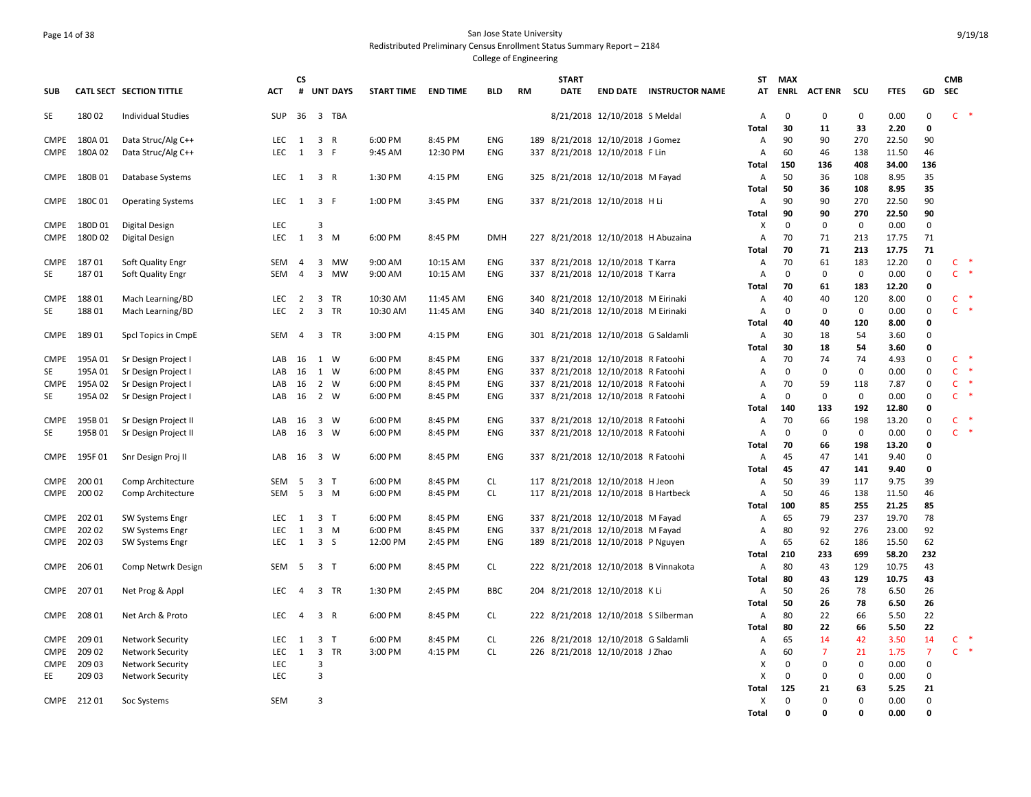# Page 14 of 38 San Jose State University Redistributed Preliminary Census Enrollment Status Summary Report – 2184

|             |                   |                                          |                  | <b>CS</b>      |                |            |                    |                    |            |     | <b>START</b> |                                                                      |                                      | <b>ST</b>    | <b>MAX</b>        |                |                    |                |                  | <b>CMB</b>            |               |
|-------------|-------------------|------------------------------------------|------------------|----------------|----------------|------------|--------------------|--------------------|------------|-----|--------------|----------------------------------------------------------------------|--------------------------------------|--------------|-------------------|----------------|--------------------|----------------|------------------|-----------------------|---------------|
| <b>SUB</b>  |                   | CATL SECT SECTION TITTLE                 | ACT              |                |                | # UNT DAYS | <b>START TIME</b>  | <b>END TIME</b>    | BLD        | RM  | <b>DATE</b>  |                                                                      | <b>END DATE INSTRUCTOR NAME</b>      | АТ           | ENRL              | <b>ACT ENR</b> | scu                | <b>FTES</b>    | GD               | SEC                   |               |
| SE          | 18002             | <b>Individual Studies</b>                | SUP              |                |                | 36 3 TBA   |                    |                    |            |     |              | 8/21/2018 12/10/2018 S Meldal                                        |                                      | A            | $\mathbf{0}$      | $\mathbf 0$    | 0                  | 0.00           | $\mathbf 0$      | $C$ *                 |               |
|             |                   |                                          |                  |                |                |            |                    |                    |            |     |              |                                                                      |                                      | Total        | 30                | 11             | 33                 | 2.20           | $\mathbf 0$      |                       |               |
| CMPE        | 180A01            | Data Struc/Alg C++                       | LEC 1            |                | 3 R            |            | 6:00 PM            | 8:45 PM            | <b>ENG</b> |     |              | 189 8/21/2018 12/10/2018 J Gomez                                     |                                      | Α            | 90                | 90             | 270                | 22.50          | 90               |                       |               |
| CMPE        | 180A02            | Data Struc/Alg C++                       | LEC              | 1              | 3 F            |            | 9:45 AM            | 12:30 PM           | <b>ENG</b> |     |              | 337 8/21/2018 12/10/2018 F Lin                                       |                                      | Α            | 60                | 46             | 138<br>408         | 11.50          | 46               |                       |               |
|             | CMPE 180B 01      | Database Systems                         | LEC 1 3 R        |                |                |            | 1:30 PM            | 4:15 PM            | <b>ENG</b> |     |              | 325 8/21/2018 12/10/2018 M Fayad                                     |                                      | Total<br>Α   | 150<br>50         | 136<br>36      | 108                | 34.00<br>8.95  | 136<br>35        |                       |               |
|             |                   |                                          |                  |                |                |            |                    |                    |            |     |              |                                                                      |                                      | Total        | 50                | 36             | 108                | 8.95           | 35               |                       |               |
| <b>CMPE</b> | 180C 01           | <b>Operating Systems</b>                 | LEC 1 3 F        |                |                |            | 1:00 PM            | 3:45 PM            | ENG        |     |              | 337 8/21/2018 12/10/2018 HLi                                         |                                      | Α            | 90                | 90             | 270                | 22.50          | 90               |                       |               |
|             |                   |                                          |                  |                |                |            |                    |                    |            |     |              |                                                                      |                                      | Total        | 90                | 90             | 270                | 22.50          | 90               |                       |               |
|             | CMPE 180D 01      | Digital Design                           | LEC              |                | 3              |            |                    |                    |            |     |              |                                                                      |                                      | X            | $\mathbf 0$       | $\mathbf 0$    | $\mathbf 0$        | 0.00           | 0                |                       |               |
|             | CMPE 180D 02      | <b>Digital Design</b>                    | LEC 1 3 M        |                |                |            | 6:00 PM            | 8:45 PM            | <b>DMH</b> |     |              | 227 8/21/2018 12/10/2018 H Abuzaina                                  |                                      | Α            | 70                | 71             | 213                | 17.75          | 71               |                       |               |
|             |                   |                                          |                  |                |                |            |                    |                    |            |     |              |                                                                      |                                      | Total        | 70                | 71             | 213                | 17.75          | 71               |                       |               |
| CMPE        | 18701             | Soft Quality Engr                        | SEM              | 4              |                | 3 MW       | 9:00 AM            | 10:15 AM           | ENG        |     |              | 337 8/21/2018 12/10/2018 T Karra                                     |                                      | Α            | 70                | 61             | 183                | 12.20          | 0                | $\mathsf{C}$          |               |
| SE          | 18701             | Soft Quality Engr                        | <b>SEM</b>       | $\overline{4}$ |                | 3 MW       | 9:00 AM            | 10:15 AM           | <b>ENG</b> |     |              | 337 8/21/2018 12/10/2018 T Karra                                     |                                      | A            | $\mathbf 0$       | $\mathbf 0$    | 0                  | 0.00           | 0                | $\mathsf{C}$          | $\rightarrow$ |
|             |                   |                                          |                  |                |                |            |                    |                    |            |     |              |                                                                      |                                      | Total        | 70                | 61             | 183                | 12.20          | 0                |                       |               |
| <b>CMPE</b> | 18801             | Mach Learning/BD                         | LEC <sub>2</sub> |                |                | 3 TR       | 10:30 AM           | 11:45 AM           | <b>ENG</b> |     |              | 340 8/21/2018 12/10/2018 M Eirinaki                                  |                                      | Α            | 40                | 40             | 120                | 8.00           | 0                | $\mathsf{C}$          |               |
| <b>SE</b>   | 18801             | Mach Learning/BD                         | LEC              | $\overline{2}$ |                | 3 TR       | 10:30 AM           | 11:45 AM           | <b>ENG</b> |     |              | 340 8/21/2018 12/10/2018 M Eirinaki                                  |                                      | Α            | $\mathbf 0$       | $\mathsf 0$    | $\mathbf 0$        | 0.00           | $\mathsf 0$      | $C$ *                 |               |
|             |                   |                                          |                  |                |                |            |                    |                    |            |     |              |                                                                      |                                      | Total        | 40                | 40             | 120                | 8.00           | 0                |                       |               |
| CMPE        | 18901             | Spcl Topics in CmpE                      | SEM              | 4              |                | 3 TR       | 3:00 PM            | 4:15 PM            | <b>ENG</b> |     |              | 301 8/21/2018 12/10/2018 G Saldamli                                  |                                      | Α            | 30                | 18             | 54                 | 3.60           | $\mathbf 0$      |                       |               |
|             |                   |                                          |                  |                |                |            |                    |                    |            |     |              |                                                                      |                                      | Total        | 30                | 18             | 54                 | 3.60           | $\mathbf 0$      |                       |               |
| <b>CMPE</b> | 195A 01           | Sr Design Project I                      | LAB 16 1 W       |                |                |            | 6:00 PM            | 8:45 PM            | ENG        |     |              | 337 8/21/2018 12/10/2018 R Fatoohi                                   |                                      | Α            | 70                | 74             | 74                 | 4.93           | 0<br>$\mathsf 0$ | $C$ *<br>$\mathsf{C}$ |               |
| SE<br>CMPE  | 195A01            | Sr Design Project I                      | LAB              | 16             | 1 W<br>2 W     |            | 6:00 PM            | 8:45 PM<br>8:45 PM | ENG<br>ENG | 337 |              | 8/21/2018 12/10/2018 R Fatoohi<br>337 8/21/2018 12/10/2018 R Fatoohi |                                      | Α<br>Α       | $\mathbf 0$<br>70 | 0<br>59        | $\mathbf 0$<br>118 | 0.00           | 0                | $C$ *                 |               |
| <b>SE</b>   | 195A 02<br>195A02 | Sr Design Project<br>Sr Design Project I | LAB<br>LAB       | 16<br>16       | 2 W            |            | 6:00 PM<br>6:00 PM | 8:45 PM            | ENG        |     |              | 337 8/21/2018 12/10/2018 R Fatoohi                                   |                                      | Α            | $\mathbf 0$       | 0              | $\mathbf 0$        | 7.87<br>0.00   | $\mathsf 0$      | $C$ *                 |               |
|             |                   |                                          |                  |                |                |            |                    |                    |            |     |              |                                                                      |                                      | Total        | 140               | 133            | 192                | 12.80          | $\mathbf 0$      |                       |               |
| CMPE        | 195B01            | Sr Design Project II                     | LAB              | 16 3 W         |                |            | 6:00 PM            | 8:45 PM            | <b>ENG</b> |     |              | 337 8/21/2018 12/10/2018 R Fatoohi                                   |                                      | Α            | 70                | 66             | 198                | 13.20          | 0                | $C$ *                 |               |
| <b>SE</b>   | 195B01            | Sr Design Project II                     | LAB              | 16             | 3 W            |            | 6:00 PM            | 8:45 PM            | <b>ENG</b> | 337 |              | 8/21/2018 12/10/2018 R Fatoohi                                       |                                      | A            | $\mathbf 0$       | 0              | $\mathbf 0$        | 0.00           | $\mathsf 0$      | $C$ *                 |               |
|             |                   |                                          |                  |                |                |            |                    |                    |            |     |              |                                                                      |                                      | Total        | 70                | 66             | 198                | 13.20          | 0                |                       |               |
| <b>CMPE</b> | 195F01            | Snr Design Proj II                       | LAB              | 16             | 3 W            |            | 6:00 PM            | 8:45 PM            | <b>ENG</b> |     |              | 337 8/21/2018 12/10/2018 R Fatoohi                                   |                                      | A            | 45                | 47             | 141                | 9.40           | $\mathbf 0$      |                       |               |
|             |                   |                                          |                  |                |                |            |                    |                    |            |     |              |                                                                      |                                      | <b>Total</b> | 45                | 47             | 141                | 9.40           | $\mathbf 0$      |                       |               |
| <b>CMPE</b> | 200 01            | Comp Architecture                        | SEM              | 5              | 3 <sub>7</sub> |            | 6:00 PM            | 8:45 PM            | <b>CL</b>  |     |              | 117 8/21/2018 12/10/2018 H Jeon                                      |                                      | Α            | 50                | 39             | 117                | 9.75           | 39               |                       |               |
| CMPE        | 200 02            | Comp Architecture                        | SEM              | - 5            |                | 3 M        | 6:00 PM            | 8:45 PM            | <b>CL</b>  |     |              | 117 8/21/2018 12/10/2018 B Hartbeck                                  |                                      | A            | 50                | 46             | 138                | 11.50          | 46               |                       |               |
|             |                   |                                          |                  |                |                |            |                    |                    |            |     |              |                                                                      |                                      | Total        | 100               | 85             | 255                | 21.25          | 85               |                       |               |
| CMPE        | 202 01            | <b>SW Systems Engr</b>                   | <b>LEC</b>       | $\mathbf{1}$   | 3 T            |            | 6:00 PM            | 8:45 PM            | ENG        |     |              | 337 8/21/2018 12/10/2018 M Fayad                                     |                                      | A            | 65                | 79             | 237                | 19.70          | 78               |                       |               |
| CMPE        | 202 02            | <b>SW Systems Engr</b>                   | LEC              | $\mathbf{1}$   |                | $3 \, M$   | 6:00 PM            | 8:45 PM            | <b>ENG</b> |     |              | 337 8/21/2018 12/10/2018 M Fayad                                     |                                      | Α            | 80                | 92             | 276                | 23.00          | 92               |                       |               |
|             | CMPE 202 03       | <b>SW Systems Engr</b>                   | LEC 1 3 S        |                |                |            | 12:00 PM           | 2:45 PM            | ENG        |     |              | 189 8/21/2018 12/10/2018 P Nguyen                                    |                                      | Α            | 65                | 62             | 186                | 15.50          | 62               |                       |               |
|             |                   |                                          |                  |                |                |            |                    |                    |            |     |              |                                                                      |                                      | Total        | 210               | 233            | 699                | 58.20          | 232              |                       |               |
|             | CMPE 206 01       | Comp Netwrk Design                       | SEM <sub>5</sub> |                | 3 <sub>1</sub> |            | 6:00 PM            | 8:45 PM            | <b>CL</b>  |     |              |                                                                      | 222 8/21/2018 12/10/2018 B Vinnakota | A            | 80<br>80          | 43             | 129<br>129         | 10.75<br>10.75 | 43               |                       |               |
| CMPE        | 20701             | Net Prog & Appl                          | LEC.             | 4              |                | 3 TR       | 1:30 PM            | 2:45 PM            | <b>BBC</b> |     |              | 204 8/21/2018 12/10/2018 KLi                                         |                                      | Total<br>Α   | 50                | 43<br>26       | 78                 | 6.50           | 43<br>26         |                       |               |
|             |                   |                                          |                  |                |                |            |                    |                    |            |     |              |                                                                      |                                      | <b>Total</b> | 50                | 26             | 78                 | 6.50           | 26               |                       |               |
| CMPE        | 208 01            | Net Arch & Proto                         | <b>LEC</b>       | $\overline{4}$ | 3 R            |            | 6:00 PM            | 8:45 PM            | CL         |     |              | 222 8/21/2018 12/10/2018 S Silberman                                 |                                      | Α            | 80                | 22             | 66                 | 5.50           | 22               |                       |               |
|             |                   |                                          |                  |                |                |            |                    |                    |            |     |              |                                                                      |                                      | <b>Total</b> | 80                | 22             | 66                 | 5.50           | 22               |                       |               |
| <b>CMPE</b> | 209 01            | <b>Network Security</b>                  | LEC.             | 1              | 3 <sub>1</sub> |            | 6:00 PM            | 8:45 PM            | CL         |     |              | 226 8/21/2018 12/10/2018 G Saldamli                                  |                                      | Α            | 65                | 14             | 42                 | 3.50           | 14               | $\mathsf{C}$          |               |
| CMPE        | 209 02            | <b>Network Security</b>                  | LEC              | 1              |                | 3 TR       | 3:00 PM            | 4:15 PM            | <b>CL</b>  |     |              | 226 8/21/2018 12/10/2018 J Zhao                                      |                                      | Α            | 60                | $\overline{7}$ | 21                 | 1.75           | $\overline{7}$   | $C$ *                 |               |
| CMPE        | 209 03            | Network Security                         | LEC              |                | 3              |            |                    |                    |            |     |              |                                                                      |                                      | х            | $\mathbf 0$       | 0              | $\mathbf 0$        | 0.00           | 0                |                       |               |
| EE          | 209 03            | <b>Network Security</b>                  | LEC              |                | 3              |            |                    |                    |            |     |              |                                                                      |                                      | X            | $\mathbf 0$       | 0              | 0                  | 0.00           | 0                |                       |               |
|             |                   |                                          |                  |                |                |            |                    |                    |            |     |              |                                                                      |                                      | Total        | 125               | 21             | 63                 | 5.25           | 21               |                       |               |
|             | CMPE 21201        | Soc Systems                              | <b>SEM</b>       |                | 3              |            |                    |                    |            |     |              |                                                                      |                                      | X            | $\mathbf 0$       | $\mathbf 0$    | $\Omega$           | 0.00           | 0                |                       |               |
|             |                   |                                          |                  |                |                |            |                    |                    |            |     |              |                                                                      |                                      | <b>Total</b> | $\mathbf 0$       | $\Omega$       | $\Omega$           | 0.00           | $\mathbf 0$      |                       |               |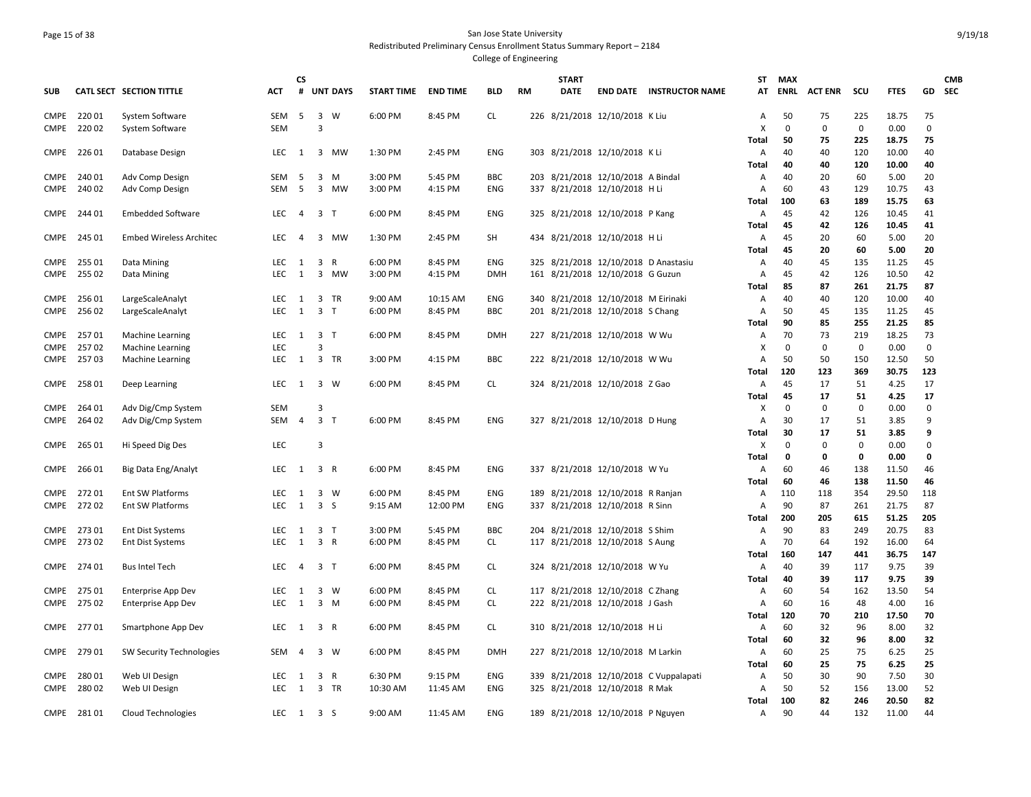#### Page 15 of 38 San Jose State University Redistributed Preliminary Census Enrollment Status Summary Report – 2184 College of Engineering

**SUB CATL SECT SECTION TITTLE ACT CS # UNT DAYS START TIME END TIME BLD RM START DATE END DATE INSTRUCTOR NAME STATMAX ENRL ACT ENR SCU FTES GD CMB SEC**CMPE 220 01 System Software SEM 5 3 W 6:00 PM 8:45 PM CL 226 8/21/2018 12/10/2018 K Liu A 50 75 225 18.75 75 CMPE 220 02 System Software SEM 3 X 0 0 0 0.00 0 **Total 50 75 225 18.75 75** CMPE 226 01 Database Design LEC 1 3 MW 1:30 PM 2:45 PM ENG 303 8/21/2018 12/10/2018 K Li A 40 40 120 10.00 40 **Total 40 40 120 10.00 40** CMPE 240 01 Adv Comp Design SEM 5 3 M 3:00 PM 5:45 PM BBC 203 8/21/2018 12/10/2018 A Bindal A 40 20 60 5.00 20 CMPE 240 02 Adv Comp Design SEM 5 3 MW 3:00 PM 4:15 PM ENG 337 8/21/2018 12/10/2018 H Li A 60 43 129 10.75 43 **Total 100 63 189 15.75 63** CMPE 244 01 Embedded Software LEC 4 3 T 6:00 PM 8:45 PM ENG 325 8/21/2018 12/10/2018 P Kang A 45 42 126 10.45 41 **Total 45 42 126 10.45 41** CMPE 245 01 Embed Wireless Architec LEC 4 3 MW 1:30 PM 2:45 PM SH 434 8/21/2018 12/10/2018 H Li A 45 20 60 5.00 20 **Total 45 20 60 5.00 20** CMPE 255 01 Data Mining LEC 1 3 R 6:00 PM 8:45 PM ENG 325 8/21/2018 12/10/2018 D Anastasiu A 40 45 135 11.25 45 CMPE 255 02 Data Mining LEC 1 3 MW 3:00 PM 4:15 PM DMH 161 8/21/2018 12/10/2018 G Guzun A 45 42 126 10.50 42 **Total 85 87 261 21.75 87** CMPE 256 01 LargeScaleAnalyt LEC 1 3 TR 9:00 AM 10:15 AM ENG 340 8/21/2018 12/10/2018 M Eirinaki A 40 40 120 10.00 40 CMPE 25602 LargeScaleAnalyt LEC 1 3 T 6:00 PM 8:45 PM BBC 201 8/21/2018 12/10/2018 S Chang A 50 45 135 11.25 45 **Total 90 85 255 21.25 85** CMPE 257 01 Machine Learning LEC 1 3 T 6:00 PM 8:45 PM DMH 227 8/21/2018 12/10/2018 W Wu A 70 73 219 18.25 73 CMPE 257 02 Machine Learning LEC 3 X 0 0 0 0.00 0 CMPE 257 03 Machine Learning LEC 1 3 TR 3:00 PM 4:15 PM BBC 222 8/21/2018 12/10/2018 W Wu A 50 50 150 12.50 50 **Total 120 123 369 30.75 123** CMPE 258 01 Deep Learning LEC 1 3 W 6:00 PM 8:45 PM CL 324 8/21/2018 12/10/2018 Z Gao A 45 17 51 4.25 17 **Total 45 17 51 4.25 17** CMPE 264 01 Adv Dig/Cmp System SEM 3 X 0 0 0 0.00 0 CMPE 264 02 Adv Dig/Cmp System SEM 4 3 T 6:00 PM 8:45 PM ENG 327 8/21/2018 12/10/2018 D Hung A 30 17 51 3.85 9 **Total 30 17 51 3.85 9** CMPE 265 01 Hi Speed Dig Des LEC 3 X 0 0 0 0.00 0 **Total 0 0 0 0.00 0** CMPE 266 01 Big Data Eng/Analyt LEC 1 3 R 6:00 PM 8:45 PM ENG 337 8/21/2018 12/10/2018 W Yu A 60 46 138 11.50 46 **Total 60 46 138 11.50 46** CMPE 272 01 Ent SW Platforms LEC 1 3 W 6:00 PM 8:45 PM ENG 189 8/21/2018 12/10/2018 R Ranjan A 110 118 354 29.50 118 CMPE 272 02 Ent SW Platforms LEC 1 3 S 9:15 AM 12:00 PM ENG 337 8/21/2018 12/10/2018 R Sinn A 90 87 261 21.75 87 **Total 200 205 615 51.25 205** CMPE 273 01 Ent Dist Systems LEC 1 3 T 3:00 PM 5:45 PM BBC 204 8/21/2018 12/10/2018 S Shim A 90 83 249 20.75 83 CMPE 273 02 Ent Dist Systems LEC 1 3 R 6:00 PM 8:45 PM CL 117 8/21/2018 12/10/2018 S Aung A 70 64 192 16.00 64 **Total 160 147 441 36.75 147** CMPE 274 01 Bus Intel Tech LEC 4 3 T 6:00 PM 8:45 PM CL 324 8/21/2018 12/10/2018 W Yu A 40 39 117 9.75 39 **Total 40 39 117 9.75 39** CMPE 275 01 Enterprise App Dev 
LEC 1 3 W 6:00 PM 8:45 PM CL 117 8/21/2018 12/10/2018 C Zhang A 60 54 162 13.50 54 CMPE 27502 Enterprise App Dev 
LEC 1 3 M 6:00 PM 8:45 PM CL 222 8/21/2018 12/10/2018 J Gash A 60 16 48 4.00 16 **Total 120 70 210 17.50 70** CMPE 277 01 Smartphone App Dev LEC 1 3 R 6:00 PM 8:45 PM CL 310 8/21/2018 12/10/2018 H Li A 60 32 96 8.00 32 **Total 60 32 96 8.00 32** CMPE 279 01 SW Security Technologies SEM 4 3 W 6:00 PM 8:45 PM DMH 227 8/21/2018 12/10/2018 M Larkin A 60 25 75 6.25 25 **Total 60 25 75 6.25 25** CMPE 280 01 Web UI Design LEC 1 3 R 6:30 PM 9:15 PM ENG 339 8/21/2018 12/10/2018 C Vuppalapati A 50 30 90 7.50 30 CMPE 280 02 Web UI Design LEC 1 3 TR 10:30 AM 11:45 AM ENG 325 8/21/2018 12/10/2018 R Mak A 50 52 156 13.00 52 **Total 100 82 246 20.50 82** CMPE 281 01 Cloud Technologies LEC 1 3 S 9:00 AM 11:45 AM ENG 189 8/21/2018 12/10/2018 P Nguyen A 90 44 132 11.00 44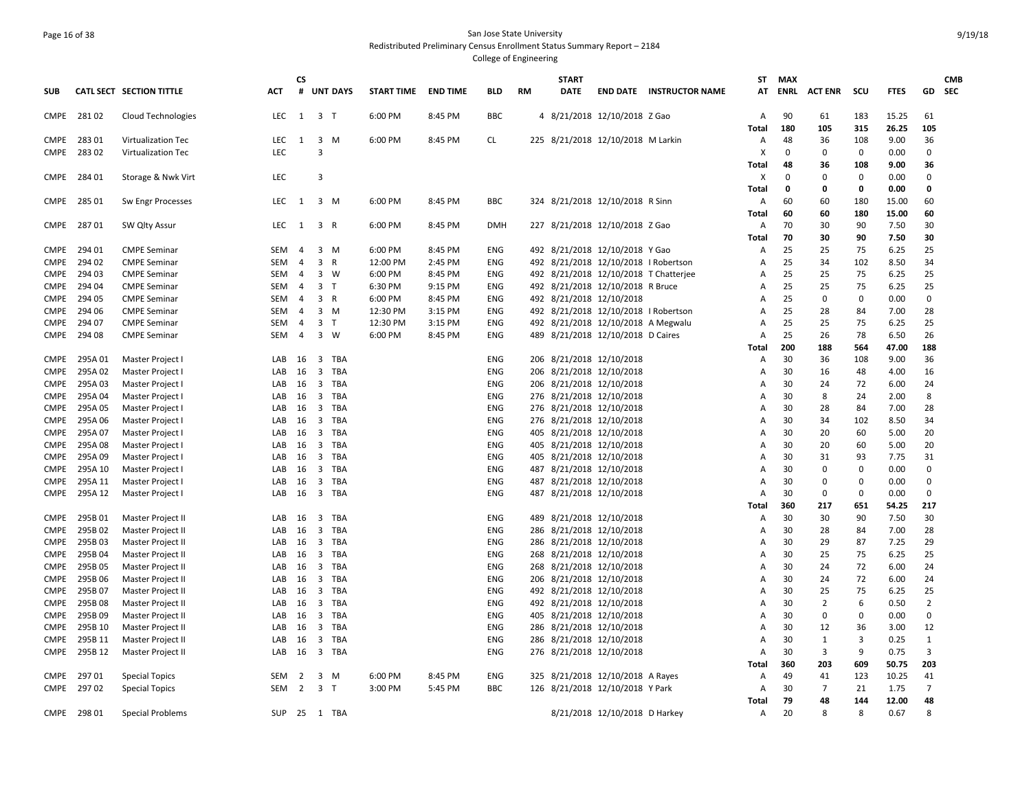## Page 16 of 38 San Jose State University Redistributed Preliminary Census Enrollment Status Summary Report – 2184

|             |             |                           |            | <b>CS</b>      |                |                 |                   |                 |            |           | <b>START</b> |                                      |                                       |            | ST MAX    |                |                            |               |                  | <b>CMB</b> |
|-------------|-------------|---------------------------|------------|----------------|----------------|-----------------|-------------------|-----------------|------------|-----------|--------------|--------------------------------------|---------------------------------------|------------|-----------|----------------|----------------------------|---------------|------------------|------------|
| <b>SUB</b>  |             | CATL SECT SECTION TITTLE  | ACT        | #              |                | <b>UNT DAYS</b> | <b>START TIME</b> | <b>END TIME</b> | BLD        | <b>RM</b> | DATE         |                                      | <b>END DATE INSTRUCTOR NAME</b>       |            | AT ENRL   | <b>ACT ENR</b> | scu                        | <b>FTES</b>   |                  | GD SEC     |
| CMPE        | 28102       | Cloud Technologies        | LEC        | 1 3 T          |                |                 | 6:00 PM           | 8:45 PM         | <b>BBC</b> |           |              | 4 8/21/2018 12/10/2018 Z Gao         |                                       | Α          | 90        | 61             | 183                        | 15.25         | 61               |            |
|             |             |                           |            |                |                |                 |                   |                 |            |           |              |                                      |                                       | Total      | 180       | 105            | 315                        | 26.25         | 105              |            |
| CMPE        | 28301       | Virtualization Tec        | LEC        | 1              |                | $3 \, M$        | 6:00 PM           | 8:45 PM         | <b>CL</b>  |           |              | 225 8/21/2018 12/10/2018 M Larkin    |                                       | Α          | 48        | 36             | 108                        | 9.00          | 36               |            |
| CMPE        | 28302       | <b>Virtualization Tec</b> | LEC        |                | 3              |                 |                   |                 |            |           |              |                                      |                                       | Х          | 0         | 0              | $\mathbf 0$                | 0.00          | $\mathbf 0$      |            |
|             |             |                           |            |                |                |                 |                   |                 |            |           |              |                                      |                                       | Total      | 48        | 36             | 108                        | 9.00          | 36               |            |
|             | CMPE 284 01 | Storage & Nwk Virt        | <b>LEC</b> |                | $\overline{3}$ |                 |                   |                 |            |           |              |                                      |                                       | Χ          | 0         | $\Omega$       | $\mathbf 0$                | 0.00          | $\Omega$         |            |
|             |             |                           |            |                |                |                 |                   |                 |            |           |              |                                      |                                       | Total      | 0         | 0              | $\mathbf 0$                | 0.00          | 0                |            |
|             | CMPE 285 01 | Sw Engr Processes         | <b>LEC</b> | <sup>1</sup>   |                | $3 \, M$        | 6:00 PM           | 8:45 PM         | <b>BBC</b> |           |              | 324 8/21/2018 12/10/2018 R Sinn      |                                       | Α          | 60        | 60             | 180                        | 15.00         | 60               |            |
|             |             |                           |            |                |                |                 |                   |                 |            |           |              |                                      |                                       | Total      | 60        | 60             | 180                        | 15.00         | 60               |            |
| CMPE        | 28701       | SW Qlty Assur             | LEC        | 1              | 3 R            |                 | 6:00 PM           | 8:45 PM         | DMH        |           |              | 227 8/21/2018 12/10/2018 Z Gao       |                                       | Α          | 70        | 30             | 90                         | 7.50          | 30               |            |
|             |             |                           |            |                |                |                 |                   |                 |            |           |              |                                      |                                       | Total      | 70        | 30             | 90                         | 7.50          | 30               |            |
| <b>CMPE</b> | 294 01      | <b>CMPE Seminar</b>       | SEM        | 4              |                | $3 \, M$        | 6:00 PM           | 8:45 PM         | ENG        |           |              | 492 8/21/2018 12/10/2018 Y Gao       |                                       | А          | 25        | 25             | 75                         | 6.25          | 25               |            |
| CMPE        | 294 02      | <b>CMPE Seminar</b>       | SEM        | 4              | 3 R            |                 | 12:00 PM          | 2:45 PM         | ENG        |           |              | 492 8/21/2018 12/10/2018 I Robertson |                                       | А          | 25        | 34             | 102                        | 8.50          | 34               |            |
| CMPE        | 294 03      | <b>CMPE Seminar</b>       | <b>SEM</b> | 4              |                | 3 W             | 6:00 PM           | 8:45 PM         | <b>ENG</b> |           |              |                                      | 492 8/21/2018 12/10/2018 T Chatterjee | A          | 25        | 25             | 75                         | 6.25          | 25               |            |
| CMPE        | 294 04      | <b>CMPE Seminar</b>       | SEM        | 4              | 3 <sub>T</sub> |                 | 6:30 PM           | 9:15 PM         | ENG        |           |              | 492 8/21/2018 12/10/2018 R Bruce     |                                       | A          | 25        | 25             | 75                         | 6.25          | 25               |            |
| <b>CMPE</b> | 294 05      | <b>CMPE Seminar</b>       | <b>SEM</b> | $\overline{4}$ | 3 R            |                 | 6:00 PM           | 8:45 PM         | <b>ENG</b> |           |              | 492 8/21/2018 12/10/2018             |                                       | А          | 25        | 0              | $\mathbf 0$                | 0.00          | 0                |            |
| <b>CMPE</b> | 294 06      | <b>CMPE Seminar</b>       | SEM        | 4              |                | $3 \, M$        | 12:30 PM          | 3:15 PM         | ENG        |           |              | 492 8/21/2018 12/10/2018 I Robertson |                                       | Α          | 25        | 28             | 84                         | 7.00          | 28               |            |
| CMPE        | 294 07      | <b>CMPE Seminar</b>       | SEM        | 4              | 3 <sub>T</sub> |                 | 12:30 PM          | 3:15 PM         | <b>ENG</b> |           |              | 492 8/21/2018 12/10/2018 A Megwalu   |                                       | Α          | 25        | 25             | 75                         | 6.25          | 25               |            |
| CMPE        | 294 08      | <b>CMPE Seminar</b>       | SEM        | 4              |                | 3 W             | 6:00 PM           | 8:45 PM         | ENG        |           |              | 489 8/21/2018 12/10/2018 D Caires    |                                       | Α          | 25        | 26             | 78                         | 6.50          | 26               |            |
|             |             |                           |            |                |                |                 |                   |                 |            |           |              |                                      |                                       | Total      | 200       | 188            | 564                        | 47.00         | 188              |            |
| CMPE        | 295A01      | Master Project I          | LAB        | 16             |                | 3 TBA           |                   |                 | ENG        |           |              | 206 8/21/2018 12/10/2018             |                                       | А          | 30        | 36             | 108                        | 9.00          | 36               |            |
| <b>CMPE</b> | 295A 02     | Master Project I          | LAB        | 16             | 3              | TBA             |                   |                 | ENG        |           |              | 206 8/21/2018 12/10/2018             |                                       | Α          | 30        | 16             | 48                         | 4.00          | 16               |            |
| <b>CMPE</b> | 295A03      | Master Project I          | LAB        | 16             |                | 3 TBA           |                   |                 | ENG        |           |              | 206 8/21/2018 12/10/2018             |                                       | Α          | 30        | 24             | 72                         | 6.00          | 24               |            |
| <b>CMPE</b> | 295A 04     | Master Project I          | LAB        | 16             | $\overline{3}$ | TBA             |                   |                 | <b>ENG</b> |           |              | 276 8/21/2018 12/10/2018             |                                       | А          | 30        | 8              | 24                         | 2.00          | 8                |            |
| <b>CMPE</b> | 295A05      | Master Project I          | LAB        | 16             | $\overline{3}$ | TBA             |                   |                 | ENG        |           |              | 276 8/21/2018 12/10/2018             |                                       | Α          | 30        | 28             | 84                         | 7.00          | 28               |            |
| <b>CMPE</b> | 295A 06     | Master Project I          | LAB        | 16             | $\overline{3}$ | TBA             |                   |                 | ENG        |           |              | 276 8/21/2018 12/10/2018             |                                       | Α          | 30        | 34             | 102                        | 8.50          | 34               |            |
| <b>CMPE</b> | 295A07      | Master Project I          | LAB        | 16             | 3              | TBA             |                   |                 | ENG        |           |              | 405 8/21/2018 12/10/2018             |                                       | А          | 30        | 20             | 60                         | 5.00          | 20               |            |
| CMPE        | 295A08      | Master Project I          | LAB        | 16             |                | 3 TBA           |                   |                 | ENG        |           |              | 405 8/21/2018 12/10/2018             |                                       | А          | 30        | 20             | 60                         | 5.00          | 20               |            |
| <b>CMPE</b> | 295A09      | Master Project I          | LAB        | 16             | $\overline{3}$ | TBA             |                   |                 | ENG        |           |              | 405 8/21/2018 12/10/2018             |                                       | А          | 30        | 31             | 93                         | 7.75          | 31               |            |
| CMPE        | 295A 10     | Master Project I          | LAB        | 16             | $\overline{3}$ | TBA             |                   |                 | ENG        |           |              | 487 8/21/2018 12/10/2018             |                                       | А          | 30        | 0              | $\mathbf 0$<br>$\mathbf 0$ | 0.00          | 0<br>$\mathbf 0$ |            |
| <b>CMPE</b> | 295A 11     | Master Project I          | LAB        | 16             |                | 3 TBA           |                   |                 | ENG        |           |              | 487 8/21/2018 12/10/2018             |                                       | А          | 30        | 0              |                            | 0.00          |                  |            |
| CMPE        | 295A 12     | Master Project I          | LAB        | 16             |                | 3 TBA           |                   |                 | ENG        |           |              | 487 8/21/2018 12/10/2018             |                                       | А          | 30<br>360 | 0<br>217       | $\mathbf 0$<br>651         | 0.00<br>54.25 | 0<br>217         |            |
| <b>CMPE</b> | 295B01      | Master Project II         | LAB        | 16             | 3              | TBA             |                   |                 | ENG        |           |              | 489 8/21/2018 12/10/2018             |                                       | Total<br>А | 30        | 30             | 90                         | 7.50          | 30               |            |
| <b>CMPE</b> | 295B02      | Master Project II         | LAB        | 16             | 3              | TBA             |                   |                 | ENG        |           |              | 286 8/21/2018 12/10/2018             |                                       | Α          | 30        | 28             | 84                         | 7.00          | 28               |            |
| <b>CMPE</b> | 295B03      | Master Project II         | LAB        | 16             |                | 3 TBA           |                   |                 | ENG        |           |              | 286 8/21/2018 12/10/2018             |                                       | А          | 30        | 29             | 87                         | 7.25          | 29               |            |
| <b>CMPE</b> | 295B04      | Master Project II         | LAB        | 16             | 3              | TBA             |                   |                 | ENG        |           |              | 268 8/21/2018 12/10/2018             |                                       | А          | 30        | 25             | 75                         | 6.25          | 25               |            |
| CMPE        | 295B 05     | Master Project II         | LAB        | 16             | $\overline{3}$ | TBA             |                   |                 | ENG        |           |              | 268 8/21/2018 12/10/2018             |                                       | А          | 30        | 24             | 72                         | 6.00          | 24               |            |
| <b>CMPE</b> | 295B06      | Master Project II         | LAB        | 16             | $\overline{3}$ | TBA             |                   |                 | ENG        |           |              | 206 8/21/2018 12/10/2018             |                                       | А          | 30        | 24             | 72                         | 6.00          | 24               |            |
| <b>CMPE</b> | 295B07      | Master Project II         | LAB        | 16             | $\overline{3}$ | TBA             |                   |                 | <b>ENG</b> |           |              | 492 8/21/2018 12/10/2018             |                                       | Α          | 30        | 25             | 75                         | 6.25          | 25               |            |
| <b>CMPE</b> | 295B08      | Master Project II         | LAB        | 16             |                | 3 TBA           |                   |                 | ENG        |           |              | 492 8/21/2018 12/10/2018             |                                       | А          | 30        | $\overline{2}$ | 6                          | 0.50          | $\overline{2}$   |            |
| <b>CMPE</b> | 295B09      | Master Project II         | LAB        | 16             | 3              | TBA             |                   |                 | ENG        |           |              | 405 8/21/2018 12/10/2018             |                                       | А          | 30        | 0              | $\mathbf 0$                | 0.00          | 0                |            |
| <b>CMPE</b> | 295B 10     | Master Project II         | LAB        | 16             | $\overline{3}$ | TBA             |                   |                 | ENG        |           |              | 286 8/21/2018 12/10/2018             |                                       | А          | 30        | 12             | 36                         | 3.00          | 12               |            |
| CMPE        | 295B 11     | Master Project II         | LAB        | 16             | 3              | TBA             |                   |                 | ENG        |           |              | 286 8/21/2018 12/10/2018             |                                       | А          | 30        | 1              | 3                          | 0.25          | 1                |            |
| CMPE        | 295B 12     | Master Project II         | LAB        | 16             |                | 3 TBA           |                   |                 | <b>ENG</b> |           |              | 276 8/21/2018 12/10/2018             |                                       | A          | 30        | 3              | 9                          | 0.75          | 3                |            |
|             |             |                           |            |                |                |                 |                   |                 |            |           |              |                                      |                                       | Total      | 360       | 203            | 609                        | 50.75         | 203              |            |
| CMPE        | 29701       | <b>Special Topics</b>     | <b>SEM</b> | $\overline{2}$ |                | $3 \, M$        | 6:00 PM           | 8:45 PM         | <b>ENG</b> |           |              | 325 8/21/2018 12/10/2018 A Rayes     |                                       | A          | 49        | 41             | 123                        | 10.25         | 41               |            |
|             | CMPE 297 02 | <b>Special Topics</b>     | SEM        | $\overline{2}$ | 3 <sub>1</sub> |                 | 3:00 PM           | 5:45 PM         | <b>BBC</b> |           |              | 126 8/21/2018 12/10/2018 Y Park      |                                       | Α          | 30        | $\overline{7}$ | 21                         | 1.75          | $\overline{7}$   |            |
|             |             |                           |            |                |                |                 |                   |                 |            |           |              |                                      |                                       | Total      | 79        | 48             | 144                        | 12.00         | 48               |            |
|             | CMPE 298 01 | Special Problems          | SUP 25     |                |                | 1 TBA           |                   |                 |            |           |              | 8/21/2018 12/10/2018 D Harkey        |                                       | A          | 20        | 8              | 8                          | 0.67          | 8                |            |
|             |             |                           |            |                |                |                 |                   |                 |            |           |              |                                      |                                       |            |           |                |                            |               |                  |            |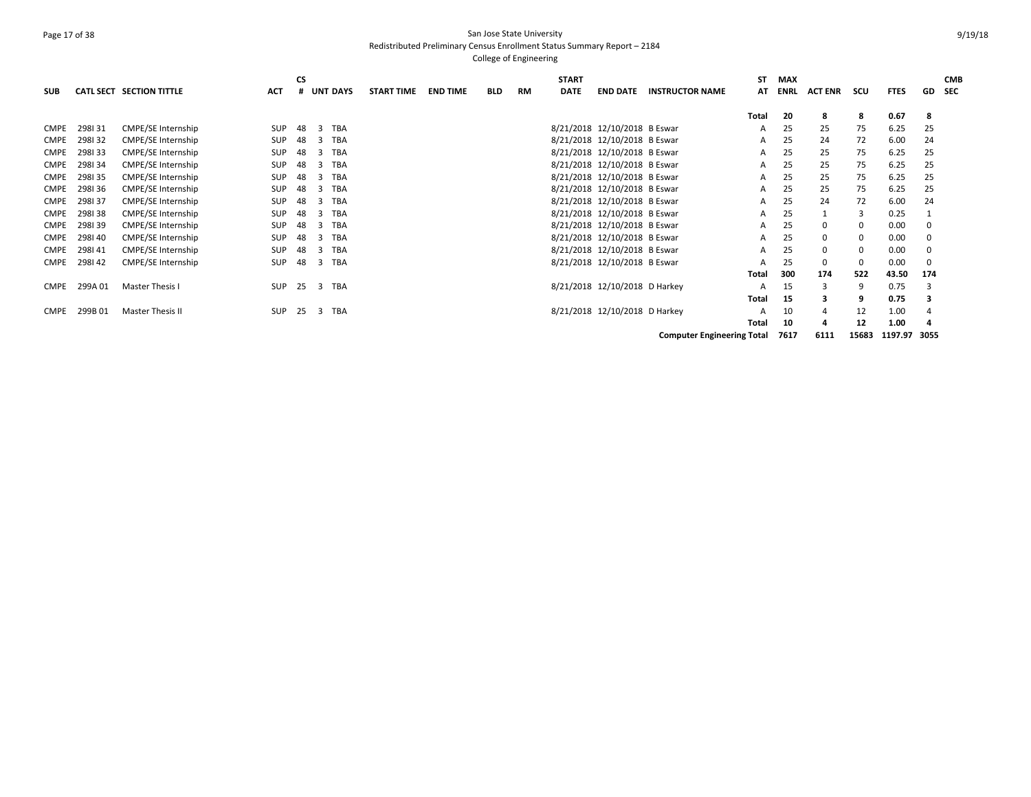# Page 17 of 38 San Jose State University Redistributed Preliminary Census Enrollment Status Summary Report – 2184

| <b>SUB</b>  |         | CATL SECT SECTION TITTLE | ACT        | <b>CS</b><br># | <b>UNT DAYS</b> |            | <b>START TIME</b> | <b>END TIME</b> | <b>BLD</b> | <b>RM</b> | <b>START</b><br><b>DATE</b> | <b>END DATE</b>               | <b>INSTRUCTOR NAME</b>            | SΤ<br>AT | <b>MAX</b><br><b>ENRL</b> | <b>ACT ENR</b> | scu         | <b>FTES</b>  | GD  | <b>CMB</b><br><b>SEC</b> |
|-------------|---------|--------------------------|------------|----------------|-----------------|------------|-------------------|-----------------|------------|-----------|-----------------------------|-------------------------------|-----------------------------------|----------|---------------------------|----------------|-------------|--------------|-----|--------------------------|
|             |         |                          |            |                |                 |            |                   |                 |            |           |                             |                               |                                   | Total    | 20                        | 8              | 8           | 0.67         | 8   |                          |
| <b>CMPE</b> | 298131  | CMPE/SE Internship       | <b>SUP</b> | 48             | TBA<br>3        |            |                   |                 |            |           |                             | 8/21/2018 12/10/2018 B Eswar  |                                   | Α        | 25                        | 25             | 75          | 6.25         | 25  |                          |
| <b>CMPE</b> | 298132  | CMPE/SE Internship       | <b>SUP</b> | 48             | TBA<br>3        |            |                   |                 |            |           |                             | 8/21/2018 12/10/2018 B Eswar  |                                   | A        | 25                        | 24             | 72          | 6.00         | 24  |                          |
| <b>CMPE</b> | 298133  | CMPE/SE Internship       | <b>SUP</b> | 48             | TBA<br>3        |            |                   |                 |            |           |                             | 8/21/2018 12/10/2018 B Eswar  |                                   | A        | 25                        | 25             | 75          | 6.25         | 25  |                          |
| <b>CMPE</b> | 298134  | CMPE/SE Internship       | <b>SUP</b> | 48             | 3               | <b>TBA</b> |                   |                 |            |           |                             | 8/21/2018 12/10/2018 B Eswar  |                                   | A        | 25                        | 25             | 75          | 6.25         | 25  |                          |
| <b>CMPE</b> | 298135  | CMPE/SE Internship       | <b>SUP</b> | 48             | TBA<br>3        |            |                   |                 |            |           |                             | 8/21/2018 12/10/2018 B Eswar  |                                   | A        | 25                        | 25             | 75          | 6.25         | 25  |                          |
| <b>CMPE</b> | 298136  | CMPE/SE Internship       | <b>SUP</b> | 48             | 3               | TBA        |                   |                 |            |           |                             | 8/21/2018 12/10/2018 B Eswar  |                                   | A        | 25                        | 25             | 75          | 6.25         | 25  |                          |
| <b>CMPE</b> | 298137  | CMPE/SE Internship       | <b>SUP</b> | 48             | TBA<br>3        |            |                   |                 |            |           |                             | 8/21/2018 12/10/2018 B Eswar  |                                   | A        | 25                        | 24             | 72          | 6.00         | 24  |                          |
| <b>CMPE</b> | 298138  | CMPE/SE Internship       | <b>SUP</b> | 48             | TBA<br>3        |            |                   |                 |            |           |                             | 8/21/2018 12/10/2018 B Eswar  |                                   | A        | 25                        |                | 3           | 0.25         |     |                          |
| <b>CMPE</b> | 298139  | CMPE/SE Internship       | <b>SUP</b> | 48             | TBA<br>3        |            |                   |                 |            |           |                             | 8/21/2018 12/10/2018 B Eswar  |                                   | A        | 25                        | 0              | 0           | 0.00         |     |                          |
| <b>CMPE</b> | 298140  | CMPE/SE Internship       | <b>SUP</b> | 48             | 3               | TBA        |                   |                 |            |           |                             | 8/21/2018 12/10/2018 B Eswar  |                                   | A        | 25                        | 0              | 0           | 0.00         |     |                          |
| <b>CMPE</b> | 298141  | CMPE/SE Internship       | <b>SUP</b> | 48             | TBA<br>3        |            |                   |                 |            |           |                             | 8/21/2018 12/10/2018 B Eswar  |                                   | A        | 25                        | 0              | 0           | 0.00         | 0   |                          |
| CMPE        | 298142  | CMPE/SE Internship       | <b>SUP</b> | 48             | TBA<br>3        |            |                   |                 |            |           |                             | 8/21/2018 12/10/2018 B Eswar  |                                   | A        | 25                        | 0              | $\mathbf 0$ | 0.00         | 0   |                          |
|             |         |                          |            |                |                 |            |                   |                 |            |           |                             |                               |                                   | Total    | 300                       | 174            | 522         | 43.50        | 174 |                          |
| <b>CMPE</b> | 299A 01 | Master Thesis I          | <b>SUP</b> | 25             | 3 TBA           |            |                   |                 |            |           |                             | 8/21/2018 12/10/2018 D Harkey |                                   | A        | 15                        | 3              | 9           | 0.75         | 3   |                          |
|             |         |                          |            |                |                 |            |                   |                 |            |           |                             |                               |                                   | Total    | 15                        |                | 9           | 0.75         |     |                          |
| <b>CMPE</b> | 299B01  | Master Thesis II         | <b>SUP</b> | 25             | 3               | <b>TBA</b> |                   |                 |            |           |                             | 8/21/2018 12/10/2018 D Harkey |                                   | A        | 10                        |                | 12          | 1.00         |     |                          |
|             |         |                          |            |                |                 |            |                   |                 |            |           |                             |                               |                                   | Total    | 10                        |                | 12          | 1.00         | 4   |                          |
|             |         |                          |            |                |                 |            |                   |                 |            |           |                             |                               | <b>Computer Engineering Total</b> |          | 7617                      | 6111           | 15683       | 1197.97 3055 |     |                          |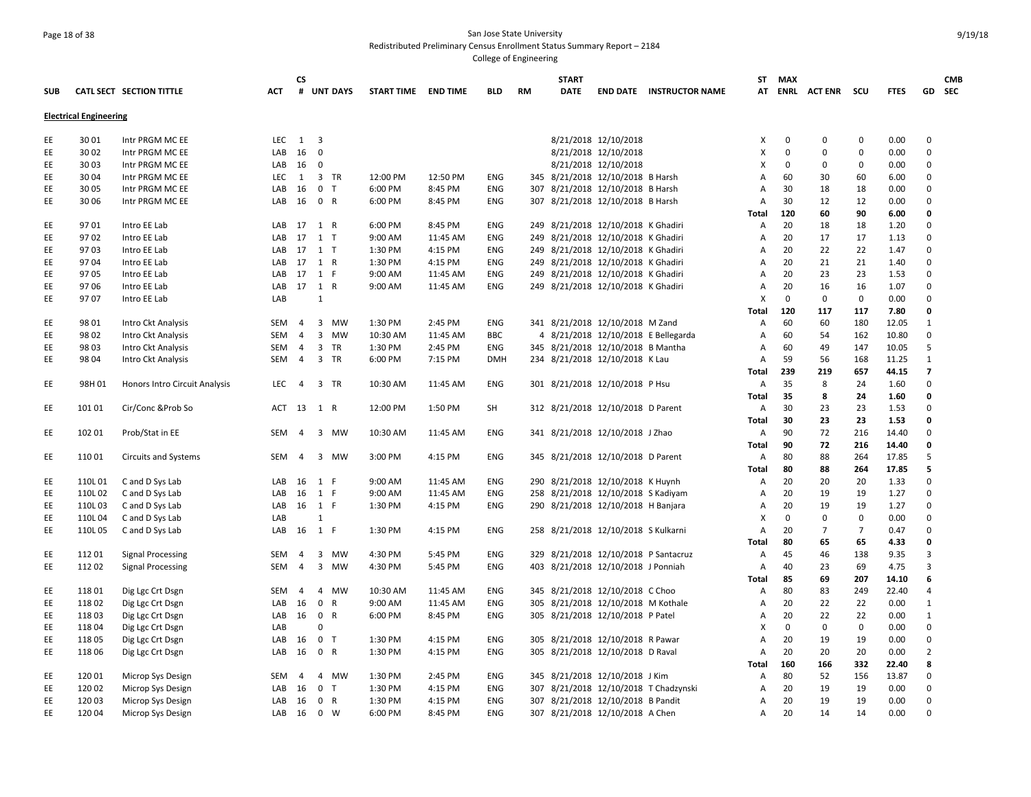# Page 18 of 38 San Jose State University Redistributed Preliminary Census Enrollment Status Summary Report – 2184

|            |                               |                               |            | CS             |                         |            |                   |          |            |           | <b>START</b> |                                      |                                       |              | ST MAX      |                    |                |             |                          | <b>CMB</b> |
|------------|-------------------------------|-------------------------------|------------|----------------|-------------------------|------------|-------------------|----------|------------|-----------|--------------|--------------------------------------|---------------------------------------|--------------|-------------|--------------------|----------------|-------------|--------------------------|------------|
| <b>SUB</b> |                               | CATL SECT SECTION TITTLE      | <b>ACT</b> |                |                         | # UNT DAYS | <b>START TIME</b> | END TIME | <b>BLD</b> | <b>RM</b> | <b>DATE</b>  |                                      | <b>END DATE INSTRUCTOR NAME</b>       |              |             | AT ENRL ACTENR SCU |                | <b>FTES</b> |                          | GD SEC     |
|            | <b>Electrical Engineering</b> |                               |            |                |                         |            |                   |          |            |           |              |                                      |                                       |              |             |                    |                |             |                          |            |
| EE         | 30 01                         | Intr PRGM MC EE               | LEC        | $\overline{1}$ | $\overline{\mathbf{3}}$ |            |                   |          |            |           |              | 8/21/2018 12/10/2018                 |                                       | X            | 0           | 0                  | $\mathbf 0$    | 0.00        | $\mathbf 0$              |            |
| EE         | 30 02                         | Intr PRGM MC EE               | LAB        | 16             | $\overline{0}$          |            |                   |          |            |           |              | 8/21/2018 12/10/2018                 |                                       | X            | 0           | $\Omega$           | $\mathbf 0$    | 0.00        | $\mathbf 0$              |            |
| EE         | 30 03                         | Intr PRGM MC EE               | LAB        | - 16           | 0                       |            |                   |          |            |           |              | 8/21/2018 12/10/2018                 |                                       | x            | 0           | 0                  | 0              | 0.00        | 0                        |            |
| EE         | 30 04                         | Intr PRGM MC EE               | LEC        | 1              |                         | 3 TR       | 12:00 PM          | 12:50 PM | ENG        |           |              | 345 8/21/2018 12/10/2018 B Harsh     |                                       | А            | 60          | 30                 | 60             | 6.00        | $\Omega$                 |            |
| EE         | 30 05                         | Intr PRGM MC EE               | LAB        | 16             | 0 <sub>T</sub>          |            | 6:00 PM           | 8:45 PM  | ENG        |           |              | 307 8/21/2018 12/10/2018 B Harsh     |                                       | Α            | 30          | 18                 | 18             | 0.00        | $\Omega$                 |            |
| EE         | 30 06                         | Intr PRGM MC EE               | LAB        | 16 0 R         |                         |            | 6:00 PM           | 8:45 PM  | ENG        |           |              | 307 8/21/2018 12/10/2018 B Harsh     |                                       | А            | 30          | 12                 | 12             | 0.00        | $\mathbf 0$              |            |
|            |                               |                               |            |                |                         |            |                   |          |            |           |              |                                      |                                       | <b>Total</b> | 120         | 60                 | 90             | 6.00        | 0                        |            |
| EE         | 9701                          | Intro EE Lab                  | LAB        | 17             | 1 R                     |            | 6:00 PM           | 8:45 PM  | ENG        |           |              | 249 8/21/2018 12/10/2018 K Ghadiri   |                                       | А            | 20          | 18                 | 18             | 1.20        | $\Omega$                 |            |
| EE         | 9702                          | Intro EE Lab                  | LAB        | 17             | $1$ T                   |            | 9:00 AM           | 11:45 AM | ENG        |           |              | 249 8/21/2018 12/10/2018 K Ghadiri   |                                       | А            | 20          | 17                 | 17             | 1.13        | $\Omega$                 |            |
| EE         | 9703                          | Intro EE Lab                  | LAB        | 17 1 T         |                         |            | 1:30 PM           | 4:15 PM  | ENG        |           |              | 249 8/21/2018 12/10/2018 K Ghadiri   |                                       | А            | 20          | 22                 | 22             | 1.47        | $\Omega$                 |            |
| EE         | 9704                          | Intro EE Lab                  | LAB        | 17 1 R         |                         |            | 1:30 PM           | 4:15 PM  | ENG        |           |              | 249 8/21/2018 12/10/2018 K Ghadiri   |                                       | А            | 20          | 21                 | 21             | 1.40        | $\Omega$                 |            |
| EE         | 97 05                         | Intro EE Lab                  | LAB        | 17 1 F         |                         |            | 9:00 AM           | 11:45 AM | ENG        |           |              | 249 8/21/2018 12/10/2018 K Ghadiri   |                                       | А            | 20          | 23                 | 23             | 1.53        | $\Omega$                 |            |
| EE         | 97 06                         | Intro EE Lab                  | LAB        | 17 1 R         |                         |            | 9:00 AM           | 11:45 AM | ENG        |           |              | 249 8/21/2018 12/10/2018 K Ghadiri   |                                       | А            | 20          | 16                 | 16             | 1.07        | $\Omega$                 |            |
| EE         | 9707                          | Intro EE Lab                  | LAB        |                | $\mathbf{1}$            |            |                   |          |            |           |              |                                      |                                       | X            | $\mathbf 0$ | $\mathbf 0$        | $\mathsf 0$    | 0.00        | $\Omega$                 |            |
|            |                               |                               |            |                |                         |            |                   |          |            |           |              |                                      |                                       | <b>Total</b> | 120         | 117                | 117            | 7.80        | $\mathbf 0$              |            |
| EE         | 98 01                         | Intro Ckt Analysis            | SEM 4      |                |                         | 3 MW       | 1:30 PM           | 2:45 PM  | ENG        |           |              | 341 8/21/2018 12/10/2018 M Zand      |                                       | А            | 60          | 60                 | 180            | 12.05       | $\mathbf{1}$             |            |
| EE         | 98 02                         | Intro Ckt Analysis            | <b>SEM</b> | $\overline{4}$ |                         | 3 MW       | 10:30 AM          | 11:45 AM | <b>BBC</b> |           |              |                                      | 4 8/21/2018 12/10/2018 E Bellegarda   | А            | 60          | 54                 | 162            | 10.80       | $\mathbf 0$              |            |
| EE         | 98 03                         | Intro Ckt Analysis            | <b>SEM</b> | $\overline{4}$ |                         | 3 TR       | 1:30 PM           | 2:45 PM  | ENG        |           |              | 345 8/21/2018 12/10/2018 B Mantha    |                                       | Α            | 60          | 49                 | 147            | 10.05       | 5                        |            |
| EE         | 98 04                         | Intro Ckt Analysis            | SEM 4      |                |                         | 3 TR       | 6:00 PM           | 7:15 PM  | <b>DMH</b> |           |              | 234 8/21/2018 12/10/2018 K Lau       |                                       | А            | 59          | 56                 | 168            | 11.25       | $\mathbf{1}$             |            |
|            |                               |                               |            |                |                         |            |                   |          |            |           |              |                                      |                                       | Total        | 239         | 219                | 657            | 44.15       | $\overline{\phantom{a}}$ |            |
| EE         | 98H01                         | Honors Intro Circuit Analysis | <b>LEC</b> | $\overline{4}$ |                         | 3 TR       | 10:30 AM          | 11:45 AM | ENG        |           |              | 301 8/21/2018 12/10/2018 P Hsu       |                                       | Α            | 35          | 8                  | 24             | 1.60        | $\mathbf 0$              |            |
|            |                               |                               |            |                |                         |            |                   |          |            |           |              |                                      |                                       | <b>Total</b> | 35          | 8                  | 24             | 1.60        | $\mathbf 0$              |            |
| EE         | 10101                         | Cir/Conc & Prob So            | ACT 13     |                | 1 R                     |            | 12:00 PM          | 1:50 PM  | <b>SH</b>  |           |              | 312 8/21/2018 12/10/2018 D Parent    |                                       | Α            | 30          | 23                 | 23             | 1.53        | $\Omega$                 |            |
|            |                               |                               |            |                |                         |            |                   |          |            |           |              |                                      |                                       | <b>Total</b> | 30          | 23                 | 23             | 1.53        | $\mathbf 0$              |            |
|            | 102 01                        |                               | <b>SEM</b> | $\overline{4}$ |                         | 3 MW       |                   |          |            |           |              |                                      |                                       |              | 90          | 72                 | 216            | 14.40       | $\Omega$                 |            |
| EE         |                               | Prob/Stat in EE               |            |                |                         |            | 10:30 AM          | 11:45 AM | ENG        |           |              | 341 8/21/2018 12/10/2018 J Zhao      |                                       | А            |             | 72                 |                |             | 0                        |            |
|            |                               |                               |            |                |                         |            |                   |          |            |           |              |                                      |                                       | <b>Total</b> | 90          |                    | 216            | 14.40       |                          |            |
| EE         | 11001                         | <b>Circuits and Systems</b>   | SEM        | $\overline{4}$ |                         | 3 MW       | 3:00 PM           | 4:15 PM  | ENG        |           |              | 345 8/21/2018 12/10/2018 D Parent    |                                       | А            | 80          | 88                 | 264            | 17.85       | 5<br>5                   |            |
|            |                               |                               |            |                |                         |            |                   |          |            |           |              |                                      |                                       | <b>Total</b> | 80          | 88                 | 264            | 17.85       | $\Omega$                 |            |
| EE         | 110L 01                       | C and D Sys Lab               | LAB        | 16 1 F         |                         |            | 9:00 AM           | 11:45 AM | ENG        |           |              | 290 8/21/2018 12/10/2018 K Huynh     |                                       | Α            | 20          | 20                 | 20             | 1.33        |                          |            |
| EE         | 110L02                        | C and D Sys Lab               | LAB        | 16             | 1 F                     |            | 9:00 AM           | 11:45 AM | ENG        |           |              | 258 8/21/2018 12/10/2018 S Kadiyam   |                                       | А            | 20          | 19                 | 19             | 1.27        | $\Omega$                 |            |
| EE         | 110L03                        | C and D Sys Lab               | LAB        | 16             | 1 F                     |            | 1:30 PM           | 4:15 PM  | ENG        |           |              | 290 8/21/2018 12/10/2018 H Banjara   |                                       | А            | 20          | 19                 | 19             | 1.27        | $\Omega$                 |            |
| EE         | 110L04                        | C and D Sys Lab               | LAB        |                | $\mathbf{1}$            |            |                   |          |            |           |              |                                      |                                       | X            | $\mathbf 0$ | 0                  | $\mathsf 0$    | 0.00        | $\mathbf 0$              |            |
| EE         | 110L05                        | C and D Sys Lab               | LAB        | 16 1 F         |                         |            | 1:30 PM           | 4:15 PM  | <b>ENG</b> |           |              | 258 8/21/2018 12/10/2018 S Kulkarni  |                                       | Α            | 20          | $\overline{7}$     | $\overline{7}$ | 0.47        | $\Omega$                 |            |
|            |                               |                               |            |                |                         |            |                   |          |            |           |              |                                      |                                       | Total        | 80          | 65                 | 65             | 4.33        | $\mathbf 0$              |            |
| EE         | 11201                         | <b>Signal Processing</b>      | SEM        | 4              |                         | 3 MW       | 4:30 PM           | 5:45 PM  | ENG        |           |              | 329 8/21/2018 12/10/2018 P Santacruz |                                       | Α            | 45          | 46                 | 138            | 9.35        | $\overline{3}$           |            |
| EE         | 11202                         | <b>Signal Processing</b>      | <b>SEM</b> | $\overline{4}$ |                         | 3 MW       | 4:30 PM           | 5:45 PM  | <b>ENG</b> |           |              | 403 8/21/2018 12/10/2018 J Ponniah   |                                       | Α            | 40          | 23                 | 69             | 4.75        | 3                        |            |
|            |                               |                               |            |                |                         |            |                   |          |            |           |              |                                      |                                       | Total        | 85          | 69                 | 207            | 14.10       | 6                        |            |
| EE         | 11801                         | Dig Lgc Crt Dsgn              | <b>SEM</b> | $\overline{4}$ |                         | 4 MW       | 10:30 AM          | 11:45 AM | <b>ENG</b> |           |              | 345 8/21/2018 12/10/2018 C Choo      |                                       | А            | 80          | 83                 | 249            | 22.40       | 4                        |            |
| EE         | 11802                         | Dig Lgc Crt Dsgn              | LAB        | -16            | 0 R                     |            | 9:00 AM           | 11:45 AM | ENG        |           |              | 305 8/21/2018 12/10/2018 M Kothale   |                                       | Α            | 20          | 22                 | 22             | 0.00        | $\mathbf{1}$             |            |
| EE         | 11803                         | Dig Lgc Crt Dsgn              | LAB        | 16             | 0 R                     |            | 6:00 PM           | 8:45 PM  | ENG        |           |              | 305 8/21/2018 12/10/2018 P Patel     |                                       | А            | 20          | 22                 | 22             | 0.00        | 1                        |            |
| EE         | 11804                         | Dig Lgc Crt Dsgn              | LAB        |                | $\mathbf 0$             |            |                   |          |            |           |              |                                      |                                       | x            | $\mathbf 0$ | 0                  | $\mathbf 0$    | 0.00        | $\mathbf 0$              |            |
| EE         | 11805                         | Dig Lgc Crt Dsgn              | LAB        | 16             | 0 <sub>T</sub>          |            | 1:30 PM           | 4:15 PM  | ENG        |           |              | 305 8/21/2018 12/10/2018 R Pawar     |                                       | А            | 20          | 19                 | 19             | 0.00        | $\Omega$                 |            |
| EE         | 11806                         | Dig Lgc Crt Dsgn              | LAB        | 16             | 0 R                     |            | 1:30 PM           | 4:15 PM  | <b>ENG</b> |           |              | 305 8/21/2018 12/10/2018 D Raval     |                                       | А            | 20          | 20                 | 20             | 0.00        | $\overline{2}$           |            |
|            |                               |                               |            |                |                         |            |                   |          |            |           |              |                                      |                                       | Total        | 160         | 166                | 332            | 22.40       | 8                        |            |
| EE         | 12001                         | Microp Sys Design             | SEM        | $\overline{4}$ |                         | 4 MW       | 1:30 PM           | 2:45 PM  | ENG        |           |              | 345 8/21/2018 12/10/2018 J Kim       |                                       | Α            | 80          | 52                 | 156            | 13.87       | 0                        |            |
| EE         | 12002                         | Microp Sys Design             | LAB        | 16             | 0 <sub>T</sub>          |            | 1:30 PM           | 4:15 PM  | ENG        |           |              |                                      | 307 8/21/2018 12/10/2018 T Chadzynski | Α            | 20          | 19                 | 19             | 0.00        | 0                        |            |
| EE         | 12003                         | Microp Sys Design             | LAB        | 16             | 0 R                     |            | 1:30 PM           | 4:15 PM  | ENG        |           |              | 307 8/21/2018 12/10/2018 B Pandit    |                                       | А            | 20          | 19                 | 19             | 0.00        | $\Omega$                 |            |
| EE         | 12004                         | Microp Sys Design             | LAB        | 16             | 0 W                     |            | 6:00 PM           | 8:45 PM  | <b>ENG</b> |           |              | 307 8/21/2018 12/10/2018 A Chen      |                                       | Α            | 20          | 14                 | 14             | 0.00        | $\Omega$                 |            |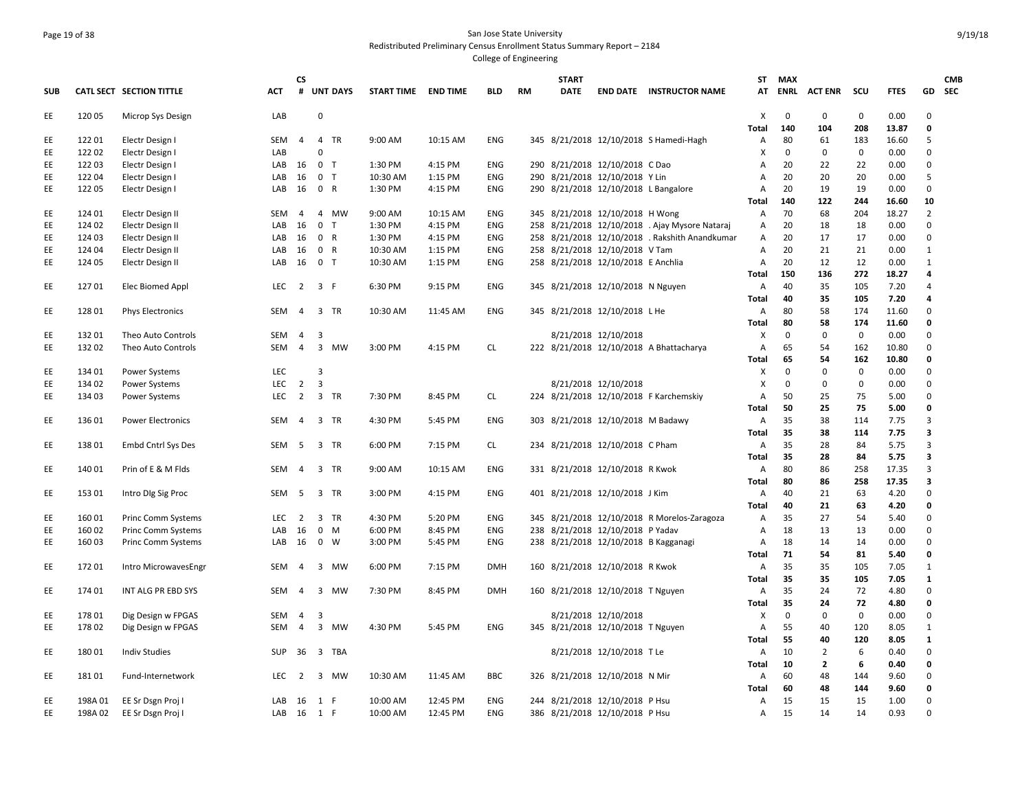### Page 19 of 38 San Jose State University Redistributed Preliminary Census Enrollment Status Summary Report – 2184 College of Engineering

|            |         |                           |            | СS             |                         |    |                     |          |            |           | <b>START</b> |                                      |                                                | ST.            | MAX         |                |             |             |                         | <b>CMB</b> |
|------------|---------|---------------------------|------------|----------------|-------------------------|----|---------------------|----------|------------|-----------|--------------|--------------------------------------|------------------------------------------------|----------------|-------------|----------------|-------------|-------------|-------------------------|------------|
| <b>SUB</b> |         | CATL SECT SECTION TITTLE  | ACT        | #              | <b>UNT DAYS</b>         |    | START TIME END TIME |          | BLD        | <b>RM</b> | <b>DATE</b>  |                                      | <b>END DATE INSTRUCTOR NAME</b>                | AT             | ENRL        | <b>ACT ENR</b> | scu         | <b>FTES</b> |                         | GD SEC     |
| EE         | 12005   | Microp Sys Design         | LAB        |                | $\mathbf 0$             |    |                     |          |            |           |              |                                      |                                                | X              | $\mathbf 0$ | $\mathbf 0$    | $\mathbf 0$ | 0.00        | $\Omega$                |            |
|            |         |                           |            |                |                         |    |                     |          |            |           |              |                                      |                                                | <b>Total</b>   | 140         | 104            | 208         | 13.87       | $\mathbf 0$             |            |
| EE         | 12201   | Electr Design I           | SEM        | $\overline{4}$ | 4 TR                    |    | 9:00 AM             | 10:15 AM | <b>ENG</b> |           |              |                                      | 345 8/21/2018 12/10/2018 S Hamedi-Hagh         | A              | 80          | 61             | 183         | 16.60       | 5                       |            |
| EE         | 12202   | Electr Design I           | LAB        |                | 0                       |    |                     |          |            |           |              |                                      |                                                | X              | $\mathbf 0$ | 0              | 0           | 0.00        | $\Omega$                |            |
| EE         | 12203   | Electr Design I           | LAB        | 16             | 0 <sub>T</sub>          |    | 1:30 PM             | 4:15 PM  | <b>ENG</b> |           |              | 290 8/21/2018 12/10/2018 C Dao       |                                                | А              | 20          | 22             | 22          | 0.00        | $\mathbf 0$             |            |
| EE.        | 12204   | Electr Design I           | LAB        | 16             | 0 <sub>T</sub>          |    | 10:30 AM            | 1:15 PM  | ENG        |           |              | 290 8/21/2018 12/10/2018 Y Lin       |                                                | A              | 20          | 20             | 20          | 0.00        | 5                       |            |
| EE         | 122 05  | Electr Design I           | LAB        | 16             | 0 R                     |    | 1:30 PM             | 4:15 PM  | <b>ENG</b> |           |              | 290 8/21/2018 12/10/2018 L Bangalore |                                                | Α              | 20          | 19             | 19          | 0.00        | $\mathbf 0$             |            |
|            |         |                           |            |                |                         |    |                     |          |            |           |              |                                      |                                                | Total          | 140         | 122            | 244         | 16.60       | 10                      |            |
| EE         | 124 01  | Electr Design II          | SEM        | 4              | 4 MW                    |    | 9:00 AM             | 10:15 AM | <b>ENG</b> |           |              | 345 8/21/2018 12/10/2018 H Wong      |                                                | Α              | 70          | 68             | 204         | 18.27       | 2                       |            |
| EE         | 124 02  | Electr Design II          | LAB        | 16             | 0 <sub>T</sub>          |    | 1:30 PM             | 4:15 PM  | <b>ENG</b> |           |              |                                      | 258 8/21/2018 12/10/2018 . Ajay Mysore Nataraj | Α              | 20          | 18             | 18          | 0.00        | $\mathbf 0$             |            |
| EE         | 124 03  | Electr Design II          | LAB        | 16             | 0 R                     |    | 1:30 PM             | 4:15 PM  | ENG        |           |              |                                      | 258 8/21/2018 12/10/2018 . Rakshith Anandkumar | A              | 20          | 17             | 17          | 0.00        | $\Omega$                |            |
| EE         | 124 04  | Electr Design II          | LAB        | 16             | 0 R                     |    | 10:30 AM            | 1:15 PM  | ENG        |           |              | 258 8/21/2018 12/10/2018 V Tam       |                                                | Α              | 20          | 21             | 21          | 0.00        | 1                       |            |
| EE         | 124 05  | Electr Design II          | LAB        | 16             | 0 <sub>T</sub>          |    | 10:30 AM            | 1:15 PM  | <b>ENG</b> |           |              | 258 8/21/2018 12/10/2018 E Anchlia   |                                                | A              | 20          | 12             | 12          | 0.00        | 1                       |            |
|            |         |                           |            |                |                         |    |                     |          |            |           |              |                                      |                                                | Total          | 150         | 136            | 272         | 18.27       | 4                       |            |
| EE         | 12701   | Elec Biomed Appl          | LEC.       | $\overline{2}$ | 3 F                     |    | 6:30 PM             | 9:15 PM  | ENG        |           |              | 345 8/21/2018 12/10/2018 N Nguyen    |                                                | Α              | 40          | 35             | 105         | 7.20        | $\overline{a}$          |            |
|            |         |                           |            |                |                         |    |                     |          |            |           |              |                                      |                                                | Total          | 40          | 35             | 105         | 7.20        | 4                       |            |
| EE         | 12801   | <b>Phys Electronics</b>   | SEM        | $\overline{4}$ | 3 TR                    |    | 10:30 AM            | 11:45 AM | <b>ENG</b> |           |              | 345 8/21/2018 12/10/2018 L He        |                                                | Α              | 80          | 58             | 174         | 11.60       | $\mathbf 0$             |            |
|            |         |                           |            |                |                         |    |                     |          |            |           |              |                                      |                                                | Total          | 80          | 58             | 174         | 11.60       | 0                       |            |
|            |         |                           |            |                |                         |    |                     |          |            |           |              |                                      |                                                |                | $\mathsf 0$ |                | $\mathbf 0$ | 0.00        | $\mathbf 0$             |            |
| EE         | 13201   | Theo Auto Controls        | SEM        | 4              | $\overline{\mathbf{3}}$ |    |                     |          |            |           |              | 8/21/2018 12/10/2018                 |                                                | х              |             | 0              |             |             |                         |            |
| EE         | 132 02  | Theo Auto Controls        | <b>SEM</b> | $\overline{4}$ | 3 MW                    |    | 3:00 PM             | 4:15 PM  | <b>CL</b>  |           |              |                                      | 222 8/21/2018 12/10/2018 A Bhattacharya        | Α              | 65          | 54             | 162         | 10.80       | $\mathbf 0$             |            |
|            |         |                           |            |                |                         |    |                     |          |            |           |              |                                      |                                                | Total          | 65          | 54             | 162         | 10.80       | $\mathbf 0$             |            |
| EE         | 134 01  | <b>Power Systems</b>      | <b>LEC</b> |                | 3                       |    |                     |          |            |           |              |                                      |                                                | X              | $\mathbf 0$ | $\Omega$       | $\mathbf 0$ | 0.00        | $\Omega$                |            |
| EE         | 134 02  | <b>Power Systems</b>      | <b>LEC</b> | $\overline{2}$ | $\overline{3}$          |    |                     |          |            |           |              | 8/21/2018 12/10/2018                 |                                                | X              | 0           | 0              | 0           | 0.00        | $\mathbf 0$             |            |
| EE         | 134 03  | <b>Power Systems</b>      | <b>LEC</b> | $\overline{2}$ | 3 TR                    |    | 7:30 PM             | 8:45 PM  | <b>CL</b>  |           |              |                                      | 224 8/21/2018 12/10/2018 F Karchemskiy         | Α              | 50          | 25             | 75          | 5.00        | $\Omega$                |            |
|            |         |                           |            |                |                         |    |                     |          |            |           |              |                                      |                                                | Total          | 50          | 25             | 75          | 5.00        | 0                       |            |
| EE         | 136 01  | <b>Power Electronics</b>  | SEM        | $\overline{4}$ | 3 TR                    |    | 4:30 PM             | 5:45 PM  | <b>ENG</b> |           |              | 303 8/21/2018 12/10/2018 M Badawy    |                                                | Α              | 35          | 38             | 114         | 7.75        | 3                       |            |
|            |         |                           |            |                |                         |    |                     |          |            |           |              |                                      |                                                | Total          | 35          | 38             | 114         | 7.75        | 3                       |            |
| EE         | 13801   | Embd Cntrl Sys Des        | SEM        | 5              | 3 TR                    |    | 6:00 PM             | 7:15 PM  | <b>CL</b>  |           |              | 234 8/21/2018 12/10/2018 C Pham      |                                                | A              | 35          | 28             | 84          | 5.75        | $\overline{3}$          |            |
|            |         |                           |            |                |                         |    |                     |          |            |           |              |                                      |                                                | Total          | 35          | 28             | 84          | 5.75        | $\overline{\mathbf{3}}$ |            |
| EE         | 140 01  | Prin of E & M Flds        | <b>SEM</b> | $\overline{4}$ | 3 TR                    |    | 9:00 AM             | 10:15 AM | <b>ENG</b> |           |              | 331 8/21/2018 12/10/2018 R Kwok      |                                                | Α              | 80          | 86             | 258         | 17.35       | 3                       |            |
|            |         |                           |            |                |                         |    |                     |          |            |           |              |                                      |                                                | Total          | 80          | 86             | 258         | 17.35       | 3                       |            |
| EE         | 153 01  | Intro Dig Sig Proc        | SEM        | - 5            | 3 TR                    |    | 3:00 PM             | 4:15 PM  | <b>ENG</b> |           |              | 401 8/21/2018 12/10/2018 J Kim       |                                                | Α              | 40          | 21             | 63          | 4.20        | $\mathbf 0$             |            |
|            |         |                           |            |                |                         |    |                     |          |            |           |              |                                      |                                                | Total          | 40          | 21             | 63          | 4.20        | $\mathbf 0$             |            |
| EE         | 16001   | Princ Comm Systems        | LEC.       | 2              | 3 TR                    |    | 4:30 PM             | 5:20 PM  | <b>ENG</b> |           |              |                                      | 345 8/21/2018 12/10/2018 R Morelos-Zaragoza    | Α              | 35          | 27             | 54          | 5.40        | $\Omega$                |            |
| EE         | 160 02  | <b>Princ Comm Systems</b> | LAB        | 16             | $0$ M                   |    | 6:00 PM             | 8:45 PM  | <b>ENG</b> |           |              | 238 8/21/2018 12/10/2018 P Yadav     |                                                | Α              | 18          | 13             | 13          | 0.00        | $\mathbf 0$             |            |
|            |         |                           |            |                |                         |    |                     |          | <b>ENG</b> |           |              |                                      |                                                | $\overline{A}$ | 18          | 14             | 14          | 0.00        | $\Omega$                |            |
| EE         | 160 03  | Princ Comm Systems        | LAB        | 16             | 0 W                     |    | 3:00 PM             | 5:45 PM  |            |           |              | 238 8/21/2018 12/10/2018 B Kagganagi |                                                |                |             |                |             |             |                         |            |
|            |         |                           |            |                |                         |    |                     |          |            |           |              |                                      |                                                | Total          | 71          | 54             | 81          | 5.40        | 0                       |            |
| EE.        | 17201   | Intro MicrowavesEngr      | SEM        | $\overline{4}$ | 3 MW                    |    | 6:00 PM             | 7:15 PM  | <b>DMH</b> |           |              | 160 8/21/2018 12/10/2018 R Kwok      |                                                | Α              | 35          | 35             | 105         | 7.05        | 1                       |            |
|            |         |                           |            |                |                         |    |                     |          |            |           |              |                                      |                                                | Total          | 35          | 35             | 105         | 7.05        | 1                       |            |
| EE         | 174 01  | INT ALG PR EBD SYS        | <b>SEM</b> | $\overline{4}$ | 3                       | MW | 7:30 PM             | 8:45 PM  | <b>DMH</b> |           |              | 160 8/21/2018 12/10/2018 T Nguyen    |                                                | Α              | 35          | 24             | 72          | 4.80        | $\mathbf 0$             |            |
|            |         |                           |            |                |                         |    |                     |          |            |           |              |                                      |                                                | Total          | 35          | 24             | 72          | 4.80        | $\mathbf{0}$            |            |
| EE         | 17801   | Dig Design w FPGAS        | SEM        | 4              | $\overline{3}$          |    |                     |          |            |           |              | 8/21/2018 12/10/2018                 |                                                | X              | $\mathsf 0$ | $\mathbf 0$    | $\mathsf 0$ | 0.00        | 0                       |            |
| EE         | 17802   | Dig Design w FPGAS        | SEM        | $\overline{4}$ | 3 MW                    |    | 4:30 PM             | 5:45 PM  | <b>ENG</b> |           |              | 345 8/21/2018 12/10/2018 T Nguyen    |                                                | Α              | 55          | 40             | 120         | 8.05        | 1                       |            |
|            |         |                           |            |                |                         |    |                     |          |            |           |              |                                      |                                                | Total          | 55          | 40             | 120         | 8.05        | 1                       |            |
| EE.        | 18001   | <b>Indiv Studies</b>      | <b>SUP</b> | 36             | 3 TBA                   |    |                     |          |            |           |              | 8/21/2018 12/10/2018 TLe             |                                                | Α              | 10          | $\overline{2}$ | 6           | 0.40        | $\Omega$                |            |
|            |         |                           |            |                |                         |    |                     |          |            |           |              |                                      |                                                | Total          | 10          | $\overline{2}$ | 6           | 0.40        | $\mathbf{0}$            |            |
| EE         | 18101   | Fund-Internetwork         | <b>LEC</b> | $\overline{2}$ | 3 MW                    |    | 10:30 AM            | 11:45 AM | BBC        |           |              | 326 8/21/2018 12/10/2018 N Mir       |                                                | Α              | 60          | 48             | 144         | 9.60        | $\mathbf 0$             |            |
|            |         |                           |            |                |                         |    |                     |          |            |           |              |                                      |                                                | Total          | 60          | 48             | 144         | 9.60        | 0                       |            |
| EE         | 198A01  | EE Sr Dsgn Proj I         | LAB        | 16             | 1 F                     |    | 10:00 AM            | 12:45 PM | <b>ENG</b> |           |              | 244 8/21/2018 12/10/2018 P Hsu       |                                                | A              | 15          | 15             | 15          | 1.00        | $\mathbf 0$             |            |
| <b>EE</b>  | 198A 02 | EE Sr Dsgn Proj I         | LAB 16     |                | 1 F                     |    | 10:00 AM            | 12:45 PM | <b>ENG</b> |           |              | 386 8/21/2018 12/10/2018 P Hsu       |                                                | A              | 15          | 14             | 14          | 0.93        | $\Omega$                |            |
|            |         |                           |            |                |                         |    |                     |          |            |           |              |                                      |                                                |                |             |                |             |             |                         |            |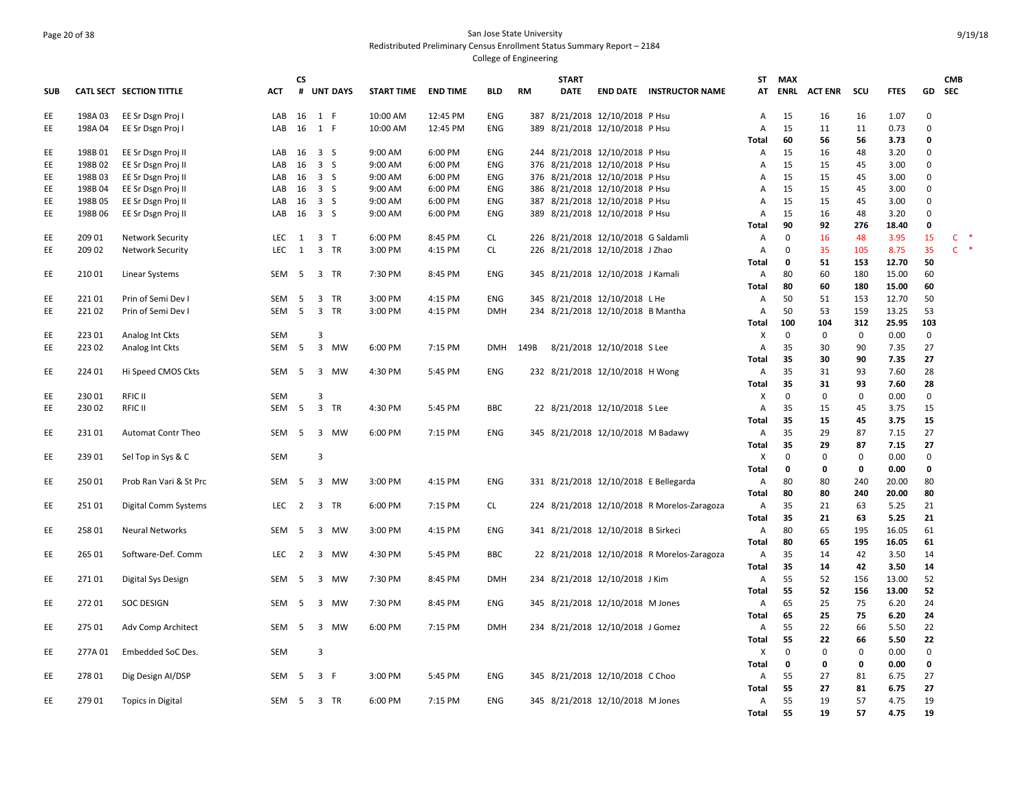#### Page 20 of 38 San Jose State University Redistributed Preliminary Census Enrollment Status Summary Report – 2184 College of Engineering

**SUB CATL SECT SECTION TITTLE ACT CS # UNT DAYS START TIME END TIME BLD RM START DATE END DATE INSTRUCTOR NAME STMAX ATENRL ACT ENR SCU FTES GD CMB SEC**EE 198A 03 EE Sr Dsgn Proj I LAB 16 1 F 10:00 AM 12:45 PM ENG 387 8/21/2018 12/10/2018 P Hsu A 15 16 16 1.07 0 EE 198A 04 EE Sr Dsgn Proj I LAB 16 1 F 10:00 AM 12:45 PM ENG 389 8/21/2018 12/10/2018 P Hsu A 15 11 11 0.73 0 **Total 60 56 56 3.73 0** EE 198B 01 EE Sr Dsgn Proj II LAB 16 3 S 9:00 AM 6:00 PM ENG 244 8/21/2018 12/10/2018 P Hsu A 15 16 48 3.20 0 EE 198B 02 EE Sr Dsgn Proj II LAB 16 3 S 9:00 AM 6:00 PM ENG 376 8/21/2018 12/10/2018 P Hsu A 15 15 45 3.00 0 EE 198B 03 EE Sr Dsgn Proj II LAB 16 3 S 9:00 AM 6:00 PM ENG 376 8/21/2018 12/10/2018 P Hsu A 15 15 45 3.00 0 EE 198B 04 EE Sr Dsgn Proj II LAB 16 3 S 9:00 AM 6:00 PM ENG 386 8/21/2018 12/10/2018 P Hsu A 15 15 45 3.00 0 EE 198B 05 EE Sr Dsgn Proj II LAB 16 3 S 9:00 AM 6:00 PM ENG 387 8/21/2018 12/10/2018 P Hsu A 15 15 45 3.00 0 EE 198B 06 EE Sr Dsgn Proj II LAB 16 3 S 9:00 AM 6:00 PM ENG 389 8/21/2018 12/10/2018 P Hsu A 15 16 48 3.20 0 **Total 90 92 276 18.40 0** EE 209 01 Network Security LEC 1 3 T 6:00 PM 8:45 PM CL 226 8/21/2018 12/10/2018 G Saldamli A 0 16 48 3.95 15 C \* EE 20902 Network Security LEC 1 3 TR 3:00 PM 4:15 PM CL 226 8/21/2018 12/10/2018 J Zhao A 0 35 105 8.75 35 C \* **Total 0 51 153 12.70 50** EE 210 01 Linear Systems SEM 5 3 TR 7:30 PM 8:45 PM ENG 345 8/21/2018 12/10/2018 J Kamali A 80 60 180 15.00 60 **Total 80 60 180 15.00 60** EE 221 01 Prin of Semi Dev I SEM 5 3 TR 3:00 PM 4:15 PM ENG 345 8/21/2018 12/10/2018 L He A 50 51 153 12.70 50 EE 221 02 Prin of Semi Dev I SEM 5 3 TR 3:00 PM 4:15 PM DMH 234 8/21/2018 12/10/2018 B Mantha A 50 53 159 13.25 53 **Total 100 104 312 25.95 103** EE 223 01 Analog Int Ckts SEM 3 X 0 0 0 0.00 0 EE 223 02 Analog Int Ckts SEM 5 3 MW 6:00 PM 7:15 PM DMH 149B 8/21/2018 12/10/2018 S Lee A 35 30 90 7.35 27 **Total 35 30 90 7.35 27** EE 224 01 Hi Speed CMOS Ckts SEM 5 3 MW 4:30 PM 5:45 PM ENG 232 8/21/2018 12/10/2018 H Wong A 35 31 93 7.60 28 **Total 35 31 93 7.60 28** EE 230 01 RFIC II SEM 3 X 0 0 0 0.00 0 EE 230 02 RFIC II SEM 5 3 TR 4:30 PM 5:45 PM BBC 22 8/21/2018 12/10/2018 S Lee A 35 15 45 3.75 15 **Total 35 15 45 3.75 15** EE 231 01 Automat Contr Theo SEM 5 3 MW 6:00 PM 7:15 PM ENG 345 8/21/2018 12/10/2018 M Badawy A 35 29 87 7.15 27 **Total 35 29 87 7.15 27** EE 239 01 Sel Top in Sys & C SEM 3 X 0 0 0 0.00 0 **Total 0 0 0 0.00 0** EE 250 01 Prob Ran Vari & St Prc SEM 5 3 MW 3:00 PM 4:15 PM ENG 331 8/21/2018 12/10/2018 E Bellegarda A 80 80 240 20.00 80 **Total 80 80 240 20.00 80** EE 251 01 Digital Comm Systems LEC 2 3 TR 6:00 PM 7:15 PM CL 224 8/21/2018 12/10/2018 R Morelos‐Zaragoza A 35 21 63 5.25 21 **Total 35 21 63 5.25 21** EE 258 01 Neural Networks SEM 5 3 MW 3:00 PM 4:15 PM ENG 341 8/21/2018 12/10/2018 B Sirkeci A 80 65 195 16.05 61 **Total 80 65 195 16.05 61** EE 265 01 Software‐Def. Comm LEC 2 3 MW 4:30 PM 5:45 PM BBC 22 8/21/2018 12/10/2018 R Morelos‐Zaragoza A 35 14 42 3.50 14 **Total 35 14 42 3.50 14** EE 271 01 Digital Sys Design SEM 5 3 MW 7:30 PM 8:45 PM DMH 234 8/21/2018 12/10/2018 J Kim A 55 52 156 13.00 52 **Total 55 52 156 13.00 52** EE 272 01 SOC DESIGN SEM 5 3 MW 7:30 PM 8:45 PM ENG 345 8/21/2018 12/10/2018 M Jones A 65 25 75 6.20 24 **Total 65 25 75 6.20 24** EE 275 01 Adv Comp Architect SEM 5 3 MW 6:00 PM 7:15 PM DMH 234 8/21/2018 12/10/2018 J Gomez A 55 22 66 5.50 22 **Total 55 22 66 5.50 22** EE 277A 01 Embedded SoC Des. SEM 3 X 0 0 0 0.00 0 **Total 0 0 0 0.00 0** EE 278 01 Dig Design AI/DSP SEM 5 3 F 3:00 PM 5:45 PM ENG 345 8/21/2018 12/10/2018 C Choo A 55 27 81 6.75 27 **Total 55 27 81 6.75 27** EE 279 01 Topics in Digital SEM 5 3 TR 6:00 PM 7:15 PM ENG 345 8/21/2018 12/10/2018 M Jones A 55 19 57 4.75 19 **Total 55 19 57 4.75 19**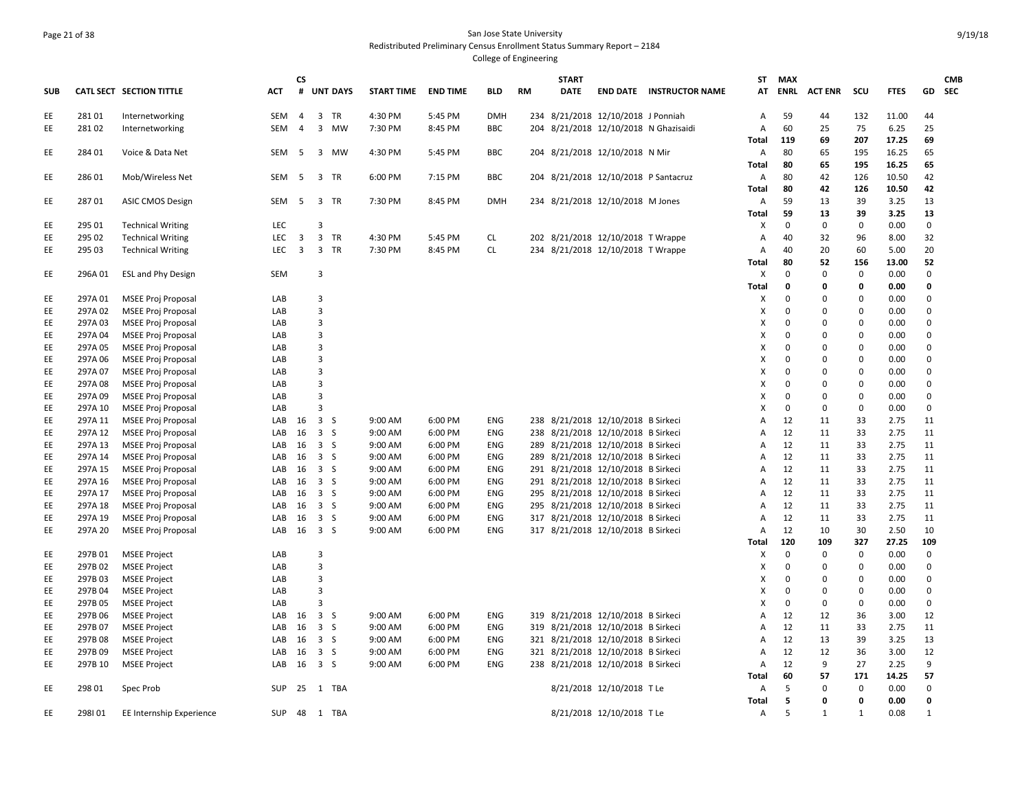#### Page 21 of 38 San Jose State University Redistributed Preliminary Census Enrollment Status Summary Report – 2184 College of Engineering

**START** 

**ST**

**MAX** 

**CS** 

**SUB CATL SECT SECTION TITTLE ACT # UNT DAYS START TIME END TIME BLD RM DATE END DATE INSTRUCTOR NAME ATENRL ACT ENR SCU FTES GD** EE 281 01 Internetworking SEM 4 3 TR 4:30 PM 5:45 PM DMH 234 8/21/2018 12/10/2018 J Ponniah A 59 44 132 11.00 44 EE 281 02 Internetworking SEM 4 3 MW 7:30 PM 8:45 PM BBC 204 8/21/2018 12/10/2018 N Ghazisaidi A 60 25 75 6.25 25 **Total 119 69 207 17.25 69** EE 284 01 Voice & Data Net SEM 5 3 MW 4:30 PM 5:45 PM BBC 204 8/21/2018 12/10/2018 N Mir A 80 65 195 16.25 65 **Total 80 65 195 16.25 65** EE 286 01 Mob/Wireless Net SEM 5 3 TR 6:00 PM 7:15 PM BBC 204 8/21/2018 12/10/2018 P Santacruz A 80 42 126 10.50 42 **Total 80 42 126 10.50 42** EE 287 01 ASIC CMOS Design SEM 5 3 TR 7:30 PM 8:45 PM DMH 234 8/21/2018 12/10/2018 M Jones A 59 13 39 3.25 13 **Total 59 13 39 3.25 13** EE 295 01 Technical Writing LEC 3 X 0 0 0 0.00 0 EE 295 02 Technical Writing LEC 3 3 TR 4:30 PM 5:45 PM CL 202 8/21/2018 12/10/2018 T Wrappe A 40 32 96 8.00 32 EE 295 03 Technical Writing LEC 3 3 TR 7:30 PM 8:45 PM CL 234 8/21/2018 12/10/2018 T Wrappe A 40 20 60 5.00 20 **Total 80 52 156 13.00 52** EE 296A 01 ESL and Phy Design SEM 3 X 0 0 0 0.00 0 **Total 0 0 0 0.00 0** EE 297A 01 MSEE Proj Proposal LAB 3 X 0 0 0 0.00 0 EE 297A 02 MSEE Proj Proposal LAB 3 X 0 0 0 0.00 0 EE 297A 03 MSEE Proj Proposal LAB 3 X 0 0 0 0.00 0 EE 297A 04 MSEE Proj Proposal LAB 3 X 0 0 0 0.00 0 EE 297A 05 MSEE Proj Proposal LAB 3 X 0 0 0 0.00 0 EE 297A 06 MSEE Proj Proposal LAB 3 X 0 0 0 0.00 0 EE 297A 07 MSEE Proj Proposal LAB 3 X 0 0 0 0.00 0 EE 297A 08 MSEE Proj Proposal LAB 3 X 0 0 0 0.00 0 EE 297A 09 MSEE Proj Proposal LAB 3 X 0 0 0 0.00 0 EE 297A 10 MSEE Proj Proposal LAB 3 X 0 0 0 0.00 0 EE 297A 11 MSEE Proj Proposal LAB 16 3 S 9:00 AM 6:00 PM ENG 238 8/21/2018 12/10/2018 B Sirkeci A 12 11 33 2.75 11 EE 297A 12 MSEE Proj Proposal LAB 16 3 S 9:00 AM 6:00 PM ENG 238 8/21/2018 12/10/2018 B Sirkeci A 12 11 33 2.75 11 EE 297A 13 MSEE Proj Proposal LAB 16 3 S 9:00 AM 6:00 PM ENG 289 8/21/2018 12/10/2018 B Sirkeci A 12 11 33 2.75 11 EE 297A 14 MSEE Proj Proposal LAB 16 3 S 9:00 AM 6:00 PM ENG 289 8/21/2018 12/10/2018 B Sirkeci A 12 11 33 2.75 11 EE 297A 15 MSEE Proj Proposal LAB 16 3 S 9:00 AM 6:00 PM ENG 291 8/21/2018 12/10/2018 B Sirkeci A 12 11 33 2.75 11 EE 297A 16 MSEE Proj Proposal LAB 16 3 S 9:00 AM 6:00 PM ENG 291 8/21/2018 12/10/2018 B Sirkeci A 12 11 33 2.75 11 EE 297A 17 MSEE Proj Proposal LAB 16 3 S 9:00 AM 6:00 PM ENG 295 8/21/2018 12/10/2018 B Sirkeci A 12 11 33 2.75 11 EE 297A 18 MSEE Proj Proposal LAB 16 3 S 9:00 AM 6:00 PM ENG 295 8/21/2018 12/10/2018 B Sirkeci A 12 11 33 2.75 11 EE 297A 19 MSEE Proj Proposal LAB 16 3 S 9:00 AM 6:00 PM ENG 317 8/21/2018 12/10/2018 B Sirkeci A 12 11 33 2.75 11 EE 297A 20 MSEE Proj Proposal LAB 16 3 S 9:00 AM 6:00 PM ENG 317 8/21/2018 12/10/2018 B Sirkeci A 12 10 30 2.50 10 **Total 120 109 327 27.25 109** EE 297B 01 MSEE Project LAB 3 X 0 0 0 0.00 0 EE 297B 02 MSEE Project LAB 3 X 0 0 0 0.00 0 EE 297B 03 MSEE Project LAB 3 X 0 0 0 0.00 0 EE 297B 04 MSEE Project LAB 3 X 0 0 0 0.00 0 EE 297B 05 MSEE Project LAB 3 X 0 0 0 0.00 0 EE 297B 06 MSEE Project LAB 16 3 S 9:00 AM 6:00 PM ENG 319 8/21/2018 12/10/2018 B Sirkeci A 12 12 36 3.00 12 EE 297B 07 MSEE Project LAB 16 3 S 9:00 AM 6:00 PM ENG 319 8/21/2018 12/10/2018 B Sirkeci A 12 11 33 2.75 11 EE 297B 08 MSEE Project LAB 16 3 S 9:00 AM 6:00 PM ENG 321 8/21/2018 12/10/2018 B Sirkeci A 12 13 39 3.25 13 EE 297B 09 MSEE Project LAB 16 3 S 9:00 AM 6:00 PM ENG 321 8/21/2018 12/10/2018 B Sirkeci A 12 12 36 3.00 12 EE 297B 10 MSEE Project LAB 16 3 S 9:00 AM 6:00 PM ENG 238 8/21/2018 12/10/2018 B Sirkeci A 12 9 27 2.25 9 **Total 60 57 171 14.25 57** EE 298 01 Spec Prob SUP 25 1 TBA 8/21/2018 12/10/2018 T Le A 5 0 0 0.00 0 **Total 5 0 0 0.00 0** EE 298I 01 EE Internship Experience SUP 48 1 TBA 8/21/2018 12/10/2018 T Le A 5 1 1 0.08 1

**CMB SEC**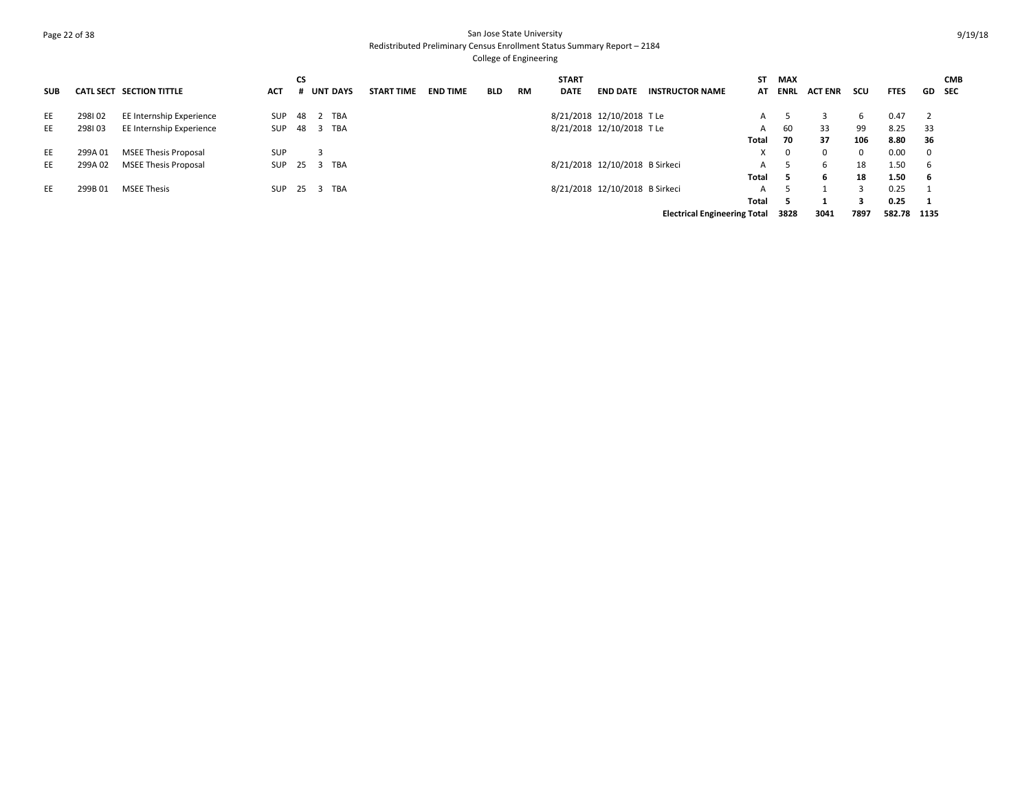### Page 22 of 38 San Jose State University Redistributed Preliminary Census Enrollment Status Summary Report – 2184 College of Engineering

| <b>SUB</b> |         | CATL SECT SECTION TITTLE    | ACT        | СS   | <b>UNT DAYS</b> | <b>START TIME</b> | <b>END TIME</b> | <b>BLD</b> | <b>RM</b> | <b>START</b><br><b>DATE</b> | <b>END DATE</b>                | <b>INSTRUCTOR NAME</b>              | SΤ<br>AT | MAX<br>ENRL | <b>ACT ENR</b> | scu      | <b>FTES</b> |                          | <b>CMB</b><br>GD SEC |
|------------|---------|-----------------------------|------------|------|-----------------|-------------------|-----------------|------------|-----------|-----------------------------|--------------------------------|-------------------------------------|----------|-------------|----------------|----------|-------------|--------------------------|----------------------|
| EE         | 298102  | EE Internship Experience    | SUP        |      | 48 2 TBA        |                   |                 |            |           |                             | 8/21/2018 12/10/2018 TLe       |                                     | A        |             |                | 6        | 0.47        | $\overline{\phantom{0}}$ |                      |
| EE         | 298103  | EE Internship Experience    | SUP 48 3   |      | TBA             |                   |                 |            |           |                             | 8/21/2018 12/10/2018 TLe       |                                     | A        | 60          | 33             | 99       | 8.25        | -33                      |                      |
|            |         |                             |            |      |                 |                   |                 |            |           |                             |                                |                                     | Total    | 70          | 37             | 106      | 8.80        | - 36                     |                      |
| EE         | 299A01  | <b>MSEE Thesis Proposal</b> | <b>SUP</b> |      |                 |                   |                 |            |           |                             |                                |                                     | X        | 0           | 0              | $\Omega$ | 0.00        | $\overline{\mathbf{0}}$  |                      |
| EE         | 299A 02 | <b>MSEE Thesis Proposal</b> | SUP        | 25   | TBA<br>3        |                   |                 |            |           |                             | 8/21/2018 12/10/2018 B Sirkeci |                                     | A        |             | 6              | 18       | 1.50        | - 6                      |                      |
|            |         |                             |            |      |                 |                   |                 |            |           |                             |                                |                                     | Total    | 5           | 6              | 18       | 1.50        | - 6                      |                      |
| EE         | 299B01  | <b>MSEE Thesis</b>          | SUP        | 25 3 | TBA             |                   |                 |            |           |                             | 8/21/2018 12/10/2018 B Sirkeci |                                     | A        |             |                |          | 0.25        |                          |                      |
|            |         |                             |            |      |                 |                   |                 |            |           |                             |                                |                                     | Total    |             |                |          | 0.25        | $\mathbf{1}$             |                      |
|            |         |                             |            |      |                 |                   |                 |            |           |                             |                                | <b>Electrical Engineering Total</b> |          | 3828        | 3041           | 7897     | 582.78 1135 |                          |                      |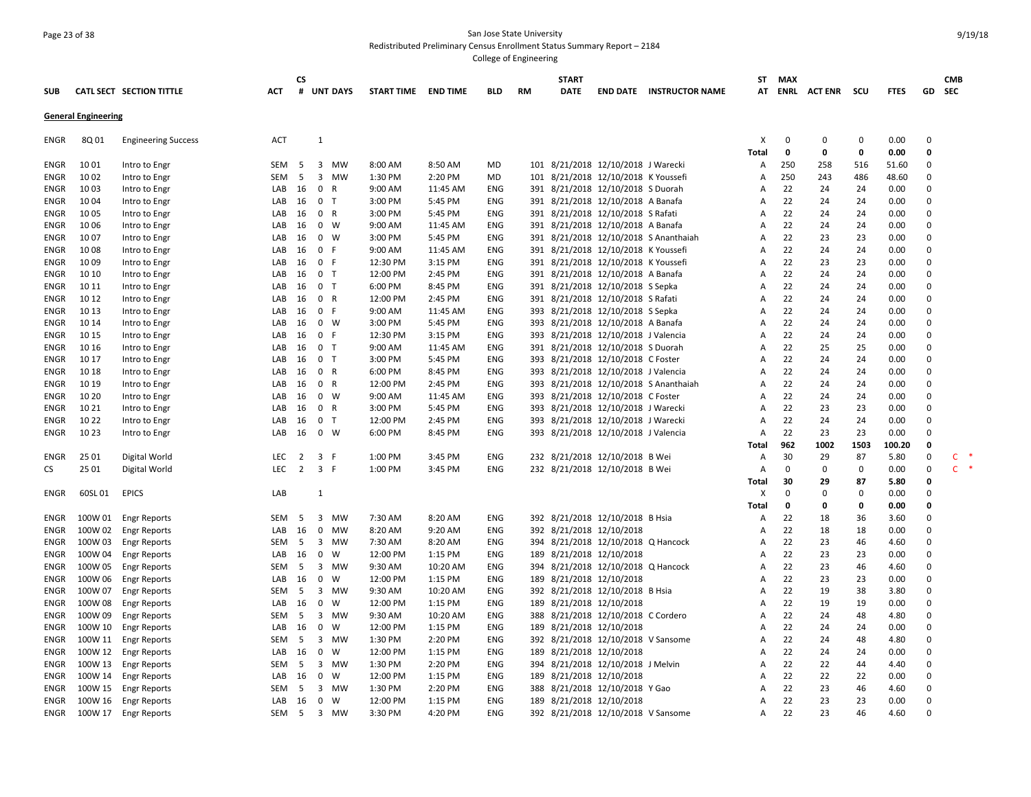## Page 23 of 38 San Jose State University Redistributed Preliminary Census Enrollment Status Summary Report – 2184

|                     |                            |                                |                  | CS             |                         |                 |                      |                    |            |           | <b>START</b> |                                                                       |                                       | ST           | MAX         |                |             |              |                      | <b>CMB</b> |
|---------------------|----------------------------|--------------------------------|------------------|----------------|-------------------------|-----------------|----------------------|--------------------|------------|-----------|--------------|-----------------------------------------------------------------------|---------------------------------------|--------------|-------------|----------------|-------------|--------------|----------------------|------------|
| <b>SUB</b>          |                            | CATL SECT SECTION TITTLE       | <b>ACT</b>       | #              |                         | <b>UNT DAYS</b> | <b>START TIME</b>    | <b>END TIME</b>    | <b>BLD</b> | <b>RM</b> | <b>DATE</b>  |                                                                       | <b>END DATE INSTRUCTOR NAME</b>       | AT           | ENRL        | <b>ACT ENR</b> | scu         | <b>FTES</b>  | GD                   | <b>SEC</b> |
|                     | <b>General Engineering</b> |                                |                  |                |                         |                 |                      |                    |            |           |              |                                                                       |                                       |              |             |                |             |              |                      |            |
| ENGR                | 8Q 01                      | <b>Engineering Success</b>     | ACT              |                | $\mathbf{1}$            |                 |                      |                    |            |           |              |                                                                       |                                       | X            | 0           | $\Omega$       | 0           | 0.00         | $\Omega$             |            |
|                     |                            |                                |                  |                |                         |                 |                      |                    |            |           |              |                                                                       |                                       | <b>Total</b> | 0           | 0              | $\mathbf 0$ | 0.00         | $\mathbf{0}$         |            |
| <b>ENGR</b>         | 10 01                      | Intro to Engr                  | SEM              | - 5            |                         | 3 MW            | 8:00 AM              | 8:50 AM            | MD         |           |              | 101 8/21/2018 12/10/2018 J Warecki                                    |                                       | А            | 250         | 258            | 516         | 51.60        | $\mathbf 0$          |            |
| <b>ENGR</b>         | 10 02                      | Intro to Engr                  | <b>SEM</b>       | - 5            | $\overline{\mathbf{3}}$ | MW              | 1:30 PM              | 2:20 PM            | <b>MD</b>  |           |              | 101 8/21/2018 12/10/2018 K Youssefi                                   |                                       | A            | 250         | 243            | 486         | 48.60        | $\Omega$             |            |
| ENGR                | 10 03                      | Intro to Engr                  | LAB              | 16             | $\mathbf 0$             | R               | $9:00$ AM            | 11:45 AM           | ENG        |           |              | 391 8/21/2018 12/10/2018 S Duorah                                     |                                       | А            | 22          | 24             | 24          | 0.00         | $\Omega$             |            |
| ENGR                | 10 04                      | Intro to Engr                  | LAB              | 16             | 0 <sub>T</sub>          |                 | 3:00 PM              | 5:45 PM            | ENG        |           |              | 391 8/21/2018 12/10/2018 A Banafa                                     |                                       | Α            | 22          | 24             | 24          | 0.00         | $\Omega$             |            |
| ENGR                | 1005                       | Intro to Engr                  | LAB              | 16             | 0 R                     |                 | 3:00 PM              | 5:45 PM            | ENG        |           |              | 391 8/21/2018 12/10/2018 S Rafati                                     |                                       | A            | 22          | 24             | 24          | 0.00         | $\Omega$<br>$\Omega$ |            |
| ENGR                | 10 06                      | Intro to Engr                  | LAB              | 16             |                         | $0 \quad W$     | 9:00 AM              | 11:45 AM           | ENG        |           |              | 391 8/21/2018 12/10/2018 A Banafa                                     |                                       | A<br>A       | 22          | 24             | 24          | 0.00         | $\Omega$             |            |
| <b>ENGR</b>         | 10 07                      | Intro to Engr                  | LAB              | 16             |                         | $0 \quad W$     | 3:00 PM              | 5:45 PM            | <b>ENG</b> |           |              |                                                                       | 391 8/21/2018 12/10/2018 S Ananthaiah |              | 22<br>22    | 23             | 23          | 0.00         | $\mathbf 0$          |            |
| <b>ENGR</b>         | 1008                       | Intro to Engr                  | LAB              | 16             | 0 F<br>0 F              |                 | 9:00 AM              | 11:45 AM           | ENG<br>ENG |           |              | 391 8/21/2018 12/10/2018 K Youssefi                                   |                                       | Α            | 22          | 24<br>23       | 24<br>23    | 0.00<br>0.00 | $\Omega$             |            |
| ENGR                | 10 09<br>10 10             | Intro to Engr                  | LAB              | 16<br>16       | 0 <sub>T</sub>          |                 | 12:30 PM<br>12:00 PM | 3:15 PM<br>2:45 PM |            |           |              | 391 8/21/2018 12/10/2018 K Youssefi                                   |                                       | Α            | 22          | 24             | 24          |              | $\Omega$             |            |
| ENGR<br><b>ENGR</b> | 10 11                      | Intro to Engr                  | LAB<br>LAB       | 16             | 0 <sub>T</sub>          |                 | 6:00 PM              | 8:45 PM            | ENG<br>ENG |           |              | 391 8/21/2018 12/10/2018 A Banafa<br>391 8/21/2018 12/10/2018 S Sepka |                                       | А<br>A       | 22          | 24             | 24          | 0.00<br>0.00 | $\Omega$             |            |
| ENGR                | 10 12                      | Intro to Engr<br>Intro to Engr | LAB              | 16             | 0 R                     |                 | 12:00 PM             | 2:45 PM            | ENG        |           |              | 391 8/21/2018 12/10/2018 S Rafati                                     |                                       | A            | 22          | 24             | 24          | 0.00         | $\Omega$             |            |
| <b>ENGR</b>         | 10 13                      | Intro to Engr                  | LAB              | 16             | 0 F                     |                 | 9:00 AM              | 11:45 AM           | ENG        | 393       |              | 8/21/2018 12/10/2018 S Sepka                                          |                                       | A            | 22          | 24             | 24          | 0.00         | $\mathbf 0$          |            |
| ENGR                | 10 14                      | Intro to Engr                  | LAB              | 16             |                         | $0 \quad W$     | 3:00 PM              | 5:45 PM            | ENG        |           |              | 393 8/21/2018 12/10/2018 A Banafa                                     |                                       | Α            | 22          | 24             | 24          | 0.00         | $\Omega$             |            |
| <b>ENGR</b>         | 10 15                      | Intro to Engr                  | LAB              | 16             | 0 F                     |                 | 12:30 PM             | 3:15 PM            | ENG        |           |              | 393 8/21/2018 12/10/2018 J Valencia                                   |                                       | A            | 22          | 24             | 24          | 0.00         | $\Omega$             |            |
| ENGR                | 10 16                      | Intro to Engr                  | LAB              | 16             | 0 <sub>T</sub>          |                 | 9:00 AM              | 11:45 AM           | ENG        |           |              | 391 8/21/2018 12/10/2018 S Duorah                                     |                                       | Α            | 22          | 25             | 25          | 0.00         | $\Omega$             |            |
| ENGR                | 10 17                      | Intro to Engr                  | LAB              | 16             | 0 <sub>T</sub>          |                 | 3:00 PM              | 5:45 PM            | ENG        |           |              | 393 8/21/2018 12/10/2018 C Foster                                     |                                       | A            | 22          | 24             | 24          | 0.00         | $\Omega$             |            |
| ENGR                | 10 18                      | Intro to Engr                  | LAB              | 16             | 0 R                     |                 | 6:00 PM              | 8:45 PM            | <b>ENG</b> | 393       |              | 8/21/2018 12/10/2018 J Valencia                                       |                                       | A            | 22          | 24             | 24          | 0.00         | $\Omega$             |            |
| ENGR                | 10 19                      | Intro to Engr                  | LAB              | 16             | 0 R                     |                 | 12:00 PM             | 2:45 PM            | ENG        |           |              |                                                                       | 393 8/21/2018 12/10/2018 S Ananthaiah | Α            | 22          | 24             | 24          | 0.00         | $\Omega$             |            |
| <b>ENGR</b>         | 10 20                      | Intro to Engr                  | LAB              | 16             |                         | $0 \quad W$     | 9:00 AM              | 11:45 AM           | ENG        |           |              | 393 8/21/2018 12/10/2018 C Foster                                     |                                       | Α            | 22          | 24             | 24          | 0.00         | $\mathbf 0$          |            |
| ENGR                | 10 21                      | Intro to Engr                  | LAB              | 16             | 0 R                     |                 | 3:00 PM              | 5:45 PM            | ENG        |           |              | 393 8/21/2018 12/10/2018 J Warecki                                    |                                       | Α            | 22          | 23             | 23          | 0.00         | $\Omega$             |            |
| <b>ENGR</b>         | 10 22                      | Intro to Engr                  | LAB              | 16             | 0 <sub>T</sub>          |                 | 12:00 PM             | 2:45 PM            | ENG        |           |              | 393 8/21/2018 12/10/2018 J Warecki                                    |                                       | Α            | 22          | 24             | 24          | 0.00         | $\Omega$             |            |
| <b>ENGR</b>         | 10 23                      | Intro to Engr                  | LAB              | 16             |                         | $0 \quad W$     | 6:00 PM              | 8:45 PM            | ENG        | 393       |              | 8/21/2018 12/10/2018 J Valencia                                       |                                       | A            | 22          | 23             | 23          | 0.00         | $\Omega$             |            |
|                     |                            |                                |                  |                |                         |                 |                      |                    |            |           |              |                                                                       |                                       | Total        | 962         | 1002           | 1503        | 100.20       | 0                    |            |
| <b>ENGR</b>         | 25 01                      | Digital World                  | <b>LEC</b>       | $\overline{2}$ | 3 F                     |                 | 1:00 PM              | 3:45 PM            | ENG        |           |              | 232 8/21/2018 12/10/2018 B Wei                                        |                                       | Α            | 30          | 29             | 87          | 5.80         | 0                    | C          |
| CS                  | 25 01                      | Digital World                  | <b>LEC</b>       | 2              | 3 F                     |                 | 1:00 PM              | 3:45 PM            | ENG        |           |              | 232 8/21/2018 12/10/2018 B Wei                                        |                                       | Α            | $\mathbf 0$ | 0              | 0           | 0.00         | 0                    | $C$ *      |
|                     |                            |                                |                  |                |                         |                 |                      |                    |            |           |              |                                                                       |                                       | <b>Total</b> | 30          | 29             | 87          | 5.80         | $\Omega$             |            |
| ENGR                | 60SL 01                    | <b>EPICS</b>                   | LAB              |                | 1                       |                 |                      |                    |            |           |              |                                                                       |                                       | X            | $\mathbf 0$ | $\Omega$       | $\mathbf 0$ | 0.00         | $\Omega$             |            |
|                     |                            |                                |                  |                |                         |                 |                      |                    |            |           |              |                                                                       |                                       | <b>Total</b> | 0           | 0              | $\mathbf 0$ | 0.00         | $\mathbf{0}$         |            |
| <b>ENGR</b>         | 100W 01                    | <b>Engr Reports</b>            | <b>SEM</b>       | 5              |                         | 3 MW            | 7:30 AM              | 8:20 AM            | <b>ENG</b> |           |              | 392 8/21/2018 12/10/2018 B Hsia                                       |                                       | A            | 22          | 18             | 36          | 3.60         | $\Omega$             |            |
| ENGR                | 100W 02                    | <b>Engr Reports</b>            | LAB              | 16             | $\mathbf 0$             | MW              | 8:20 AM              | 9:20 AM            | ENG        |           |              | 392 8/21/2018 12/10/2018                                              |                                       | Α            | 22          | 18             | 18          | 0.00         | $\Omega$             |            |
| <b>ENGR</b>         | 100W 03                    | <b>Engr Reports</b>            | SEM              | 5              |                         | 3 MW            | 7:30 AM              | 8:20 AM            | ENG        |           |              | 394 8/21/2018 12/10/2018 Q Hancock                                    |                                       | Α            | 22          | 23             | 46          | 4.60         | $\Omega$             |            |
| ENGR                | 100W 04                    | <b>Engr Reports</b>            | LAB              | 16             | $\mathbf 0$             | W               | 12:00 PM             | 1:15 PM            | ENG        | 189       |              | 8/21/2018 12/10/2018                                                  |                                       | А            | 22          | 23             | 23          | 0.00         | $\Omega$             |            |
| <b>ENGR</b>         | 100W 05                    | <b>Engr Reports</b>            | SEM              | 5              |                         | 3 MW            | 9:30 AM              | 10:20 AM           | ENG        |           |              | 394 8/21/2018 12/10/2018 Q Hancock                                    |                                       | Α            | 22          | 23             | 46          | 4.60         | $\mathbf 0$          |            |
| <b>ENGR</b>         | 100W 06                    | <b>Engr Reports</b>            | LAB              | 16             | $\mathbf 0$             | W               | 12:00 PM             | 1:15 PM            | <b>ENG</b> | 189       |              | 8/21/2018 12/10/2018                                                  |                                       | A            | 22          | 23             | 23          | 0.00         | $\Omega$             |            |
| ENGR                | 100W 07                    | <b>Engr Reports</b>            | SEM              | 5              |                         | 3 MW            | 9:30 AM              | 10:20 AM           | ENG        |           |              | 392 8/21/2018 12/10/2018 B Hsia                                       |                                       | А            | 22          | 19             | 38          | 3.80         | $\Omega$             |            |
| <b>ENGR</b>         | 100W 08                    | <b>Engr Reports</b>            | LAB              | 16             |                         | $0 \quad W$     | 12:00 PM             | 1:15 PM            | <b>ENG</b> |           |              | 189 8/21/2018 12/10/2018                                              |                                       | A            | 22          | 19             | 19          | 0.00         | $\Omega$             |            |
| ENGR                | 100W 09                    | <b>Engr Reports</b>            | SEM              | - 5            | 3                       | MW              | 9:30 AM              | 10:20 AM           | ENG        | 388       |              | 8/21/2018 12/10/2018 C Cordero                                        |                                       | А            | 22          | 24             | 48          | 4.80         | $\Omega$             |            |
| <b>ENGR</b>         | 100W 10                    | <b>Engr Reports</b>            | LAB              | 16             | $\mathbf 0$             | W               | 12:00 PM             | 1:15 PM            | ENG        | 189       |              | 8/21/2018 12/10/2018                                                  |                                       | Α            | 22          | 24             | 24          | 0.00         | $\Omega$             |            |
| ENGR                | 100W 11                    | <b>Engr Reports</b>            | SEM              | - 5            |                         | 3 MW            | 1:30 PM              | 2:20 PM            | ENG        |           |              | 392 8/21/2018 12/10/2018 V Sansome                                    |                                       | А            | 22          | 24             | 48          | 4.80         | $\Omega$             |            |
| <b>ENGR</b>         | 100W 12                    | <b>Engr Reports</b>            | LAB              | 16             | $\mathbf 0$             | W               | 12:00 PM             | 1:15 PM            | ENG        | 189       |              | 8/21/2018 12/10/2018                                                  |                                       | Α            | 22          | 24             | 24          | 0.00         | 0                    |            |
| <b>ENGR</b>         | 100W 13                    | <b>Engr Reports</b>            | SEM              | -5             |                         | 3 MW            | 1:30 PM              | 2:20 PM            | ENG        |           |              | 394 8/21/2018 12/10/2018 J Melvin                                     |                                       | A            | 22          | 22             | 44          | 4.40         | $\Omega$             |            |
| <b>ENGR</b>         | 100W 14                    | <b>Engr Reports</b>            | LAB              | 16             | $\mathbf 0$             | W               | 12:00 PM             | 1:15 PM            | ENG        | 189       |              | 8/21/2018 12/10/2018                                                  |                                       | A            | 22          | 22             | 22          | 0.00         | $\mathbf 0$          |            |
| <b>ENGR</b>         | 100W 15                    | <b>Engr Reports</b>            | SEM              | 5              |                         | 3 MW            | 1:30 PM              | 2:20 PM            | <b>ENG</b> |           |              | 388 8/21/2018 12/10/2018 Y Gao                                        |                                       | A            | 22          | 23             | 46          | 4.60         | $\Omega$             |            |
| ENGR                |                            | 100W 16 Engr Reports           | LAB              | 16             | 0                       | W               | 12:00 PM             | 1:15 PM            | ENG        | 189       |              | 8/21/2018 12/10/2018                                                  |                                       | А            | 22          | 23             | 23          | 0.00         | $\Omega$             |            |
| ENGR                |                            | 100W 17 Engr Reports           | SEM <sub>5</sub> |                |                         | 3 MW            | 3:30 PM              | 4:20 PM            | ENG        |           |              | 392 8/21/2018 12/10/2018 V Sansome                                    |                                       | А            | 22          | 23             | 46          | 4.60         | $\Omega$             |            |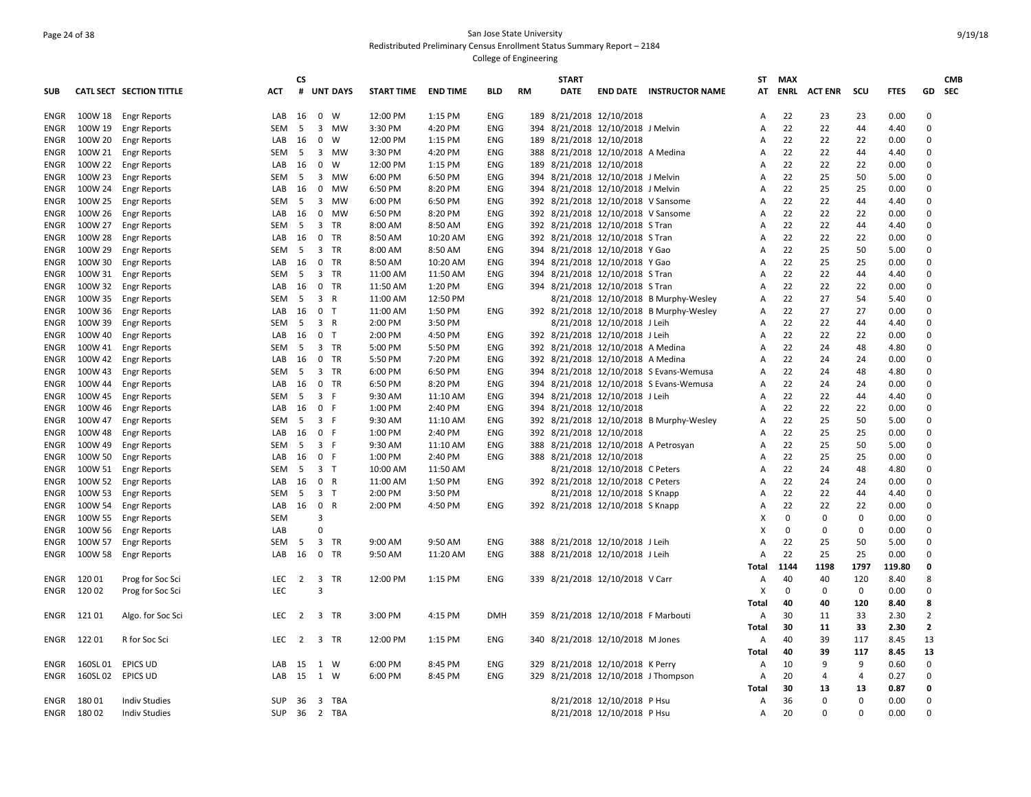# Page 24 of 38 San Jose State University Redistributed Preliminary Census Enrollment Status Summary Report – 2184

|             |          |                          |            | <b>CS</b>      |                |                 |                   |                 |            |     | <b>START</b> |                                      |                                          | <b>ST</b> | <b>MAX</b>  |                |                |             |                | <b>CMB</b> |
|-------------|----------|--------------------------|------------|----------------|----------------|-----------------|-------------------|-----------------|------------|-----|--------------|--------------------------------------|------------------------------------------|-----------|-------------|----------------|----------------|-------------|----------------|------------|
| <b>SUB</b>  |          | CATL SECT SECTION TITTLE | ACT        | #              |                | <b>UNT DAYS</b> | <b>START TIME</b> | <b>END TIME</b> | BLD        | RM  | <b>DATE</b>  |                                      | <b>END DATE INSTRUCTOR NAME</b>          | AT        | ENRL        | <b>ACT ENR</b> | scu            | <b>FTES</b> |                | GD SEC     |
| ENGR        | 100W 18  | <b>Engr Reports</b>      | LAB        | 16             | 0 W            |                 | 12:00 PM          | 1:15 PM         | <b>ENG</b> |     |              | 189 8/21/2018 12/10/2018             |                                          | A         | 22          | 23             | 23             | 0.00        | $\Omega$       |            |
| ENGR        | 100W 19  | <b>Engr Reports</b>      | <b>SEM</b> | 5              | 3              | MW              | 3:30 PM           | 4:20 PM         | <b>ENG</b> | 394 |              | 8/21/2018 12/10/2018 J Melvin        |                                          | А         | 22          | 22             | 44             | 4.40        | $\Omega$       |            |
| ENGR        | 100W 20  | <b>Engr Reports</b>      | LAB        | 16             | $\mathbf 0$    | W               | 12:00 PM          | 1:15 PM         | ENG        |     |              | 189 8/21/2018 12/10/2018             |                                          | Α         | 22          | 22             | 22             | 0.00        | $\Omega$       |            |
| ENGR        | 100W 21  | <b>Engr Reports</b>      | <b>SEM</b> | 5              |                | 3 MW            | 3:30 PM           | 4:20 PM         | <b>ENG</b> |     |              | 388 8/21/2018 12/10/2018 A Medina    |                                          | A         | 22          | 22             | 44             | 4.40        | $\Omega$       |            |
| ENGR        | 100W 22  | <b>Engr Reports</b>      | LAB        | 16             | $\mathbf 0$    | W               | 12:00 PM          | 1:15 PM         | <b>ENG</b> |     |              | 189 8/21/2018 12/10/2018             |                                          | Α         | 22          | 22             | 22             | 0.00        | $\mathbf 0$    |            |
| ENGR        | 100W 23  | <b>Engr Reports</b>      | <b>SEM</b> | -5             |                | 3 MW            | 6:00 PM           | 6:50 PM         | <b>ENG</b> |     |              | 394 8/21/2018 12/10/2018 J Melvin    |                                          | A         | 22          | 25             | 50             | 5.00        | $\Omega$       |            |
| ENGR        | 100W 24  | <b>Engr Reports</b>      | LAB        | 16             | 0              | MW              | 6:50 PM           | 8:20 PM         | ENG        |     |              | 394 8/21/2018 12/10/2018 J Melvin    |                                          | А         | 22          | 25             | 25             | 0.00        | $\Omega$       |            |
| ENGR        | 100W 25  | <b>Engr Reports</b>      | <b>SEM</b> | 5              | 3              | MW              | 6:00 PM           | 6:50 PM         | ENG        |     |              | 392 8/21/2018 12/10/2018 V Sansome   |                                          | A         | 22          | 22             | 44             | 4.40        | $\Omega$       |            |
| ENGR        | 100W 26  | <b>Engr Reports</b>      | LAB        | 16             |                | 0 MW            | 6:50 PM           | 8:20 PM         | <b>ENG</b> |     |              | 392 8/21/2018 12/10/2018 V Sansome   |                                          | A         | 22          | 22             | 22             | 0.00        | $\Omega$       |            |
| ENGR        | 100W 27  | <b>Engr Reports</b>      | SEM        | 5              | $\overline{3}$ | TR              | 8:00 AM           | 8:50 AM         | <b>ENG</b> |     |              | 392 8/21/2018 12/10/2018 S Tran      |                                          | А         | 22          | 22             | 44             | 4.40        | $\Omega$       |            |
| ENGR        | 100W 28  | <b>Engr Reports</b>      | LAB        | 16             |                | 0 TR            | 8:50 AM           | 10:20 AM        | ENG        |     |              | 392 8/21/2018 12/10/2018 S Tran      |                                          | A         | 22          | 22             | 22             | 0.00        | $\Omega$       |            |
| <b>ENGR</b> | 100W 29  | <b>Engr Reports</b>      | SEM        | 5              | 3              | TR              | 8:00 AM           | 8:50 AM         | <b>ENG</b> |     |              | 394 8/21/2018 12/10/2018 Y Gao       |                                          | A         | 22          | 25             | 50             | 5.00        | $\Omega$       |            |
| ENGR        | 100W 30  | <b>Engr Reports</b>      | LAB        | 16             | $\mathbf 0$    | TR              | 8:50 AM           | 10:20 AM        | ENG        |     |              | 394 8/21/2018 12/10/2018 Y Gao       |                                          | A         | 22          | 25             | 25             | 0.00        | $\Omega$       |            |
| ENGR        | 100W 31  | <b>Engr Reports</b>      | <b>SEM</b> | 5              |                | 3 TR            | 11:00 AM          | 11:50 AM        | <b>ENG</b> |     |              | 394 8/21/2018 12/10/2018 S Tran      |                                          | A         | 22          | 22             | 44             | 4.40        | $\Omega$       |            |
| ENGR        | 100W 32  | <b>Engr Reports</b>      | LAB        | 16             |                | 0 TR            | 11:50 AM          | 1:20 PM         | <b>ENG</b> |     |              | 394 8/21/2018 12/10/2018 S Tran      |                                          | А         | 22          | 22             | 22             | 0.00        | $\Omega$       |            |
| ENGR        | 100W 35  | <b>Engr Reports</b>      | <b>SEM</b> | - 5            | 3 R            |                 | 11:00 AM          | 12:50 PM        |            |     |              |                                      | 8/21/2018 12/10/2018 B Murphy-Wesley     | A         | 22          | 27             | 54             | 5.40        | $\Omega$       |            |
| ENGR        | 100W 36  | <b>Engr Reports</b>      | LAB        | 16             | 0 <sub>T</sub> |                 | 11:00 AM          | 1:50 PM         | <b>ENG</b> |     |              |                                      | 392 8/21/2018 12/10/2018 B Murphy-Wesley | А         | 22          | 27             | 27             | 0.00        | $\Omega$       |            |
| ENGR        | 100W 39  | <b>Engr Reports</b>      | <b>SEM</b> | - 5            | 3 R            |                 | 2:00 PM           | 3:50 PM         |            |     |              | 8/21/2018 12/10/2018 J Leih          |                                          | Α         | 22          | 22             | 44             | 4.40        | $\Omega$       |            |
| ENGR        | 100W 40  | <b>Engr Reports</b>      | LAB        | 16             | 0 <sub>T</sub> |                 | 2:00 PM           | 4:50 PM         | ENG        |     |              | 392 8/21/2018 12/10/2018 J Leih      |                                          | А         | 22          | 22             | 22             | 0.00        | $\Omega$       |            |
| ENGR        | 100W 41  | <b>Engr Reports</b>      | <b>SEM</b> | 5              |                | 3 TR            | 5:00 PM           | 5:50 PM         | <b>ENG</b> |     |              | 392 8/21/2018 12/10/2018 A Medina    |                                          | А         | 22          | 24             | 48             | 4.80        | $\Omega$       |            |
| ENGR        | 100W 42  | <b>Engr Reports</b>      | LAB        | 16             |                | 0 TR            | 5:50 PM           | 7:20 PM         | ENG        |     |              | 392 8/21/2018 12/10/2018 A Medina    |                                          | A         | 22          | 24             | 24             | 0.00        | $\Omega$       |            |
| ENGR        | 100W 43  | <b>Engr Reports</b>      | <b>SEM</b> | 5              | 3              | <b>TR</b>       | 6:00 PM           | 6:50 PM         | <b>ENG</b> |     |              |                                      | 394 8/21/2018 12/10/2018 S Evans-Wemusa  | A         | 22          | 24             | 48             | 4.80        | $\Omega$       |            |
| ENGR        | 100W 44  | <b>Engr Reports</b>      | LAB        | 16             |                | 0 TR            | 6:50 PM           | 8:20 PM         | <b>ENG</b> |     |              |                                      | 394 8/21/2018 12/10/2018 S Evans-Wemusa  | Α         | 22          | 24             | 24             | 0.00        | $\Omega$       |            |
| ENGR        | 100W 45  | <b>Engr Reports</b>      | SEM        | 5              | 3 F            |                 | 9:30 AM           | 11:10 AM        | <b>ENG</b> |     |              | 394 8/21/2018 12/10/2018 J Leih      |                                          | А         | 22          | 22             | 44             | 4.40        | $\Omega$       |            |
| ENGR        | 100W 46  | <b>Engr Reports</b>      | LAB        | 16             | 0 F            |                 | 1:00 PM           | 2:40 PM         | <b>ENG</b> |     |              | 394 8/21/2018 12/10/2018             |                                          | А         | 22          | 22             | 22             | 0.00        | $\Omega$       |            |
| <b>ENGR</b> | 100W 47  | <b>Engr Reports</b>      | SEM        | 5              | 3 F            |                 | 9:30 AM           | 11:10 AM        | ENG        |     |              |                                      | 392 8/21/2018 12/10/2018 B Murphy-Wesley | А         | 22          | 25             | 50             | 5.00        | $\Omega$       |            |
| ENGR        | 100W 48  | <b>Engr Reports</b>      | LAB        | 16             | 0 F            |                 | 1:00 PM           | 2:40 PM         | ENG        |     |              | 392 8/21/2018 12/10/2018             |                                          | A         | 22          | 25             | 25             | 0.00        | $\Omega$       |            |
| ENGR        | 100W 49  | <b>Engr Reports</b>      | SEM        | 5              | 3 F            |                 | 9:30 AM           | 11:10 AM        | ENG        |     |              | 388 8/21/2018 12/10/2018 A Petrosyan |                                          | Α         | 22          | 25             | 50             | 5.00        | $\Omega$       |            |
| ENGR        | 100W 50  | <b>Engr Reports</b>      | LAB        | 16             | 0 F            |                 | 1:00 PM           | 2:40 PM         | <b>ENG</b> |     |              | 388 8/21/2018 12/10/2018             |                                          | А         | 22          | 25             | 25             | 0.00        | $\Omega$       |            |
| ENGR        | 100W 51  | <b>Engr Reports</b>      | <b>SEM</b> | 5              | 3 <sub>7</sub> |                 | 10:00 AM          | 11:50 AM        |            |     |              | 8/21/2018 12/10/2018 C Peters        |                                          | А         | 22          | 24             | 48             | 4.80        | $\mathbf 0$    |            |
| ENGR        | 100W 52  | <b>Engr Reports</b>      | LAB        | 16             | 0 R            |                 | 11:00 AM          | 1:50 PM         | ENG        |     |              | 392 8/21/2018 12/10/2018 C Peters    |                                          | А         | 22          | 24             | 24             | 0.00        | $\Omega$       |            |
| ENGR        | 100W 53  | <b>Engr Reports</b>      | <b>SEM</b> | 5              | 3 <sub>7</sub> |                 | 2:00 PM           | 3:50 PM         |            |     |              | 8/21/2018 12/10/2018 S Knapp         |                                          | А         | 22          | 22             | 44             | 4.40        | $\Omega$       |            |
| ENGR        | 100W 54  | <b>Engr Reports</b>      | LAB        | 16             | 0 R            |                 | 2:00 PM           | 4:50 PM         | <b>ENG</b> |     |              | 392 8/21/2018 12/10/2018 S Knapp     |                                          | А         | 22          | 22             | 22             | 0.00        | $\Omega$       |            |
| ENGR        | 100W 55  | <b>Engr Reports</b>      | <b>SEM</b> |                | $\overline{3}$ |                 |                   |                 |            |     |              |                                      |                                          | X         | $\mathbf 0$ | 0              | $\mathbf 0$    | 0.00        | $\Omega$       |            |
| ENGR        | 100W 56  | <b>Engr Reports</b>      | LAB        |                | $\Omega$       |                 |                   |                 |            |     |              |                                      |                                          | X         | $\mathbf 0$ | 0              | $\mathbf 0$    | 0.00        | $\mathbf 0$    |            |
| ENGR        | 100W 57  | <b>Engr Reports</b>      | SEM        | - 5            |                | 3 TR            | 9:00 AM           | 9:50 AM         | ENG        |     |              | 388 8/21/2018 12/10/2018 J Leih      |                                          | A         | 22          | 25             | 50             | 5.00        | $\Omega$       |            |
| ENGR        | 100W 58  | <b>Engr Reports</b>      | LAB        | 16             | 0              | TR              | 9:50 AM           | 11:20 AM        | ENG        |     |              | 388 8/21/2018 12/10/2018 J Leih      |                                          | А         | 22          | 25             | 25             | 0.00        | $\Omega$       |            |
|             |          |                          |            |                |                |                 |                   |                 |            |     |              |                                      |                                          | Total     | 1144        | 1198           | 1797           | 119.80      | $\mathbf{0}$   |            |
| ENGR        | 12001    | Prog for Soc Sci         | <b>LEC</b> | 2              |                | 3 TR            | 12:00 PM          | 1:15 PM         | <b>ENG</b> |     |              | 339 8/21/2018 12/10/2018 V Carr      |                                          | Α         | 40          | 40             | 120            | 8.40        | 8              |            |
| ENGR        | 120 02   | Prog for Soc Sci         | LEC        |                | $\overline{3}$ |                 |                   |                 |            |     |              |                                      |                                          | X         | $\mathbf 0$ | $\mathbf 0$    | $\mathbf 0$    | 0.00        | $\mathbf 0$    |            |
|             |          |                          |            |                |                |                 |                   |                 |            |     |              |                                      |                                          | Total     | 40          | 40             | 120            | 8.40        | 8              |            |
| ENGR        | 121 01   | Algo. for Soc Sci        | LEC        | $\overline{2}$ |                | 3 TR            | 3:00 PM           | 4:15 PM         | DMH        |     |              | 359 8/21/2018 12/10/2018 F Marbouti  |                                          | Α         | 30          | 11             | 33             | 2.30        | $\overline{2}$ |            |
|             |          |                          |            |                |                |                 |                   |                 |            |     |              |                                      |                                          | Total     | 30          | 11             | 33             | 2.30        | $\mathbf{2}$   |            |
| ENGR        | 12201    | R for Soc Sci            | <b>LEC</b> | $\overline{2}$ |                | 3 TR            | 12:00 PM          | 1:15 PM         | ENG        |     |              | 340 8/21/2018 12/10/2018 M Jones     |                                          | А         | 40          | 39             | 117            | 8.45        | 13             |            |
|             |          |                          |            |                |                |                 |                   |                 |            |     |              |                                      |                                          | Total     | 40          | 39             | 117            | 8.45        | 13             |            |
| ENGR        | 160SL 01 | <b>EPICS UD</b>          | LAB        | 15             | 1 W            |                 | 6:00 PM           | 8:45 PM         | <b>ENG</b> |     |              | 329 8/21/2018 12/10/2018 K Perry     |                                          | A         | 10          | 9              | 9              | 0.60        | $\Omega$       |            |
| ENGR        | 160SL 02 | <b>EPICS UD</b>          | LAB        | 15             | 1 W            |                 | 6:00 PM           | 8:45 PM         | <b>ENG</b> |     |              | 329 8/21/2018 12/10/2018 J Thompson  |                                          | А         | 20          | 4              | $\overline{4}$ | 0.27        | $\mathbf 0$    |            |
|             |          |                          |            |                |                |                 |                   |                 |            |     |              |                                      |                                          | Total     | 30          | 13             | 13             | 0.87        | 0              |            |
| ENGR        | 18001    | <b>Indiv Studies</b>     | <b>SUP</b> | 36             |                | 3 TBA           |                   |                 |            |     |              | 8/21/2018 12/10/2018 P Hsu           |                                          | А         | 36          | 0              | $\mathbf 0$    | 0.00        | $\Omega$       |            |
| ENGR        | 18002    | <b>Indiv Studies</b>     | SUP 36     |                |                | 2 TBA           |                   |                 |            |     |              | 8/21/2018 12/10/2018 P Hsu           |                                          | Α         | 20          | $\Omega$       | $\Omega$       | 0.00        | $\Omega$       |            |
|             |          |                          |            |                |                |                 |                   |                 |            |     |              |                                      |                                          |           |             |                |                |             |                |            |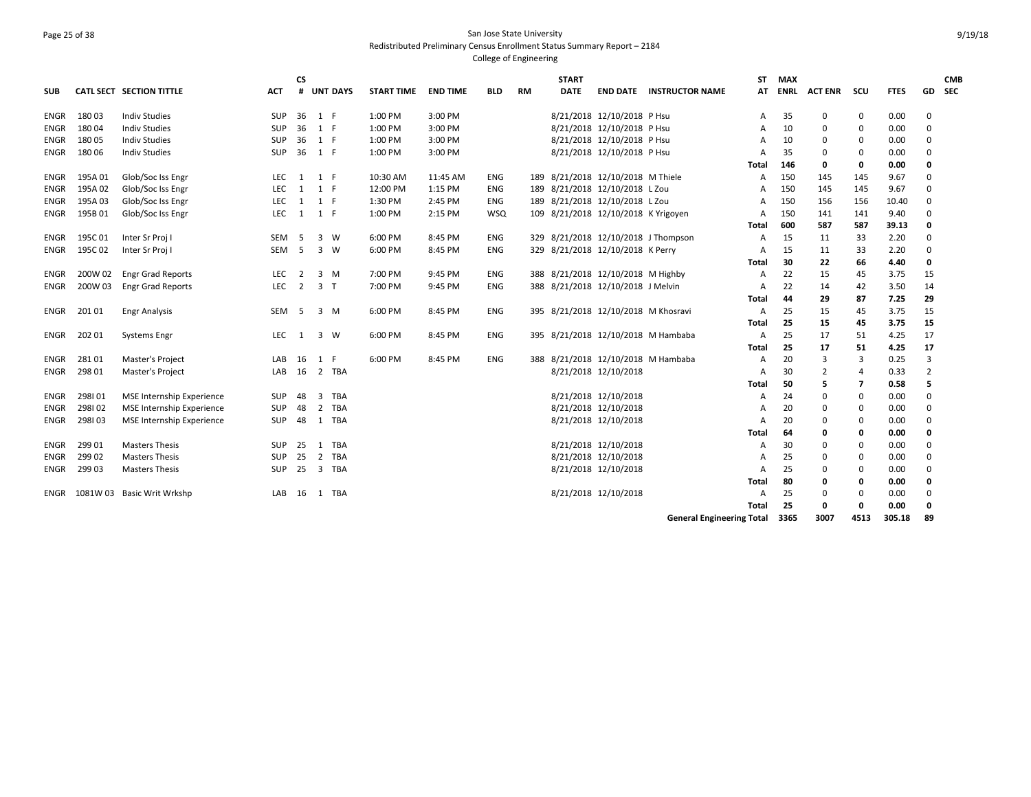# Page 25 of 38 San Jose State University Redistributed Preliminary Census Enrollment Status Summary Report – 2184

| <b>SUB</b>  |         | CATL SECT SECTION TITTLE         | ACT        | <b>CS</b><br># | <b>UNT DAYS</b>                | <b>START TIME</b> | <b>END TIME</b> | <b>BLD</b> | <b>RM</b> | <b>START</b><br><b>DATE</b> | <b>END DATE</b>                     | <b>INSTRUCTOR NAME</b>              | <b>ST</b><br>AT | <b>MAX</b><br><b>ENRL</b> | <b>ACT ENR</b> | scu         | <b>FTES</b> | GD.         | <b>CMB</b><br><b>SEC</b> |
|-------------|---------|----------------------------------|------------|----------------|--------------------------------|-------------------|-----------------|------------|-----------|-----------------------------|-------------------------------------|-------------------------------------|-----------------|---------------------------|----------------|-------------|-------------|-------------|--------------------------|
| ENGR        | 18003   | <b>Indiv Studies</b>             | <b>SUP</b> | 36             | 1 F                            | 1:00 PM           | 3:00 PM         |            |           |                             | 8/21/2018 12/10/2018 P Hsu          |                                     | A               | 35                        | 0              | 0           | 0.00        | 0           |                          |
| ENGR        | 18004   | <b>Indiv Studies</b>             | SUP        | 36             | 1 F                            | 1:00 PM           | 3:00 PM         |            |           |                             | 8/21/2018 12/10/2018 P Hsu          |                                     | А               | 10                        | 0              | 0           | 0.00        | 0           |                          |
| ENGR        | 18005   | <b>Indiv Studies</b>             | <b>SUP</b> | 36             | 1 F                            | 1:00 PM           | 3:00 PM         |            |           |                             | 8/21/2018 12/10/2018 P Hsu          |                                     | А               | 10                        | 0              | $\mathbf 0$ | 0.00        | $\Omega$    |                          |
| ENGR        | 18006   | <b>Indiv Studies</b>             | <b>SUP</b> | 36             | 1 F                            | 1:00 PM           | 3:00 PM         |            |           |                             | 8/21/2018 12/10/2018 P Hsu          |                                     | А               | 35                        | 0              | $\mathbf 0$ | 0.00        | $\Omega$    |                          |
|             |         |                                  |            |                |                                |                   |                 |            |           |                             |                                     |                                     | Total           | 146                       | 0              | $\mathbf 0$ | 0.00        | 0           |                          |
| ENGR        | 195A01  | Glob/Soc Iss Engr                | LEC        | 1              | 1 F                            | 10:30 AM          | 11:45 AM        | ENG        |           |                             | 189 8/21/2018 12/10/2018 M Thiele   |                                     | A               | 150                       | 145            | 145         | 9.67        | 0           |                          |
| ENGR        | 195A02  | Glob/Soc Iss Engr                | LEC        | 1              | 1 F                            | 12:00 PM          | 1:15 PM         | ENG        |           |                             | 189 8/21/2018 12/10/2018 L Zou      |                                     | A               | 150                       | 145            | 145         | 9.67        | 0           |                          |
| ENGR        | 195A03  | Glob/Soc Iss Engr                | LEC        | 1              | 1 F                            | 1:30 PM           | 2:45 PM         | <b>ENG</b> |           |                             | 189 8/21/2018 12/10/2018 L Zou      |                                     | A               | 150                       | 156            | 156         | 10.40       | $\Omega$    |                          |
| ENGR        | 195B01  | Glob/Soc Iss Engr                | LEC        | 1              | 1 F                            | 1:00 PM           | 2:15 PM         | <b>WSQ</b> |           |                             | 109 8/21/2018 12/10/2018 K Yrigoyen |                                     | A               | 150                       | 141            | 141         | 9.40        | $\Omega$    |                          |
|             |         |                                  |            |                |                                |                   |                 |            |           |                             |                                     |                                     | Total           | 600                       | 587            | 587         | 39.13       | 0           |                          |
| ENGR        | 195C 01 | Inter Sr Proj I                  | SEM        | - 5            | 3 W                            | 6:00 PM           | 8:45 PM         | <b>ENG</b> |           |                             |                                     | 329 8/21/2018 12/10/2018 J Thompson | A               | 15                        | 11             | 33          | 2.20        | $\Omega$    |                          |
| ENGR        | 195C02  | Inter Sr Proj I                  | SEM        | - 5            | $3 \quad W$                    | 6:00 PM           | 8:45 PM         | <b>ENG</b> |           |                             | 329 8/21/2018 12/10/2018 K Perry    |                                     | A               | 15                        | 11             | 33          | 2.20        | 0           |                          |
|             |         |                                  |            |                |                                |                   |                 |            |           |                             |                                     |                                     | Total           | 30                        | 22             | 66          | 4.40        | 0           |                          |
| ENGR        | 200W 02 | <b>Engr Grad Reports</b>         | LEC.       | 2              | 3 M                            | 7:00 PM           | 9:45 PM         | ENG        |           |                             | 388 8/21/2018 12/10/2018 M Highby   |                                     | A               | 22                        | 15             | 45          | 3.75        | 15          |                          |
| ENGR        | 200W 03 | <b>Engr Grad Reports</b>         | LEC        | 2              | 3 <sub>1</sub>                 | 7:00 PM           | 9:45 PM         | ENG        |           |                             | 388 8/21/2018 12/10/2018 J Melvin   |                                     | A               | 22                        | 14             | 42          | 3.50        | 14          |                          |
|             |         |                                  |            |                |                                |                   |                 |            |           |                             |                                     |                                     | Total           | 44                        | 29             | 87          | 7.25        | 29          |                          |
| <b>ENGR</b> | 20101   | <b>Engr Analysis</b>             | SEM        | - 5            | 3 M                            | 6:00 PM           | 8:45 PM         | <b>ENG</b> |           |                             | 395 8/21/2018 12/10/2018 M Khosravi |                                     | A               | 25                        | 15             | 45          | 3.75        | 15          |                          |
|             |         |                                  |            |                |                                |                   |                 |            |           |                             |                                     |                                     | Total           | 25                        | 15             | 45          | 3.75        | 15          |                          |
| ENGR        | 202 01  | <b>Systems Engr</b>              | LEC.       | 1              | $\overline{3}$<br>- W          | 6:00 PM           | 8:45 PM         | <b>ENG</b> |           |                             |                                     | 395 8/21/2018 12/10/2018 M Hambaba  | A               | 25                        | 17             | 51          | 4.25        | 17          |                          |
|             |         |                                  |            |                |                                |                   |                 |            |           |                             |                                     |                                     | Total           | 25                        | 17             | 51          | 4.25        | 17          |                          |
| ENGR        | 28101   | Master's Project                 | LAB        | 16             | 1 F                            | 6:00 PM           | 8:45 PM         | <b>ENG</b> |           |                             |                                     | 388 8/21/2018 12/10/2018 M Hambaba  | A               | 20                        | 3              | 3           | 0.25        | 3           |                          |
| ENGR        | 298 01  | <b>Master's Project</b>          | LAB        | 16             | 2<br>TBA                       |                   |                 |            |           |                             | 8/21/2018 12/10/2018                |                                     | A               | 30                        | 2              | 4           | 0.33        | 2           |                          |
|             |         |                                  |            |                |                                |                   |                 |            |           |                             |                                     |                                     | Total           | 50                        | 5              | 7           | 0.58        | 5           |                          |
| ENGR        | 298101  | <b>MSE Internship Experience</b> | <b>SUP</b> | 48             | 3<br><b>TBA</b>                |                   |                 |            |           |                             | 8/21/2018 12/10/2018                |                                     | А               | 24                        | 0              | 0           | 0.00        | $\mathbf 0$ |                          |
| ENGR        | 298102  | <b>MSE Internship Experience</b> | <b>SUP</b> | 48             | $\overline{2}$<br>TBA          |                   |                 |            |           |                             | 8/21/2018 12/10/2018                |                                     | А               | 20                        | 0              | 0           | 0.00        | $\Omega$    |                          |
| ENGR        | 298103  | <b>MSE Internship Experience</b> | <b>SUP</b> | 48             | <b>TBA</b><br>1                |                   |                 |            |           |                             | 8/21/2018 12/10/2018                |                                     | A               | 20                        | $\Omega$       | 0           | 0.00        | $\Omega$    |                          |
|             |         |                                  |            |                |                                |                   |                 |            |           |                             |                                     |                                     | Total           | 64                        | 0              | 0           | 0.00        | 0           |                          |
| ENGR        | 299 01  | <b>Masters Thesis</b>            | <b>SUP</b> | 25             | <b>TBA</b><br>1                |                   |                 |            |           |                             | 8/21/2018 12/10/2018                |                                     | A               | 30                        | $\Omega$       | 0           | 0.00        | $\Omega$    |                          |
| ENGR        | 299 02  | <b>Masters Thesis</b>            | <b>SUP</b> | 25             | 2<br>TBA                       |                   |                 |            |           |                             | 8/21/2018 12/10/2018                |                                     | А               | 25                        | $\Omega$       | 0           | 0.00        | $\Omega$    |                          |
| ENGR        | 299 03  | <b>Masters Thesis</b>            | <b>SUP</b> | 25             | $\overline{\mathbf{3}}$<br>TBA |                   |                 |            |           |                             | 8/21/2018 12/10/2018                |                                     | A               | 25                        | $\Omega$       | 0           | 0.00        | $\Omega$    |                          |
|             |         |                                  |            |                |                                |                   |                 |            |           |                             |                                     |                                     | Total           | 80                        | 0              | 0           | 0.00        | 0           |                          |
| ENGR        | 1081W03 | Basic Writ Wrkshp                | LAB        | 16             | TBA<br>1                       |                   |                 |            |           |                             | 8/21/2018 12/10/2018                |                                     | A               | 25                        | 0              | 0           | 0.00        | $\mathbf 0$ |                          |
|             |         |                                  |            |                |                                |                   |                 |            |           |                             |                                     |                                     | Total           | 25                        | $\mathbf 0$    | $\mathbf 0$ | 0.00        | $\mathbf 0$ |                          |
|             |         |                                  |            |                |                                |                   |                 |            |           |                             |                                     | <b>General Engineering Total</b>    |                 | 3365                      | 3007           | 4513        | 305.18      | 89          |                          |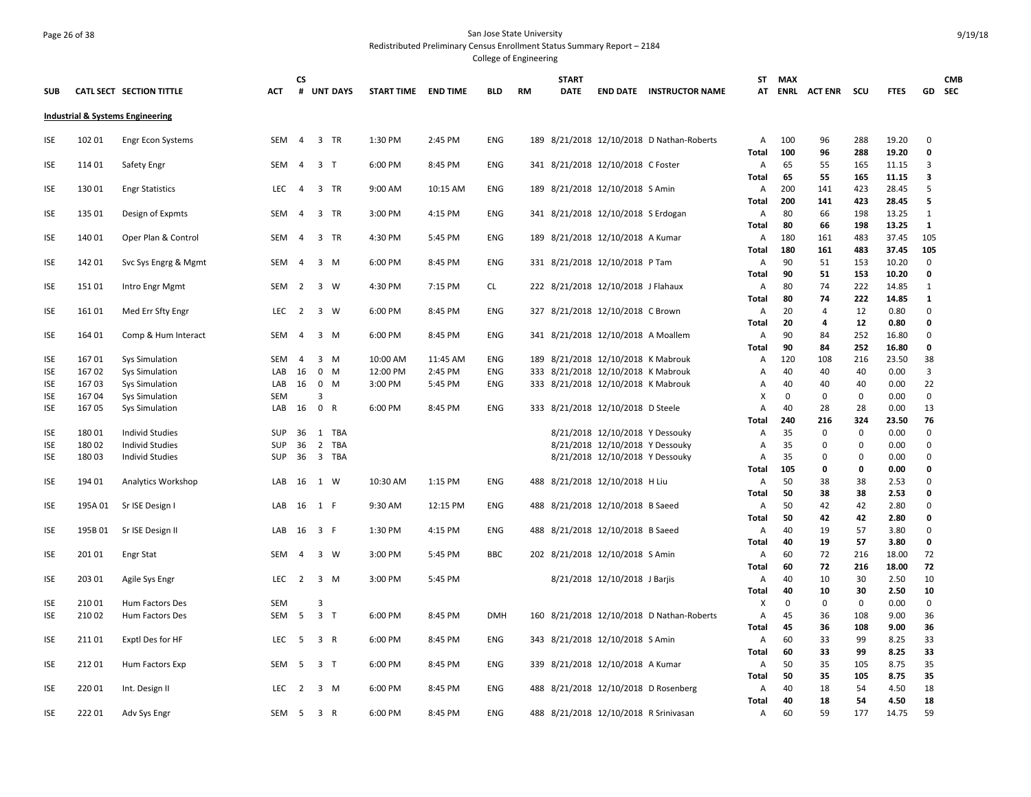### Page 26 of 38 San Jose State University Redistributed Preliminary Census Enrollment Status Summary Report – 2184

| <b>SUB</b> |        | CATL SECT SECTION TITTLE                    | <b>ACT</b> | <b>CS</b>      |                | # UNT DAYS | <b>START TIME END TIME</b> |          | <b>BLD</b> | <b>RM</b> | <b>START</b><br><b>DATE</b> |                                       | <b>END DATE INSTRUCTOR NAME</b>           | ST.               | MAX         | AT ENRL ACTENR SCU |             | <b>FTES</b>    |               | <b>CMB</b><br>GD SEC |
|------------|--------|---------------------------------------------|------------|----------------|----------------|------------|----------------------------|----------|------------|-----------|-----------------------------|---------------------------------------|-------------------------------------------|-------------------|-------------|--------------------|-------------|----------------|---------------|----------------------|
|            |        |                                             |            |                |                |            |                            |          |            |           |                             |                                       |                                           |                   |             |                    |             |                |               |                      |
|            |        | <b>Industrial &amp; Systems Engineering</b> |            |                |                |            |                            |          |            |           |                             |                                       |                                           |                   |             |                    |             |                |               |                      |
| ISE        | 102 01 | Engr Econ Systems                           | SEM        | 4              | 3 TR           |            | 1:30 PM                    | 2:45 PM  | ENG        |           |                             |                                       | 189 8/21/2018 12/10/2018 D Nathan-Roberts | A                 | 100         | 96                 | 288         | 19.20          | 0             |                      |
|            |        |                                             |            |                |                |            |                            |          |            |           |                             |                                       |                                           | Total             | 100         | 96                 | 288         | 19.20          | $\mathbf 0$   |                      |
| ISE        | 114 01 | Safety Engr                                 | SEM        | -4             | 3 T            |            | 6:00 PM                    | 8:45 PM  | ENG        |           |                             | 341 8/21/2018 12/10/2018 C Foster     |                                           | А                 | 65          | 55                 | 165         | 11.15          | 3             |                      |
|            |        |                                             |            |                |                |            |                            |          |            |           |                             |                                       |                                           | <b>Total</b>      | 65          | 55                 | 165         | 11.15          | 3             |                      |
| <b>ISE</b> | 13001  | <b>Engr Statistics</b>                      | LEC.       | $\overline{4}$ | 3 TR           |            | 9:00 AM                    | 10:15 AM | <b>ENG</b> |           |                             | 189 8/21/2018 12/10/2018 S Amin       |                                           | А                 | 200         | 141                | 423         | 28.45          | 5             |                      |
| ISE        | 135 01 | Design of Expmts                            | <b>SEM</b> | $\overline{4}$ | 3 TR           |            | 3:00 PM                    | 4:15 PM  | ENG        |           |                             | 341 8/21/2018 12/10/2018 S Erdogan    |                                           | <b>Total</b><br>А | 200<br>80   | 141<br>66          | 423<br>198  | 28.45<br>13.25 | 5<br>1        |                      |
|            |        |                                             |            |                |                |            |                            |          |            |           |                             |                                       |                                           | <b>Total</b>      | 80          | 66                 | 198         | 13.25          | $\mathbf{1}$  |                      |
| ISE        | 140 01 | Oper Plan & Control                         | SEM        | $\overline{4}$ | 3 TR           |            | 4:30 PM                    | 5:45 PM  | ENG        |           |                             | 189 8/21/2018 12/10/2018 A Kumar      |                                           | Α                 | 180         | 161                | 483         | 37.45          | 105           |                      |
|            |        |                                             |            |                |                |            |                            |          |            |           |                             |                                       |                                           | Total             | 180         | 161                | 483         | 37.45          | 105           |                      |
| <b>ISE</b> | 142 01 | Svc Sys Engrg & Mgmt                        | <b>SEM</b> | $\overline{4}$ | $3 \, M$       |            | 6:00 PM                    | 8:45 PM  | ENG        |           |                             | 331 8/21/2018 12/10/2018 P Tam        |                                           | Α                 | 90          | 51                 | 153         | 10.20          | $\mathbf 0$   |                      |
|            |        |                                             |            |                |                |            |                            |          |            |           |                             |                                       |                                           | Total             | 90          | 51                 | 153         | 10.20          | 0             |                      |
| <b>ISE</b> | 15101  | Intro Engr Mgmt                             | SEM        | $\overline{2}$ | 3 W            |            | 4:30 PM                    | 7:15 PM  | CL         |           |                             | 222 8/21/2018 12/10/2018 J Flahaux    |                                           | Α                 | 80          | 74                 | 222         | 14.85          | 1             |                      |
|            |        |                                             |            |                |                |            |                            |          |            |           |                             |                                       |                                           | Total             | 80          | 74                 | 222         | 14.85          | 1             |                      |
| <b>ISE</b> | 16101  | Med Err Sfty Engr                           | <b>LEC</b> | $\overline{2}$ | $3 \quad W$    |            | 6:00 PM                    | 8:45 PM  | ENG        |           |                             | 327 8/21/2018 12/10/2018 C Brown      |                                           | Α                 | 20          | $\overline{4}$     | 12          | 0.80           | $\mathbf 0$   |                      |
| <b>ISE</b> | 164 01 | Comp & Hum Interact                         | SEM        | 4              | $3 \, M$       |            | 6:00 PM                    | 8:45 PM  | ENG        |           |                             | 341 8/21/2018 12/10/2018 A Moallem    |                                           | <b>Total</b><br>Α | 20<br>90    | 4<br>84            | 12<br>252   | 0.80<br>16.80  | 0<br>$\Omega$ |                      |
|            |        |                                             |            |                |                |            |                            |          |            |           |                             |                                       |                                           | Total             | 90          | 84                 | 252         | 16.80          | 0             |                      |
| <b>ISE</b> | 16701  | <b>Sys Simulation</b>                       | SEM        | $\overline{4}$ | $3 \, M$       |            | 10:00 AM                   | 11:45 AM | ENG        |           |                             | 189 8/21/2018 12/10/2018 K Mabrouk    |                                           | Α                 | 120         | 108                | 216         | 23.50          | 38            |                      |
| ISE        | 16702  | <b>Sys Simulation</b>                       | LAB        | 16             | $0 \quad M$    |            | 12:00 PM                   | 2:45 PM  | <b>ENG</b> |           |                             | 333 8/21/2018 12/10/2018 K Mabrouk    |                                           | Α                 | 40          | 40                 | 40          | 0.00           | 3             |                      |
| <b>ISE</b> | 16703  | <b>Sys Simulation</b>                       | LAB        | 16             | 0 M            |            | 3:00 PM                    | 5:45 PM  | ENG        |           |                             | 333 8/21/2018 12/10/2018 K Mabrouk    |                                           | А                 | 40          | 40                 | 40          | 0.00           | 22            |                      |
| ISE        | 16704  | <b>Sys Simulation</b>                       | <b>SEM</b> |                | 3              |            |                            |          |            |           |                             |                                       |                                           | X                 | $\mathbf 0$ | 0                  | $\mathbf 0$ | 0.00           | 0             |                      |
| <b>ISE</b> | 16705  | <b>Sys Simulation</b>                       | LAB        | 16             | 0 R            |            | 6:00 PM                    | 8:45 PM  | ENG        |           |                             | 333 8/21/2018 12/10/2018 D Steele     |                                           | А                 | 40          | 28                 | 28          | 0.00           | 13            |                      |
|            |        |                                             |            |                |                |            |                            |          |            |           |                             |                                       |                                           | Total             | 240         | 216                | 324         | 23.50          | 76            |                      |
| ISE        | 18001  | <b>Individ Studies</b>                      | <b>SUP</b> | 36             |                | 1 TBA      |                            |          |            |           |                             | 8/21/2018 12/10/2018 Y Dessouky       |                                           | А                 | 35          | 0                  | $\mathsf 0$ | 0.00           | 0             |                      |
| <b>ISE</b> | 18002  | <b>Individ Studies</b>                      | <b>SUP</b> | 36             |                | 2 TBA      |                            |          |            |           |                             | 8/21/2018 12/10/2018 Y Dessouky       |                                           | Α                 | 35          | 0                  | $\mathbf 0$ | 0.00           | $\mathbf 0$   |                      |
| <b>ISE</b> | 18003  | Individ Studies                             | <b>SUP</b> | 36             |                | 3 TBA      |                            |          |            |           |                             | 8/21/2018 12/10/2018 Y Dessouky       |                                           | А<br>Total        | 35<br>105   | $\Omega$<br>0      | 0<br>0      | 0.00<br>0.00   | $\Omega$<br>0 |                      |
| ISE        | 194 01 | Analytics Workshop                          | LAB        | 16 1 W         |                |            | 10:30 AM                   | 1:15 PM  | ENG        |           |                             | 488 8/21/2018 12/10/2018 H Liu        |                                           | Α                 | 50          | 38                 | 38          | 2.53           | $\mathbf 0$   |                      |
|            |        |                                             |            |                |                |            |                            |          |            |           |                             |                                       |                                           | <b>Total</b>      | 50          | 38                 | 38          | 2.53           | 0             |                      |
| ISE        | 195A01 | Sr ISE Design I                             | LAB        | 16             | 1 F            |            | 9:30 AM                    | 12:15 PM | ENG        |           |                             | 488 8/21/2018 12/10/2018 B Saeed      |                                           | А                 | 50          | 42                 | 42          | 2.80           | $\mathbf 0$   |                      |
|            |        |                                             |            |                |                |            |                            |          |            |           |                             |                                       |                                           | <b>Total</b>      | 50          | 42                 | 42          | 2.80           | $\mathbf 0$   |                      |
| ISE        | 195B01 | Sr ISE Design II                            | LAB        | 16             | 3 F            |            | 1:30 PM                    | 4:15 PM  | <b>ENG</b> |           |                             | 488 8/21/2018 12/10/2018 B Saeed      |                                           | Α                 | 40          | 19                 | 57          | 3.80           | $\Omega$      |                      |
|            |        |                                             |            |                |                |            |                            |          |            |           |                             |                                       |                                           | Total             | 40          | 19                 | 57          | 3.80           | 0             |                      |
| <b>ISE</b> | 20101  | <b>Engr Stat</b>                            | <b>SEM</b> | $\overline{4}$ | $3 \quad W$    |            | 3:00 PM                    | 5:45 PM  | <b>BBC</b> |           |                             | 202 8/21/2018 12/10/2018 S Amin       |                                           | А                 | 60          | 72                 | 216         | 18.00          | 72            |                      |
|            |        |                                             |            |                |                |            |                            |          |            |           |                             |                                       |                                           | Total             | 60          | 72                 | 216         | 18.00          | 72            |                      |
| <b>ISE</b> | 203 01 | Agile Sys Engr                              | LEC        | $\overline{2}$ | $3 \, M$       |            | 3:00 PM                    | 5:45 PM  |            |           |                             | 8/21/2018 12/10/2018 J Barjis         |                                           | Α<br><b>Total</b> | 40<br>40    | 10<br>10           | 30<br>30    | 2.50<br>2.50   | 10<br>10      |                      |
| <b>ISE</b> | 21001  | Hum Factors Des                             | <b>SEM</b> |                | $\overline{3}$ |            |                            |          |            |           |                             |                                       |                                           | x                 | 0           | 0                  | $\mathbf 0$ | 0.00           | $\mathbf 0$   |                      |
| <b>ISE</b> | 210 02 | Hum Factors Des                             | <b>SEM</b> | 5              | 3 <sub>1</sub> |            | 6:00 PM                    | 8:45 PM  | <b>DMH</b> |           |                             |                                       | 160 8/21/2018 12/10/2018 D Nathan-Roberts | Α                 | 45          | 36                 | 108         | 9.00           | 36            |                      |
|            |        |                                             |            |                |                |            |                            |          |            |           |                             |                                       |                                           | <b>Total</b>      | 45          | 36                 | 108         | 9.00           | 36            |                      |
| ISE        | 21101  | Exptl Des for HF                            | <b>LEC</b> | 5 3 R          |                |            | 6:00 PM                    | 8:45 PM  | ENG        |           |                             | 343 8/21/2018 12/10/2018 S Amin       |                                           | Α                 | 60          | 33                 | 99          | 8.25           | 33            |                      |
|            |        |                                             |            |                |                |            |                            |          |            |           |                             |                                       |                                           | Total             | 60          | 33                 | 99          | 8.25           | 33            |                      |
| <b>ISE</b> | 21201  | Hum Factors Exp                             | SEM        | 5              | 3 <sub>1</sub> |            | 6:00 PM                    | 8:45 PM  | ENG        |           |                             | 339 8/21/2018 12/10/2018 A Kumar      |                                           | Α                 | 50          | 35                 | 105         | 8.75           | 35            |                      |
|            |        |                                             |            |                |                |            |                            |          |            |           |                             |                                       |                                           | Total             | 50          | 35                 | 105         | 8.75           | 35            |                      |
| ISE        | 22001  | Int. Design II                              | LEC.       | 2              | 3 M            |            | 6:00 PM                    | 8:45 PM  | ENG        |           |                             |                                       | 488 8/21/2018 12/10/2018 D Rosenberg      | А                 | 40          | 18                 | 54          | 4.50           | 18            |                      |
|            |        |                                             |            |                |                |            |                            |          |            |           |                             |                                       |                                           | Total             | 40          | 18                 | 54          | 4.50           | 18            |                      |
| ISE        | 22201  | Adv Sys Engr                                | SEM 5      |                | 3 R            |            | 6:00 PM                    | 8:45 PM  | <b>ENG</b> |           |                             | 488 8/21/2018 12/10/2018 R Srinivasan |                                           | Α                 | 60          | 59                 | 177         | 14.75          | 59            |                      |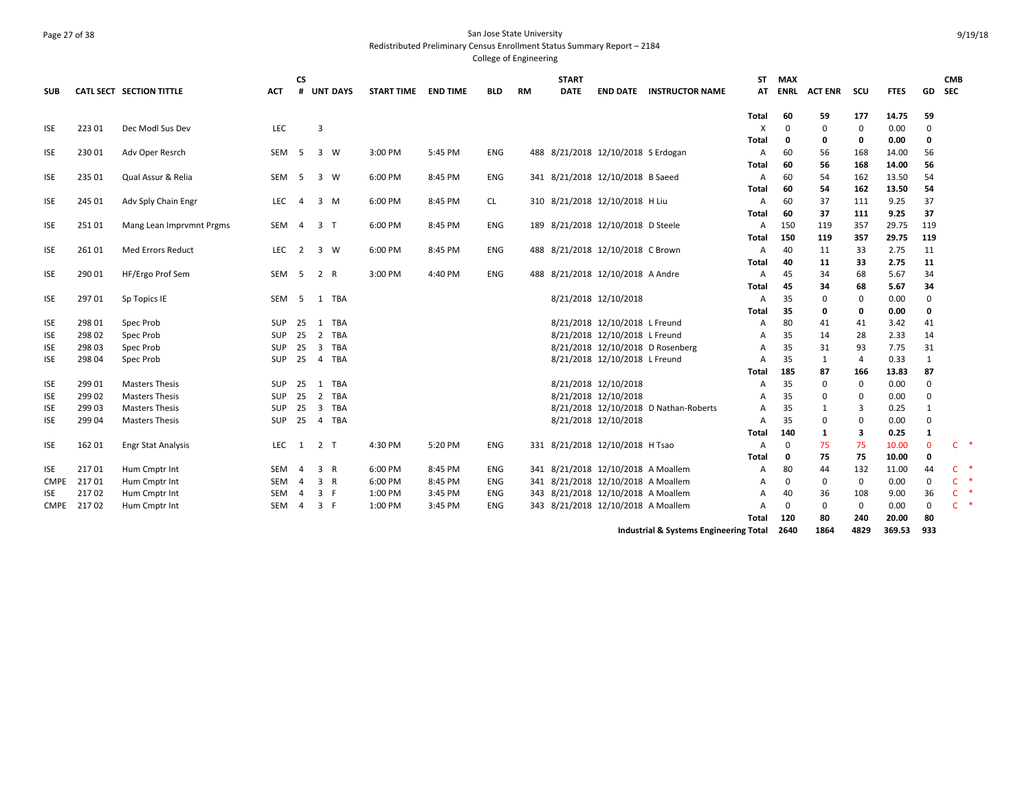### Page 27 of 38 San Jose State University Redistributed Preliminary Census Enrollment Status Summary Report – 2184

College of Engineering

| <b>SUB</b>  |        | CATL SECT SECTION TITTLE  | ACT              | <b>CS</b><br># | <b>UNT DAYS</b>       | <b>START TIME</b> | END TIME | <b>BLD</b> | <b>RM</b> | <b>START</b><br><b>DATE</b> |                                    | <b>END DATE INSTRUCTOR NAME</b>       | ST<br>AT                           | <b>MAX</b><br>ENRL | <b>ACT ENR</b> | scu      | <b>FTES</b>   | GD                | <b>CMB</b><br><b>SEC</b> |     |
|-------------|--------|---------------------------|------------------|----------------|-----------------------|-------------------|----------|------------|-----------|-----------------------------|------------------------------------|---------------------------------------|------------------------------------|--------------------|----------------|----------|---------------|-------------------|--------------------------|-----|
| <b>ISE</b>  | 223 01 | Dec Modl Sus Dev          | LEC              |                | $\overline{3}$        |                   |          |            |           |                             |                                    |                                       | Total<br>$\boldsymbol{\mathsf{X}}$ | 60<br>$\mathbf 0$  | 59<br>$\Omega$ | 177<br>0 | 14.75<br>0.00 | 59<br>$\mathbf 0$ |                          |     |
|             |        |                           |                  |                |                       |                   |          |            |           |                             |                                    |                                       | Total                              | 0                  | 0              | 0        | 0.00          | 0                 |                          |     |
| <b>ISE</b>  | 23001  | Adv Oper Resrch           | SEM <sub>5</sub> |                | 3 W                   | 3:00 PM           | 5:45 PM  | ENG        |           |                             | 488 8/21/2018 12/10/2018 S Erdogan |                                       | A                                  | 60                 | 56             | 168      | 14.00         | 56                |                          |     |
|             |        |                           |                  |                |                       |                   |          |            |           |                             |                                    |                                       | Total                              | 60                 | 56             | 168      | 14.00         | 56                |                          |     |
| <b>ISE</b>  | 235 01 | Qual Assur & Relia        | SEM 5            |                | 3 W                   | 6:00 PM           | 8:45 PM  | ENG        |           |                             | 341 8/21/2018 12/10/2018 B Saeed   |                                       | A                                  | 60                 | 54             | 162      | 13.50         | 54                |                          |     |
|             |        |                           |                  |                |                       |                   |          |            |           |                             |                                    |                                       | Total                              | 60                 | 54             | 162      | 13.50         | 54                |                          |     |
| <b>ISE</b>  | 245 01 | Adv Sply Chain Engr       | LEC              | 4              | $3 \, M$              | 6:00 PM           | 8:45 PM  | CL.        |           |                             | 310 8/21/2018 12/10/2018 H Liu     |                                       | A                                  | 60                 | 37             | 111      | 9.25          | 37                |                          |     |
|             |        |                           |                  |                |                       |                   |          |            |           |                             |                                    |                                       | Total                              | 60                 | 37             | 111      | 9.25          | 37                |                          |     |
| <b>ISE</b>  | 25101  | Mang Lean Imprvmnt Prgms  | SEM 4            |                | 3 <sub>T</sub>        | 6:00 PM           | 8:45 PM  | ENG        |           |                             | 189 8/21/2018 12/10/2018 D Steele  |                                       | A                                  | 150                | 119            | 357      | 29.75         | 119               |                          |     |
|             |        |                           |                  |                |                       |                   |          |            |           |                             |                                    |                                       | Total                              | 150                | 119            | 357      | 29.75         | 119               |                          |     |
| <b>ISE</b>  | 26101  | <b>Med Errors Reduct</b>  | LEC              | 2              | 3 W                   | 6:00 PM           | 8:45 PM  | ENG        | 488       |                             | 8/21/2018 12/10/2018 C Brown       |                                       | A                                  | 40                 | 11             | 33       | 2.75          | 11                |                          |     |
|             |        |                           |                  |                |                       |                   |          |            |           |                             |                                    |                                       | Total                              | 40                 | 11             | 33       | 2.75          | 11                |                          |     |
| <b>ISE</b>  | 290 01 | HF/Ergo Prof Sem          | SEM <sub>5</sub> |                | 2 R                   | 3:00 PM           | 4:40 PM  | ENG        | 488       |                             | 8/21/2018 12/10/2018 A Andre       |                                       | A                                  | 45                 | 34             | 68       | 5.67          | 34                |                          |     |
|             |        |                           |                  |                |                       |                   |          |            |           |                             |                                    |                                       | Total                              | 45                 | 34             | 68       | 5.67          | 34                |                          |     |
| <b>ISE</b>  | 29701  | Sp Topics IE              | SEM 5            |                | 1 TBA                 |                   |          |            |           |                             | 8/21/2018 12/10/2018               |                                       | $\overline{A}$<br>Total            | 35<br>35           | 0<br>0         | 0<br>0   | 0.00<br>0.00  | 0<br>0            |                          |     |
| <b>ISE</b>  | 298 01 | Spec Prob                 | <b>SUP</b>       | -25            | 1 TBA                 |                   |          |            |           |                             | 8/21/2018 12/10/2018 L Freund      |                                       | A                                  | 80                 | 41             | 41       | 3.42          | 41                |                          |     |
| <b>ISE</b>  | 298 02 | Spec Prob                 | <b>SUP</b>       | -25            | 2 TBA                 |                   |          |            |           |                             | 8/21/2018 12/10/2018 L Freund      |                                       | $\overline{A}$                     | 35                 | 14             | 28       | 2.33          | 14                |                          |     |
| <b>ISE</b>  | 298 03 | Spec Prob                 | <b>SUP</b>       | -25            | 3 TBA                 |                   |          |            |           |                             |                                    | 8/21/2018 12/10/2018 D Rosenberg      | $\overline{A}$                     | 35                 | 31             | 93       | 7.75          | 31                |                          |     |
| <b>ISE</b>  | 298 04 | Spec Prob                 | <b>SUP</b>       | 25             | 4 TBA                 |                   |          |            |           |                             | 8/21/2018 12/10/2018 L Freund      |                                       | $\overline{A}$                     | 35                 | 1              | 4        | 0.33          | 1                 |                          |     |
|             |        |                           |                  |                |                       |                   |          |            |           |                             |                                    |                                       | Total                              | 185                | 87             | 166      | 13.83         | 87                |                          |     |
| <b>ISE</b>  | 299 01 | <b>Masters Thesis</b>     | SUP              | 25             | 1 TBA                 |                   |          |            |           |                             | 8/21/2018 12/10/2018               |                                       | $\overline{A}$                     | 35                 | 0              | 0        | 0.00          | $\Omega$          |                          |     |
| <b>ISE</b>  | 299 02 | <b>Masters Thesis</b>     | <b>SUP</b>       | 25             | 2 TBA                 |                   |          |            |           |                             | 8/21/2018 12/10/2018               |                                       | $\overline{A}$                     | 35                 | 0              | 0        | 0.00          | $\Omega$          |                          |     |
| <b>ISE</b>  | 299 03 | <b>Masters Thesis</b>     | <b>SUP</b>       | 25             | $\overline{3}$<br>TBA |                   |          |            |           |                             |                                    | 8/21/2018 12/10/2018 D Nathan-Roberts | $\overline{A}$                     | 35                 | 1              | 3        | 0.25          | 1                 |                          |     |
| <b>ISE</b>  | 299 04 | <b>Masters Thesis</b>     | <b>SUP</b>       | 25             | 4 TBA                 |                   |          |            |           |                             | 8/21/2018 12/10/2018               |                                       | $\overline{A}$                     | 35                 | 0              | 0        | 0.00          | 0                 |                          |     |
|             |        |                           |                  |                |                       |                   |          |            |           |                             |                                    |                                       | <b>Total</b>                       | 140                | 1              | 3        | 0.25          | 1                 |                          |     |
| <b>ISE</b>  | 162 01 | <b>Engr Stat Analysis</b> | LEC              | $\mathbf{1}$   | 2 <sub>T</sub>        | 4:30 PM           | 5:20 PM  | ENG        |           |                             | 331 8/21/2018 12/10/2018 H Tsao    |                                       | A                                  | $\Omega$           | 75             | 75       | 10.00         | $\mathbf{0}$      | $\mathsf{C}$             | *   |
|             |        |                           |                  |                |                       |                   |          |            |           |                             |                                    |                                       | Total                              | 0                  | 75             | 75       | 10.00         | 0                 |                          |     |
| <b>ISE</b>  | 21701  | Hum Cmptr Int             | SEM 4            |                | 3 R                   | 6:00 PM           | 8:45 PM  | ENG        |           |                             | 341 8/21/2018 12/10/2018 A Moallem |                                       | A                                  | 80                 | 44             | 132      | 11.00         | 44                | $\mathsf{C}$             |     |
| <b>CMPE</b> | 21701  | Hum Cmptr Int             | SEM 4            |                | 3 R                   | 6:00 PM           | 8:45 PM  | ENG        |           |                             | 341 8/21/2018 12/10/2018 A Moallem |                                       | A                                  | $\mathbf 0$        | 0              | 0        | 0.00          | 0                 | $\mathsf{C}$             | - 4 |
| <b>ISE</b>  | 21702  | Hum Cmptr Int             | SEM              | 4              | 3 F                   | 1:00 PM           | 3:45 PM  | ENG        |           |                             | 343 8/21/2018 12/10/2018 A Moallem |                                       | A                                  | 40                 | 36             | 108      | 9.00          | 36                | $C$ *                    |     |
| CMPE        | 21702  | Hum Cmptr Int             | SEM              | -4             | 3 F                   | 1:00 PM           | 3:45 PM  | ENG        |           |                             | 343 8/21/2018 12/10/2018 A Moallem |                                       | A                                  | $\mathbf 0$        | 0              | 0        | 0.00          | $\mathbf 0$       | $C$ *                    |     |
|             |        |                           |                  |                |                       |                   |          |            |           |                             |                                    |                                       | Total                              | 120                | 80             | 240      | 20.00         | 80                |                          |     |

**Industrial & Systems Engineering Total 2640 1864 4829 369.53 933**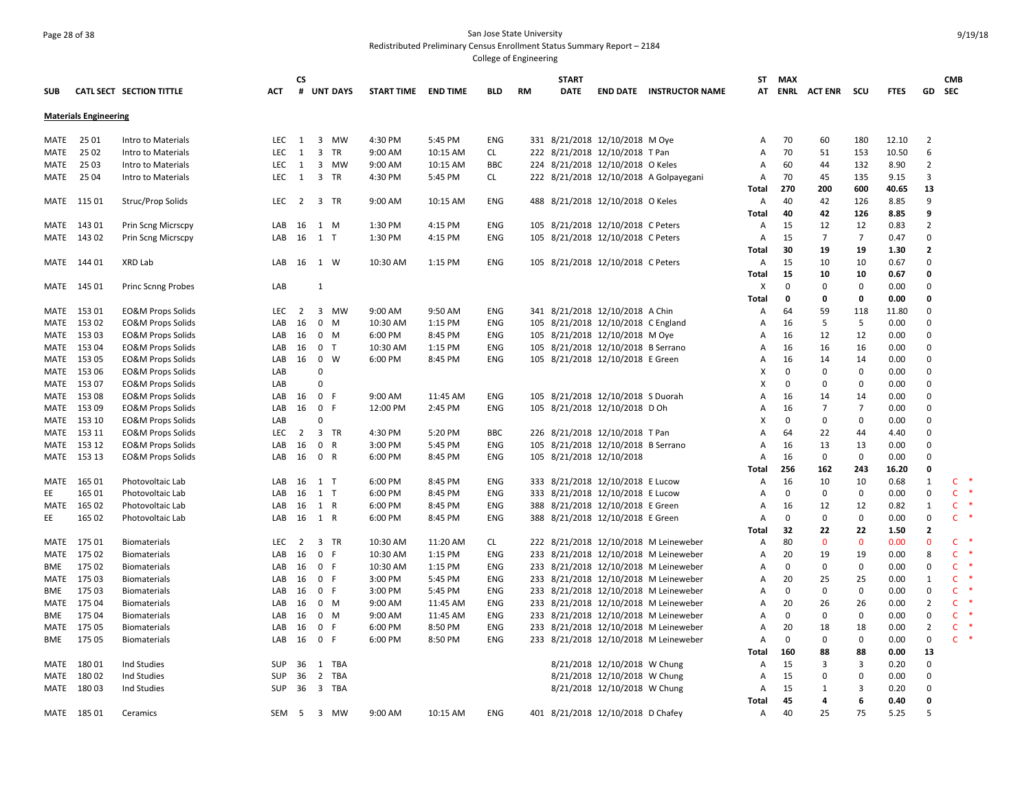#### Page 28 of 38 San Jose State University Redistributed Preliminary Census Enrollment Status Summary Report – 2184 College of Engineering

**SUB CATL SECT SECTION TITTLE ACT CS # UNT DAYS START TIME END TIME BLD RM START DATE END DATE INSTRUCTOR NAME STMAX ATENRL ACT ENR SCU FTES GD CMB SECMaterials Engineering** MATE 25 01 Intro to Materials LEC 1 3 MW 4:30 PM 5:45 PM ENG 331 8/21/2018 12/10/2018 M Oye A 70 60 180 12.10 2 MATE 25 02 Intro to Materials LEC 1 3 TR 9:00 AM 10:15 AM CL 222 8/21/2018 12/10/2018 T Pan A 70 51 153 10.50 6 MATE 25 03 Intro to Materials LEC 1 3 MW 9:00 AM 10:15 AM BBC 224 8/21/2018 12/10/2018 O Keles A 60 44 132 8.90 2 MATE 25 04 Intro to Materials LEC 1 3 TR 4:30 PM 5:45 PM CL 222 8/21/2018 12/10/2018 A Golpayegani A 70 45 135 9.15 3 **Total 270 200 600 40.65 13** MATE 11501 Struc/Prop Solids . LEC 2 3 TR 9:00 AM 10:15 AM ENG 488 8/21/2018 12/10/2018 O Keles A 40 42 126 8.85 9 **Total 40 42 126 8.85 9** MATE 14301 Prin Scng Micrscpy **LAB 16 1 M 1:30 PM 4:15 PM ENG 105 8/21/2018 12/10/2018 C Peters** A 15 12 12 0.83 2 MATE 14302 Prin Scng Micrscpy **LAB 16 1 T** 1:30 PM 4:15 PM ENG 105 8/21/2018 12/10/2018 C Peters A 15 7 7 0.47 0 **Total 30 19 19 1.30 2** MATE 144 01 XRD Lab LAB 16 1 W 10:30 AM 1:15 PM ENG 105 8/21/2018 12/10/2018 C Peters A 15 10 10 0.67 0 **Total 15 10 10 0.67 0** MATE 145 01 Princ Scnng Probes LAB 1 X 0 0 0 0.00 0 **Total 0 0 0 0.00 0** MATE 15301 EO&M Props Solids . LEC 2 3 MW 9:00 AM 9:50 AM ENG 341 8/21/2018 12/10/2018 A Chin . A 64 59 118 11.80 0 MATE 15302 EO&MProps Solids 6 10 LAB 16 0 M 10:30 AM 1:15 PM ENG 105 8/21/2018 12/10/2018 C England A 16 5 5 0.00 0 MATE 153 03 EO&M Props Solids LAB 16 0 M 6:00 PM 8:45 PM ENG 105 8/21/2018 12/10/2018 M Oye A 16 12 12 0.00 0 MATE 153 04 EO&M Props Solids 60 CD AB 16 0 T 10:30 AM 1:15 PM ENG 105 8/21/2018 12/10/2018 B Serrano A 16 16 16 0.00 0 MATE 153 05 EO&M Props Solids LAB 16 0 W 6:00 PM 8:45 PM ENG 105 8/21/2018 12/10/2018 E Green A 16 14 14 0.00 0 MATE 153 06 EO&M Props Solids LAB 0 X 0 0 0 0.00 0 MATE 153 07 EO&M Props Solids LAB 0 X 0 0 0 0.00 0 MATE 153 08 EO&M Props Solids LAB 16 0 F 9:00 AM 11:45 AM ENG 105 8/21/2018 12/10/2018 S Duorah A 16 14 14 0.00 0 MATE 15309 EO&M Props Solids COM CAB 16 0 F 12:00 PM 2:45 PM ENG 105 8/21/2018 12/10/2018 D Oh COM A 16 7 7 0.00 0 MATE 153 10 EO&M Props Solids LAB 0 X 0 0 0 0.00 0 MATE 153 11 EO&M Props Solids LEC 2 3 TR 4:30 PM 5:20 PM BBC 226 8/21/2018 12/10/2018 T Pan A 64 22 44 4.40 0 MATE 15312 EO&M Props Solids 60.00 LAB 16 0 R 3:00 PM 5:45 PM ENG 105 8/21/2018 12/10/2018 B Serrano A 16 13 13 0.00 0 MATE 153 13 EO&M Props Solids LAB 16 0 R 6:00 PM 8:45 PM ENG 105 8/21/2018 12/10/2018 A 16 0 0 0.00 0 **Total 256 162 243 16.20 0** MATE 16501 Photovoltaic Lab COM COM 16 1 T 6:00 PM 8:45 PM ENG 333 8/21/2018 12/10/2018 E Lucow A 16 10 10 0.68 1 C EE 165 01 Photovoltaic Lab LAB 16 1 T 6:00 PM 8:45 PM ENG 333 8/21/2018 12/10/2018 E Lucow A 0 0 0 0.00 0 C \* MATE 16502 Photovoltaic Lab LAB 16 1 R 6:00 PM 8:45 PM ENG 388 8/21/2018 12/10/2018 E Green A 16 12 12 0.82 1 C EE 165 02 Photovoltaic Lab LAB 16 1 R 6:00 PM 8:45 PM ENG 388 8/21/2018 12/10/2018 E Green A 0 0 0 0.00 0 C \* **Total 32 22 22 1.50 2** MATE 17501 Biomaterials **LEC 2 3 TR 10:30 AM 11:20 AM CL 222 8/21/2018 12/10/2018** M Leineweber A 80 0 0 0.00 0 C MATE 175 02 Biomaterials LAB 16 0 F 10:30 AM 1:15 PM ENG 233 8/21/2018 12/10/2018 M Leineweber A 20 19 19 0.00 8 C \* BME 175 02 Biomaterials LAB 16 0 F 10:30 AM 1:15 PM ENG 233 8/21/2018 12/10/2018 M Leineweber A 0 0 0 0.00 0 C \* MATE 175 03 Biomaterials LAB 16 0 F 3:00 PM 5:45 PM ENG 233 8/21/2018 12/10/2018 M Leineweber A 20 25 25 0.00 1 C \* BME 175 03 Biomaterials LAB 16 0 F 3:00 PM 5:45 PM ENG 233 8/21/2018 12/10/2018 M Leineweber A 0 0 0 0.00 0 C \* MATE 175 04 Biomaterials LAB 16 0 M 9:00 AM 11:45 AM ENG 233 8/21/2018 12/10/2018 M Leineweber A 20 26 26 0.00 2 C \* BME 175 04 Biomaterials LAB 16 0 M 9:00 AM 11:45 AM ENG 233 8/21/2018 12/10/2018 M Leineweber A 0 0 0 0.00 0 C \* MATE 175 05 Biomaterials LAB 16 0 F 6:00 PM 8:50 PM ENG 233 8/21/2018 12/10/2018 M Leineweber A 20 18 18 0.00 2 C \* BME 175 05 Biomaterials LAB 16 0 F 6:00 PM 8:50 PM ENG 233 8/21/2018 12/10/2018 M Leineweber A 0 0 0 0.00 0 C \* **Total 160 88 88 0.00 13** MATE 180 01 Ind Studies SUP 36 1 TBA 8/21/2018 12/10/2018 W Chung A 15 3 3 0.20 0 MATE 180 02 Ind Studies SUP 36 2 TBA 8/21/2018 12/10/2018 W Chung A 15 0 0 0.00 0 MATE 180 03 Ind Studies SUP 36 3 TBA 8/21/2018 12/10/2018 W Chung A 15 1 3 0.20 0 **Total 45 4 6 0.40 0** MATE 18501 Ceramics 6 6.25 SEM 5 3 MW 9:00 AM 10:15 AM ENG 401 8/21/2018 12/10/2018 D Chafey 6 A 40 25 75 5.25 5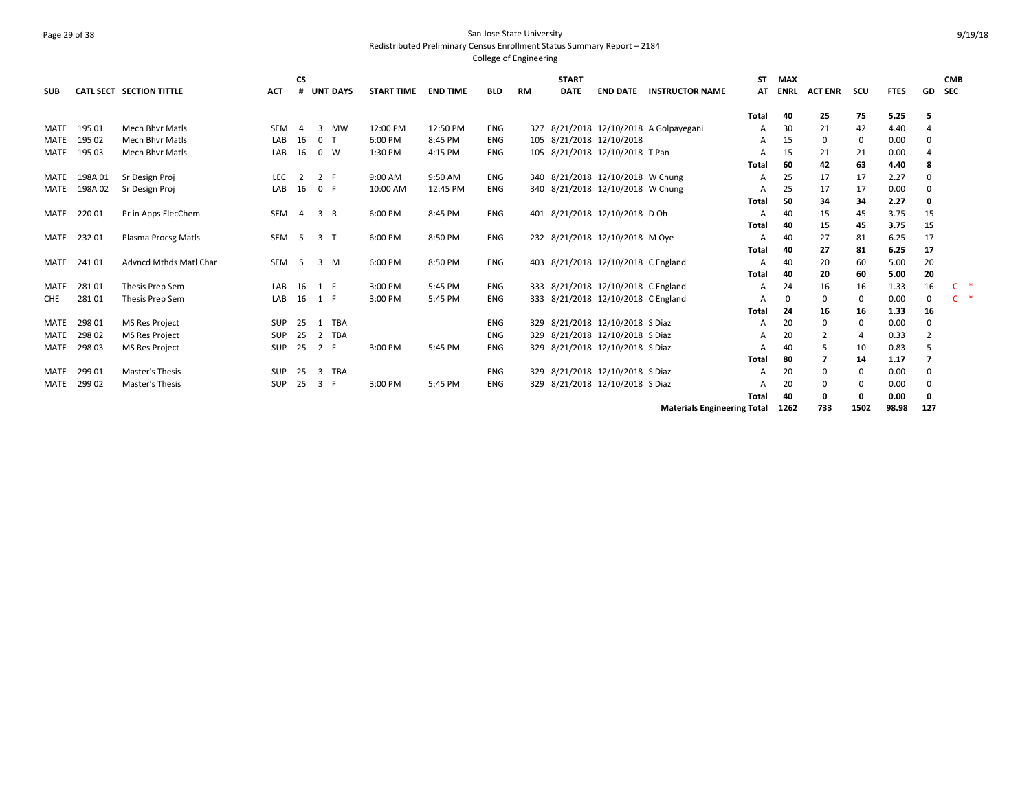## Page 29 of 38 San Jose State University Redistributed Preliminary Census Enrollment Status Summary Report – 2184

College of Engineering

| <b>SUB</b>  |        | <b>CATL SECT SECTION TITTLE</b> | <b>ACT</b> | <b>CS</b>      | # UNT DAYS     | <b>START TIME</b> | <b>END TIME</b> | <b>BLD</b> | RM  | <b>START</b><br><b>DATE</b> | <b>END DATE</b>                    | <b>INSTRUCTOR NAME</b>                 | SΤ<br>АΤ | <b>MAX</b><br><b>ENRL</b> | <b>ACT ENR</b> | scu | <b>FTES</b> | GD             | <b>CMB</b><br><b>SEC</b> |
|-------------|--------|---------------------------------|------------|----------------|----------------|-------------------|-----------------|------------|-----|-----------------------------|------------------------------------|----------------------------------------|----------|---------------------------|----------------|-----|-------------|----------------|--------------------------|
|             |        |                                 |            |                |                |                   |                 |            |     |                             |                                    |                                        | Total    | 40                        | 25             | 75  | 5.25        | -5             |                          |
| MATE        | 195 01 | <b>Mech Bhyr Matls</b>          | <b>SEM</b> | 4              | MW<br>3        | 12:00 PM          | 12:50 PM        | <b>ENG</b> |     |                             |                                    | 327 8/21/2018 12/10/2018 A Golpayegani | A        | 30                        | 21             | 42  | 4.40        |                |                          |
| <b>MATE</b> | 195 02 | <b>Mech Bhyr Matls</b>          | LAB        | 16             | 0 <sub>0</sub> | 6:00 PM           | 8:45 PM         | ENG        |     |                             | 105 8/21/2018 12/10/2018           |                                        | A        | 15                        | 0              | 0   | 0.00        | 0              |                          |
| MATE        | 195 03 | <b>Mech Bhyr Matls</b>          | LAB        | 16             | $0 \quad W$    | 1:30 PM           | 4:15 PM         | ENG        |     |                             | 105 8/21/2018 12/10/2018 T Pan     |                                        | A        | 15                        | 21             | 21  | 0.00        |                |                          |
|             |        |                                 |            |                |                |                   |                 |            |     |                             |                                    |                                        | Total    | 60                        | 42             | 63  | 4.40        | 8              |                          |
| MATE        | 198A01 | Sr Design Proj                  | LEC        | 2              | 2 F            | 9:00 AM           | 9:50 AM         | ENG        |     |                             | 340 8/21/2018 12/10/2018 W Chung   |                                        | A        | 25                        | 17             | 17  | 2.27        | $\Omega$       |                          |
| MATE        | 198A02 | Sr Design Proj                  | LAB        | 16             | 0 F            | 10:00 AM          | 12:45 PM        | ENG        |     |                             | 340 8/21/2018 12/10/2018 W Chung   |                                        | A        | 25                        | 17             | 17  | 0.00        |                |                          |
|             |        |                                 |            |                |                |                   |                 |            |     |                             |                                    |                                        | Total    | 50                        | 34             | 34  | 2.27        | 0              |                          |
| MATE        | 22001  | Pr in Apps ElecChem             | SEM 4      |                | 3 R            | 6:00 PM           | 8:45 PM         | ENG        | 401 |                             | 8/21/2018 12/10/2018 D Oh          |                                        | A        | 40                        | 15             | 45  | 3.75        | 15             |                          |
|             |        |                                 |            |                |                |                   |                 |            |     |                             |                                    |                                        | Total    | 40                        | 15             | 45  | 3.75        | 15             |                          |
| MATE        | 23201  | Plasma Procsg Matls             | SEM        | 5 <sub>5</sub> | 3 <sub>1</sub> | 6:00 PM           | 8:50 PM         | ENG        |     |                             | 232 8/21/2018 12/10/2018 M Oye     |                                        | A        | 40                        | 27             | 81  | 6.25        | 17             |                          |
|             |        |                                 |            |                |                |                   |                 |            |     |                             |                                    |                                        | Total    | 40                        | 27             | 81  | 6.25        | -17            |                          |
| MATE        | 24101  | <b>Advncd Mthds Matl Char</b>   | SEM        | 5              | 3 M            | 6:00 PM           | 8:50 PM         | ENG        |     |                             | 403 8/21/2018 12/10/2018 C England |                                        | A        | 40                        | 20             | 60  | 5.00        | 20             |                          |
|             |        |                                 |            |                |                |                   |                 |            |     |                             |                                    |                                        | Total    | 40                        | 20             | 60  | 5.00        | 20             |                          |
| MATE        | 28101  | Thesis Prep Sem                 | LAB        | 16             | 1 F            | 3:00 PM           | 5:45 PM         | ENG        |     |                             | 333 8/21/2018 12/10/2018 C England |                                        | A        | 24                        | 16             | 16  | 1.33        | 16             | C                        |
| <b>CHE</b>  | 28101  | Thesis Prep Sem                 | LAB        | 16             | 1 F            | 3:00 PM           | 5:45 PM         | ENG        | 333 |                             | 8/21/2018 12/10/2018 C England     |                                        | A        | 0                         | 0              | 0   | 0.00        | 0              | $\mathsf{C}$             |
|             |        |                                 |            |                |                |                   |                 |            |     |                             |                                    |                                        | Total    | 24                        | 16             | 16  | 1.33        | 16             |                          |
| MATE        | 29801  | <b>MS Res Project</b>           | <b>SUP</b> | 25             | 1 TBA          |                   |                 | <b>ENG</b> | 329 |                             | 8/21/2018 12/10/2018 S Diaz        |                                        | A        | 20                        | 0              | 0   | 0.00        | 0              |                          |
| <b>MATE</b> | 298 02 | <b>MS Res Project</b>           | <b>SUP</b> | 25             | 2<br>TBA       |                   |                 | ENG        | 329 |                             | 8/21/2018 12/10/2018 S Diaz        |                                        | A        | 20                        | $\overline{2}$ |     | 0.33        | $\overline{2}$ |                          |
| MATE        | 298 03 | <b>MS Res Project</b>           | SUP        | 25             | 2 F            | 3:00 PM           | 5:45 PM         | ENG        |     |                             | 329 8/21/2018 12/10/2018 S Diaz    |                                        | A        | 40                        | -5             | 10  | 0.83        | 5              |                          |
|             |        |                                 |            |                |                |                   |                 |            |     |                             |                                    |                                        | Total    | 80                        | 7              | 14  | 1.17        |                |                          |
| <b>MATE</b> | 29901  | Master's Thesis                 | <b>SUP</b> | 25             | TBA<br>3       |                   |                 | ENG        | 329 |                             | 8/21/2018 12/10/2018 S Diaz        |                                        | A        | 20                        | 0              | 0   | 0.00        | $\mathbf 0$    |                          |
| <b>MATE</b> | 29902  | Master's Thesis                 | <b>SUP</b> | 25             | 3<br>-F        | 3:00 PM           | 5:45 PM         | ENG        | 329 |                             | 8/21/2018 12/10/2018 S Diaz        |                                        |          | 20                        | 0              | 0   | 0.00        | $\Omega$       |                          |
|             |        |                                 |            |                |                |                   |                 |            |     |                             |                                    |                                        | Total    | 40                        | $\Omega$       | 0   | 0.00        | O              |                          |

**Materials Engineering Total 1262 733 1502 98.98 127**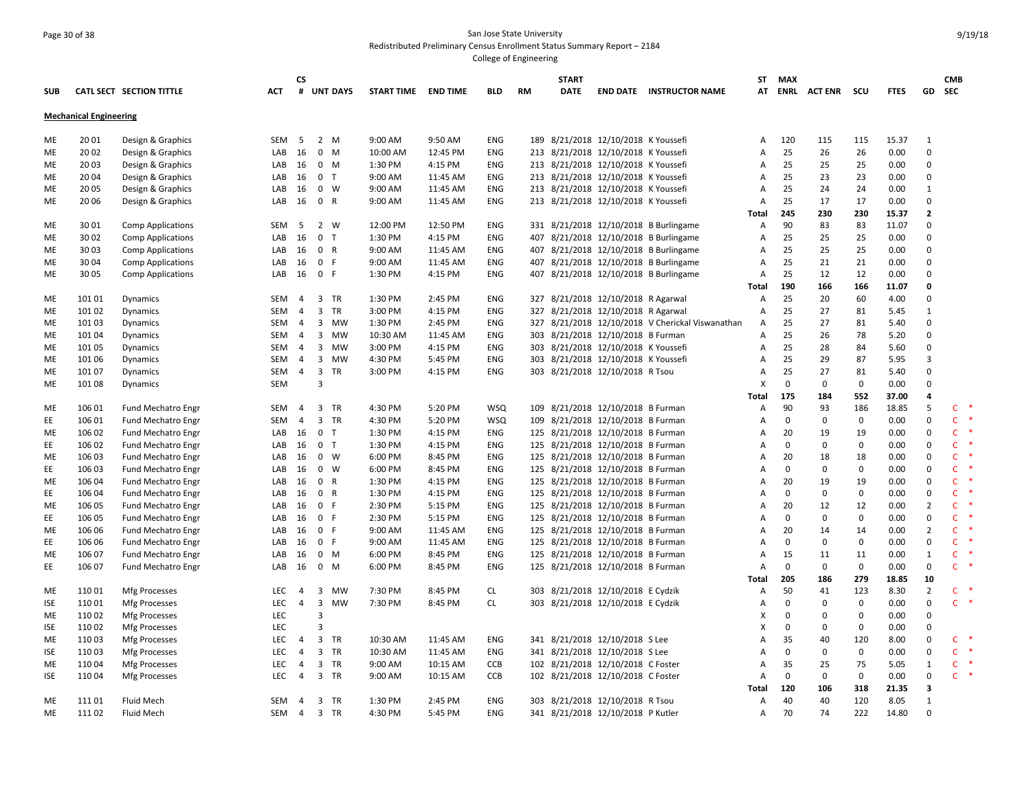# Page 30 of 38 San Jose State University Redistributed Preliminary Census Enrollment Status Summary Report – 2184

|            |                               |                           |                  | <b>CS</b>      |                |                     |          |            |     | <b>START</b> |                                     |                                                  | <b>ST</b>                 | MAX         |                     |             |             |                                     | <b>CMB</b>                       |
|------------|-------------------------------|---------------------------|------------------|----------------|----------------|---------------------|----------|------------|-----|--------------|-------------------------------------|--------------------------------------------------|---------------------------|-------------|---------------------|-------------|-------------|-------------------------------------|----------------------------------|
| <b>SUB</b> |                               | CATL SECT SECTION TITTLE  | ACT              |                | # UNT DAYS     | START TIME END TIME |          | BLD        | RM  | DATE         |                                     | <b>END DATE INSTRUCTOR NAME</b>                  | AT                        |             | <b>ENRL ACT ENR</b> | scu         | <b>FTES</b> | GD                                  | <b>SEC</b>                       |
|            | <b>Mechanical Engineering</b> |                           |                  |                |                |                     |          |            |     |              |                                     |                                                  |                           |             |                     |             |             |                                     |                                  |
| ME         | 20 01                         | Design & Graphics         | SEM 5            |                | $2 \, M$       | 9:00 AM             | 9:50 AM  | <b>ENG</b> |     |              | 189 8/21/2018 12/10/2018 K Youssefi |                                                  | Α                         | 120         | 115                 | 115         | 15.37       | 1                                   |                                  |
| ME         | 20 02                         | Design & Graphics         | LAB              | 16             | $0$ M          | 10:00 AM            | 12:45 PM | ENG        |     |              | 213 8/21/2018 12/10/2018 K Youssefi |                                                  | $\overline{A}$            | 25          | 26                  | 26          | 0.00        | $\mathbf 0$                         |                                  |
| ME         | 20 03                         | Design & Graphics         | LAB 16           |                | $0$ M          | 1:30 PM             | 4:15 PM  | ENG        |     |              | 213 8/21/2018 12/10/2018 K Youssefi |                                                  | Α                         | 25          | 25                  | 25          | 0.00        | $\Omega$                            |                                  |
| ME         | 20 04                         | Design & Graphics         | LAB              | 16             | 0 <sub>T</sub> | 9:00 AM             | 11:45 AM | ENG        |     |              | 213 8/21/2018 12/10/2018 K Youssefi |                                                  | Α                         | 25          | 23                  | 23          | 0.00        | $\Omega$                            |                                  |
|            | 20 05                         |                           |                  |                | $0 \quad W$    |                     |          | ENG        |     |              | 213 8/21/2018 12/10/2018 K Youssefi |                                                  | А                         | 25          | 24                  | 24          | 0.00        | $\mathbf{1}$                        |                                  |
| ME         |                               | Design & Graphics         | LAB              | 16             |                | 9:00 AM             | 11:45 AM |            |     |              |                                     |                                                  |                           |             |                     | 17          |             | $\Omega$                            |                                  |
| ME         | 20 06                         | Design & Graphics         | LAB 16           |                | 0 R            | 9:00 AM             | 11:45 AM | <b>ENG</b> |     |              | 213 8/21/2018 12/10/2018 K Youssefi |                                                  | А                         | 25          | 17                  |             | 0.00        |                                     |                                  |
|            |                               |                           |                  |                |                |                     |          |            |     |              |                                     |                                                  | Total                     | 245         | 230                 | 230         | 15.37       | $\overline{\mathbf{2}}$<br>$\Omega$ |                                  |
| ME         | 30 01                         | <b>Comp Applications</b>  | SEM              | -5             | 2 W            | 12:00 PM            | 12:50 PM | ENG        |     |              |                                     | 331 8/21/2018 12/10/2018 B Burlingame            | A                         | 90          | 83                  | 83          | 11.07       |                                     |                                  |
| ME         | 30 02                         | <b>Comp Applications</b>  | LAB              | 16             | 0 <sub>T</sub> | 1:30 PM             | 4:15 PM  | ENG        |     |              |                                     | 407 8/21/2018 12/10/2018 B Burlingame            | $\overline{A}$            | 25          | 25                  | 25          | 0.00        | $\Omega$                            |                                  |
| ME         | 30 03                         | <b>Comp Applications</b>  | LAB              | 16             | 0 R            | 9:00 AM             | 11:45 AM | ENG        |     |              |                                     | 407 8/21/2018 12/10/2018 B Burlingame            | Α                         | 25          | 25                  | 25          | 0.00        | $\mathbf 0$                         |                                  |
| ME         | 30 04                         | <b>Comp Applications</b>  | LAB              | 16             | 0 F            | 9:00 AM             | 11:45 AM | ENG        |     |              |                                     | 407 8/21/2018 12/10/2018 B Burlingame            | $\overline{A}$            | 25          | 21                  | 21          | 0.00        | $\Omega$                            |                                  |
| ME         | 30 05                         | Comp Applications         | LAB              | 16             | 0 F            | 1:30 PM             | 4:15 PM  | <b>ENG</b> |     |              |                                     | 407 8/21/2018 12/10/2018 B Burlingame            | $\overline{A}$            | 25          | 12                  | 12          | 0.00        | $\Omega$                            |                                  |
|            |                               |                           |                  |                |                |                     |          |            |     |              |                                     |                                                  | Total                     | 190         | 166                 | 166         | 11.07       | $\mathbf{0}$                        |                                  |
| ME         | 10101                         | Dynamics                  | SEM              | 4              | 3 TR           | 1:30 PM             | 2:45 PM  | ENG        |     |              | 327 8/21/2018 12/10/2018 R Agarwal  |                                                  | $\overline{A}$            | 25          | 20                  | 60          | 4.00        | $\Omega$                            |                                  |
| ME         | 101 02                        | Dynamics                  | SEM              | $\overline{4}$ | 3 TR           | 3:00 PM             | 4:15 PM  | ENG        | 327 |              | 8/21/2018 12/10/2018 R Agarwal      |                                                  | Α                         | 25          | 27                  | 81          | 5.45        | $\mathbf{1}$                        |                                  |
| ME         | 10103                         | Dynamics                  | SEM              | $\overline{4}$ | 3 MW           | 1:30 PM             | 2:45 PM  | ENG        |     |              |                                     | 327 8/21/2018 12/10/2018 V Cherickal Viswanathan | $\overline{A}$            | 25          | 27                  | 81          | 5.40        | $\Omega$                            |                                  |
| ME         | 10104                         | Dynamics                  | SEM              | $\overline{4}$ | 3 MW           | 10:30 AM            | 11:45 AM | <b>ENG</b> |     |              | 303 8/21/2018 12/10/2018 B Furman   |                                                  | A                         | 25          | 26                  | 78          | 5.20        | $\Omega$                            |                                  |
| ME         | 10105                         | Dynamics                  | SEM 4            |                | 3 MW           | 3:00 PM             | 4:15 PM  | ENG        |     |              | 303 8/21/2018 12/10/2018 K Youssefi |                                                  | А                         | 25          | 28                  | 84          | 5.60        | $\Omega$                            |                                  |
| ME         | 101 06                        | Dynamics                  | SEM              | $\overline{4}$ | 3 MW           | 4:30 PM             | 5:45 PM  | ENG        |     |              | 303 8/21/2018 12/10/2018 K Youssefi |                                                  | $\overline{A}$            | 25          | 29                  | 87          | 5.95        | 3                                   |                                  |
| ME         | 101 07                        | Dynamics                  | SEM              | $\overline{4}$ | 3 TR           | 3:00 PM             | 4:15 PM  | ENG        |     |              | 303 8/21/2018 12/10/2018 R Tsou     |                                                  | А                         | 25          | 27                  | 81          | 5.40        | $\Omega$                            |                                  |
| ME         | 10108                         | Dynamics                  | SEM              |                | 3              |                     |          |            |     |              |                                     |                                                  | X                         | $\Omega$    | $\mathsf 0$         | 0           | 0.00        | $\Omega$                            |                                  |
|            |                               |                           |                  |                |                |                     |          |            |     |              |                                     |                                                  | <b>Total</b>              | 175         | 184                 | 552         | 37.00       | 4                                   |                                  |
| ME         | 106 01                        | Fund Mechatro Engr        | SEM              | 4              | 3 TR           | 4:30 PM             | 5:20 PM  | <b>WSQ</b> | 109 |              | 8/21/2018 12/10/2018 B Furman       |                                                  | $\overline{A}$            | 90          | 93                  | 186         | 18.85       | 5                                   | $\mathsf{C}$<br>$\ast$<br>$\ast$ |
| EE         | 106 01                        | Fund Mechatro Engr        | SEM              | 4              | 3 TR           | 4:30 PM             | 5:20 PM  | WSQ        |     |              | 109 8/21/2018 12/10/2018 B Furman   |                                                  | $\overline{A}$            | $\mathbf 0$ | $\mathsf 0$         | $\mathbf 0$ | 0.00        | $\mathbf 0$                         | $\mathsf{C}$                     |
| ME         | 106 02                        | Fund Mechatro Engr        | LAB              | 16             | 0 <sub>T</sub> | 1:30 PM             | 4:15 PM  | ENG        |     |              | 125 8/21/2018 12/10/2018 B Furman   |                                                  | А                         | 20          | 19                  | 19          | 0.00        | $\mathbf 0$                         | $\mathsf{C}$                     |
| EE         | 106 02                        | Fund Mechatro Engr        | LAB              | - 16           | 0 <sub>T</sub> | 1:30 PM             | 4:15 PM  | ENG        |     |              | 125 8/21/2018 12/10/2018 B Furman   |                                                  | $\overline{A}$            | $\mathbf 0$ | 0                   | $\mathbf 0$ | 0.00        | $\mathbf 0$                         | $\mathsf{C}$                     |
| ME         | 106 03                        | Fund Mechatro Engr        | LAB              | 16             | $0 \quad W$    | 6:00 PM             | 8:45 PM  | ENG        |     |              | 125 8/21/2018 12/10/2018 B Furman   |                                                  | $\overline{A}$            | 20          | 18                  | 18          | 0.00        | $\Omega$                            | $\mathsf{C}$                     |
| EE         | 10603                         | Fund Mechatro Engr        | LAB              | 16             | $0 \quad W$    | 6:00 PM             | 8:45 PM  | ENG        |     |              | 125 8/21/2018 12/10/2018 B Furman   |                                                  | $\overline{A}$            | $\Omega$    | 0                   | 0           | 0.00        | $\Omega$                            | $\mathsf{C}$<br>$\ast$           |
| ME         | 106 04                        | Fund Mechatro Engr        | LAB              | 16             | 0 R            | 1:30 PM             | 4:15 PM  | ENG        |     |              | 125 8/21/2018 12/10/2018 B Furman   |                                                  | $\overline{A}$            | 20          | 19                  | 19          | 0.00        | $\Omega$                            | $\mathsf{C}$                     |
| EE         | 106 04                        | Fund Mechatro Engr        | LAB              | 16             | 0 R            | 1:30 PM             | 4:15 PM  | ENG        |     |              | 125 8/21/2018 12/10/2018 B Furman   |                                                  | $\overline{A}$            | $\Omega$    | 0                   | 0           | 0.00        | $\mathbf 0$                         | $\mathsf{C}$                     |
| ME         | 106 05                        | Fund Mechatro Engr        | LAB              | 16             | 0 F            | 2:30 PM             | 5:15 PM  | ENG        |     |              | 125 8/21/2018 12/10/2018 B Furman   |                                                  | $\overline{A}$            | 20          | 12                  | 12          | 0.00        | $\overline{2}$                      | $\mathsf{C}^-$                   |
| EE         | 106 05                        | Fund Mechatro Engr        | LAB              | 16             | 0 F            | 2:30 PM             | 5:15 PM  | ENG        |     |              | 125 8/21/2018 12/10/2018 B Furman   |                                                  | $\overline{A}$            | $\Omega$    | $\mathbf 0$         | $\mathbf 0$ | 0.00        | $\Omega$                            | $\mathsf{C}$                     |
| ME         | 106 06                        | <b>Fund Mechatro Engr</b> | LAB              | 16             | 0 F            | 9:00 AM             | 11:45 AM | ENG        |     |              | 125 8/21/2018 12/10/2018 B Furman   |                                                  | $\overline{A}$            | 20          | 14                  | 14          | 0.00        | $\overline{2}$                      | $\mathsf{C}$                     |
| EE         | 106 06                        | Fund Mechatro Engr        | LAB              | 16             | 0 F            | 9:00 AM             | 11:45 AM | ENG        |     |              | 125 8/21/2018 12/10/2018 B Furman   |                                                  | $\overline{A}$            | $\Omega$    | $\mathbf 0$         | $\mathbf 0$ | 0.00        | $\Omega$                            | $\mathsf{C}$<br>$\ast$           |
| ME         | 10607                         | Fund Mechatro Engr        | LAB              | 16             | $0$ M          | 6:00 PM             | 8:45 PM  | ENG        |     |              | 125 8/21/2018 12/10/2018 B Furman   |                                                  | А                         | 15          | 11                  | 11          | 0.00        | 1                                   | $\mathsf{C}$                     |
| EE         | 106 07                        | Fund Mechatro Engr        | LAB              | 16             | 0 M            | 6:00 PM             | 8:45 PM  | <b>ENG</b> |     |              | 125 8/21/2018 12/10/2018 B Furman   |                                                  | $\overline{A}$            | $\Omega$    | 0                   | $\mathbf 0$ | 0.00        | $\mathbf 0$                         | $C$ *                            |
|            |                               |                           |                  |                |                |                     |          |            |     |              |                                     |                                                  | Total                     | 205         | 186                 | 279         | 18.85       | 10                                  |                                  |
| ME         | 11001                         | Mfg Processes             | LEC              | 4              | 3<br>MW        | 7:30 PM             | 8:45 PM  | <b>CL</b>  |     |              | 303 8/21/2018 12/10/2018 E Cydzik   |                                                  | A                         | 50          | 41                  | 123         | 8.30        | $\overline{2}$                      | $\mathsf{C}$                     |
| <b>ISE</b> | 11001                         | Mfg Processes             | LEC.             | 4              | 3<br><b>MW</b> | 7:30 PM             | 8:45 PM  | <b>CL</b>  |     |              | 303 8/21/2018 12/10/2018 E Cydzik   |                                                  | Α                         | $\Omega$    | $\mathbf 0$         | $\mathbf 0$ | 0.00        | $\mathbf 0$                         | $\mathsf{C}$<br>$\ast$           |
| ME         | 11002                         | Mfg Processes             | <b>LEC</b>       |                | 3              |                     |          |            |     |              |                                     |                                                  | X                         | $\Omega$    | $\mathsf 0$         | 0           | 0.00        | $\mathbf 0$                         |                                  |
| ISE        | 11002                         | Mfg Processes             | <b>LEC</b>       |                | 3              |                     |          |            |     |              |                                     |                                                  | $\boldsymbol{\mathsf{X}}$ | $\Omega$    | $\mathbf 0$         | 0           | 0.00        | 0                                   |                                  |
| ME         | 11003                         | Mfg Processes             | LEC              | $\overline{4}$ | 3 TR           | 10:30 AM            | 11:45 AM | ENG        |     |              | 341 8/21/2018 12/10/2018 S Lee      |                                                  | $\overline{A}$            | 35          | 40                  | 120         | 8.00        | $\mathbf 0$                         | $\mathsf{C}$                     |
| ISE        | 11003                         | Mfg Processes             | LEC              | $\overline{4}$ | 3 TR           | 10:30 AM            | 11:45 AM | ENG        | 341 |              | 8/21/2018 12/10/2018 S Lee          |                                                  | Α                         | $\Omega$    | 0                   | $\mathbf 0$ | 0.00        | $\Omega$                            | $\mathsf{C}$                     |
| ME         | 11004                         | Mfg Processes             | LEC              | 4              | 3 TR           | 9:00 AM             | 10:15 AM | <b>CCB</b> |     |              | 102 8/21/2018 12/10/2018 C Foster   |                                                  | $\overline{A}$            | 35          | 25                  | 75          | 5.05        | 1                                   | $\ast$<br>$\mathsf{C}$           |
| ISE        | 11004                         | Mfg Processes             | LEC              | $\overline{4}$ | 3 TR           | 9:00 AM             | 10:15 AM | CCB        |     |              | 102 8/21/2018 12/10/2018 C Foster   |                                                  | Α                         | $\mathbf 0$ | $\mathsf 0$         | $\mathbf 0$ | 0.00        | $\mathbf 0$                         | $C$ *                            |
|            |                               |                           |                  |                |                |                     |          |            |     |              |                                     |                                                  | <b>Total</b>              | 120         | 106                 | 318         | 21.35       | 3                                   |                                  |
| ME         | 11101                         | Fluid Mech                | SEM              | 4              | 3 TR           | 1:30 PM             | 2:45 PM  | ENG        |     |              | 303 8/21/2018 12/10/2018 R Tsou     |                                                  | A                         | 40          | 40                  | 120         | 8.05        | 1                                   |                                  |
| <b>ME</b>  | 11102                         | <b>Fluid Mech</b>         | SEM <sub>4</sub> |                | 3 TR           | 4:30 PM             | 5:45 PM  | <b>ENG</b> |     |              | 341 8/21/2018 12/10/2018 P Kutler   |                                                  | $\overline{A}$            | 70          | 74                  | 222         | 14.80       | $\Omega$                            |                                  |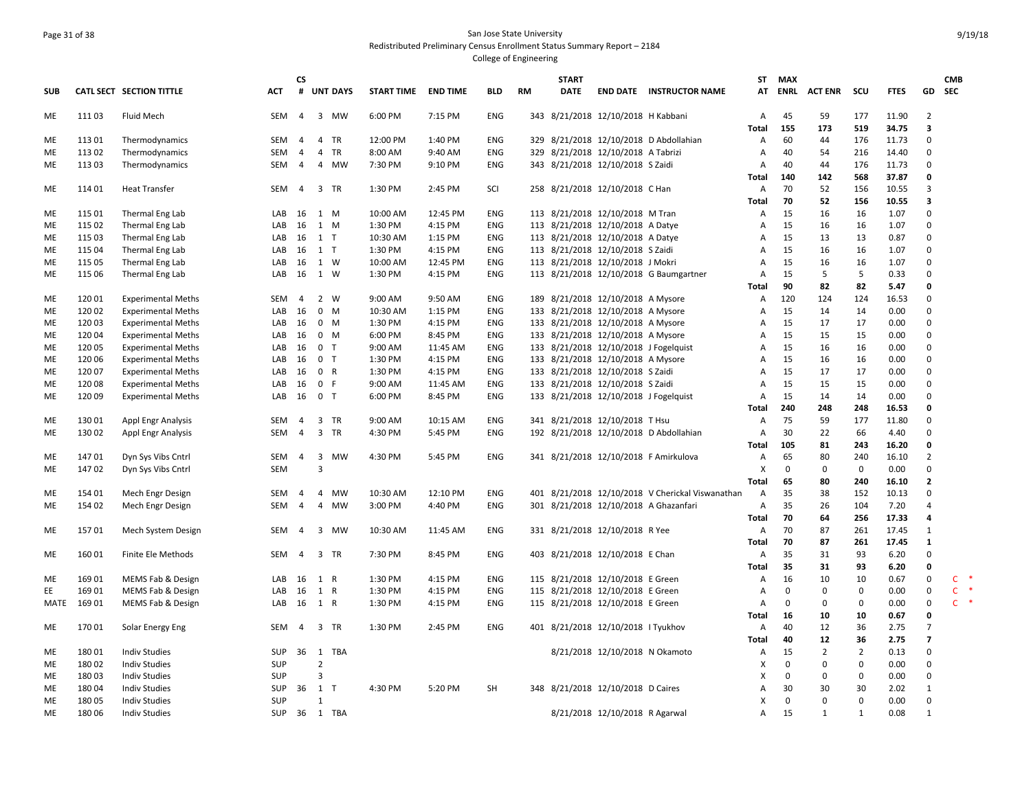#### Page 31 of 38 San Jose State University Redistributed Preliminary Census Enrollment Status Summary Report – 2184 College of Engineering

**SUB CATL SECT SECTION TITTLE ACT CS # UNT DAYS START TIME END TIME BLD RM START DATE END DATE INSTRUCTOR NAME STATMAX ENRL ACT ENR SCU FTES GD CMB SEC**ME 111 03 Fluid Mech SEM 4 3 MW 6:00 PM 7:15 PM ENG 343 8/21/2018 12/10/2018 H Kabbani A 45 59 177 11.90 2 **Total 155 173 519 34.75 3** ME 113 01 Thermodynamics SEM 4 4 TR 12:00 PM 1:40 PM ENG 329 8/21/2018 12/10/2018 D Abdollahian A 60 44 176 11.73 0 ME 113 02 Thermodynamics SEM 4 4 TR 8:00 AM 9:40 AM ENG 329 8/21/2018 12/10/2018 A Tabrizi A 40 54 216 14.40 0 ME 113 03 Thermodynamics SEM 4 4 MW 7:30 PM 9:10 PM ENG 343 8/21/2018 12/10/2018 S Zaidi A 40 44 176 11.73 0 **Total 140 142 568 37.87 0** ME 11401 Heat Transfer 6 SEM 4 3 TR 1:30 PM 2:45 PM SCI 258 8/21/2018 12/10/2018 C Han A 70 52 156 10.55 3 **Total 70 52 156 10.55 3** ME 11501 Thermal Eng Lab 16 1 AB 16 1 M 10:00 AM 12:45 PM ENG 113 8/21/2018 12/10/2018 M Tran A 15 16 16 1.07 0 ME 11502 Thermal Eng Lab 1 107 0 LAB 16 1 M 1:30 PM 4:15 PM ENG 113 8/21/2018 12/10/2018 A Datye 1 A 15 16 16 1.07 0 ME 11503 Thermal Eng Lab 1 1 LAB 16 1 T 10:30 AM 1:15 PM ENG 113 8/21/2018 12/10/2018 A Datye 1 A 15 13 13 0.87 0 ME 115 04 Thermal Eng Lab LAB 16 1 T 1:30 PM 4:15 PM ENG 113 8/21/2018 12/10/2018 S Zaidi A 15 16 16 1.07 0 ME 11505 Thermal Eng Lab 1 107 LAB 16 1 W 10:00 AM 12:45 PM ENG 113 8/21/2018 12/10/2018 J Mokri A 15 16 16 1.07 0 ME 115 06 Thermal Eng Lab LAB 16 1 W 1:30 PM 4:15 PM ENG 113 8/21/2018 12/10/2018 G Baumgartner A 15 5 5 0.33 0 **Total 90 82 82 5.47 0** ME 120 01 Experimental Meths SEM 4 2 W 9:00 AM 9:50 AM ENG 189 8/21/2018 12/10/2018 A Mysore A 120 124 124 16.53 0 ME 120 02 Experimental Meths LAB 16 0 M 10:30 AM 1:15 PM ENG 133 8/21/2018 12/10/2018 A Mysore A 15 14 14 0.00 0 ME 120 03 Experimental Meths LAB 16 0 M 1:30 PM 4:15 PM ENG 133 8/21/2018 12/10/2018 A Mysore A 15 17 17 0.00 0 ME 120 04 Experimental Meths LAB 16 0 M 6:00 PM 8:45 PM ENG 133 8/21/2018 12/10/2018 A Mysore A 15 15 15 0.00 0 ME 120 05 Experimental Meths LAB 16 0 T 9:00 AM 11:45 AM ENG 133 8/21/2018 12/10/2018 J Fogelquist A 15 16 16 0.00 0 ME 120 06 Experimental Meths LAB 16 0 T 1:30 PM 4:15 PM ENG 133 8/21/2018 12/10/2018 A Mysore A 15 16 16 0.00 0 ME 120 07 Experimental Meths LAB 16 0 R 1:30 PM 4:15 PM ENG 133 8/21/2018 12/10/2018 S Zaidi A 15 17 17 0.00 0 ME 120 08 Experimental Meths LAB 16 0 F 9:00 AM 11:45 AM ENG 133 8/21/2018 12/10/2018 S Zaidi A 15 15 15 0.00 0 ME 120 09 Experimental Meths LAB 16 0 T 6:00 PM 8:45 PM ENG 133 8/21/2018 12/10/2018 J Fogelquist A 15 14 14 0.00 0 **Total 240 248 248 16.53 0** ME 130 01 Appl Engr Analysis SEM 4 3 TR 9:00 AM 10:15 AM ENG 341 8/21/2018 12/10/2018 T Hsu A 75 59 177 11.80 0 ME 130 02 Appl Engr Analysis SEM 4 3 TR 4:30 PM 5:45 PM ENG 192 8/21/2018 12/10/2018 D Abdollahian A 30 22 66 4.40 0 **Total 105 81 243 16.20 0** ME 147 01 Dyn Sys Vibs Cntrl SEM 4 3 MW 4:30 PM 5:45 PM ENG 341 8/21/2018 12/10/2018 F Amirkulova A 65 80 240 16.10 2 ME 147 02 Dyn Sys Vibs Cntrl SEM 3 X 0 0 0 0.00 0 **Total 65 80 240 16.10 2** ME 154 01 Mech Engr Design SEM 4 4 MW 10:30 AM 12:10 PM ENG 401 8/21/2018 12/10/2018 V Cherickal Viswanathan A 35 38 152 10.13 0 ME 154 02 Mech Engr Design SEM 4 4 MW 3:00 PM 4:40 PM ENG 301 8/21/2018 12/10/2018 A Ghazanfari A 35 26 104 7.20 4 **Total 70 64 256 17.33 4** ME 15701 Mech System Design SEM 4 3 MW 10:30 AM 11:45 AM ENG 331 8/21/2018 12/10/2018 R Yee A 70 87 261 17.45 1 **Total 70 87 261 17.45 1** ME 160 01 Finite Ele Methods SEM 4 3 TR 7:30 PM 8:45 PM ENG 403 8/21/2018 12/10/2018 E Chan A 35 31 93 6.20 0 **Total 35 31 93 6.20 0** ME 16901 MEMS Fab & Design 
LAB 16 16 16 17 0 20 10 0.67 0 16 1 R 1:30 PM 4:15 PM ENG 115 8/21/2018 12/10/2018 E Green A 16 10 10 0.67 0 C EE 169 01 MEMS Fab & Design LAB 16 1 R 1:30 PM 4:15 PM ENG 115 8/21/2018 12/10/2018 E Green A 0 0 0 0.00 0 C \* MATE 16901 MEMS Fab & Design 
LAB 16 1 R 1:30 PM 4:15 PM ENG 115 8/21/2018 12/10/2018 E Green A 0 0 0.00 0 C **Total 16 10 10 0.67 0** ME 170 01 Solar Energy Eng SEM 4 3 TR 1:30 PM 2:45 PM ENG 401 8/21/2018 12/10/2018 I Tyukhov A 40 12 36 2.75 7 **Total 40 12 36 2.75 7** ME 180 01 Indiv Studies SUP 36 1 TBA 8/21/2018 12/10/2018 N Okamoto A 15 2 2 0.13 0 ME 180 02 Indiv Studies SUP 2 X 0 0 0 0.00 0 ME 180 03 Indiv Studies SUP 3 X 0 0 0 0.00 0 ME 18004 Indiv Studies 6 .0 SUP 36 1 T 4:30 PM 5:20 PM SH 348 8/21/2018 12/10/2018 D Caires 6 .0 A 30 30 30 2.02 1 ME 180 05 Indiv Studies SUP 1 X 0 0 0 0.00 0 ME 180 06 Indiv Studies SUP 36 1 TBA 8/21/2018 12/10/2018 R Agarwal A 15 1 1 0.08 1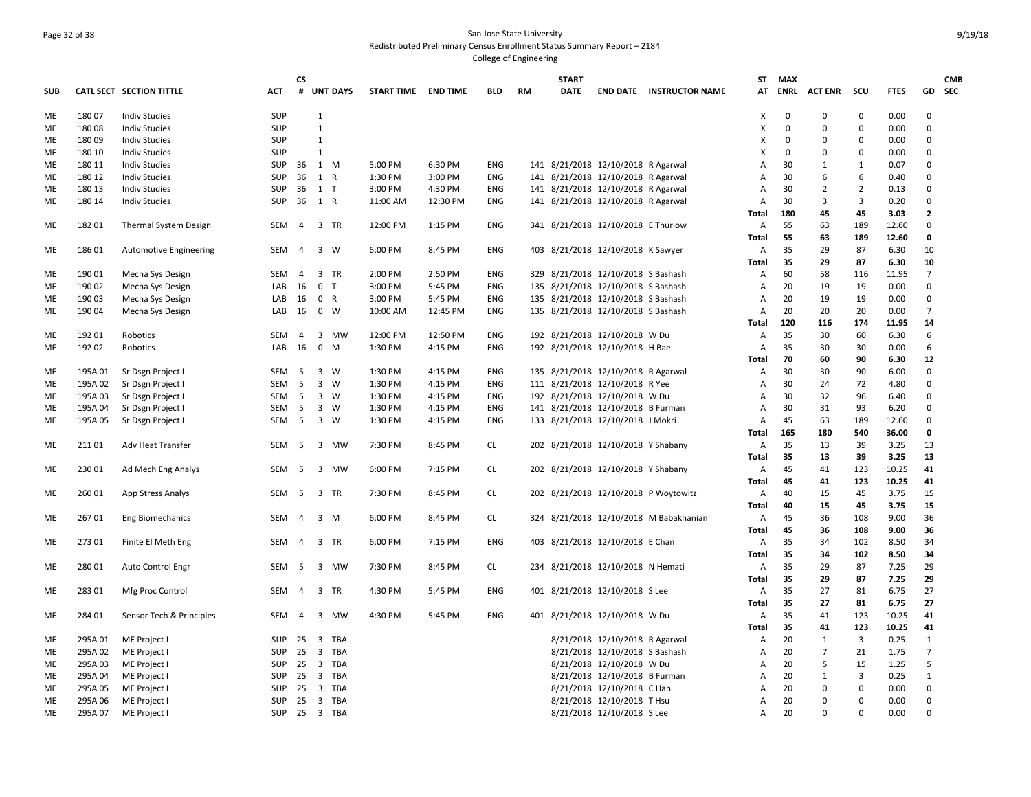### Page 32 of 38 San Jose State University Redistributed Preliminary Census Enrollment Status Summary Report – 2184 College of Engineering

|     |         |                               |                  | <b>CS</b>      |              |                |                     |          |            |    | <b>START</b> |                                    |                                        | ST           | MAX         |                |                         |             |                | <b>CMB</b> |
|-----|---------|-------------------------------|------------------|----------------|--------------|----------------|---------------------|----------|------------|----|--------------|------------------------------------|----------------------------------------|--------------|-------------|----------------|-------------------------|-------------|----------------|------------|
| SUB |         | CATL SECT SECTION TITTLE      | ACT              |                |              | # UNT DAYS     | START TIME END TIME |          | <b>BLD</b> | RM | <b>DATE</b>  |                                    | <b>END DATE INSTRUCTOR NAME</b>        |              |             | AT ENRL ACTENR | scu                     | <b>FTES</b> |                | GD SEC     |
| ME  | 18007   | <b>Indiv Studies</b>          | <b>SUP</b>       |                | $\mathbf{1}$ |                |                     |          |            |    |              |                                    |                                        | Χ            | $\mathbf 0$ | 0              | 0                       | 0.00        | 0              |            |
| ME  | 18008   | <b>Indiv Studies</b>          | <b>SUP</b>       |                | 1            |                |                     |          |            |    |              |                                    |                                        | Χ            | $\mathbf 0$ | $\Omega$       | 0                       | 0.00        | $\mathbf 0$    |            |
| ME  | 18009   | <b>Indiv Studies</b>          | <b>SUP</b>       |                | 1            |                |                     |          |            |    |              |                                    |                                        | х            | $\mathbf 0$ | $\Omega$       | $\Omega$                | 0.00        | $\Omega$       |            |
| ME  | 180 10  | <b>Indiv Studies</b>          | <b>SUP</b>       |                | 1            |                |                     |          |            |    |              |                                    |                                        | X            | $\mathbf 0$ | $\Omega$       | $\mathbf 0$             | 0.00        | $\mathbf 0$    |            |
| ME  | 180 11  | <b>Indiv Studies</b>          | <b>SUP</b>       | 36 1 M         |              |                | 5:00 PM             | 6:30 PM  | ENG        |    |              | 141 8/21/2018 12/10/2018 R Agarwal |                                        | A            | 30          | 1              | 1                       | 0.07        | $\Omega$       |            |
| ME  | 180 12  | <b>Indiv Studies</b>          | <b>SUP</b>       | 36             | 1 R          |                | 1:30 PM             | 3:00 PM  | ENG        |    |              | 141 8/21/2018 12/10/2018 R Agarwal |                                        | A            | 30          | 6              | 6                       | 0.40        | $\Omega$       |            |
| ME  | 180 13  | <b>Indiv Studies</b>          | <b>SUP</b>       | 36             | 1 T          |                | 3:00 PM             | 4:30 PM  | ENG        |    |              | 141 8/21/2018 12/10/2018 R Agarwal |                                        | Α            | 30          | 2              | $\overline{2}$          | 0.13        | $\mathbf 0$    |            |
| ME  | 180 14  | <b>Indiv Studies</b>          | <b>SUP</b>       | 36             | 1 R          |                | 11:00 AM            | 12:30 PM | ENG        |    |              | 141 8/21/2018 12/10/2018 R Agarwal |                                        | Α            | 30          | 3              | 3                       | 0.20        | $\mathbf 0$    |            |
|     |         |                               |                  |                |              |                |                     |          |            |    |              |                                    |                                        | Total        | 180         | 45             | 45                      | 3.03        | $\overline{2}$ |            |
| ME  | 18201   | Thermal System Design         | SEM              | 4              |              | 3 TR           | 12:00 PM            | 1:15 PM  | ENG        |    |              | 341 8/21/2018 12/10/2018 E Thurlow |                                        | А            | 55          | 63             | 189                     | 12.60       | $\mathbf 0$    |            |
|     |         |                               |                  |                |              |                |                     |          |            |    |              |                                    |                                        | Total        | 55          | 63             | 189                     | 12.60       | $\mathbf 0$    |            |
| ME  | 18601   | <b>Automotive Engineering</b> | SEM              | $\overline{4}$ |              | 3 W            | 6:00 PM             | 8:45 PM  | ENG        |    |              | 403 8/21/2018 12/10/2018 K Sawyer  |                                        | Α            | 35          | 29             | 87                      | 6.30        | 10             |            |
|     |         |                               |                  |                |              |                |                     |          |            |    |              |                                    |                                        | Total        | 35          | 29             | 87                      | 6.30        | 10             |            |
| ME  | 190 01  | Mecha Sys Design              | SEM              | $\overline{4}$ |              | 3 TR           | 2:00 PM             | 2:50 PM  | ENG        |    |              | 329 8/21/2018 12/10/2018 S Bashash |                                        | Α            | 60          | 58             | 116                     | 11.95       | $\overline{7}$ |            |
| ME  | 190 02  | Mecha Sys Design              | LAB              | 16             |              | 0 <sub>T</sub> | 3:00 PM             | 5:45 PM  | ENG        |    |              | 135 8/21/2018 12/10/2018 S Bashash |                                        | А            | 20          | 19             | 19                      | 0.00        | $\Omega$       |            |
| ME  | 190 03  | Mecha Sys Design              | LAB              | 16             |              | 0 R            | 3:00 PM             | 5:45 PM  | ENG        |    |              | 135 8/21/2018 12/10/2018 S Bashash |                                        | Α            | 20          | 19             | 19                      | 0.00        | $\mathbf 0$    |            |
| ME  | 190 04  | Mecha Sys Design              | LAB              | 16             |              | 0 W            | 10:00 AM            | 12:45 PM | ENG        |    |              | 135 8/21/2018 12/10/2018 S Bashash |                                        | Α            | 20          | 20             | 20                      | 0.00        | $\overline{7}$ |            |
|     |         |                               |                  |                |              |                |                     |          |            |    |              |                                    |                                        | Total        | 120         | 116            | 174                     | 11.95       | 14             |            |
| ME  | 192 01  | Robotics                      | SEM              | $\overline{4}$ |              | 3 MW           | 12:00 PM            | 12:50 PM | ENG        |    |              | 192 8/21/2018 12/10/2018 W Du      |                                        | Α            | 35          | 30             | 60                      | 6.30        | 6              |            |
| ME  | 192 02  | Robotics                      | LAB              | 16             |              | $0$ M          | 1:30 PM             | 4:15 PM  | ENG        |    |              | 192 8/21/2018 12/10/2018 H Bae     |                                        | А            | 35          | 30             | 30                      | 0.00        | 6              |            |
|     |         |                               |                  |                |              |                |                     |          |            |    |              |                                    |                                        | Total        | 70          | 60             | 90                      | 6.30        | 12             |            |
| ME  | 195A 01 | Sr Dsgn Project I             | SEM <sub>5</sub> |                |              | 3 W            | 1:30 PM             | 4:15 PM  | ENG        |    |              | 135 8/21/2018 12/10/2018 R Agarwal |                                        | Α            | 30          | 30             | 90                      | 6.00        | $\Omega$       |            |
| ME  | 195A 02 | Sr Dsgn Project I             | SEM              | 5              |              | $3 \quad W$    | 1:30 PM             | 4:15 PM  | ENG        |    |              | 111 8/21/2018 12/10/2018 R Yee     |                                        | Α            | 30          | 24             | 72                      | 4.80        | $\mathbf 0$    |            |
| ME  | 195A 03 | Sr Dsgn Project I             | SEM 5            |                | 3 W          |                | 1:30 PM             | 4:15 PM  | <b>ENG</b> |    |              | 192 8/21/2018 12/10/2018 W Du      |                                        | A            | 30          | 32             | 96                      | 6.40        | $\mathbf 0$    |            |
| ME  | 195A 04 | Sr Dsgn Project I             | SEM 5            |                |              | 3 W            | 1:30 PM             | 4:15 PM  | ENG        |    |              | 141 8/21/2018 12/10/2018 B Furman  |                                        | А            | 30          | 31             | 93                      | 6.20        | $\mathbf 0$    |            |
| ME  | 195A 05 | Sr Dsgn Project I             | SEM 5            |                | 3 W          |                | 1:30 PM             | 4:15 PM  | ENG        |    |              | 133 8/21/2018 12/10/2018 J Mokri   |                                        | A            | 45          | 63             | 189                     | 12.60       | $\mathbf 0$    |            |
|     |         |                               |                  |                |              |                |                     |          |            |    |              |                                    |                                        | Total        | 165         | 180            | 540                     | 36.00       | 0              |            |
| ME  | 21101   | Adv Heat Transfer             | SEM              | 5              |              | 3 MW           | 7:30 PM             | 8:45 PM  | CL.        |    |              | 202 8/21/2018 12/10/2018 Y Shabany |                                        | Α            | 35          | 13             | 39                      | 3.25        | 13             |            |
|     |         |                               |                  |                |              |                |                     |          |            |    |              |                                    |                                        | Total        | 35          | 13             | 39                      | 3.25        | 13             |            |
| ME  | 23001   | Ad Mech Eng Analys            | SEM              | - 5            | 3            | MW             | 6:00 PM             | 7:15 PM  | CL         |    |              | 202 8/21/2018 12/10/2018 Y Shabany |                                        | Α            | 45          | 41             | 123                     | 10.25       | 41             |            |
|     |         |                               |                  |                |              |                |                     |          |            |    |              |                                    |                                        | Total        | 45          | 41             | 123                     | 10.25       | 41             |            |
| ME  | 26001   | App Stress Analys             | SEM              | 5              |              | 3 TR           | 7:30 PM             | 8:45 PM  | CL         |    |              |                                    | 202 8/21/2018 12/10/2018 P Woytowitz   | Α            | 40          | 15             | 45                      | 3.75        | 15             |            |
|     |         |                               |                  |                |              |                |                     |          |            |    |              |                                    |                                        | Total        | 40          | 15             | 45                      | 3.75        | 15             |            |
| МE  | 26701   | <b>Eng Biomechanics</b>       | SEM 4            |                | 3 M          |                | 6:00 PM             | 8:45 PM  | <b>CL</b>  |    |              |                                    | 324 8/21/2018 12/10/2018 M Babakhanian | Α            | 45          | 36             | 108                     | 9.00        | 36             |            |
|     |         |                               |                  |                |              |                |                     |          |            |    |              |                                    |                                        | Total        | 45          | 36             | 108                     | 9.00        | 36             |            |
| ME  | 27301   | Finite El Meth Eng            | SEM 4            |                |              | 3 TR           | 6:00 PM             | 7:15 PM  | ENG        |    |              | 403 8/21/2018 12/10/2018 E Chan    |                                        | A            | 35          | 34             | 102                     | 8.50        | 34             |            |
|     |         |                               |                  |                |              |                |                     |          |            |    |              |                                    |                                        | Total        | 35          | 34             | 102                     | 8.50        | 34             |            |
| ME  | 28001   | Auto Control Engr             | SEM              | 5              |              | 3 MW           | 7:30 PM             | 8:45 PM  | <b>CL</b>  |    |              | 234 8/21/2018 12/10/2018 N Hemati  |                                        | А            | 35          | 29             | 87                      | 7.25        | 29             |            |
|     |         |                               |                  |                |              |                |                     |          |            |    |              |                                    |                                        | Total        | 35          | 29             | 87                      | 7.25        | 29             |            |
| ME  | 28301   | Mfg Proc Control              | SEM              | 4              |              | 3 TR           | 4:30 PM             | 5:45 PM  | ENG        |    |              | 401 8/21/2018 12/10/2018 S Lee     |                                        | Α            | 35          | 27             | 81                      | 6.75        | 27             |            |
|     |         |                               |                  |                |              |                |                     |          |            |    |              |                                    |                                        | <b>Total</b> | 35          | 27             | 81                      | 6.75        | 27             |            |
| ME  | 284 01  | Sensor Tech & Principles      | SEM              | $\overline{4}$ |              | 3 MW           | 4:30 PM             | 5:45 PM  | <b>ENG</b> |    |              | 401 8/21/2018 12/10/2018 W Du      |                                        | Α            | 35          | 41             | 123                     | 10.25       | 41             |            |
|     |         |                               |                  |                |              |                |                     |          |            |    |              |                                    |                                        | Total        | 35          | 41             | 123                     | 10.25       | 41             |            |
| ME  | 295A01  | ME Project I                  | SUP 25 3 TBA     |                |              |                |                     |          |            |    |              | 8/21/2018 12/10/2018 R Agarwal     |                                        | A            | 20          | 1              | $\overline{\mathbf{3}}$ | 0.25        | 1              |            |
| ME  | 295A02  | ME Project I                  | <b>SUP</b>       | 25             | 3            | TBA            |                     |          |            |    |              | 8/21/2018 12/10/2018 S Bashash     |                                        | Α            | 20          | $\overline{7}$ | 21                      | 1.75        | $\overline{7}$ |            |
| ME  | 295A03  | ME Project I                  | <b>SUP</b>       | 25             |              | 3 TBA          |                     |          |            |    |              | 8/21/2018 12/10/2018 W Du          |                                        | Α            | 20          | 5              | 15                      | 1.25        | 5              |            |
| ME  | 295A 04 | ME Project I                  | <b>SUP</b>       | 25             |              | 3 TBA          |                     |          |            |    |              | 8/21/2018 12/10/2018 B Furman      |                                        | A            | 20          | 1              | 3                       | 0.25        | $\mathbf{1}$   |            |
| ME  | 295A05  | ME Project I                  | <b>SUP</b>       | 25             | 3            | TBA            |                     |          |            |    |              | 8/21/2018 12/10/2018 C Han         |                                        | A            | 20          | $\mathbf 0$    | $\mathbf 0$             | 0.00        | $\mathbf 0$    |            |
| ME  | 295A06  | ME Project I                  | <b>SUP</b>       | 25             |              | 3 TBA          |                     |          |            |    |              | 8/21/2018 12/10/2018 T Hsu         |                                        | Α            | 20          | $\Omega$       | 0                       | 0.00        | $\mathbf 0$    |            |
| ME  | 295A07  | ME Project I                  | SUP 25 3 TBA     |                |              |                |                     |          |            |    |              | 8/21/2018 12/10/2018 S Lee         |                                        | Α            | 20          | $\Omega$       | $\Omega$                | 0.00        | $\mathbf 0$    |            |
|     |         |                               |                  |                |              |                |                     |          |            |    |              |                                    |                                        |              |             |                |                         |             |                |            |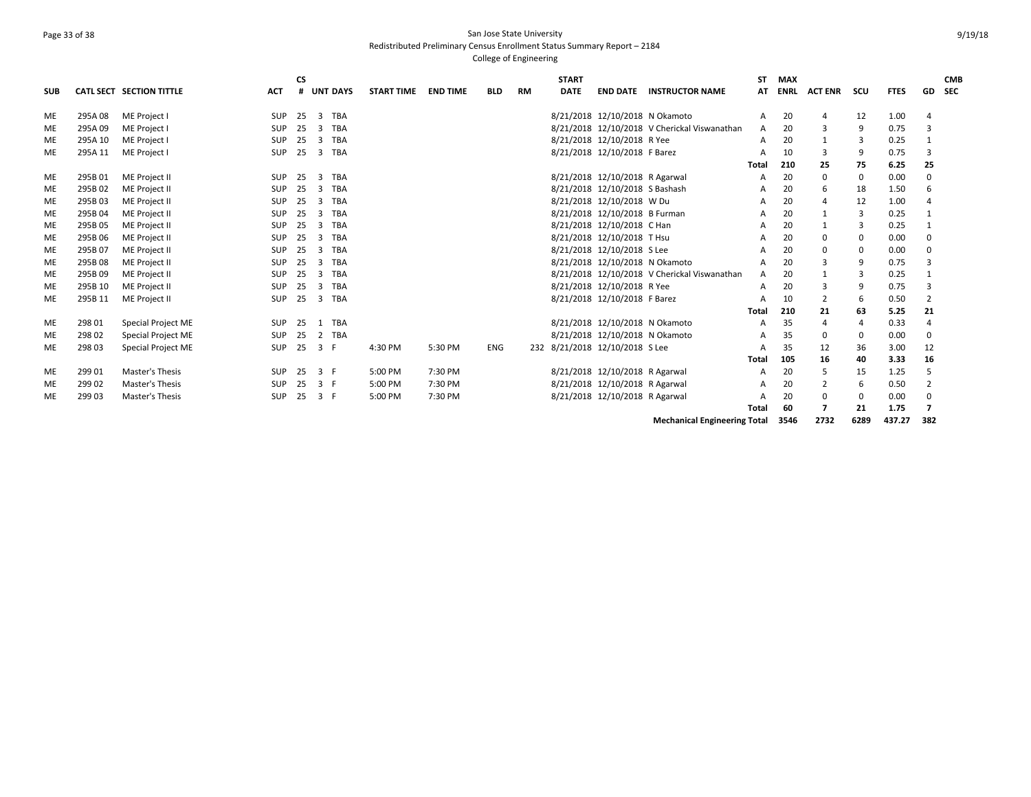# Page 33 of 38 San Jose State University Redistributed Preliminary Census Enrollment Status Summary Report – 2184

College of Engineering

| <b>SUB</b> |         | CATL SECT SECTION TITTLE  | <b>ACT</b> | <b>CS</b><br># |                | <b>UNT DAYS</b> | <b>START TIME</b> | <b>END TIME</b> | <b>BLD</b> | RM | <b>START</b><br><b>DATE</b> | <b>END DATE</b>                | <b>INSTRUCTOR NAME</b>                       | SΤ<br>AT | <b>MAX</b><br><b>ENRL</b> | <b>ACT ENR</b> | scu | <b>FTES</b> | GD             | <b>CMB</b><br><b>SEC</b> |
|------------|---------|---------------------------|------------|----------------|----------------|-----------------|-------------------|-----------------|------------|----|-----------------------------|--------------------------------|----------------------------------------------|----------|---------------------------|----------------|-----|-------------|----------------|--------------------------|
| ME         | 295A08  | ME Project I              | <b>SUP</b> | 25             | $\mathbf{3}$   | TBA             |                   |                 |            |    |                             | 8/21/2018 12/10/2018 N Okamoto |                                              | A        | 20                        | 4              | 12  | 1.00        |                |                          |
| <b>ME</b>  | 295A09  | ME Project I              | <b>SUP</b> | 25             | 3              | TBA             |                   |                 |            |    |                             |                                | 8/21/2018 12/10/2018 V Cherickal Viswanathan | A        | 20                        |                | 9   | 0.75        |                |                          |
| ME         | 295A 10 | ME Project I              | <b>SUP</b> | 25             | $\overline{3}$ | TBA             |                   |                 |            |    |                             | 8/21/2018 12/10/2018 R Yee     |                                              | A        | 20                        |                | 3   | 0.25        |                |                          |
| <b>ME</b>  | 295A 11 | ME Project I              | <b>SUP</b> | 25             | 3              | TBA             |                   |                 |            |    |                             | 8/21/2018 12/10/2018 F Barez   |                                              | A        | 10                        | 3              | 9   | 0.75        |                |                          |
|            |         |                           |            |                |                |                 |                   |                 |            |    |                             |                                |                                              | Total    | 210                       | 25             | 75  | 6.25        | 25             |                          |
| ME         | 295B01  | ME Project II             | SUP        | 25             | $\mathbf{3}$   | <b>TBA</b>      |                   |                 |            |    |                             | 8/21/2018 12/10/2018 R Agarwal |                                              | А        | 20                        | 0              | 0   | 0.00        | $\Omega$       |                          |
| ME         | 295B02  | ME Project II             | <b>SUP</b> | 25             | 3              | TBA             |                   |                 |            |    |                             | 8/21/2018 12/10/2018 S Bashash |                                              | А        | 20                        | 6              | 18  | 1.50        | 6              |                          |
| ME         | 295B03  | ME Project II             | <b>SUP</b> | 25             | 3              | TBA             |                   |                 |            |    |                             | 8/21/2018 12/10/2018 W Du      |                                              | А        | 20                        | 4              | 12  | 1.00        |                |                          |
| <b>ME</b>  | 295B04  | ME Project II             | <b>SUP</b> | 25             | 3              | TBA             |                   |                 |            |    |                             | 8/21/2018 12/10/2018 B Furman  |                                              | А        | 20                        |                | 3   | 0.25        |                |                          |
| ME         | 295B05  | ME Project II             | <b>SUP</b> | 25             | 3              | TBA             |                   |                 |            |    |                             | 8/21/2018 12/10/2018 C Han     |                                              | A        | 20                        | 1              | 3   | 0.25        |                |                          |
| <b>ME</b>  | 295B06  | ME Project II             | SUP        | 25             | 3              | <b>TBA</b>      |                   |                 |            |    |                             | 8/21/2018 12/10/2018 T Hsu     |                                              | А        | 20                        | 0              | 0   | 0.00        | $\Omega$       |                          |
| ME         | 295B07  | ME Project II             | <b>SUP</b> | 25             | $\overline{3}$ | TBA             |                   |                 |            |    |                             | 8/21/2018 12/10/2018 S Lee     |                                              | А        | 20                        | 0              | 0   | 0.00        | $\Omega$       |                          |
| ME         | 295B08  | ME Project II             | <b>SUP</b> | 25             | 3              | TBA             |                   |                 |            |    |                             | 8/21/2018 12/10/2018 N Okamoto |                                              | A        | 20                        | 3              | 9   | 0.75        |                |                          |
| ME         | 295B09  | ME Project II             | <b>SUP</b> | 25             | 3              | TBA             |                   |                 |            |    |                             |                                | 8/21/2018 12/10/2018 V Cherickal Viswanathan | A        | 20                        |                | 3   | 0.25        |                |                          |
| ME         | 295B 10 | ME Project II             | <b>SUP</b> | 25             | 3              | TBA             |                   |                 |            |    |                             | 8/21/2018 12/10/2018 R Yee     |                                              | A        | 20                        |                | 9   | 0.75        |                |                          |
| ME         | 295B 11 | ME Project II             | SUP        | 25             | 3              | TBA             |                   |                 |            |    |                             | 8/21/2018 12/10/2018 F Barez   |                                              | A        | 10                        | 2              | 6   | 0.50        | $\overline{2}$ |                          |
|            |         |                           |            |                |                |                 |                   |                 |            |    |                             |                                |                                              | Total    | 210                       | 21             | 63  | 5.25        | 21             |                          |
| ME         | 298 01  | Special Project ME        | SUP        | 25             | $\mathbf{1}$   | <b>TBA</b>      |                   |                 |            |    |                             | 8/21/2018 12/10/2018 N Okamoto |                                              | A        | 35                        | $\overline{4}$ | 4   | 0.33        |                |                          |
| ME         | 298 02  | <b>Special Project ME</b> | SUP 25     |                |                | 2 TBA           |                   |                 |            |    |                             | 8/21/2018 12/10/2018 N Okamoto |                                              | А        | 35                        | 0              | 0   | 0.00        | 0              |                          |
| ME         | 298 03  | <b>Special Project ME</b> | SUP        | 25             | 3 F            |                 | 4:30 PM           | 5:30 PM         | ENG        |    |                             | 232 8/21/2018 12/10/2018 S Lee |                                              | А        | 35                        | 12             | 36  | 3.00        | 12             |                          |
|            |         |                           |            |                |                |                 |                   |                 |            |    |                             |                                |                                              | Total    | 105                       | 16             | 40  | 3.33        | 16             |                          |
| <b>ME</b>  | 299 01  | Master's Thesis           | <b>SUP</b> | 25             | 3 F            |                 | 5:00 PM           | 7:30 PM         |            |    |                             | 8/21/2018 12/10/2018 R Agarwal |                                              | A        | 20                        | 5              | 15  | 1.25        | 5              |                          |
| ME         | 299 02  | Master's Thesis           | <b>SUP</b> | 25             | 3 F            |                 | 5:00 PM           | 7:30 PM         |            |    |                             | 8/21/2018 12/10/2018 R Agarwal |                                              | А        | 20                        | 2              | 6   | 0.50        | $\overline{2}$ |                          |
| ME         | 29903   | Master's Thesis           | <b>SUP</b> | 25             | 3 F            |                 | 5:00 PM           | 7:30 PM         |            |    |                             | 8/21/2018 12/10/2018 R Agarwal |                                              | А        | 20                        | 0              | 0   | 0.00        | $\Omega$       |                          |
|            |         |                           |            |                |                |                 |                   |                 |            |    |                             |                                |                                              | Total    | 60                        | 7              | 21  | 1.75        |                |                          |

**Mechanical Engineering Total 3546 2732 6289 437.27 382**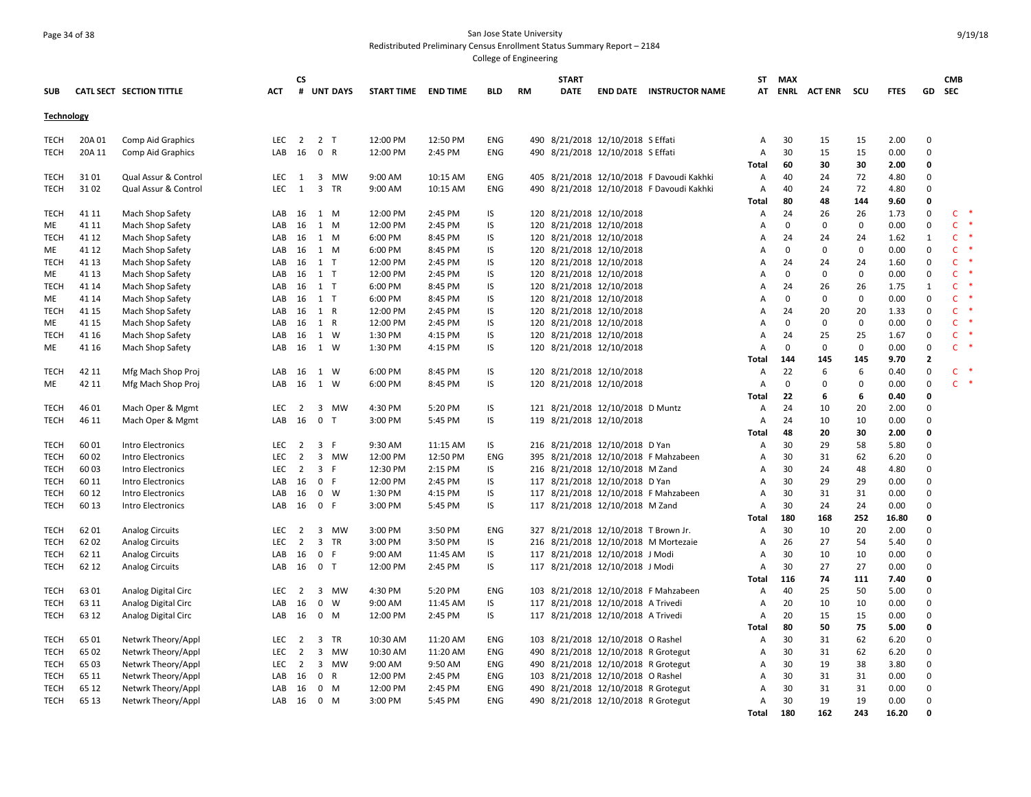### Page 34 of 38 San Jose State University Redistributed Preliminary Census Enrollment Status Summary Report – 2184

|                   |        |                          |            | <b>CS</b>      |                |              |                     |          |            |    | <b>START</b> |                                      |                                           | <b>ST</b>      | MAX          |                    |             |             |              | <b>CMB</b>     |  |
|-------------------|--------|--------------------------|------------|----------------|----------------|--------------|---------------------|----------|------------|----|--------------|--------------------------------------|-------------------------------------------|----------------|--------------|--------------------|-------------|-------------|--------------|----------------|--|
| <b>SUB</b>        |        | CATL SECT SECTION TITTLE | ACT        |                |                | # UNT DAYS   | START TIME END TIME |          | <b>BLD</b> | RM | <b>DATE</b>  |                                      | <b>END DATE INSTRUCTOR NAME</b>           | AT             |              | <b>ENRL ACTENR</b> | scu         | <b>FTES</b> | GD           | <b>SEC</b>     |  |
| <b>Technology</b> |        |                          |            |                |                |              |                     |          |            |    |              |                                      |                                           |                |              |                    |             |             |              |                |  |
| <b>TECH</b>       | 20A 01 | Comp Aid Graphics        | <b>LEC</b> | $\overline{2}$ | 2 <sub>T</sub> |              | 12:00 PM            | 12:50 PM | ENG        |    |              | 490 8/21/2018 12/10/2018 S Effati    |                                           | $\overline{A}$ | 30           | 15                 | 15          | 2.00        | 0            |                |  |
| TECH              | 20A 11 | Comp Aid Graphics        | LAB        | 16             | 0 R            |              | 12:00 PM            | 2:45 PM  | ENG        |    |              | 490 8/21/2018 12/10/2018 S Effati    |                                           | Α              | 30           | 15                 | 15          | 0.00        | 0            |                |  |
|                   |        |                          |            |                |                |              |                     |          |            |    |              |                                      |                                           | Total          | 60           | 30                 | 30          | 2.00        | $\Omega$     |                |  |
| <b>TECH</b>       | 31 01  | Qual Assur & Control     | LEC        | 1              |                | 3 MW         | 9:00 AM             | 10:15 AM | <b>ENG</b> |    |              |                                      | 405 8/21/2018 12/10/2018 F Davoudi Kakhki | A              | 40           | 24                 | 72          | 4.80        | $\Omega$     |                |  |
| <b>TECH</b>       | 31 02  | Qual Assur & Control     | LEC        | 1              |                | 3 TR         | 9:00 AM             | 10:15 AM | ENG        |    |              |                                      | 490 8/21/2018 12/10/2018 F Davoudi Kakhki | Α              | 40           | 24                 | 72          | 4.80        | 0            |                |  |
|                   |        |                          |            |                |                |              |                     |          |            |    |              |                                      |                                           | <b>Total</b>   | 80           | 48                 | 144         | 9.60        | 0            |                |  |
| TECH              | 41 11  | Mach Shop Safety         | LAB        | 16             | 1 M            |              | 12:00 PM            | 2:45 PM  | IS         |    |              | 120 8/21/2018 12/10/2018             |                                           | Α              | 24           | 26                 | 26          | 1.73        | 0            | C              |  |
| ME                | 41 11  | Mach Shop Safety         | LAB        | 16             | 1 M            |              | 12:00 PM            | 2:45 PM  | IS         |    |              | 120 8/21/2018 12/10/2018             |                                           | Α              | $\mathbf 0$  | $\mathbf 0$        | $\mathbf 0$ | 0.00        | 0            | $\mathsf{C}^-$ |  |
| <b>TECH</b>       | 41 12  | Mach Shop Safety         | LAB        | 16             |                | 1 M          | 6:00 PM             | 8:45 PM  | IS         |    |              | 120 8/21/2018 12/10/2018             |                                           | A              | 24           | 24                 | 24          | 1.62        | $\mathbf{1}$ | $\mathsf{C}$   |  |
| ME                | 41 12  | Mach Shop Safety         | LAB        | 16             | 1 M            |              | 6:00 PM             | 8:45 PM  | IS         |    |              | 120 8/21/2018 12/10/2018             |                                           | A              | $\mathbf 0$  | $\mathbf 0$        | $\mathbf 0$ | 0.00        | 0            | $\mathsf{C}$   |  |
| <b>TECH</b>       | 41 13  | Mach Shop Safety         | LAB        | 16             | $1$ T          |              | 12:00 PM            | 2:45 PM  | IS         |    |              | 120 8/21/2018 12/10/2018             |                                           | Α              | 24           | 24                 | 24          | 1.60        | $\mathbf 0$  | $\mathsf{C}$   |  |
| ME                | 41 13  | Mach Shop Safety         | LAB        | 16             | $1$ T          |              | 12:00 PM            | 2:45 PM  | IS         |    |              | 120 8/21/2018 12/10/2018             |                                           | A              | $\mathbf 0$  | $\mathsf 0$        | $\mathbf 0$ | 0.00        | 0            | $\mathsf{C}$   |  |
| <b>TECH</b>       | 41 14  | Mach Shop Safety         | LAB        | 16             | $1$ T          |              | 6:00 PM             | 8:45 PM  | IS         |    |              | 120 8/21/2018 12/10/2018             |                                           | Α              | 24           | 26                 | 26          | 1.75        | $\mathbf{1}$ | $\mathsf{C}$   |  |
| <b>ME</b>         | 41 14  | Mach Shop Safety         | LAB        |                | 16 1 T         |              | 6:00 PM             | 8:45 PM  | IS         |    |              | 120 8/21/2018 12/10/2018             |                                           | A              | $\mathbf 0$  | $\mathsf 0$        | $\mathbf 0$ | 0.00        | $\mathbf 0$  | $\mathsf{C}$   |  |
| <b>TECH</b>       | 41 15  | Mach Shop Safety         | LAB        | 16             | 1 R            |              | 12:00 PM            | 2:45 PM  | IS         |    |              | 120 8/21/2018 12/10/2018             |                                           | Α              | 24           | 20                 | 20          | 1.33        | 0            | $\mathsf{C}$   |  |
| ME                | 41 15  | Mach Shop Safety         | LAB        | 16             | 1 R            |              | 12:00 PM            | 2:45 PM  | IS         |    |              | 120 8/21/2018 12/10/2018             |                                           | Α              | 0            | 0                  | 0           | 0.00        | 0            | $\mathsf{C}$   |  |
| <b>TECH</b>       | 41 16  | Mach Shop Safety         | LAB        | 16             | 1 W            |              | 1:30 PM             | 4:15 PM  | IS         |    |              | 120 8/21/2018 12/10/2018             |                                           | Α              | 24           | 25                 | 25          | 1.67        | 0            | $\mathsf{C}$   |  |
| ME                | 41 16  | Mach Shop Safety         | LAB        |                | 16 1 W         |              | 1:30 PM             | 4:15 PM  | IS         |    |              | 120 8/21/2018 12/10/2018             |                                           | $\overline{A}$ | $\mathbf{0}$ | $\mathbf 0$        | $\mathbf 0$ | 0.00        | $\mathbf 0$  | $\mathsf{C}$   |  |
|                   |        |                          |            |                |                |              |                     |          |            |    |              |                                      |                                           | <b>Total</b>   | 144          | 145                | 145         | 9.70        | $\mathbf{2}$ |                |  |
| <b>TECH</b>       | 42 11  | Mfg Mach Shop Proj       | LAB        | 16             | 1 W            |              | 6:00 PM             | 8:45 PM  | IS         |    |              | 120 8/21/2018 12/10/2018             |                                           | Α              | 22           | 6                  | 6           | 0.40        | 0            | $\mathsf{C}$   |  |
| ME                | 42 11  | Mfg Mach Shop Proj       | LAB        | 16             |                | 1 W          | 6:00 PM             | 8:45 PM  | IS         |    |              | 120 8/21/2018 12/10/2018             |                                           | A              | 0            | 0                  | $\mathbf 0$ | 0.00        | 0            | $\mathsf{C}$   |  |
|                   |        |                          |            |                |                |              |                     |          |            |    |              |                                      |                                           | <b>Total</b>   | 22           | 6                  | 6           | 0.40        | 0            |                |  |
| <b>TECH</b>       | 46 01  | Mach Oper & Mgmt         | <b>LEC</b> | 2              |                | 3 MW         | 4:30 PM             | 5:20 PM  | IS         |    |              | 121 8/21/2018 12/10/2018 D Muntz     |                                           | $\mathsf A$    | 24           | 10                 | 20          | 2.00        | $\Omega$     |                |  |
| <b>TECH</b>       | 46 11  | Mach Oper & Mgmt         | LAB        | 16             | 0 <sub>0</sub> |              | 3:00 PM             | 5:45 PM  | IS         |    |              | 119 8/21/2018 12/10/2018             |                                           | A              | 24           | 10                 | 10          | 0.00        | 0            |                |  |
|                   |        |                          |            |                |                |              |                     |          |            |    |              |                                      |                                           | Total          | 48           | 20                 | 30          | 2.00        | 0            |                |  |
| TECH              | 60 01  | <b>Intro Electronics</b> | LEC        | 2              | 3 F            |              | 9:30 AM             | 11:15 AM | IS         |    |              | 216 8/21/2018 12/10/2018 D Yan       |                                           | Α              | 30           | 29                 | 58          | 5.80        | 0            |                |  |
| <b>TECH</b>       | 60 02  | Intro Electronics        | <b>LEC</b> | $\overline{2}$ |                | 3 MW         | 12:00 PM            | 12:50 PM | ENG        |    |              |                                      | 395 8/21/2018 12/10/2018 F Mahzabeen      | Α              | 30           | 31                 | 62          | 6.20        | $\Omega$     |                |  |
| <b>TECH</b>       | 60 03  | Intro Electronics        | <b>LEC</b> | 2              | 3 F            |              | 12:30 PM            | 2:15 PM  | IS         |    |              | 216 8/21/2018 12/10/2018 M Zand      |                                           | A              | 30           | 24                 | 48          | 4.80        | $\mathbf 0$  |                |  |
| <b>TECH</b>       | 60 11  | Intro Electronics        | LAB        | 16             | 0 F            |              | 12:00 PM            | 2:45 PM  | IS         |    |              | 117 8/21/2018 12/10/2018 D Yan       |                                           | Α              | 30           | 29                 | 29          | 0.00        | $\Omega$     |                |  |
| <b>TECH</b>       | 60 12  | Intro Electronics        | LAB        | 16             |                | $0 \quad W$  | 1:30 PM             | 4:15 PM  | IS         |    |              |                                      | 117 8/21/2018 12/10/2018 F Mahzabeen      | Α              | 30           | 31                 | 31          | 0.00        | 0            |                |  |
| <b>TECH</b>       | 60 13  | Intro Electronics        | LAB        | 16             | 0 F            |              | 3:00 PM             | 5:45 PM  | IS         |    |              | 117 8/21/2018 12/10/2018 M Zand      |                                           | Α              | 30           | 24                 | 24          | 0.00        | 0            |                |  |
|                   |        |                          |            |                |                |              |                     |          |            |    |              |                                      |                                           | <b>Total</b>   | 180          | 168                | 252         | 16.80       | 0            |                |  |
| TECH              | 62 01  | <b>Analog Circuits</b>   | LEC        | 2              |                | 3 MW         | 3:00 PM             | 3:50 PM  | ENG        |    |              | 327 8/21/2018 12/10/2018 T Brown Jr. |                                           | Α              | 30           | 10                 | 20          | 2.00        | $\mathbf 0$  |                |  |
| <b>TECH</b>       | 62 02  | <b>Analog Circuits</b>   | <b>LEC</b> | $\overline{2}$ |                | 3 TR         | 3:00 PM             | 3:50 PM  | IS         |    |              |                                      | 216 8/21/2018 12/10/2018 M Mortezaie      | $\overline{A}$ | 26           | 27                 | 54          | 5.40        | $\Omega$     |                |  |
| TECH              | 62 11  | <b>Analog Circuits</b>   | LAB        | 16             | 0 F            |              | 9:00 AM             | 11:45 AM | IS         |    |              | 117 8/21/2018 12/10/2018 J Modi      |                                           | Α              | 30           | 10                 | 10          | 0.00        | 0            |                |  |
| <b>TECH</b>       | 62 12  | <b>Analog Circuits</b>   | LAB        | 16             | 0 <sub>T</sub> |              | 12:00 PM            | 2:45 PM  | IS         |    |              | 117 8/21/2018 12/10/2018 J Modi      |                                           | Α              | 30           | 27                 | 27          | 0.00        | 0            |                |  |
|                   |        |                          |            |                |                |              |                     |          |            |    |              |                                      |                                           | Total          | 116          | 74                 | 111         | 7.40        | 0            |                |  |
| <b>TECH</b>       | 63 01  | Analog Digital Circ      | LEC        | $\overline{2}$ |                | 3 MW         | 4:30 PM             | 5:20 PM  | ENG        |    |              |                                      | 103 8/21/2018 12/10/2018 F Mahzabeen      | Α              | 40           | 25                 | 50          | 5.00        | $\mathbf 0$  |                |  |
| <b>TECH</b>       | 63 11  | Analog Digital Circ      | LAB        | 16             |                | $0 \quad W$  | 9:00 AM             | 11:45 AM | IS         |    |              | 117 8/21/2018 12/10/2018 A Trivedi   |                                           | A              | 20           | 10                 | 10          | 0.00        | $\Omega$     |                |  |
| <b>TECH</b>       | 63 12  | Analog Digital Circ      | LAB        | 16             |                | 0 M          | 12:00 PM            | 2:45 PM  | IS.        |    |              | 117 8/21/2018 12/10/2018 A Trivedi   |                                           | Α              | 20           | 15                 | 15          | 0.00        | 0            |                |  |
|                   |        |                          |            |                |                |              |                     |          |            |    |              |                                      |                                           | <b>Total</b>   | 80           | 50                 | 75          | 5.00        | 0            |                |  |
| TECH              | 65 01  | Netwrk Theory/Appl       | LEC        | 2              |                | 3 TR         | 10:30 AM            | 11:20 AM | ENG        |    |              | 103 8/21/2018 12/10/2018 O Rashel    |                                           | A              | 30           | 31                 | 62          | 6.20        | $\mathbf 0$  |                |  |
| <b>TECH</b>       | 65 02  | Netwrk Theory/Appl       | LEC        | $\overline{2}$ | $\overline{3}$ | MW           | 10:30 AM            | 11:20 AM | ENG        |    |              | 490 8/21/2018 12/10/2018 R Grotegut  |                                           | A              | 30           | 31                 | 62          | 6.20        | $\Omega$     |                |  |
| TECH              | 65 03  | Netwrk Theory/Appl       | LEC        | 2              |                | 3 MW         | 9:00 AM             | 9:50 AM  | ENG        |    |              | 490 8/21/2018 12/10/2018 R Grotegut  |                                           | Α              | 30           | 19                 | 38          | 3.80        | $\mathbf 0$  |                |  |
| <b>TECH</b>       | 65 11  | Netwrk Theory/Appl       | LAB        | 16             | $\mathbf{0}$   | $\mathsf{R}$ | 12:00 PM            | 2:45 PM  | ENG        |    |              | 103 8/21/2018 12/10/2018 O Rashel    |                                           | Α              | 30           | 31                 | 31          | 0.00        | 0            |                |  |
| <b>TECH</b>       | 65 12  | Netwrk Theory/Appl       | LAB        | 16             |                | 0 M          | 12:00 PM            | 2:45 PM  | <b>ENG</b> |    |              | 490 8/21/2018 12/10/2018 R Grotegut  |                                           | A              | 30           | 31                 | 31          | 0.00        | $\Omega$     |                |  |
| TECH              | 65 13  | Netwrk Theory/Appl       | LAB        | 16             |                | $0$ M        | 3:00 PM             | 5:45 PM  | ENG        |    |              | 490 8/21/2018 12/10/2018 R Grotegut  |                                           | A              | 30           | 19                 | 19          | 0.00        | 0            |                |  |
|                   |        |                          |            |                |                |              |                     |          |            |    |              |                                      |                                           | Total          | 180          | 162                | 243         | 16.20       | 0            |                |  |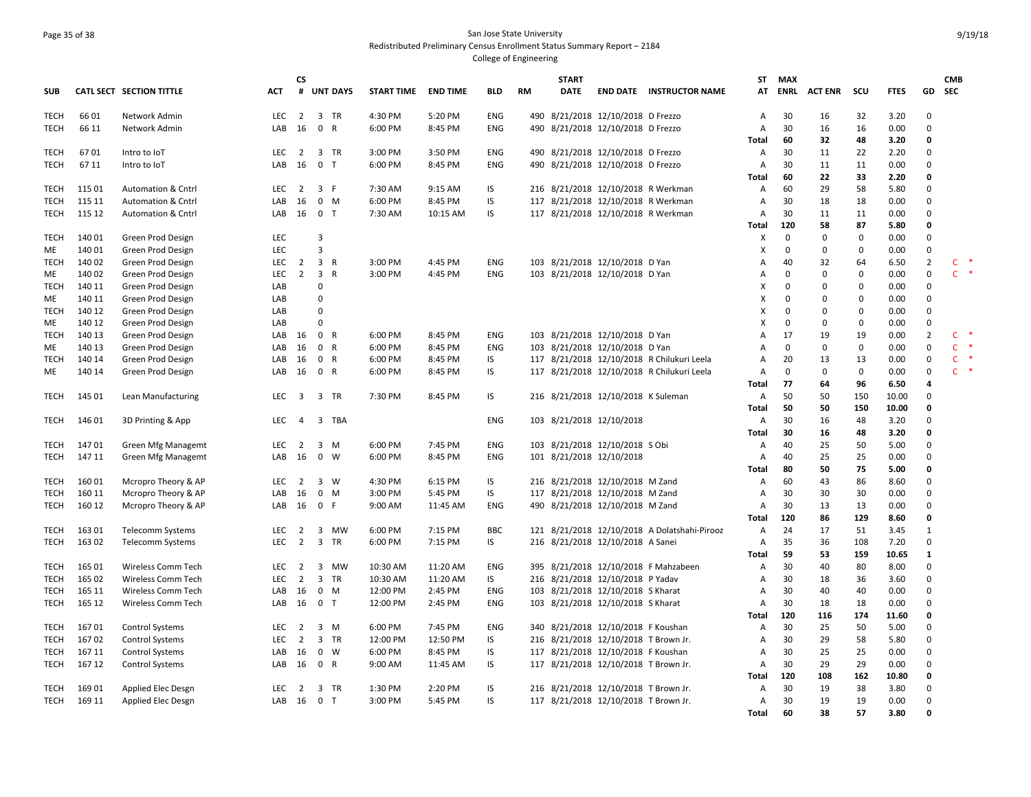#### Page 35 of 38 San Jose State University Redistributed Preliminary Census Enrollment Status Summary Report – 2184 College of Engineering

**SUB CATL SECT SECTION TITTLE ACT CS # UNT DAYS START TIME END TIME BLD RM START DATE END DATE INSTRUCTOR NAME STATMAX ENRL ACT ENR SCU FTES GD CMB SEC**TECH 66 01 Network Admin LEC 2 3 TR 4:30 PM 5:20 PM ENG 490 8/21/2018 12/10/2018 D Frezzo A 30 16 32 3.20 0 TECH 66 11 Network Admin LAB 16 0 R 6:00 PM 8:45 PM ENG 490 8/21/2018 12/10/2018 D Frezzo A 30 16 16 0.00 0 **Total 60 32 48 3.20 0** TECH 67 01 Intro to IoT LEC 2 3 TR 3:00 PM 3:50 PM ENG 490 8/21/2018 12/10/2018 D Frezzo A 30 11 22 2.20 0 TECH 67 11 Intro to IoT LAB 16 0 T 6:00 PM 8:45 PM ENG 490 8/21/2018 12/10/2018 D Frezzo A 30 11 11 0.00 0 **Total 60 22 33 2.20 0** TECH 115 01 Automation & Cntrl LEC 2 3 F 7:30 AM 9:15 AM IS 216 8/21/2018 12/10/2018 R Werkman A 60 29 58 5.80 0 TECH 115 11 Automation & Cntrl LAB 16 0 M 6:00 PM 8:45 PM IS 117 8/21/2018 12/10/2018 R Werkman A 30 18 18 0.00 0 TECH 115 12 Automation & Cntrl LAB 16 0 T 7:30 AM 10:15 AM IS 117 8/21/2018 12/10/2018 R Werkman A 30 11 11 0.00 0 **Total 120 58 87 5.80 0** TECH 140 01 Green Prod Design LEC 3 X 0 0 0 0.00 0 ME 140 01 Green Prod Design LEC 3 X 0 0 0 0.00 0 TECH 140 02 Green Prod Design 
LEC 2 3 R 3:00 PM 4:45 PM ENG 103 8/21/2018 12/10/2018 D Yan 
A 40 32 64 6.50 2 C ME 140.02 Green Prod Design Carrier LEC 2 3 R 3:00 PM 4:45 PM ENG 103 8/21/2018 12/10/2018 D Yan A 0 0 0 0.00 0 C \* TECH 140 11 Green Prod Design LAB 0 X 0 0 0 0.00 0 ME 140 11 Green Prod Design LAB 0 X 0 0 0 0.00 0 TECH 140 12 Green Prod Design LAB 0 X 0 0 0 0.00 0 ME 140 12 Green Prod Design LAB 0 X 0 0 0 0.00 0 TECH 140 13 Green Prod Design 
LAB 16 0 R 6:00 PM 8:45 PM ENG 103 8/21/2018 12/10/2018 D Yan 
A 17 19 19 0.00 2 C ME 140 13 Green Prod Design Cable 14 LAB 16 0 R 6:00 PM 8:45 PM ENG 103 8/21/2018 12/10/2018 D Yan A 0 0 0 00 0 0 0 C \* TECH 140 14 Green Prod Design LAB 16 0 R 6:00 PM 8:45 PM IS 117 8/21/2018 12/10/2018 R Chilukuri Leela A 20 13 13 0.00 0 C \* ME 140 14 Green Prod Design LAB 16 0 R 6:00 PM 8:45 PM IS 117 8/21/2018 12/10/2018 R Chilukuri Leela A 0 0 0 0.00 0 C \* **Total 77 64 96 6.50 4** TECH 145 01 Lean Manufacturing LEC 3 3 TR 7:30 PM 8:45 PM IS 216 8/21/2018 12/10/2018 K Suleman A 50 50 150 10.00 0 **Total 50 50 150 10.00 0** TECH 146 01 3D Printing & App LEC 4 3 TBA ENG 103 8/21/2018 12/10/2018 A 30 16 48 3.20 0 **Total 30 16 48 3.20 0** TECH 147 01 Green Mfg Managemt LEC 2 3 M 6:00 PM 7:45 PM ENG 103 8/21/2018 12/10/2018 S Obi A 40 25 50 5.00 0 TECH 147 11 Green Mfg Managemt LAB 16 0 W 6:00 PM 8:45 PM ENG 101 8/21/2018 12/10/2018 A 40 25 25 0.00 0 **Total 80 50 75 5.00 0** TECH 160 01 Mcropro Theory & AP LEC 2 3 W 4:30 PM 6:15 PM IS 216 8/21/2018 12/10/2018 M Zand A 60 43 86 8.60 0 TECH 160 11 Mcropro Theory & AP LAB 16 0 M 3:00 PM 5:45 PM IS 117 8/21/2018 12/10/2018 M Zand A 30 30 30 0.00 0 TECH 160 12 Mcropro Theory & AP LAB 16 0 F 9:00 AM 11:45 AM ENG 490 8/21/2018 12/10/2018 M Zand A 30 13 13 0.00 0 **Total 120 86 129 8.60 0** TECH 163 01 Telecomm Systems LEC 2 3 MW 6:00 PM 7:15 PM BBC 121 8/21/2018 12/10/2018 A Dolatshahi‐Pirooz A 24 17 51 3.45 1 TECH 163 02 Telecomm Systems LEC 2 3 TR 6:00 PM 7:15 PM IS 216 8/21/2018 12/10/2018 A Sanei A 35 36 108 7.20 0 **Total 59 53 159 10.65 1** TECH 165 01 Wireless Comm Tech LEC 2 3 MW 10:30 AM 11:20 AM ENG 395 8/21/2018 12/10/2018 F Mahzabeen A 30 40 80 8.00 0 TECH 165 02 Wireless Comm Tech LEC 2 3 TR 10:30 AM 11:20 AM IS 216 8/21/2018 12/10/2018 P Yadav A 30 18 36 3.60 0 TECH 165 11 Wireless Comm Tech 18 LAB 16 0 M 12:00 PM 2:45 PM ENG 103 8/21/2018 12/10/2018 S Kharat A 30 40 40 0.00 0 TECH 16512 Wireless Comm Tech 18 CMB 16 0 T 12:00 PM 2:45 PM ENG 103 8/21/2018 12/10/2018 S Kharat A 30 18 18 0.00 0 **Total 120 116 174 11.60 0** TECH 167 01 Control Systems LEC 2 3 M 6:00 PM 7:45 PM ENG 340 8/21/2018 12/10/2018 F Koushan A 30 25 50 5.00 0 TECH 167 02 Control Systems LEC 2 3 TR 12:00 PM 12:50 PM IS 216 8/21/2018 12/10/2018 T Brown Jr. A 30 29 58 5.80 0 TECH 167 11 Control Systems LAB 16 0 W 6:00 PM 8:45 PM IS 117 8/21/2018 12/10/2018 F Koushan A 30 25 25 0.00 0 TECH 167 12 Control Systems LAB 16 0 R 9:00 AM 11:45 AM IS 117 8/21/2018 12/10/2018 T Brown Jr. A 30 29 29 0.00 0 **Total 120 108 162 10.80 0** TECH 169 01 Applied Elec Desgn LEC 2 3 TR 1:30 PM 2:20 PM IS 216 8/21/2018 12/10/2018 T Brown Jr. A 30 19 38 3.80 0 TECH 169 11 Applied Elec Desgn LAB 16 0 T 3:00 PM 5:45 PM IS 117 8/21/2018 12/10/2018 T Brown Jr. A 30 19 19 0.00 0 **Total 60 38 57 3.80 0**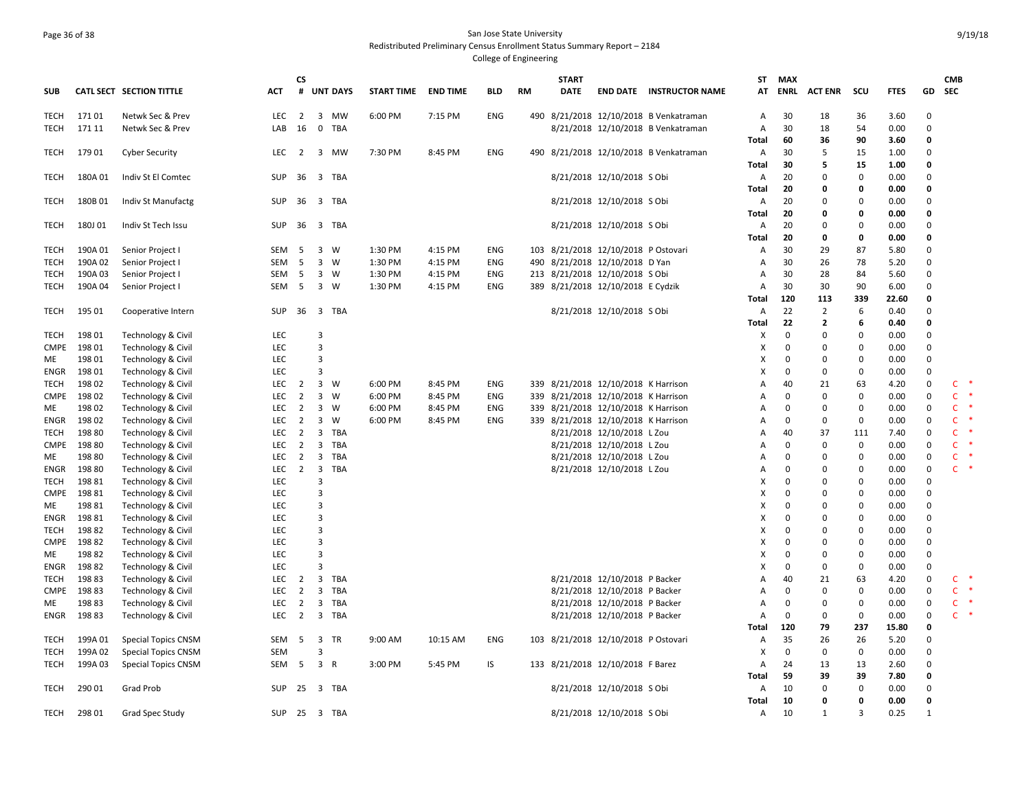# Page 36 of 38 San Jose State University Redistributed Preliminary Census Enrollment Status Summary Report – 2184

|                     |                    |                               |                 | <b>CS</b>      |                         |                 |                   |                 |            |     | <b>START</b> |                                     |                                        | ST.                       | MAX          |                         |             |              |                      | <b>CMB</b>   |  |
|---------------------|--------------------|-------------------------------|-----------------|----------------|-------------------------|-----------------|-------------------|-----------------|------------|-----|--------------|-------------------------------------|----------------------------------------|---------------------------|--------------|-------------------------|-------------|--------------|----------------------|--------------|--|
| <b>SUB</b>          |                    | CATL SECT SECTION TITTLE      | ACT             | #              |                         | <b>UNT DAYS</b> | <b>START TIME</b> | <b>END TIME</b> | BLD        | RM  | <b>DATE</b>  |                                     | <b>END DATE INSTRUCTOR NAME</b>        | AT                        | ENRL         | <b>ACT ENR</b>          | scu         | <b>FTES</b>  | GD                   | <b>SEC</b>   |  |
| <b>TECH</b>         | 17101              | Netwk Sec & Prev              | LEC $2 \quad 3$ |                |                         | MW              | 6:00 PM           | 7:15 PM         | <b>ENG</b> |     |              |                                     | 490 8/21/2018 12/10/2018 B Venkatraman | $\overline{A}$            | 30           | 18                      | 36          | 3.60         | $\Omega$             |              |  |
| TECH                | 171 11             | Netwk Sec & Prev              | LAB             | 16             | 0                       | TBA             |                   |                 |            |     |              |                                     | 8/21/2018 12/10/2018 B Venkatraman     | A                         | 30           | 18                      | 54          | 0.00         | $\mathbf 0$          |              |  |
|                     |                    |                               |                 |                |                         |                 |                   |                 |            |     |              |                                     |                                        | Total                     | 60           | 36                      | 90          | 3.60         | 0                    |              |  |
| TECH                | 17901              | <b>Cyber Security</b>         | LEC             | 2              |                         | 3 MW            | 7:30 PM           | 8:45 PM         | ENG        |     |              |                                     | 490 8/21/2018 12/10/2018 B Venkatraman | A                         | 30           | 5                       | 15          | 1.00         | 0                    |              |  |
|                     |                    |                               |                 |                |                         |                 |                   |                 |            |     |              |                                     |                                        | Total                     | 30           | 5                       | 15          | 1.00         | $\Omega$             |              |  |
| TECH                | 180A01             | Indiv St El Comtec            | SUP             |                |                         | 36 3 TBA        |                   |                 |            |     |              | 8/21/2018 12/10/2018 S Obi          |                                        | A                         | 20           | 0                       | 0           | 0.00         | 0                    |              |  |
|                     |                    |                               |                 |                |                         |                 |                   |                 |            |     |              |                                     |                                        | Total                     | 20           | $\mathbf 0$<br>$\Omega$ | 0           | 0.00         | 0<br>0               |              |  |
| <b>TECH</b>         | 180B01             | Indiv St Manufactg            | SUP             |                |                         | 36 3 TBA        |                   |                 |            |     |              | 8/21/2018 12/10/2018 S Obi          |                                        | A<br>Total                | 20<br>20     | 0                       | 0<br>0      | 0.00<br>0.00 | 0                    |              |  |
| TECH                | 180J 01            | Indiv St Tech Issu            | <b>SUP</b>      | 36             | $\overline{\mathbf{3}}$ | TBA             |                   |                 |            |     |              | 8/21/2018 12/10/2018 S Obi          |                                        | A                         | 20           | $\Omega$                | $\mathbf 0$ | 0.00         | $\Omega$             |              |  |
|                     |                    |                               |                 |                |                         |                 |                   |                 |            |     |              |                                     |                                        | Total                     | 20           | $\mathbf 0$             | 0           | 0.00         | 0                    |              |  |
| TECH                | 190A 01            | Senior Project I              | SEM             | - 5            | $\mathbf{3}$            | W               | 1:30 PM           | 4:15 PM         | ENG        | 103 |              | 8/21/2018 12/10/2018 P Ostovari     |                                        | A                         | 30           | 29                      | 87          | 5.80         | $\Omega$             |              |  |
| <b>TECH</b>         | 190A 02            | Senior Project I              | SEM             | - 5            |                         | $3 \quad W$     | 1:30 PM           | 4:15 PM         | ENG        | 490 |              | 8/21/2018 12/10/2018 D Yan          |                                        | A                         | 30           | 26                      | 78          | 5.20         | 0                    |              |  |
| TECH                | 190A 03            | Senior Project                | SEM             | - 5            |                         | $3 \quad W$     | 1:30 PM           | 4:15 PM         | ENG        |     |              | 213 8/21/2018 12/10/2018 S Obi      |                                        | A                         | 30           | 28                      | 84          | 5.60         | $\Omega$             |              |  |
| TECH                | 190A 04            | Senior Project I              | SEM             | 5              |                         | 3 W             | 1:30 PM           | 4:15 PM         | ENG        |     |              | 389 8/21/2018 12/10/2018 E Cydzik   |                                        | A                         | 30           | 30                      | 90          | 6.00         | $\Omega$             |              |  |
|                     |                    |                               |                 |                |                         |                 |                   |                 |            |     |              |                                     |                                        | Total                     | 120          | 113                     | 339         | 22.60        | O                    |              |  |
| TECH                | 195 01             | Cooperative Intern            | SUP             | 36             | $\overline{\mathbf{3}}$ | TBA             |                   |                 |            |     |              | 8/21/2018 12/10/2018 S Obi          |                                        | A                         | 22           | $\overline{2}$          | 6           | 0.40         | $\Omega$             |              |  |
|                     |                    |                               |                 |                |                         |                 |                   |                 |            |     |              |                                     |                                        | Total                     | 22           | $\overline{2}$          | 6           | 0.40         | 0                    |              |  |
| TECH                | 198 01             | Technology & Civil            | <b>LEC</b>      |                | 3                       |                 |                   |                 |            |     |              |                                     |                                        | х                         | $\mathbf{0}$ | $\Omega$                | 0           | 0.00         | $\Omega$             |              |  |
| <b>CMPE</b>         | 19801              | Technology & Civil            | LEC             |                | 3                       |                 |                   |                 |            |     |              |                                     |                                        | X                         | $\mathbf{0}$ | $\Omega$                | 0           | 0.00         | $\Omega$             |              |  |
| ME.                 | 198 01             | <b>Technology &amp; Civil</b> | <b>LEC</b>      |                | 3                       |                 |                   |                 |            |     |              |                                     |                                        | $\boldsymbol{\mathsf{X}}$ | $\Omega$     | $\Omega$                | $\Omega$    | 0.00         | $\Omega$             |              |  |
| ENGR                | 19801              | Technology & Civil            | LEC             |                | 3                       |                 |                   |                 |            |     |              |                                     |                                        | $\boldsymbol{\mathsf{x}}$ | $\mathbf 0$  | $\mathbf 0$             | 0           | 0.00         | $\mathbf 0$          |              |  |
| TECH                | 19802              | Technology & Civil            | LEC             | $\overline{2}$ |                         | $3 \quad W$     | 6:00 PM           | 8:45 PM         | ENG        |     |              | 339 8/21/2018 12/10/2018 K Harrison |                                        | A                         | 40           | 21                      | 63          | 4.20         | $\Omega$             | C            |  |
| <b>CMPE</b>         | 19802              | Technology & Civil            | LEC             | 2              |                         | $3 \quad W$     | 6:00 PM           | 8:45 PM         | ENG        |     |              | 339 8/21/2018 12/10/2018 K Harrison |                                        | A                         | $\mathbf{0}$ | $\mathbf 0$             | $\mathbf 0$ | 0.00         | $\Omega$             | $\mathsf{C}$ |  |
| ME                  | 198 02             | Technology & Civil            | LEC             | $\overline{2}$ |                         | $3 \quad W$     | 6:00 PM           | 8:45 PM         | ENG        |     |              | 339 8/21/2018 12/10/2018 K Harrison |                                        | A                         | $\mathbf{0}$ | 0                       | 0           | 0.00         | $\Omega$             | $\mathsf{C}$ |  |
| ENGR                | 198 02             | Technology & Civil            | LEC             | 2              | 3                       | W               | 6:00 PM           | 8:45 PM         | ENG        |     |              | 339 8/21/2018 12/10/2018 K Harrison |                                        | $\overline{A}$            | $\mathbf{0}$ | $\mathbf 0$             | $\mathbf 0$ | 0.00         | 0                    | $\mathsf{C}$ |  |
| <b>TECH</b>         | 198 80             | Technology & Civil            | LEC             | $\overline{2}$ | 3                       | TBA             |                   |                 |            |     |              | 8/21/2018 12/10/2018 L Zou          |                                        | A                         | 40           | 37                      | 111         | 7.40         | $\mathbf 0$          | $\mathsf{C}$ |  |
| <b>CMPE</b>         | 198 80             | Technology & Civil            | LEC             | $\overline{2}$ | 3                       | TBA             |                   |                 |            |     |              | 8/21/2018 12/10/2018 L Zou          |                                        | A                         | 0            | $\Omega$                | 0           | 0.00         | $\Omega$             | $\mathsf{C}$ |  |
| ME                  | 198 80             | Technology & Civil            | LEC             | $\overline{2}$ | $\mathbf{3}$            | TBA             |                   |                 |            |     |              | 8/21/2018 12/10/2018 L Zou          |                                        | A                         | $\mathbf{0}$ | $\Omega$                | 0           | 0.00         | $\mathbf 0$          | $\mathsf{C}$ |  |
| ENGR                | 198 80             | <b>Technology &amp; Civil</b> | LEC             | 2              | 3                       | TBA             |                   |                 |            |     |              | 8/21/2018 12/10/2018 L Zou          |                                        | A                         | $\mathbf{0}$ | $\Omega$                | $\mathbf 0$ | 0.00         | $\Omega$             | $\mathsf{C}$ |  |
| TECH                | 19881              | Technology & Civil            | <b>LEC</b>      |                | 3                       |                 |                   |                 |            |     |              |                                     |                                        | X                         | $\Omega$     | $\Omega$                | $\Omega$    | 0.00         | 0                    |              |  |
| <b>CMPE</b>         | 19881              | Technology & Civil            | LEC             |                | 3                       |                 |                   |                 |            |     |              |                                     |                                        | X                         | $\Omega$     | $\Omega$                | 0           | 0.00         | $\Omega$             |              |  |
| ME                  | 19881              | Technology & Civil            | LEC             |                | 3                       |                 |                   |                 |            |     |              |                                     |                                        | X                         | $\mathbf{0}$ | $\Omega$                | 0           | 0.00         | 0                    |              |  |
| ENGR                | 19881              | Technology & Civil            | LEC             |                | 3                       |                 |                   |                 |            |     |              |                                     |                                        | $\boldsymbol{\mathsf{x}}$ | $\mathbf 0$  | $\mathbf 0$             | 0           | 0.00         | $\Omega$             |              |  |
| TECH                | 19882              | Technology & Civil            | LEC             |                | 3                       |                 |                   |                 |            |     |              |                                     |                                        | X                         | 0            | 0                       | 0           | 0.00         | $\Omega$             |              |  |
| <b>CMPE</b>         | 19882              | Technology & Civil            | <b>LEC</b>      |                | $\overline{3}$          |                 |                   |                 |            |     |              |                                     |                                        | $\boldsymbol{\mathsf{X}}$ | $\mathbf{0}$ | $\mathbf 0$             | 0           | 0.00         | $\Omega$             |              |  |
| ME                  | 19882              | <b>Technology &amp; Civil</b> | <b>LEC</b>      |                | $\overline{3}$          |                 |                   |                 |            |     |              |                                     |                                        | $\boldsymbol{\mathsf{X}}$ | $\mathbf{0}$ | $\Omega$                | 0           | 0.00         | $\Omega$             |              |  |
| ENGR                | 19882              | Technology & Civil            | LEC             |                | 3                       |                 |                   |                 |            |     |              |                                     |                                        | X                         | 0            | 0                       | 0           | 0.00         | 0                    |              |  |
| TECH                | 19883              | Technology & Civil            | LEC             | 2              | $\mathbf{3}$            | TBA             |                   |                 |            |     |              | 8/21/2018 12/10/2018 P Backer       |                                        | A                         | 40           | 21                      | 63          | 4.20         | $\Omega$             | c            |  |
| <b>CMPE</b>         | 19883              | Technology & Civil            | LEC             | 2              | 3                       | TBA             |                   |                 |            |     |              | 8/21/2018 12/10/2018 P Backer       |                                        | A                         | $\mathbf{0}$ | 0                       | 0           | 0.00         | $\mathbf 0$          | $\mathsf{C}$ |  |
| ME                  | 19883              | Technology & Civil            | LEC             | $\overline{2}$ | 3                       | TBA             |                   |                 |            |     |              | 8/21/2018 12/10/2018 P Backer       |                                        | A                         | $\mathbf{0}$ | 0                       | 0           | 0.00         | $\Omega$             | $\mathsf{C}$ |  |
| ENGR                | 19883              | Technology & Civil            | LEC.            | $\overline{2}$ | 3                       | TBA             |                   |                 |            |     |              | 8/21/2018 12/10/2018 P Backer       |                                        | A                         | $\mathbf{0}$ | $\Omega$                | $\mathbf 0$ | 0.00         | $\Omega$<br>$\Omega$ | $\mathsf{C}$ |  |
|                     |                    |                               |                 |                |                         |                 |                   |                 |            |     |              |                                     |                                        | Total                     | 120<br>35    | 79<br>26                | 237         | 15.80        | $\Omega$             |              |  |
| TECH                | 199A 01            | <b>Special Topics CNSM</b>    | SEM<br>SEM      | -5             | $\mathbf{a}$            | 3 TR            | 9:00 AM           | 10:15 AM        | ENG        |     |              | 103 8/21/2018 12/10/2018 P Ostovari |                                        | A                         | $\mathbf 0$  | $\mathbf 0$             | 26<br>0     | 5.20         | $\Omega$             |              |  |
| <b>TECH</b><br>TECH | 199A 02<br>199A 03 | <b>Special Topics CNSM</b>    | SEM 5           |                | 3 R                     |                 | 3:00 PM           | 5:45 PM         | IS         |     |              |                                     |                                        | X<br>$\overline{A}$       | 24           | 13                      | 13          | 0.00<br>2.60 | 0                    |              |  |
|                     |                    | <b>Special Topics CNSM</b>    |                 |                |                         |                 |                   |                 |            |     |              | 133 8/21/2018 12/10/2018 F Barez    |                                        | Total                     | 59           | 39                      | 39          | 7.80         | 0                    |              |  |
| <b>TECH</b>         | 29001              | <b>Grad Prob</b>              | SUP             | - 25           |                         | 3 TBA           |                   |                 |            |     |              | 8/21/2018 12/10/2018 S Obi          |                                        | A                         | 10           | 0                       | 0           | 0.00         | 0                    |              |  |
|                     |                    |                               |                 |                |                         |                 |                   |                 |            |     |              |                                     |                                        | Total                     | 10           | 0                       | 0           | 0.00         | 0                    |              |  |
| TECH                | 298 01             | Grad Spec Study               | SUP 25 3 TBA    |                |                         |                 |                   |                 |            |     |              | 8/21/2018 12/10/2018 S Obi          |                                        | A                         | 10           | $\mathbf{1}$            | 3           | 0.25         | 1                    |              |  |
|                     |                    |                               |                 |                |                         |                 |                   |                 |            |     |              |                                     |                                        |                           |              |                         |             |              |                      |              |  |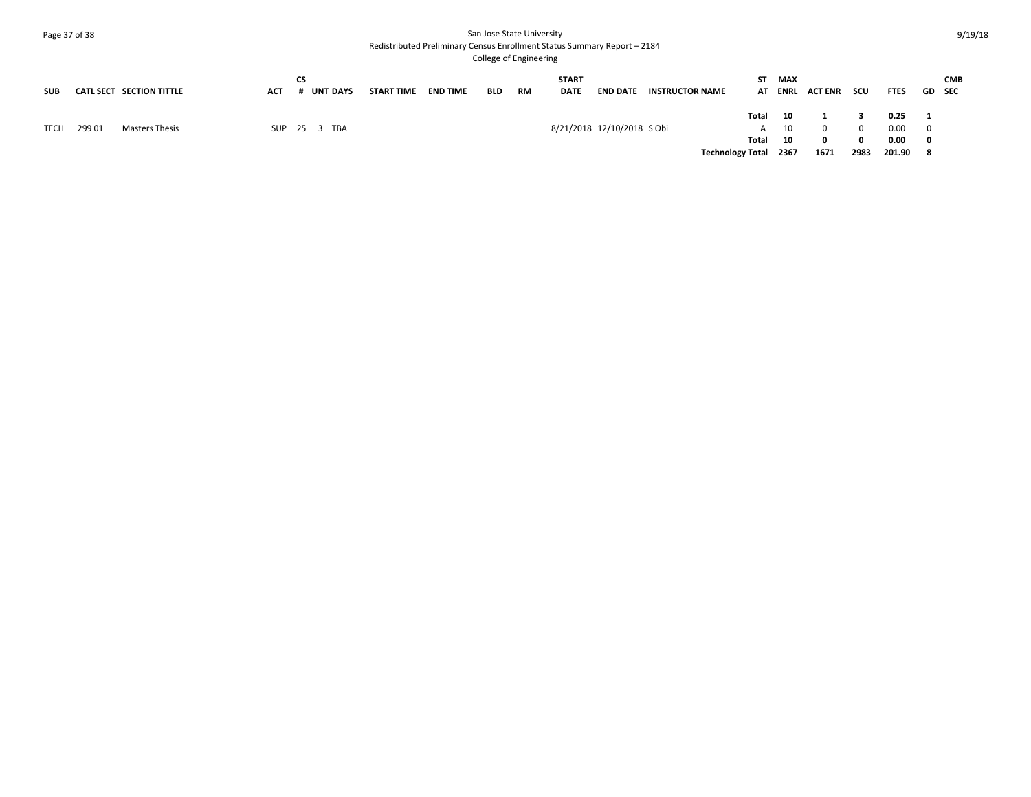### Page 37 of 38 San Jose State University Redistributed Preliminary Census Enrollment Status Summary Report – 2184

| <b>SUB</b>  |        | CATL SECT SECTION TITTLE | <b>ACT</b> | СS | # UNT DAYS   | START TIME | <b>END TIME</b> | <b>BLD</b> | RM | <b>START</b><br><b>DATE</b> | <b>END DATE</b>            | <b>INSTRUCTOR NAME</b> | ST.                     | <b>MAX</b> | AT ENRL ACTENR | scu           | <b>FTES</b>  | GD SEC                                  | <b>CMB</b> |
|-------------|--------|--------------------------|------------|----|--------------|------------|-----------------|------------|----|-----------------------------|----------------------------|------------------------|-------------------------|------------|----------------|---------------|--------------|-----------------------------------------|------------|
|             |        |                          |            |    |              |            |                 |            |    |                             |                            |                        | Total                   | 10         |                |               | 0.25         | $\blacksquare$                          |            |
| <b>TECH</b> | 299 01 | Masters Thesis           |            |    | SUP 25 3 TBA |            |                 |            |    |                             | 8/21/2018 12/10/2018 S Obi |                        | A<br>Total              | 10<br>- 10 |                | $\Omega$<br>n | 0.00<br>0.00 | $\overline{\mathbf{0}}$<br>$\mathbf{0}$ |            |
|             |        |                          |            |    |              |            |                 |            |    |                             |                            |                        | <b>Technology Total</b> | 2367       | 1671           | 2983          | 201.90 8     |                                         |            |